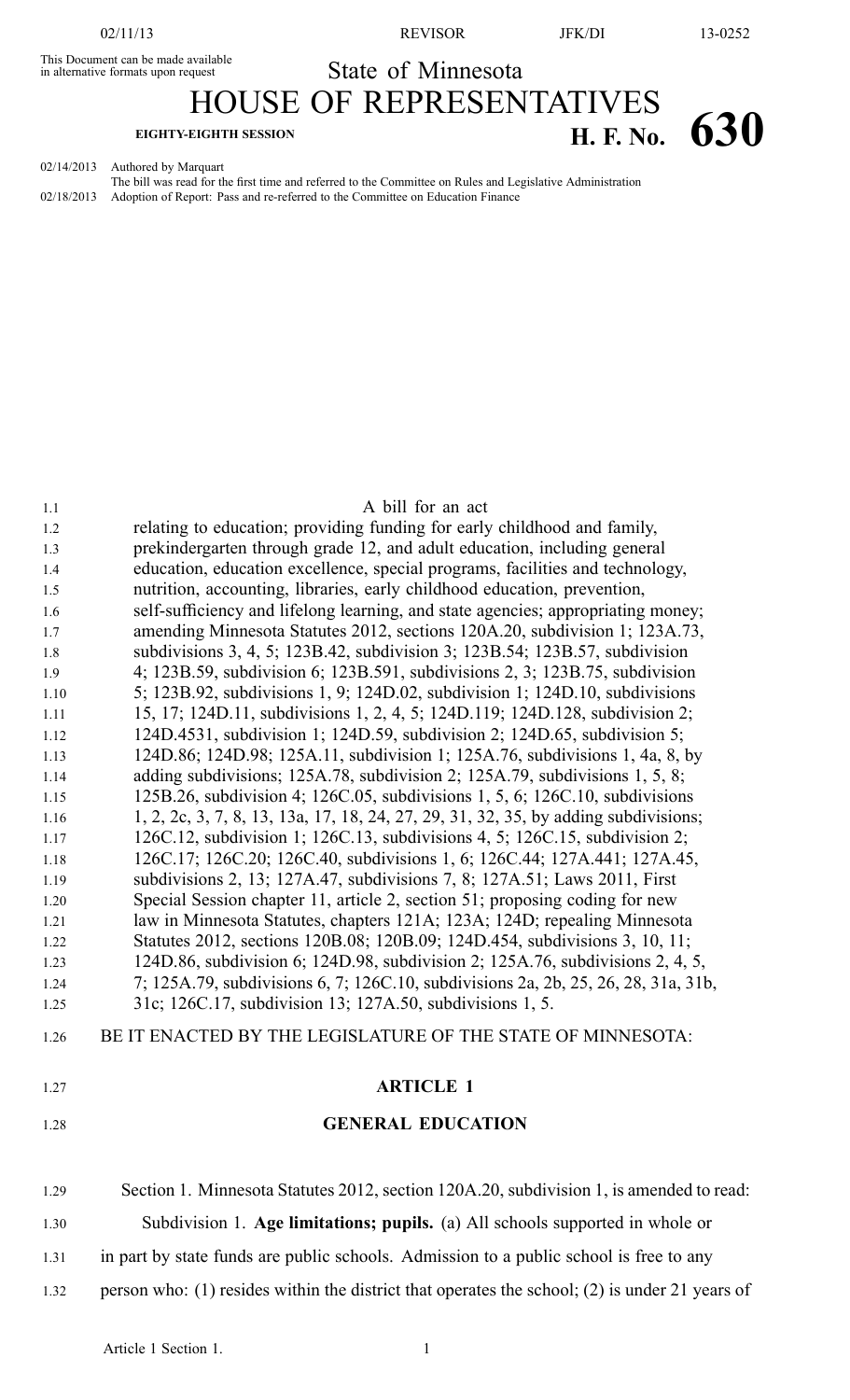This Document can be made available<br>in alternative formats upon request

02/11/13 REVISOR JFK/DI 13-0252

HOUSE OF REPRESENTATIVES

State of Minnesota

**EIGHTY-EIGHTH SESSION H. F. No. 630** 

02/14/2013 Authored by Marquart

The bill was read for the first time and referred to the Committee on Rules and Legislative Administration 02/18/2013 Adoption of Report: Pass and re-referred to the Committee on Education Finance

| 1.1          | A bill for an act                                                                                                                                        |
|--------------|----------------------------------------------------------------------------------------------------------------------------------------------------------|
| 1.2          | relating to education; providing funding for early childhood and family,                                                                                 |
| 1.3          | prekindergarten through grade 12, and adult education, including general                                                                                 |
| 1.4          | education, education excellence, special programs, facilities and technology,                                                                            |
| 1.5          | nutrition, accounting, libraries, early childhood education, prevention,                                                                                 |
| 1.6          | self-sufficiency and lifelong learning, and state agencies; appropriating money;                                                                         |
| 1.7          | amending Minnesota Statutes 2012, sections 120A.20, subdivision 1; 123A.73,                                                                              |
| 1.8          | subdivisions 3, 4, 5; 123B.42, subdivision 3; 123B.54; 123B.57, subdivision                                                                              |
| 1.9          | 4; 123B.59, subdivision 6; 123B.591, subdivisions 2, 3; 123B.75, subdivision                                                                             |
| 1.10         | 5; 123B.92, subdivisions 1, 9; 124D.02, subdivision 1; 124D.10, subdivisions                                                                             |
| 1.11         | 15, 17; 124D.11, subdivisions 1, 2, 4, 5; 124D.119; 124D.128, subdivision 2;                                                                             |
| 1.12         | 124D.4531, subdivision 1; 124D.59, subdivision 2; 124D.65, subdivision 5;                                                                                |
| 1.13         | 124D.86; 124D.98; 125A.11, subdivision 1; 125A.76, subdivisions 1, 4a, 8, by                                                                             |
| 1.14         | adding subdivisions; 125A.78, subdivision 2; 125A.79, subdivisions 1, 5, 8;                                                                              |
| 1.15         | 125B.26, subdivision 4; 126C.05, subdivisions 1, 5, 6; 126C.10, subdivisions                                                                             |
| 1.16         | 1, 2, 2c, 3, 7, 8, 13, 13a, 17, 18, 24, 27, 29, 31, 32, 35, by adding subdivisions;                                                                      |
| 1.17<br>1.18 | 126C.12, subdivision 1; 126C.13, subdivisions 4, 5; 126C.15, subdivision 2;<br>126C.17; 126C.20; 126C.40, subdivisions 1, 6; 126C.44; 127A.441; 127A.45, |
| 1.19         | subdivisions 2, 13; 127A.47, subdivisions 7, 8; 127A.51; Laws 2011, First                                                                                |
| 1.20         | Special Session chapter 11, article 2, section 51; proposing coding for new                                                                              |
| 1.21         | law in Minnesota Statutes, chapters 121A; 123A; 124D; repealing Minnesota                                                                                |
| 1.22         | Statutes 2012, sections 120B.08; 120B.09; 124D.454, subdivisions 3, 10, 11;                                                                              |
| 1.23         | 124D.86, subdivision 6; 124D.98, subdivision 2; 125A.76, subdivisions 2, 4, 5,                                                                           |
| 1.24         | 7; 125A.79, subdivisions 6, 7; 126C.10, subdivisions 2a, 2b, 25, 26, 28, 31a, 31b,                                                                       |
| 1.25         | 31c; 126C.17, subdivision 13; 127A.50, subdivisions 1, 5.                                                                                                |
| 1.26         | BE IT ENACTED BY THE LEGISLATURE OF THE STATE OF MINNESOTA:                                                                                              |
| 1.27         | <b>ARTICLE 1</b>                                                                                                                                         |
| 1.28         | <b>GENERAL EDUCATION</b>                                                                                                                                 |
|              | Section 1. Minnesota Statutes 2012, section 120A.20, subdivision 1, is amended to read:                                                                  |
| 1.29         |                                                                                                                                                          |
| 1.30         | Subdivision 1. Age limitations; pupils. (a) All schools supported in whole or                                                                            |
| 1.31         | in part by state funds are public schools. Admission to a public school is free to any                                                                   |

1.32 person who: (1) resides within the district that operates the school; (2) is under 21 years of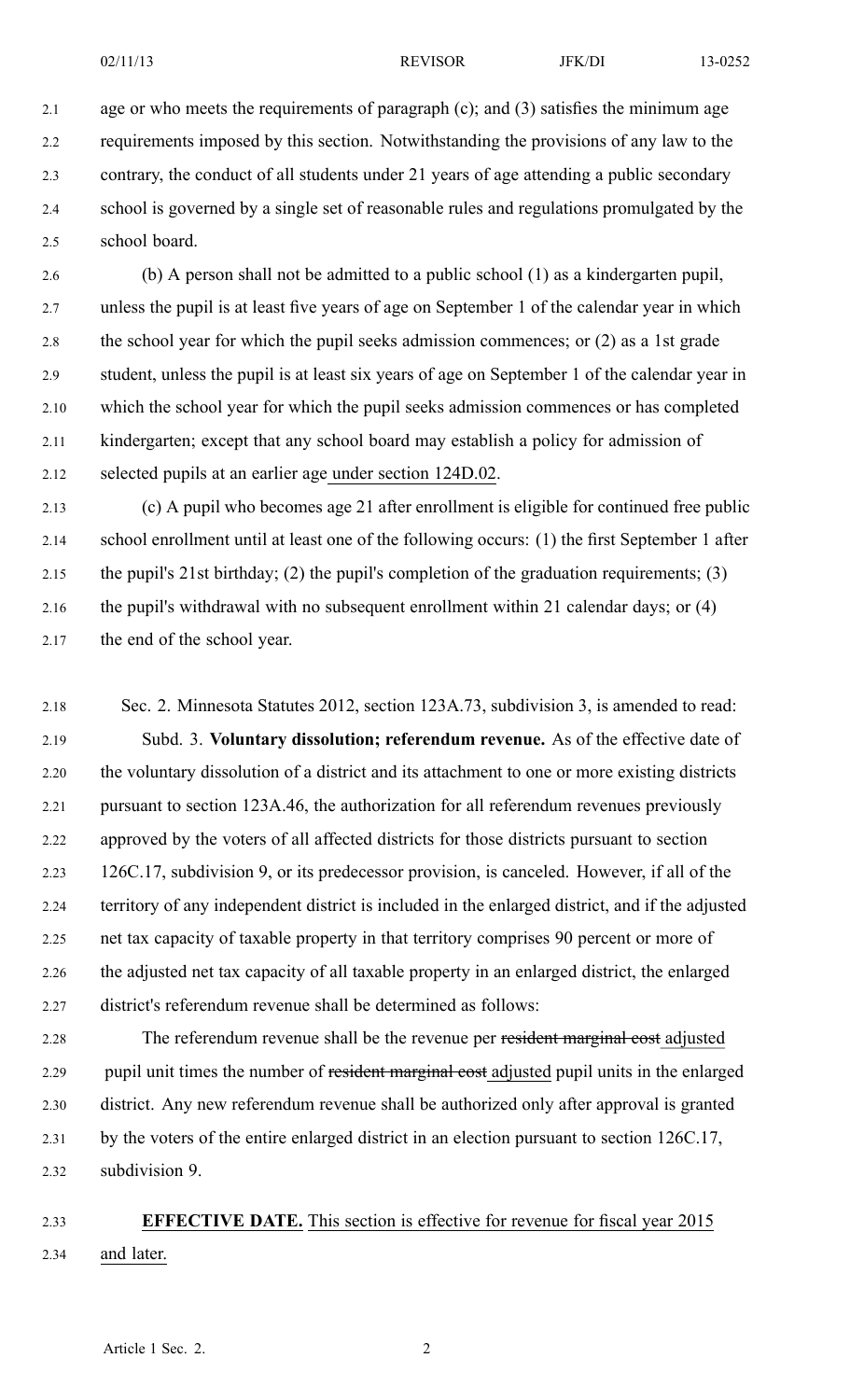2.1 age or who meets the requirements of paragraph (c); and (3) satisfies the minimum age 2.2 requirements imposed by this section. Notwithstanding the provisions of any law to the 2.3 contrary, the conduct of all students under 21 years of age attending <sup>a</sup> public secondary 2.4 school is governed by <sup>a</sup> single set of reasonable rules and regulations promulgated by the 2.5 school board.

2.6 (b) A person shall not be admitted to <sup>a</sup> public school (1) as <sup>a</sup> kindergarten pupil, 2.7 unless the pupil is at least five years of age on September 1 of the calendar year in which 2.8 the school year for which the pupil seeks admission commences; or (2) as <sup>a</sup> 1st grade 2.9 student, unless the pupil is at least six years of age on September 1 of the calendar year in 2.10 which the school year for which the pupil seeks admission commences or has completed 2.11 kindergarten; excep<sup>t</sup> that any school board may establish <sup>a</sup> policy for admission of 2.12 selected pupils at an earlier age under section 124D.02.

2.13 (c) A pupil who becomes age 21 after enrollment is eligible for continued free public 2.14 school enrollment until at least one of the following occurs: (1) the first September 1 after 2.15 the pupil's 21st birthday; (2) the pupil's completion of the graduation requirements; (3) 2.16 the pupil's withdrawal with no subsequent enrollment within 21 calendar days; or (4) 2.17 the end of the school year.

2.18 Sec. 2. Minnesota Statutes 2012, section 123A.73, subdivision 3, is amended to read: 2.19 Subd. 3. **Voluntary dissolution; referendum revenue.** As of the effective date of 2.20 the voluntary dissolution of <sup>a</sup> district and its attachment to one or more existing districts 2.21 pursuan<sup>t</sup> to section 123A.46, the authorization for all referendum revenues previously 2.22 approved by the voters of all affected districts for those districts pursuan<sup>t</sup> to section 2.23 126C.17, subdivision 9, or its predecessor provision, is canceled. However, if all of the 2.24 territory of any independent district is included in the enlarged district, and if the adjusted 2.25 net tax capacity of taxable property in that territory comprises 90 percen<sup>t</sup> or more of 2.26 the adjusted net tax capacity of all taxable property in an enlarged district, the enlarged 2.27 district's referendum revenue shall be determined as follows:

2.28 The referendum revenue shall be the revenue per resident marginal cost adjusted 2.29 pupil unit times the number of resident marginal cost adjusted pupil units in the enlarged 2.30 district. Any new referendum revenue shall be authorized only after approval is granted 2.31 by the voters of the entire enlarged district in an election pursuan<sup>t</sup> to section 126C.17, 2.32 subdivision 9.

2.33 **EFFECTIVE DATE.** This section is effective for revenue for fiscal year 2015 2.34 and later.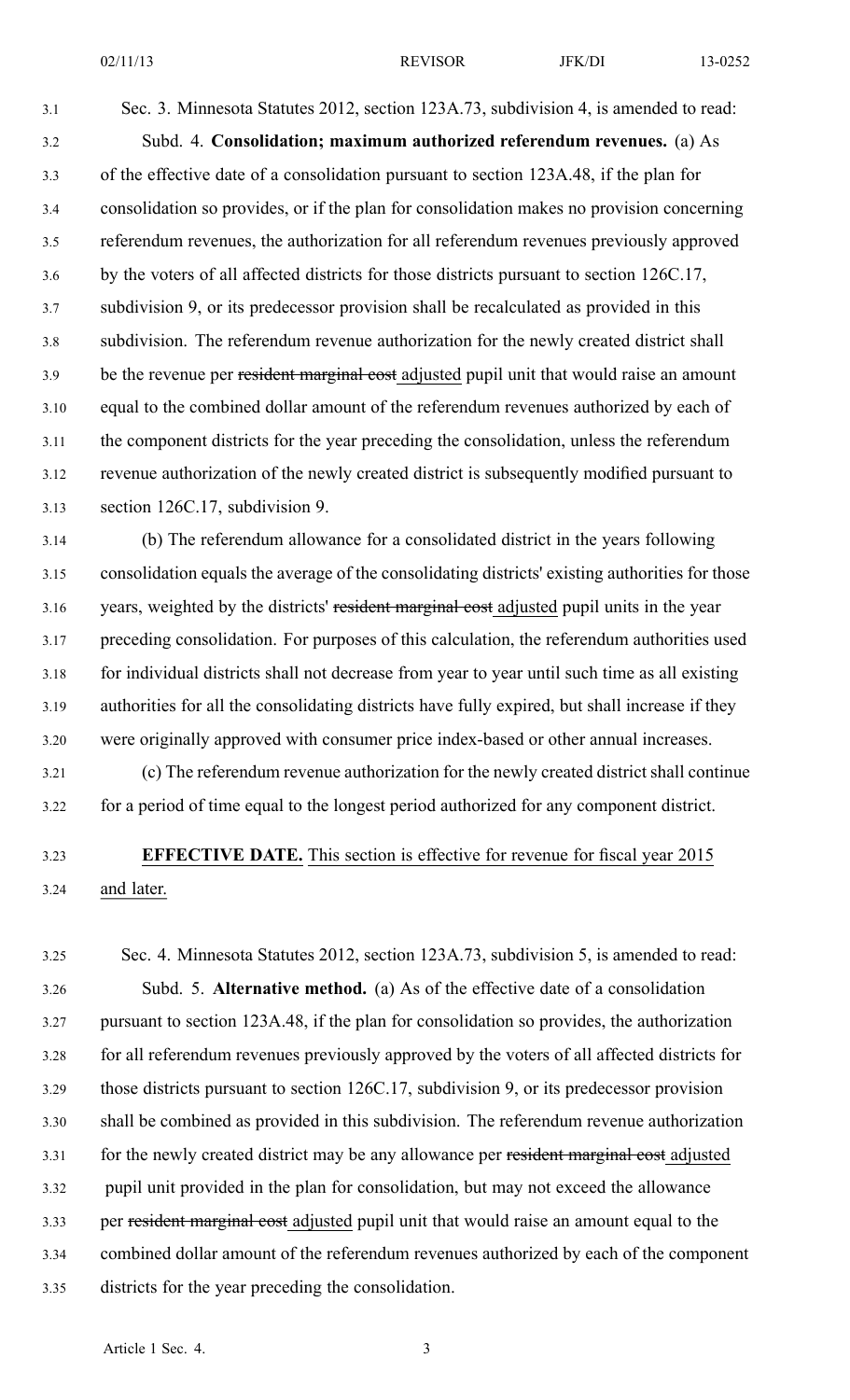3.1 Sec. 3. Minnesota Statutes 2012, section 123A.73, subdivision 4, is amended to read: 3.2 Subd. 4. **Consolidation; maximum authorized referendum revenues.** (a) As 3.3 of the effective date of <sup>a</sup> consolidation pursuan<sup>t</sup> to section 123A.48, if the plan for 3.4 consolidation so provides, or if the plan for consolidation makes no provision concerning 3.5 referendum revenues, the authorization for all referendum revenues previously approved 3.6 by the voters of all affected districts for those districts pursuan<sup>t</sup> to section 126C.17, 3.7 subdivision 9, or its predecessor provision shall be recalculated as provided in this 3.8 subdivision. The referendum revenue authorization for the newly created district shall 3.9 be the revenue per resident marginal cost adjusted pupil unit that would raise an amount 3.10 equal to the combined dollar amount of the referendum revenues authorized by each of 3.11 the componen<sup>t</sup> districts for the year preceding the consolidation, unless the referendum 3.12 revenue authorization of the newly created district is subsequently modified pursuan<sup>t</sup> to 3.13 section 126C.17, subdivision 9.

3.14 (b) The referendum allowance for <sup>a</sup> consolidated district in the years following 3.15 consolidation equals the average of the consolidating districts' existing authorities for those 3.16 years, weighted by the districts' resident marginal cost adjusted pupil units in the year 3.17 preceding consolidation. For purposes of this calculation, the referendum authorities used 3.18 for individual districts shall not decrease from year to year until such time as all existing 3.19 authorities for all the consolidating districts have fully expired, but shall increase if they 3.20 were originally approved with consumer price index-based or other annual increases. 3.21 (c) The referendum revenue authorization for the newly created district shall continue

3.22 for <sup>a</sup> period of time equal to the longest period authorized for any componen<sup>t</sup> district.

# 3.23 **EFFECTIVE DATE.** This section is effective for revenue for fiscal year 2015 3.24 and later.

3.25 Sec. 4. Minnesota Statutes 2012, section 123A.73, subdivision 5, is amended to read: 3.26 Subd. 5. **Alternative method.** (a) As of the effective date of <sup>a</sup> consolidation 3.27 pursuan<sup>t</sup> to section 123A.48, if the plan for consolidation so provides, the authorization 3.28 for all referendum revenues previously approved by the voters of all affected districts for 3.29 those districts pursuan<sup>t</sup> to section 126C.17, subdivision 9, or its predecessor provision 3.30 shall be combined as provided in this subdivision. The referendum revenue authorization 3.31 for the newly created district may be any allowance per resident marginal cost adjusted 3.32 pupil unit provided in the plan for consolidation, but may not exceed the allowance 3.33 per resident marginal cost adjusted pupil unit that would raise an amount equal to the 3.34 combined dollar amount of the referendum revenues authorized by each of the componen<sup>t</sup> 3.35 districts for the year preceding the consolidation.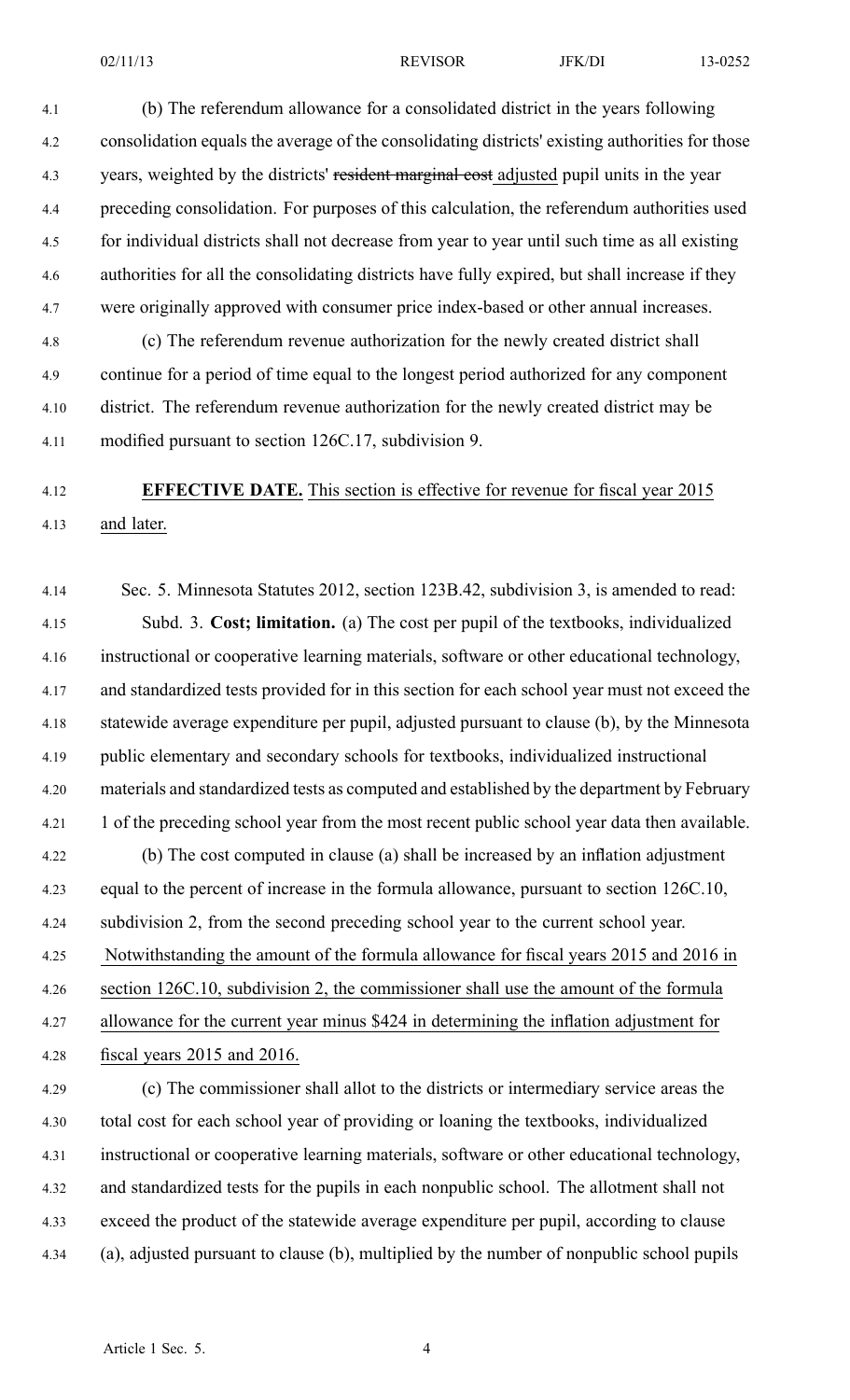4.1 (b) The referendum allowance for <sup>a</sup> consolidated district in the years following 4.2 consolidation equals the average of the consolidating districts' existing authorities for those 4.3 years, weighted by the districts' resident marginal cost adjusted pupil units in the year 4.4 preceding consolidation. For purposes of this calculation, the referendum authorities used 4.5 for individual districts shall not decrease from year to year until such time as all existing 4.6 authorities for all the consolidating districts have fully expired, but shall increase if they 4.7 were originally approved with consumer price index-based or other annual increases.

4.8 (c) The referendum revenue authorization for the newly created district shall 4.9 continue for <sup>a</sup> period of time equal to the longest period authorized for any componen<sup>t</sup> 4.10 district. The referendum revenue authorization for the newly created district may be 4.11 modified pursuan<sup>t</sup> to section 126C.17, subdivision 9.

# 4.12 **EFFECTIVE DATE.** This section is effective for revenue for fiscal year 2015 4.13 and later.

4.14 Sec. 5. Minnesota Statutes 2012, section 123B.42, subdivision 3, is amended to read: 4.15 Subd. 3. **Cost; limitation.** (a) The cost per pupil of the textbooks, individualized 4.16 instructional or cooperative learning materials, software or other educational technology, 4.17 and standardized tests provided for in this section for each school year must not exceed the 4.18 statewide average expenditure per pupil, adjusted pursuan<sup>t</sup> to clause (b), by the Minnesota 4.19 public elementary and secondary schools for textbooks, individualized instructional 4.20 materials and standardized tests as computed and established by the department by February 4.21 1 of the preceding school year from the most recent public school year data then available. 4.22 (b) The cost computed in clause (a) shall be increased by an inflation adjustment 4.23 equal to the percen<sup>t</sup> of increase in the formula allowance, pursuan<sup>t</sup> to section 126C.10, 4.24 subdivision 2, from the second preceding school year to the current school year. 4.25 Notwithstanding the amount of the formula allowance for fiscal years 2015 and 2016 in 4.26 section 126C.10, subdivision 2, the commissioner shall use the amount of the formula 4.27 allowance for the current year minus \$424 in determining the inflation adjustment for 4.28 fiscal years 2015 and 2016. 4.29 (c) The commissioner shall allot to the districts or intermediary service areas the 4.30 total cost for each school year of providing or loaning the textbooks, individualized 4.31 instructional or cooperative learning materials, software or other educational technology, 4.32 and standardized tests for the pupils in each nonpublic school. The allotment shall not

- 4.33 exceed the product of the statewide average expenditure per pupil, according to clause
- 4.34 (a), adjusted pursuan<sup>t</sup> to clause (b), multiplied by the number of nonpublic school pupils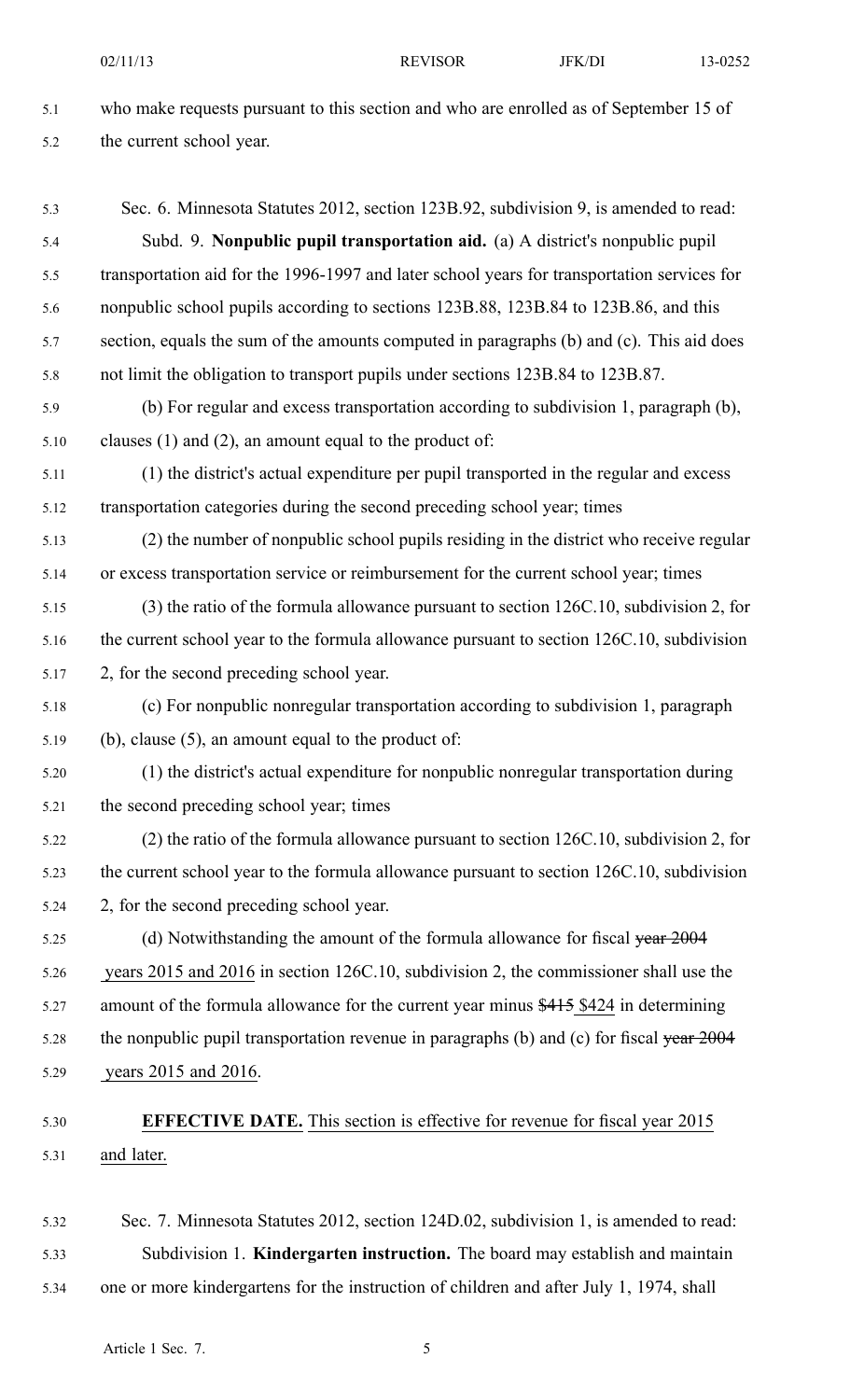| 5.1  | who make requests pursuant to this section and who are enrolled as of September 15 of       |
|------|---------------------------------------------------------------------------------------------|
| 5.2  | the current school year.                                                                    |
| 5.3  | Sec. 6. Minnesota Statutes 2012, section 123B.92, subdivision 9, is amended to read:        |
| 5.4  | Subd. 9. Nonpublic pupil transportation aid. (a) A district's nonpublic pupil               |
| 5.5  | transportation aid for the 1996-1997 and later school years for transportation services for |
| 5.6  | nonpublic school pupils according to sections 123B.88, 123B.84 to 123B.86, and this         |
| 5.7  | section, equals the sum of the amounts computed in paragraphs (b) and (c). This aid does    |
| 5.8  | not limit the obligation to transport pupils under sections 123B.84 to 123B.87.             |
| 5.9  | (b) For regular and excess transportation according to subdivision 1, paragraph (b),        |
| 5.10 | clauses $(1)$ and $(2)$ , an amount equal to the product of:                                |
| 5.11 | (1) the district's actual expenditure per pupil transported in the regular and excess       |
| 5.12 | transportation categories during the second preceding school year; times                    |
| 5.13 | (2) the number of nonpublic school pupils residing in the district who receive regular      |
| 5.14 | or excess transportation service or reimbursement for the current school year; times        |
| 5.15 | (3) the ratio of the formula allowance pursuant to section 126C.10, subdivision 2, for      |
| 5.16 | the current school year to the formula allowance pursuant to section 126C.10, subdivision   |
| 5.17 | 2, for the second preceding school year.                                                    |
| 5.18 | (c) For nonpublic nonregular transportation according to subdivision 1, paragraph           |
| 5.19 | (b), clause $(5)$ , an amount equal to the product of:                                      |
| 5.20 | (1) the district's actual expenditure for nonpublic nonregular transportation during        |
| 5.21 | the second preceding school year; times                                                     |
| 5.22 | (2) the ratio of the formula allowance pursuant to section 126C.10, subdivision 2, for      |
| 5.23 | the current school year to the formula allowance pursuant to section 126C.10, subdivision   |
| 5.24 | 2, for the second preceding school year.                                                    |
| 5.25 | (d) Notwithstanding the amount of the formula allowance for fiscal year 2004                |
| 5.26 | years 2015 and 2016 in section 126C.10, subdivision 2, the commissioner shall use the       |
| 5.27 | amount of the formula allowance for the current year minus \$415 \$424 in determining       |
| 5.28 | the nonpublic pupil transportation revenue in paragraphs (b) and (c) for fiscal year 2004   |
| 5.29 | years 2015 and 2016.                                                                        |
| 5.30 | <b>EFFECTIVE DATE.</b> This section is effective for revenue for fiscal year 2015           |
| 5.31 | and later.                                                                                  |
|      |                                                                                             |

5.32 Sec. 7. Minnesota Statutes 2012, section 124D.02, subdivision 1, is amended to read: 5.33 Subdivision 1. **Kindergarten instruction.** The board may establish and maintain 5.34 one or more kindergartens for the instruction of children and after July 1, 1974, shall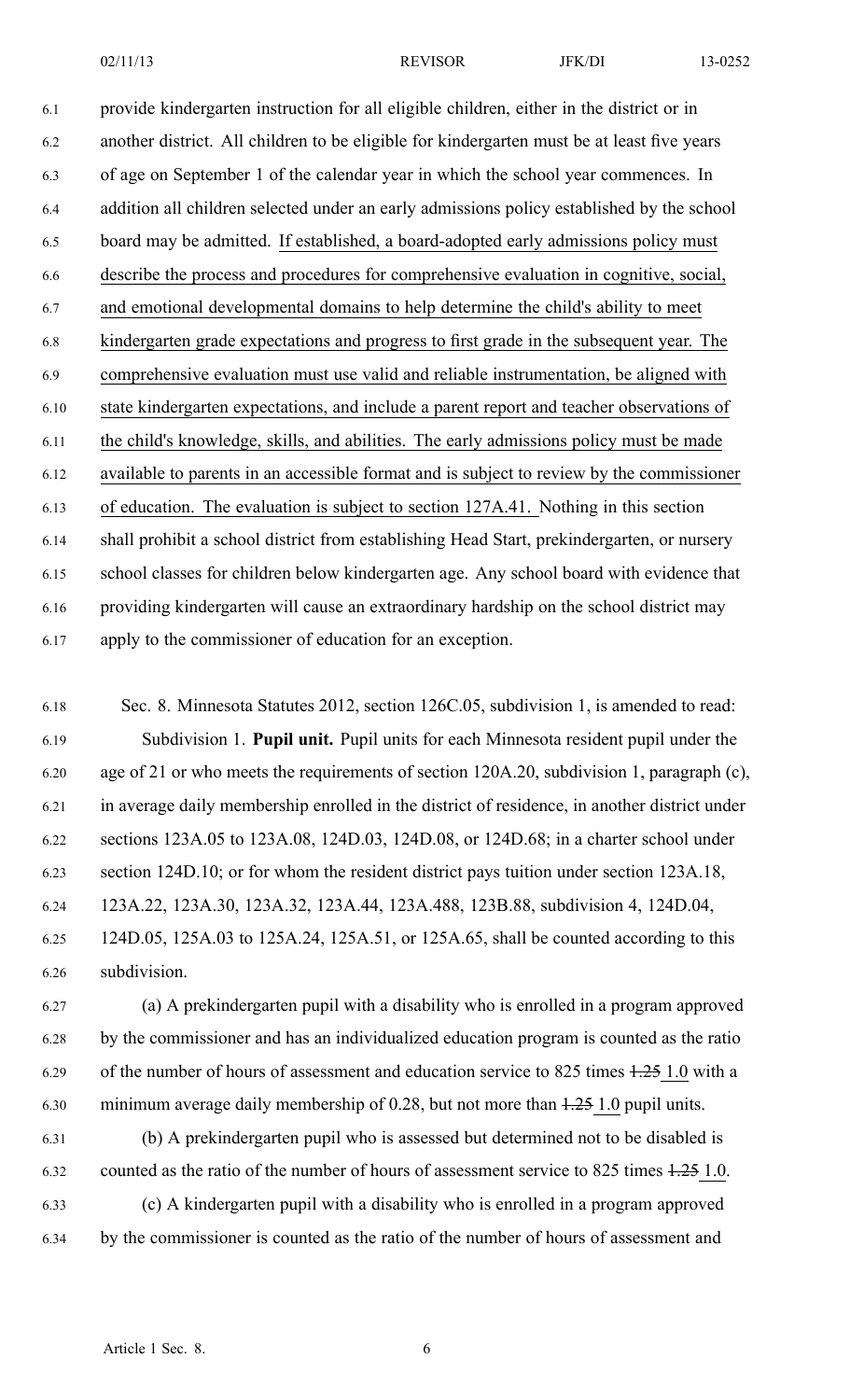02/11/13 **REVISOR** JFK/DI 13-0252

6.1 provide kindergarten instruction for all eligible children, either in the district or in 6.2 another district. All children to be eligible for kindergarten must be at least five years 6.3 of age on September 1 of the calendar year in which the school year commences. In 6.4 addition all children selected under an early admissions policy established by the school 6.5 board may be admitted. If established, <sup>a</sup> board-adopted early admissions policy must 6.6 describe the process and procedures for comprehensive evaluation in cognitive, social, 6.7 and emotional developmental domains to help determine the child's ability to meet 6.8 kindergarten grade expectations and progress to first grade in the subsequent year. The 6.9 comprehensive evaluation must use valid and reliable instrumentation, be aligned with 6.10 state kindergarten expectations, and include <sup>a</sup> paren<sup>t</sup> repor<sup>t</sup> and teacher observations of 6.11 the child's knowledge, skills, and abilities. The early admissions policy must be made 6.12 available to parents in an accessible format and is subject to review by the commissioner 6.13 of education. The evaluation is subject to section 127A.41. Nothing in this section 6.14 shall prohibit <sup>a</sup> school district from establishing Head Start, prekindergarten, or nursery 6.15 school classes for children below kindergarten age. Any school board with evidence that 6.16 providing kindergarten will cause an extraordinary hardship on the school district may 6.17 apply to the commissioner of education for an exception.

6.18 Sec. 8. Minnesota Statutes 2012, section 126C.05, subdivision 1, is amended to read: 6.19 Subdivision 1. **Pupil unit.** Pupil units for each Minnesota resident pupil under the 6.20 age of 21 or who meets the requirements of section 120A.20, subdivision 1, paragraph (c), 6.21 in average daily membership enrolled in the district of residence, in another district under 6.22 sections 123A.05 to 123A.08, 124D.03, 124D.08, or 124D.68; in <sup>a</sup> charter school under 6.23 section 124D.10; or for whom the resident district pays tuition under section 123A.18, 6.24 123A.22, 123A.30, 123A.32, 123A.44, 123A.488, 123B.88, subdivision 4, 124D.04, 6.25 124D.05, 125A.03 to 125A.24, 125A.51, or 125A.65, shall be counted according to this 6.26 subdivision.

6.27 (a) A prekindergarten pupil with <sup>a</sup> disability who is enrolled in <sup>a</sup> program approved 6.28 by the commissioner and has an individualized education program is counted as the ratio 6.29 of the number of hours of assessment and education service to 825 times 1.25 1.0 with <sup>a</sup> 6.30 minimum average daily membership of 0.28, but not more than 1.25 1.0 pupil units.

6.31 (b) A prekindergarten pupil who is assessed but determined not to be disabled is 6.32 counted as the ratio of the number of hours of assessment service to 825 times 1.25 1.0. 6.33 (c) A kindergarten pupil with <sup>a</sup> disability who is enrolled in <sup>a</sup> program approved 6.34 by the commissioner is counted as the ratio of the number of hours of assessment and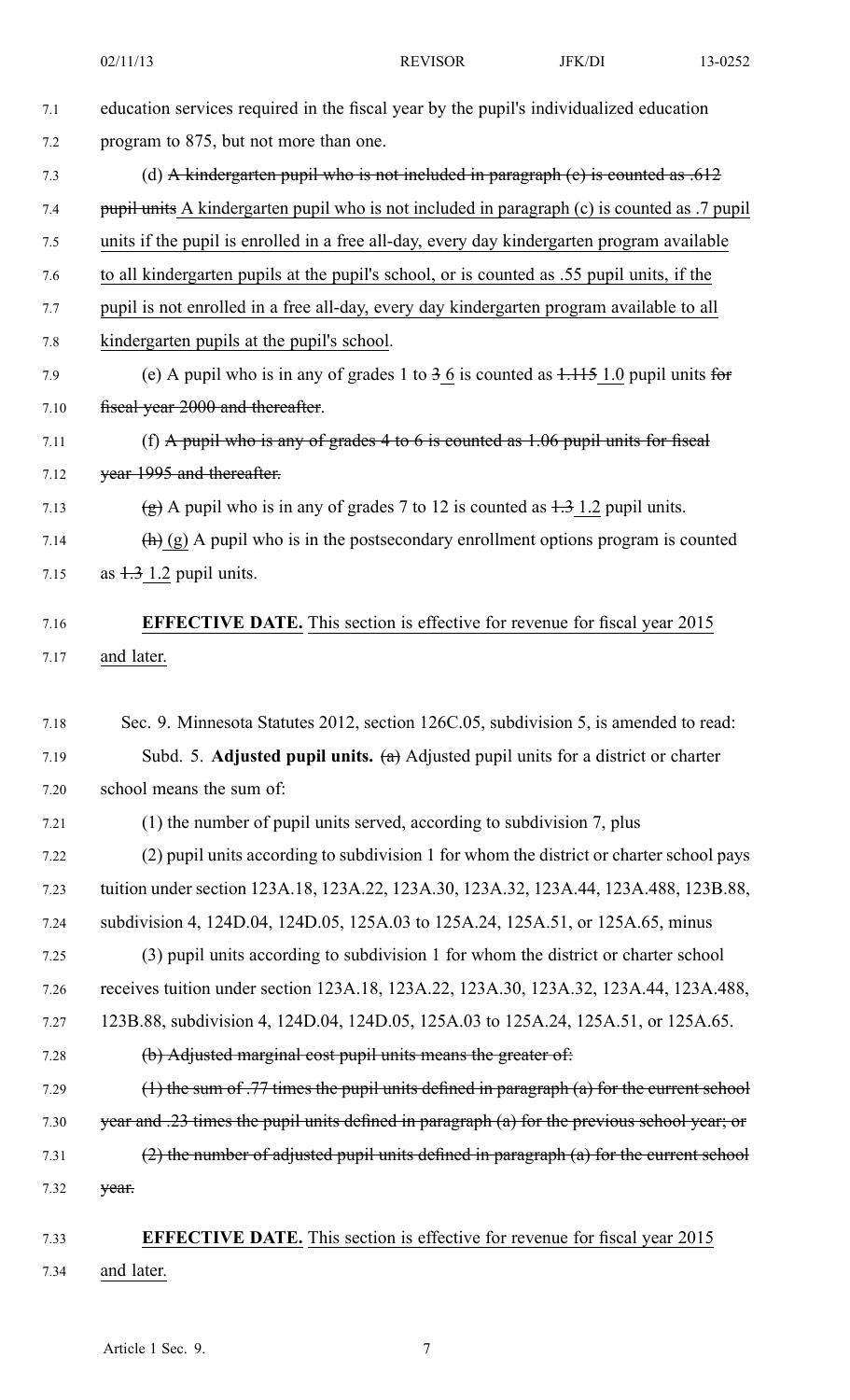| 7.1  | education services required in the fiscal year by the pupil's individualized education                   |
|------|----------------------------------------------------------------------------------------------------------|
| 7.2  | program to 875, but not more than one.                                                                   |
| 7.3  | (d) A kindergarten pupil who is not included in paragraph (e) is counted as $.612$                       |
| 7.4  | pupil units A kindergarten pupil who is not included in paragraph (c) is counted as .7 pupil             |
| 7.5  | units if the pupil is enrolled in a free all-day, every day kindergarten program available               |
| 7.6  | to all kindergarten pupils at the pupil's school, or is counted as .55 pupil units, if the               |
| 7.7  | pupil is not enrolled in a free all-day, every day kindergarten program available to all                 |
| 7.8  | kindergarten pupils at the pupil's school.                                                               |
| 7.9  | (e) A pupil who is in any of grades 1 to $36$ is counted as $1.115$ 1.0 pupil units for                  |
| 7.10 | fiseal year 2000 and thereafter.                                                                         |
| 7.11 | (f) A pupil who is any of grades 4 to 6 is counted as $1.06$ pupil units for fiscal                      |
| 7.12 | year 1995 and thereafter.                                                                                |
| 7.13 | $\frac{1}{2}$ A pupil who is in any of grades 7 to 12 is counted as $\frac{1}{2}$ 1.2 pupil units.       |
| 7.14 | $\left(\frac{h}{h}\right)$ (g) A pupil who is in the postsecondary enrollment options program is counted |
| 7.15 | as $1.3$ 1.2 pupil units.                                                                                |
|      |                                                                                                          |
| 7.16 | <b>EFFECTIVE DATE.</b> This section is effective for revenue for fiscal year 2015                        |
| 7.17 | and later.                                                                                               |
| 7.18 | Sec. 9. Minnesota Statutes 2012, section 126C.05, subdivision 5, is amended to read:                     |
| 7.19 | Subd. 5. Adjusted pupil units. $(a)$ Adjusted pupil units for a district or charter                      |
| 7.20 | school means the sum of:                                                                                 |
| 7.21 | (1) the number of pupil units served, according to subdivision 7, plus                                   |
| 7.22 | (2) pupil units according to subdivision 1 for whom the district or charter school pays                  |
| 7.23 | tuition under section 123A.18, 123A.22, 123A.30, 123A.32, 123A.44, 123A.488, 123B.88,                    |
| 7.24 | subdivision 4, 124D.04, 124D.05, 125A.03 to 125A.24, 125A.51, or 125A.65, minus                          |
| 7.25 | (3) pupil units according to subdivision 1 for whom the district or charter school                       |
| 7.26 | receives tuition under section 123A.18, 123A.22, 123A.30, 123A.32, 123A.44, 123A.488,                    |
| 7.27 | 123B.88, subdivision 4, 124D.04, 124D.05, 125A.03 to 125A.24, 125A.51, or 125A.65.                       |
| 7.28 | (b) Adjusted marginal cost pupil units means the greater of:                                             |
| 7.29 | $(1)$ the sum of .77 times the pupil units defined in paragraph $(a)$ for the current school             |
| 7.30 | year and .23 times the pupil units defined in paragraph (a) for the previous school year; or             |
| 7.31 | $(2)$ the number of adjusted pupil units defined in paragraph $(a)$ for the current school               |
|      |                                                                                                          |
| 7.32 | year.                                                                                                    |
| 7.33 | <b>EFFECTIVE DATE.</b> This section is effective for revenue for fiscal year 2015                        |
| 7.34 | and later.                                                                                               |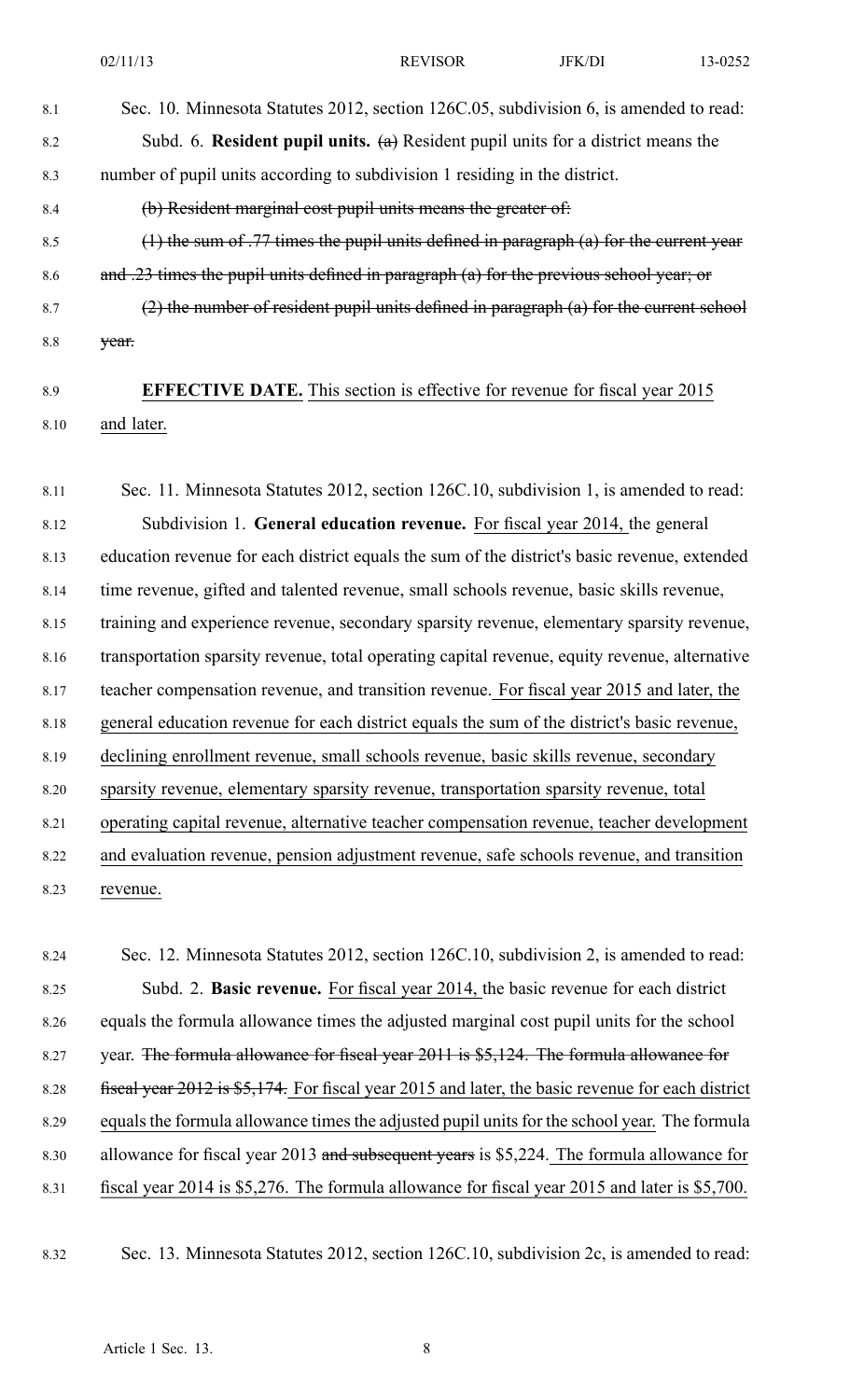8.1 Sec. 10. Minnesota Statutes 2012, section 126C.05, subdivision 6, is amended to read:

8.2 Subd. 6. **Resident pupil units.** (a) Resident pupil units for <sup>a</sup> district means the 8.3 number of pupil units according to subdivision 1 residing in the district.

8.4 (b) Resident marginal cost pupil units means the greater of:

8.5 (1) the sum of .77 times the pupil units defined in paragraph (a) for the current year 8.6 and .23 times the pupil units defined in paragraph (a) for the previous school year; or

8.7  $(2)$  the number of resident pupil units defined in paragraph (a) for the current school 8.8 year.

# 8.9 **EFFECTIVE DATE.** This section is effective for revenue for fiscal year 2015 8.10 and later.

8.11 Sec. 11. Minnesota Statutes 2012, section 126C.10, subdivision 1, is amended to read: 8.12 Subdivision 1. **General education revenue.** For fiscal year 2014, the general 8.13 education revenue for each district equals the sum of the district's basic revenue, extended 8.14 time revenue, gifted and talented revenue, small schools revenue, basic skills revenue, 8.15 training and experience revenue, secondary sparsity revenue, elementary sparsity revenue, 8.16 transportation sparsity revenue, total operating capital revenue, equity revenue, alternative 8.17 teacher compensation revenue, and transition revenue. For fiscal year 2015 and later, the 8.18 general education revenue for each district equals the sum of the district's basic revenue, 8.19 declining enrollment revenue, small schools revenue, basic skills revenue, secondary 8.20 sparsity revenue, elementary sparsity revenue, transportation sparsity revenue, total 8.21 operating capital revenue, alternative teacher compensation revenue, teacher development 8.22 and evaluation revenue, pension adjustment revenue, safe schools revenue, and transition 8.23 revenue.

8.24 Sec. 12. Minnesota Statutes 2012, section 126C.10, subdivision 2, is amended to read: 8.25 Subd. 2. **Basic revenue.** For fiscal year 2014, the basic revenue for each district 8.26 equals the formula allowance times the adjusted marginal cost pupil units for the school 8.27 year. The formula allowance for fiscal year 2011 is \$5,124. The formula allowance for 8.28 fiscal year 2012 is \$5,174. For fiscal year 2015 and later, the basic revenue for each district 8.29 equals the formula allowance times the adjusted pupil units for the school year. The formula 8.30 allowance for fiscal year 2013 and subsequent years is \$5,224. The formula allowance for 8.31 fiscal year 2014 is \$5,276. The formula allowance for fiscal year 2015 and later is \$5,700.

8.32 Sec. 13. Minnesota Statutes 2012, section 126C.10, subdivision 2c, is amended to read: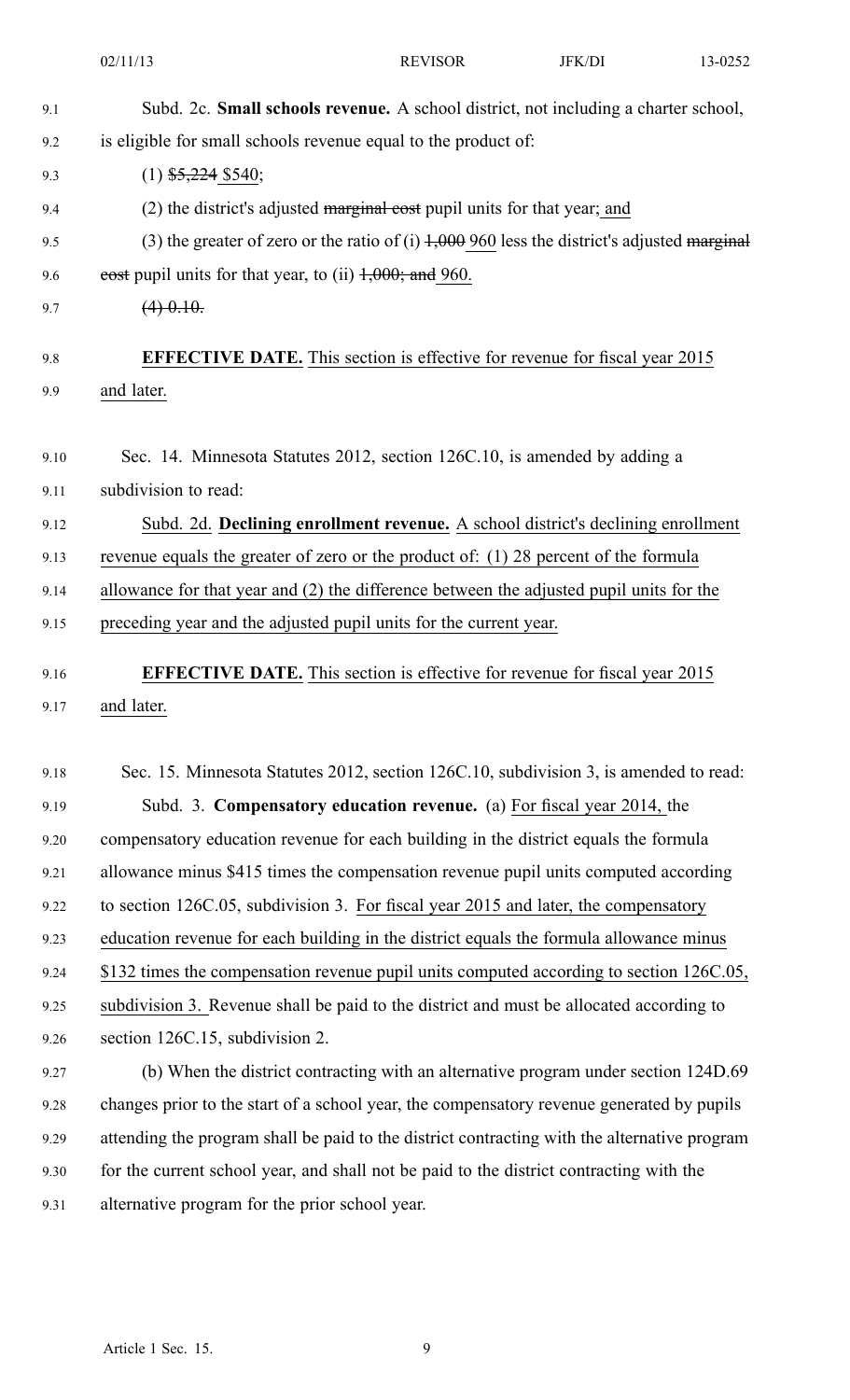|      | 02/11/13                                                                                      | <b>REVISOR</b> | JFK/DI | 13-0252 |  |
|------|-----------------------------------------------------------------------------------------------|----------------|--------|---------|--|
| 9.1  | Subd. 2c. Small schools revenue. A school district, not including a charter school,           |                |        |         |  |
| 9.2  | is eligible for small schools revenue equal to the product of:                                |                |        |         |  |
| 9.3  | $(1)$ \$5,224 \$540;                                                                          |                |        |         |  |
| 9.4  | (2) the district's adjusted marginal cost pupil units for that year; and                      |                |        |         |  |
| 9.5  | (3) the greater of zero or the ratio of (i) $1,000$ 960 less the district's adjusted marginal |                |        |         |  |
| 9.6  | eost pupil units for that year, to (ii) $1,000$ ; and 960.                                    |                |        |         |  |
| 9.7  | $(4)$ 0.10.                                                                                   |                |        |         |  |
| 9.8  | <b>EFFECTIVE DATE.</b> This section is effective for revenue for fiscal year 2015             |                |        |         |  |
| 9.9  | and later.                                                                                    |                |        |         |  |
| 9.10 | Sec. 14. Minnesota Statutes 2012, section 126C.10, is amended by adding a                     |                |        |         |  |
| 9.11 | subdivision to read:                                                                          |                |        |         |  |
| 9.12 | Subd. 2d. Declining enrollment revenue. A school district's declining enrollment              |                |        |         |  |
| 9.13 | revenue equals the greater of zero or the product of: (1) 28 percent of the formula           |                |        |         |  |
| 9.14 | allowance for that year and (2) the difference between the adjusted pupil units for the       |                |        |         |  |
| 9.15 | preceding year and the adjusted pupil units for the current year.                             |                |        |         |  |
| 9.16 | <b>EFFECTIVE DATE.</b> This section is effective for revenue for fiscal year 2015             |                |        |         |  |
| 9.17 | and later.                                                                                    |                |        |         |  |
| 9.18 | Sec. 15. Minnesota Statutes 2012, section 126C.10, subdivision 3, is amended to read:         |                |        |         |  |
| 9.19 | Subd. 3. Compensatory education revenue. (a) For fiscal year 2014, the                        |                |        |         |  |
| 9.20 | compensatory education revenue for each building in the district equals the formula           |                |        |         |  |
| 9.21 | allowance minus \$415 times the compensation revenue pupil units computed according           |                |        |         |  |
| 9.22 | to section 126C.05, subdivision 3. For fiscal year 2015 and later, the compensatory           |                |        |         |  |
| 9.23 | education revenue for each building in the district equals the formula allowance minus        |                |        |         |  |
| 9.24 | \$132 times the compensation revenue pupil units computed according to section 126C.05,       |                |        |         |  |
| 9.25 | subdivision 3. Revenue shall be paid to the district and must be allocated according to       |                |        |         |  |
| 9.26 | section 126C.15, subdivision 2.                                                               |                |        |         |  |
| 9.27 | (b) When the district contracting with an alternative program under section 124D.69           |                |        |         |  |
| 9.28 | changes prior to the start of a school year, the compensatory revenue generated by pupils     |                |        |         |  |
| 9.29 | attending the program shall be paid to the district contracting with the alternative program  |                |        |         |  |
| 9.30 | for the current school year, and shall not be paid to the district contracting with the       |                |        |         |  |
| 9.31 | alternative program for the prior school year.                                                |                |        |         |  |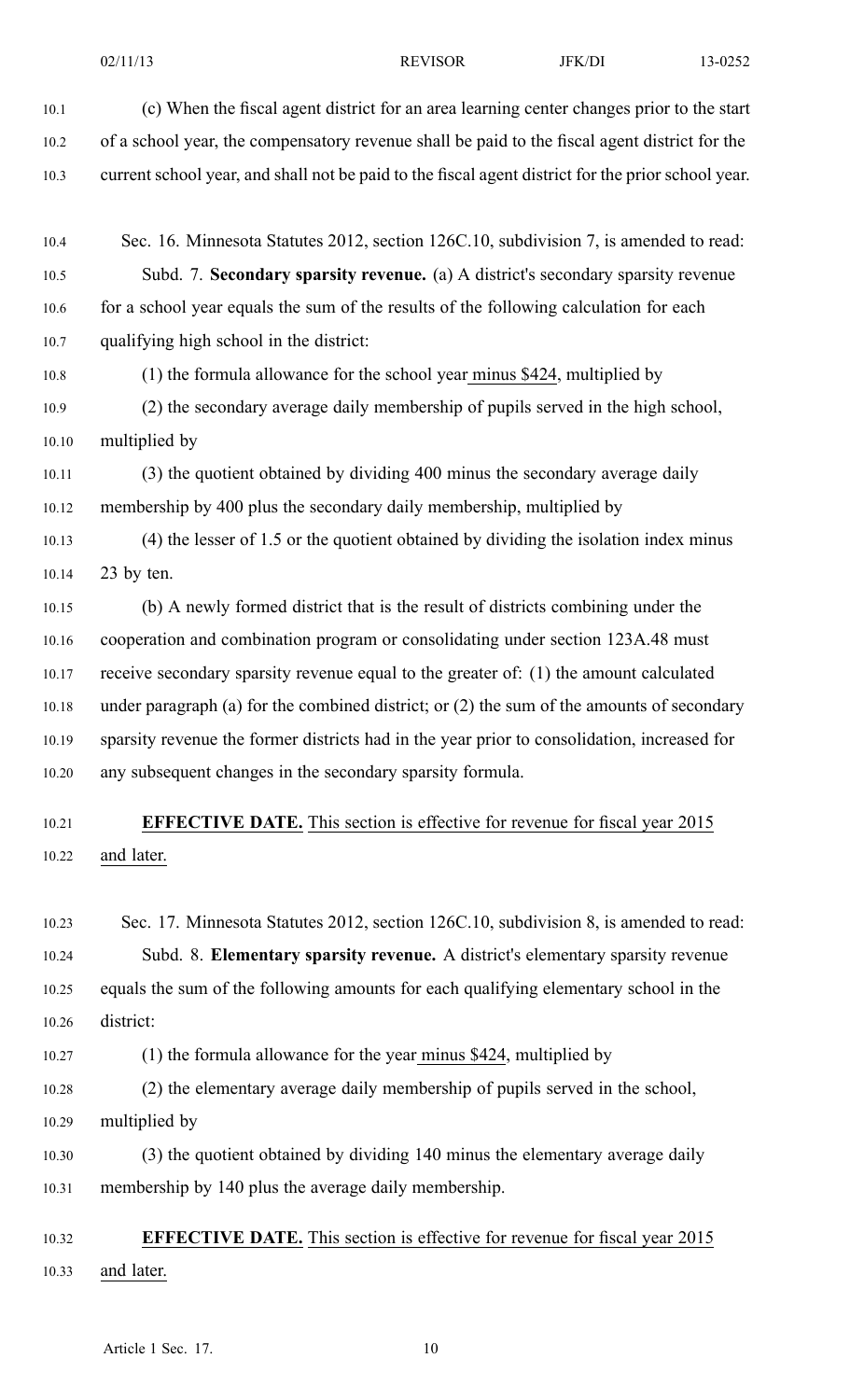- 10.1 (c) When the fiscal agen<sup>t</sup> district for an area learning center changes prior to the start 10.2 of <sup>a</sup> school year, the compensatory revenue shall be paid to the fiscal agen<sup>t</sup> district for the 10.3 current school year, and shall not be paid to the fiscal agen<sup>t</sup> district for the prior school year. 10.4 Sec. 16. Minnesota Statutes 2012, section 126C.10, subdivision 7, is amended to read: 10.5 Subd. 7. **Secondary sparsity revenue.** (a) A district's secondary sparsity revenue 10.6 for a school year equals the sum of the results of the following calculation for each 10.7 qualifying high school in the district: 10.8 (1) the formula allowance for the school year minus \$424, multiplied by 10.9 (2) the secondary average daily membership of pupils served in the high school, 10.10 multiplied by 10.11 (3) the quotient obtained by dividing 400 minus the secondary average daily 10.12 membership by 400 plus the secondary daily membership, multiplied by 10.13 (4) the lesser of 1.5 or the quotient obtained by dividing the isolation index minus 10.14 23 by ten. 10.15 (b) A newly formed district that is the result of districts combining under the 10.16 cooperation and combination program or consolidating under section 123A.48 must 10.17 receive secondary sparsity revenue equal to the greater of: (1) the amount calculated 10.18 under paragraph (a) for the combined district; or (2) the sum of the amounts of secondary 10.19 sparsity revenue the former districts had in the year prior to consolidation, increased for 10.20 any subsequent changes in the secondary sparsity formula. 10.21 **EFFECTIVE DATE.** This section is effective for revenue for fiscal year 2015 10.22 and later. 10.23 Sec. 17. Minnesota Statutes 2012, section 126C.10, subdivision 8, is amended to read: 10.24 Subd. 8. **Elementary sparsity revenue.** A district's elementary sparsity revenue 10.25 equals the sum of the following amounts for each qualifying elementary school in the 10.26 district: 10.27 (1) the formula allowance for the year minus \$424, multiplied by 10.28 (2) the elementary average daily membership of pupils served in the school, 10.29 multiplied by
	- 10.30 (3) the quotient obtained by dividing 140 minus the elementary average daily 10.31 membership by 140 plus the average daily membership.

## 10.32 **EFFECTIVE DATE.** This section is effective for revenue for fiscal year 2015 10.33 and later.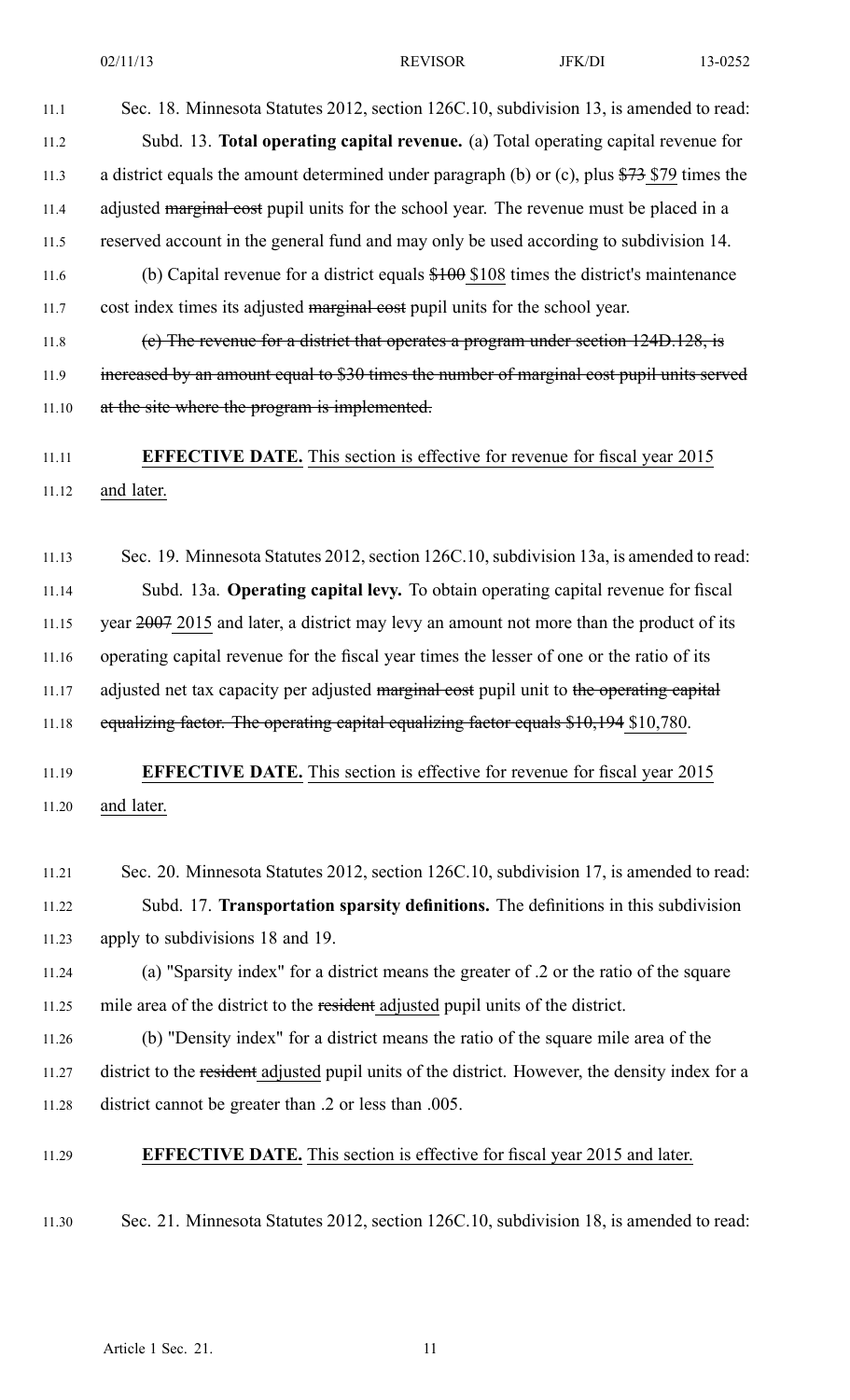11.1 Sec. 18. Minnesota Statutes 2012, section 126C.10, subdivision 13, is amended to read: 11.2 Subd. 13. **Total operating capital revenue.** (a) Total operating capital revenue for 11.3 a district equals the amount determined under paragraph (b) or (c), plus \$73 \$79 times the 11.4 adjusted marginal cost pupil units for the school year. The revenue must be placed in a 11.5 reserved account in the general fund and may only be used according to subdivision 14. 11.6 (b) Capital revenue for <sup>a</sup> district equals \$100 \$108 times the district's maintenance 11.7 cost index times its adjusted marginal cost pupil units for the school year.

11.8 (c) The revenue for <sup>a</sup> district that operates <sup>a</sup> program under section 124D.128, is 11.9 increased by an amount equal to \$30 times the number of marginal cost pupil units served 11.10 at the site where the program is implemented.

# 11.11 **EFFECTIVE DATE.** This section is effective for revenue for fiscal year 2015 11.12 and later.

11.13 Sec. 19. Minnesota Statutes 2012, section 126C.10, subdivision 13a, is amended to read: 11.14 Subd. 13a. **Operating capital levy.** To obtain operating capital revenue for fiscal 11.15 year 2007 2015 and later, a district may levy an amount not more than the product of its 11.16 operating capital revenue for the fiscal year times the lesser of one or the ratio of its 11.17 adjusted net tax capacity per adjusted marginal cost pupil unit to the operating capital 11.18 equalizing factor. The operating capital equalizing factor equals \$10,194 \$10,780.

## 11.19 **EFFECTIVE DATE.** This section is effective for revenue for fiscal year 2015 11.20 and later.

- 11.21 Sec. 20. Minnesota Statutes 2012, section 126C.10, subdivision 17, is amended to read: 11.22 Subd. 17. **Transportation sparsity definitions.** The definitions in this subdivision 11.23 apply to subdivisions 18 and 19.
- 11.24 (a) "Sparsity index" for <sup>a</sup> district means the greater of .2 or the ratio of the square 11.25 mile area of the district to the resident adjusted pupil units of the district.
- 11.26 (b) "Density index" for <sup>a</sup> district means the ratio of the square mile area of the 11.27 district to the resident adjusted pupil units of the district. However, the density index for a 11.28 district cannot be greater than .2 or less than .005.
- 11.29 **EFFECTIVE DATE.** This section is effective for fiscal year 2015 and later.
- 11.30 Sec. 21. Minnesota Statutes 2012, section 126C.10, subdivision 18, is amended to read: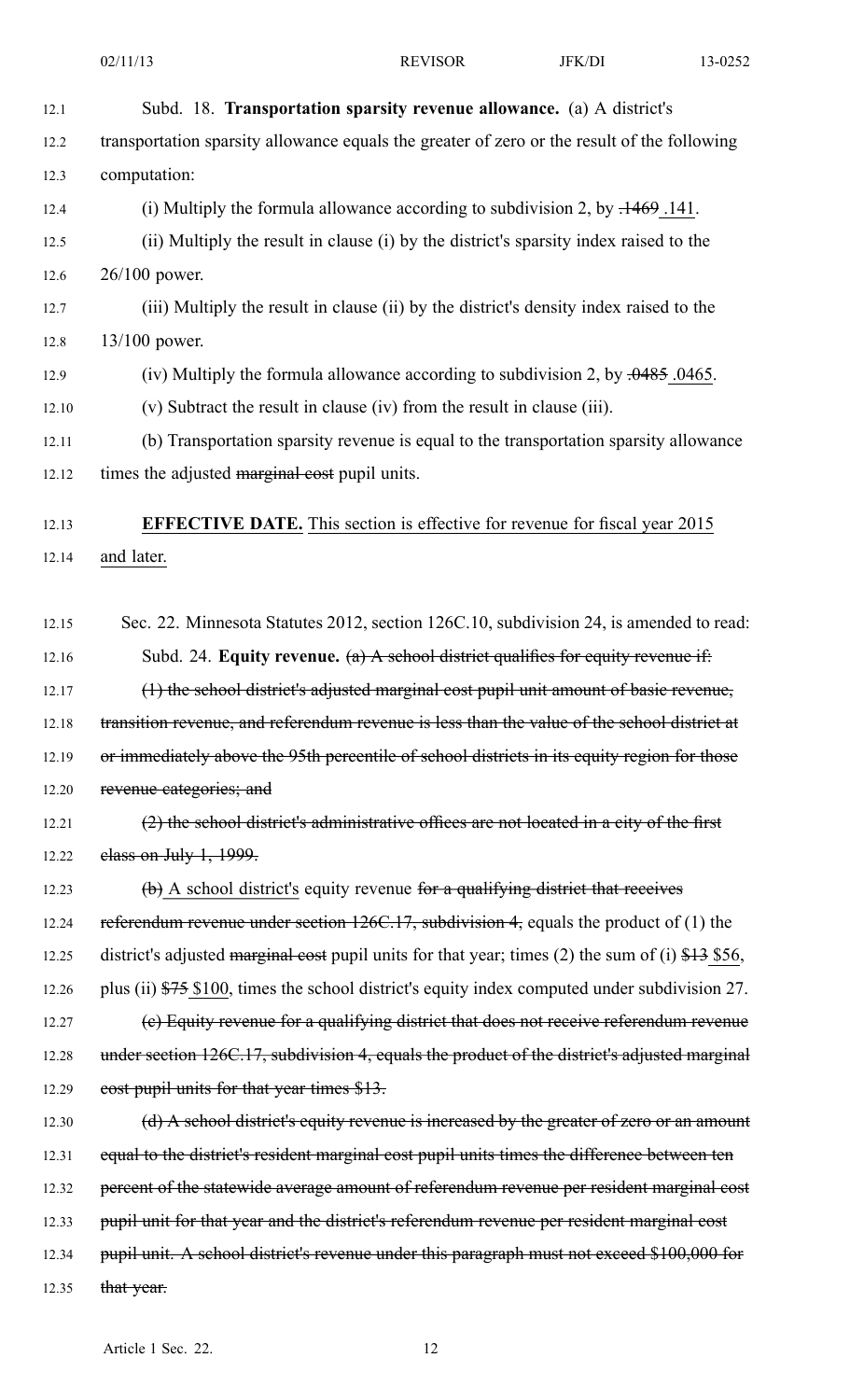| 12.1  | Subd. 18. Transportation sparsity revenue allowance. (a) A district's                             |
|-------|---------------------------------------------------------------------------------------------------|
| 12.2  | transportation sparsity allowance equals the greater of zero or the result of the following       |
| 12.3  | computation:                                                                                      |
| 12.4  | (i) Multiply the formula allowance according to subdivision 2, by $.1469$ .141.                   |
| 12.5  | (ii) Multiply the result in clause (i) by the district's sparsity index raised to the             |
| 12.6  | 26/100 power.                                                                                     |
| 12.7  | (iii) Multiply the result in clause (ii) by the district's density index raised to the            |
| 12.8  | $13/100$ power.                                                                                   |
| 12.9  | (iv) Multiply the formula allowance according to subdivision 2, by $.0485$ . 0465.                |
| 12.10 | (v) Subtract the result in clause (iv) from the result in clause (iii).                           |
| 12.11 | (b) Transportation sparsity revenue is equal to the transportation sparsity allowance             |
| 12.12 | times the adjusted marginal cost pupil units.                                                     |
| 12.13 | <b>EFFECTIVE DATE.</b> This section is effective for revenue for fiscal year 2015                 |
| 12.14 | and later.                                                                                        |
|       |                                                                                                   |
| 12.15 | Sec. 22. Minnesota Statutes 2012, section 126C.10, subdivision 24, is amended to read:            |
| 12.16 | Subd. 24. Equity revenue. $(a)$ A sehool district qualifies for equity revenue if:                |
| 12.17 | (1) the sehool district's adjusted marginal cost pupil unit amount of basic revenue,              |
| 12.18 | transition revenue, and referendum revenue is less than the value of the school district at       |
| 12.19 | or immediately above the 95th percentile of school districts in its equity region for those       |
| 12.20 | revenue categories; and                                                                           |
| 12.21 | (2) the school district's administrative offices are not located in a city of the first           |
| 12.22 | class on July $1, 1999$ .                                                                         |
| 12.23 | $\phi$ ) A school district's equity revenue for a qualifying district that receives               |
| 12.24 | referendum revenue under section $126C.17$ , subdivision 4, equals the product of (1) the         |
| 12.25 | district's adjusted marginal cost pupil units for that year; times (2) the sum of (i) $$13$ \$56, |
| 12.26 | plus (ii) \$75 \$100, times the school district's equity index computed under subdivision 27.     |
| 12.27 | (e) Equity revenue for a qualifying district that does not receive referendum revenue             |
| 12.28 | under section 126C.17, subdivision 4, equals the product of the district's adjusted marginal      |
| 12.29 | eost pupil units for that year times \$13.                                                        |
| 12.30 | (d) A school district's equity revenue is increased by the greater of zero or an amount           |
| 12.31 | equal to the district's resident marginal cost pupil units times the difference between ten       |
| 12.32 | percent of the statewide average amount of referendum revenue per resident marginal cost          |
| 12.33 | pupil unit for that year and the district's referendum revenue per resident marginal cost         |
| 12.34 | pupil unit. A school district's revenue under this paragraph must not exceed \$100,000 for        |
| 12.35 | that year.                                                                                        |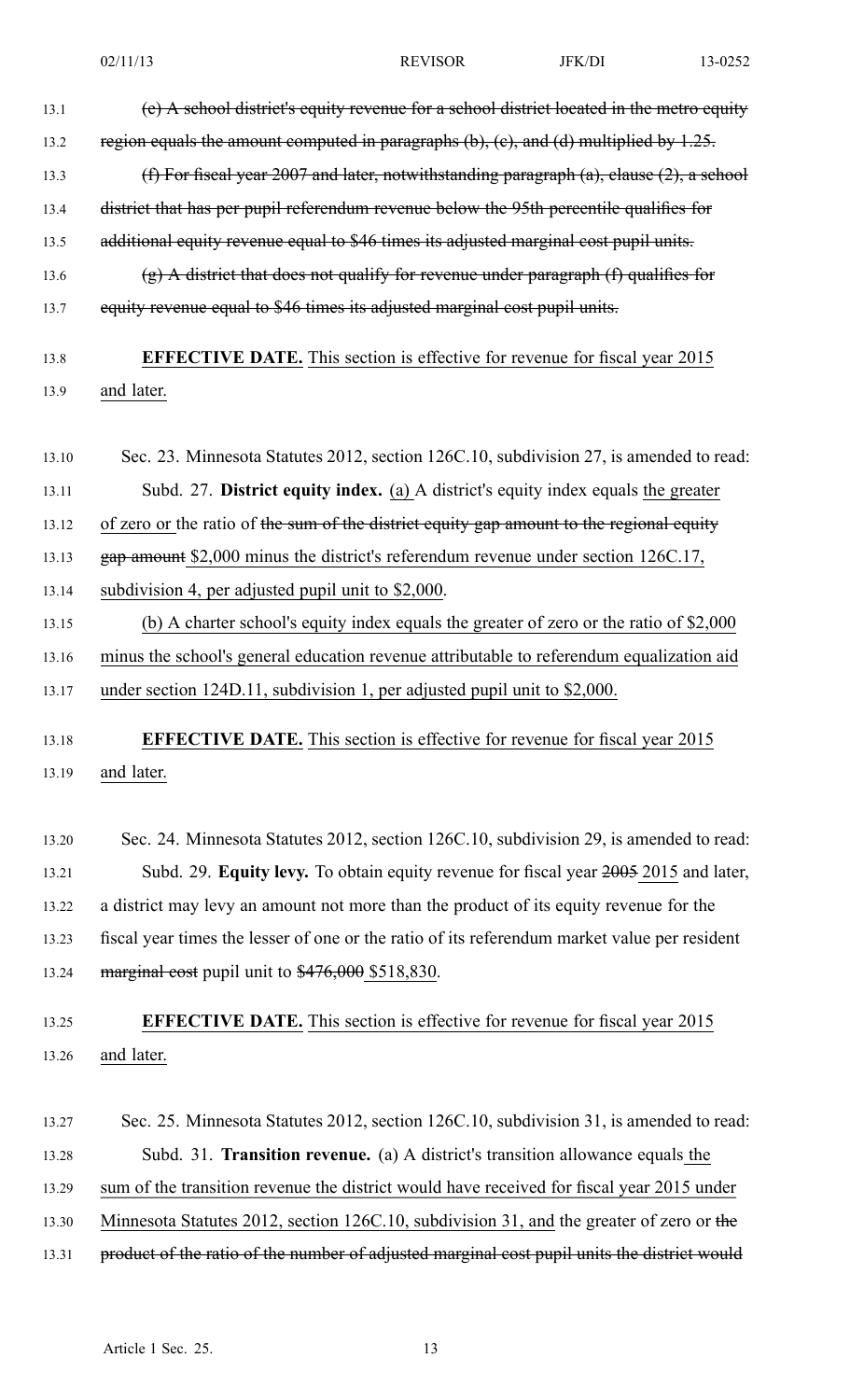| 13.1  | (e) A school district's equity revenue for a school district located in the metro equity      |
|-------|-----------------------------------------------------------------------------------------------|
| 13.2  | region equals the amount computed in paragraphs $(b)$ , $(c)$ , and $(d)$ multiplied by 1.25. |
| 13.3  | (f) For fiscal year 2007 and later, notwithstanding paragraph (a), clause (2), a school       |
| 13.4  | district that has per pupil referendum revenue below the 95th percentile qualifies for        |
| 13.5  | additional equity revenue equal to \$46 times its adjusted marginal cost pupil units.         |
| 13.6  | $(g)$ A district that does not qualify for revenue under paragraph $(f)$ qualifies for        |
| 13.7  | equity revenue equal to \$46 times its adjusted marginal cost pupil units.                    |
| 13.8  | <b>EFFECTIVE DATE.</b> This section is effective for revenue for fiscal year 2015             |
| 13.9  | and later.                                                                                    |
| 13.10 | Sec. 23. Minnesota Statutes 2012, section 126C.10, subdivision 27, is amended to read:        |
| 13.11 | Subd. 27. District equity index. (a) A district's equity index equals the greater             |
| 13.12 | of zero or the ratio of the sum of the district equity gap amount to the regional equity      |
| 13.13 | gap amount \$2,000 minus the district's referendum revenue under section 126C.17,             |
| 13.14 | subdivision 4, per adjusted pupil unit to \$2,000.                                            |
| 13.15 | (b) A charter school's equity index equals the greater of zero or the ratio of \$2,000        |
| 13.16 | minus the school's general education revenue attributable to referendum equalization aid      |
| 13.17 | under section 124D.11, subdivision 1, per adjusted pupil unit to \$2,000.                     |
| 13.18 | <b>EFFECTIVE DATE.</b> This section is effective for revenue for fiscal year 2015             |
| 13.19 | and later.                                                                                    |
| 13.20 | Sec. 24. Minnesota Statutes 2012, section 126C.10, subdivision 29, is amended to read:        |
| 13.21 | Subd. 29. Equity levy. To obtain equity revenue for fiscal year 2005 2015 and later,          |
| 13.22 | a district may levy an amount not more than the product of its equity revenue for the         |
| 13.23 | fiscal year times the lesser of one or the ratio of its referendum market value per resident  |
| 13.24 | $marginal cost$ pupil unit to $$476,000$ \$518,830.                                           |
| 13.25 | <b>EFFECTIVE DATE.</b> This section is effective for revenue for fiscal year 2015             |
| 13.26 | and later.                                                                                    |
|       |                                                                                               |
| 13.27 | Sec. 25. Minnesota Statutes 2012, section 126C.10, subdivision 31, is amended to read:        |
| 13.28 | Subd. 31. <b>Transition revenue.</b> (a) A district's transition allowance equals the         |
| 13.29 | sum of the transition revenue the district would have received for fiscal year 2015 under     |
| 13.30 | Minnesota Statutes 2012, section 126C.10, subdivision 31, and the greater of zero or the      |
| 13.31 | product of the ratio of the number of adjusted marginal cost pupil units the district would   |
|       |                                                                                               |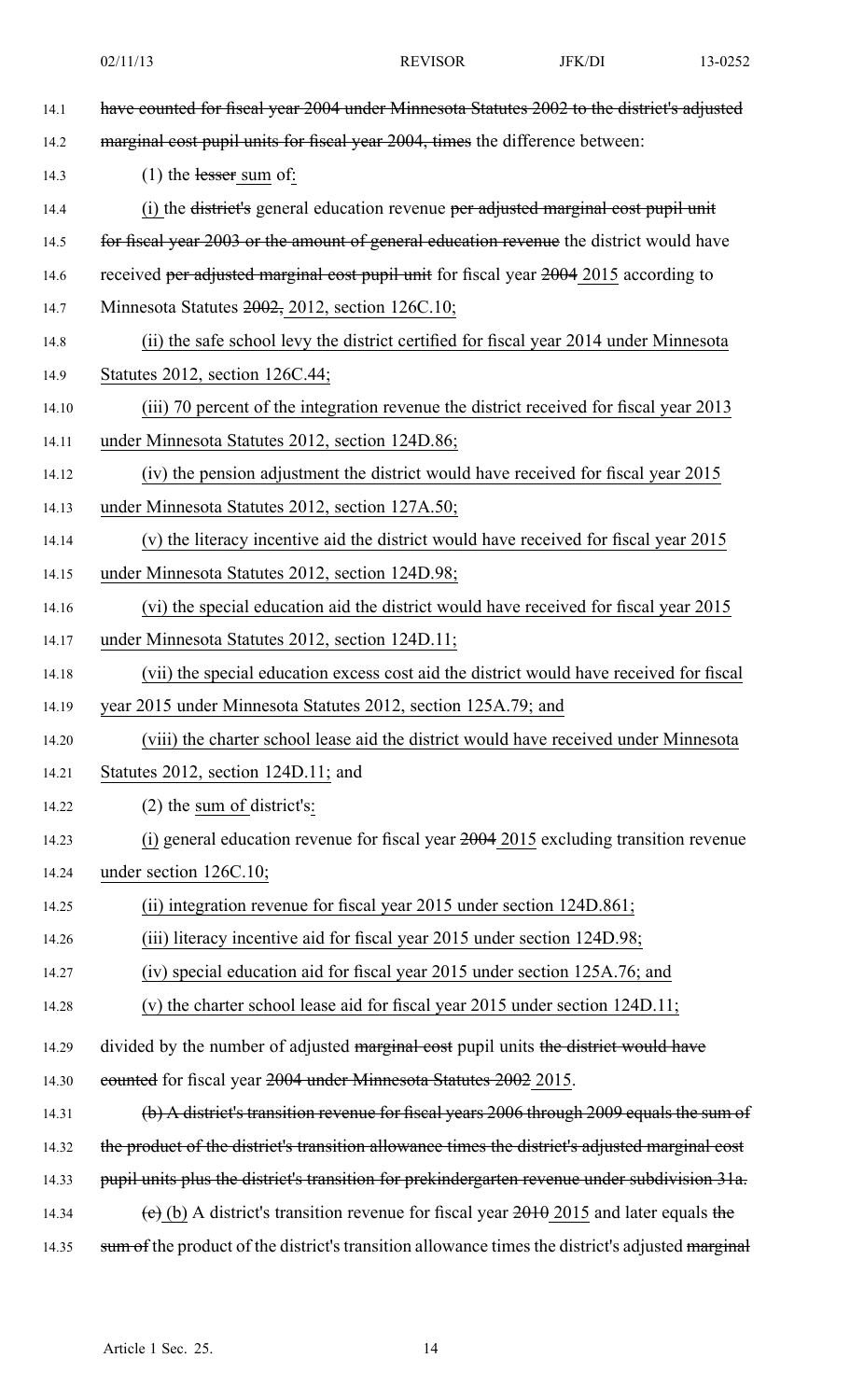| 14.1  | have counted for fiscal year 2004 under Minnesota Statutes 2002 to the district's adjusted       |
|-------|--------------------------------------------------------------------------------------------------|
| 14.2  | marginal cost pupil units for fiscal year 2004, times the difference between:                    |
| 14.3  | $(1)$ the lesser sum of:                                                                         |
| 14.4  | (i) the district's general education revenue per adjusted marginal cost pupil unit               |
| 14.5  | for fiscal year 2003 or the amount of general education revenue the district would have          |
| 14.6  | received per adjusted marginal cost pupil unit for fiscal year $2004$ 2015 according to          |
| 14.7  | Minnesota Statutes $2002$ , $2012$ , section $126C.10$ ;                                         |
| 14.8  | (ii) the safe school levy the district certified for fiscal year 2014 under Minnesota            |
| 14.9  | Statutes 2012, section 126C.44;                                                                  |
| 14.10 | (iii) 70 percent of the integration revenue the district received for fiscal year 2013           |
| 14.11 | under Minnesota Statutes 2012, section 124D.86;                                                  |
| 14.12 | (iv) the pension adjustment the district would have received for fiscal year 2015                |
| 14.13 | under Minnesota Statutes 2012, section 127A.50;                                                  |
| 14.14 | (v) the literacy incentive aid the district would have received for fiscal year 2015             |
| 14.15 | under Minnesota Statutes 2012, section 124D.98;                                                  |
| 14.16 | (vi) the special education aid the district would have received for fiscal year 2015             |
| 14.17 | under Minnesota Statutes 2012, section 124D.11;                                                  |
| 14.18 | (vii) the special education excess cost aid the district would have received for fiscal          |
| 14.19 | year 2015 under Minnesota Statutes 2012, section 125A.79; and                                    |
| 14.20 | (viii) the charter school lease aid the district would have received under Minnesota             |
| 14.21 | Statutes 2012, section $124D.11$ ; and                                                           |
| 14.22 | $(2)$ the sum of district's:                                                                     |
| 14.23 | (i) general education revenue for fiscal year $2004$ 2015 excluding transition revenue           |
| 14.24 | under section 126C.10;                                                                           |
| 14.25 | (ii) integration revenue for fiscal year 2015 under section 124D.861;                            |
| 14.26 | (iii) literacy incentive aid for fiscal year 2015 under section 124D.98;                         |
| 14.27 | (iv) special education aid for fiscal year 2015 under section 125A.76; and                       |
| 14.28 | (v) the charter school lease aid for fiscal year $2015$ under section $124D.11$ ;                |
| 14.29 | divided by the number of adjusted marginal cost pupil units the district would have              |
| 14.30 | eounted for fiscal year 2004 under Minnesota Statutes 2002 2015.                                 |
| 14.31 | (b) A district's transition revenue for fiscal years 2006 through 2009 equals the sum of         |
| 14.32 | the product of the district's transition allowance times the district's adjusted marginal cost   |
| 14.33 | pupil units plus the district's transition for prekindergarten revenue under subdivision 31a.    |
| 14.34 | (e) (b) A district's transition revenue for fiscal year $2010$ and later equals the              |
| 14.35 | sum of the product of the district's transition allowance times the district's adjusted marginal |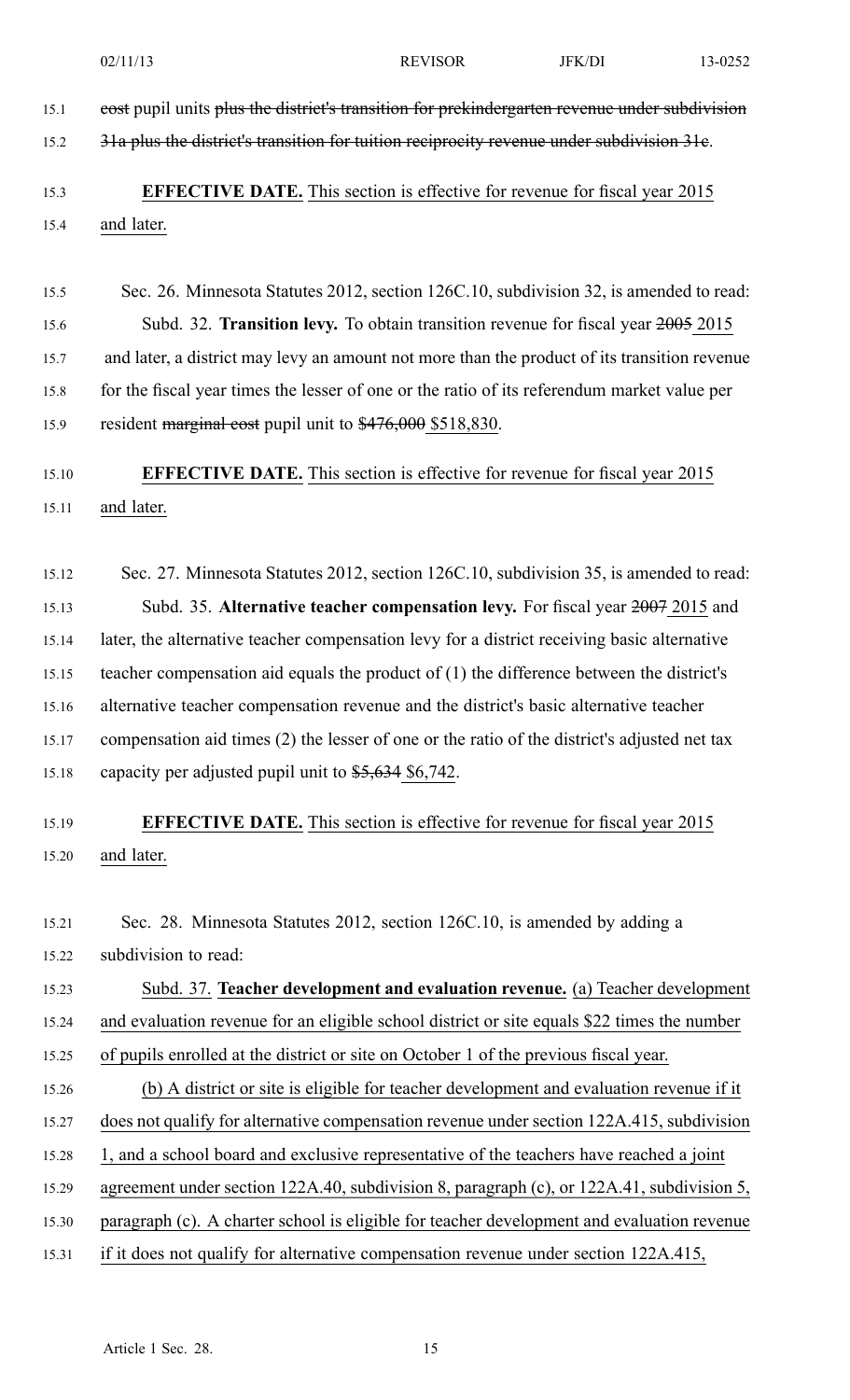| 15.1  | cost pupil units plus the district's transition for prekindergarten revenue under subdivision |
|-------|-----------------------------------------------------------------------------------------------|
| 15.2  | 31a plus the district's transition for tuition reciprocity revenue under subdivision 31e.     |
| 15.3  | <b>EFFECTIVE DATE.</b> This section is effective for revenue for fiscal year 2015             |
| 15.4  | and later.                                                                                    |
|       |                                                                                               |
| 15.5  | Sec. 26. Minnesota Statutes 2012, section 126C.10, subdivision 32, is amended to read:        |
| 15.6  | Subd. 32. Transition levy. To obtain transition revenue for fiscal year 2005 2015             |
| 15.7  | and later, a district may levy an amount not more than the product of its transition revenue  |
| 15.8  | for the fiscal year times the lesser of one or the ratio of its referendum market value per   |
| 15.9  | resident marginal cost pupil unit to \$476,000 \$518,830.                                     |
| 15.10 | <b>EFFECTIVE DATE.</b> This section is effective for revenue for fiscal year 2015             |
| 15.11 | and later.                                                                                    |
|       |                                                                                               |
| 15.12 | Sec. 27. Minnesota Statutes 2012, section 126C.10, subdivision 35, is amended to read:        |
| 15.13 | Subd. 35. Alternative teacher compensation levy. For fiscal year 2007 2015 and                |
| 15.14 | later, the alternative teacher compensation levy for a district receiving basic alternative   |
| 15.15 | teacher compensation aid equals the product of $(1)$ the difference between the district's    |
| 15.16 | alternative teacher compensation revenue and the district's basic alternative teacher         |
| 15.17 | compensation aid times (2) the lesser of one or the ratio of the district's adjusted net tax  |
| 15.18 | capacity per adjusted pupil unit to $$5,634$ \$6,742.                                         |
| 15.19 | <b>EFFECTIVE DATE.</b> This section is effective for revenue for fiscal year 2015             |
| 15.20 | and later.                                                                                    |
|       |                                                                                               |
| 15.21 | Sec. 28. Minnesota Statutes 2012, section 126C.10, is amended by adding a                     |
| 15.22 | subdivision to read:                                                                          |
| 15.23 | Subd. 37. Teacher development and evaluation revenue. (a) Teacher development                 |
| 15.24 | and evaluation revenue for an eligible school district or site equals \$22 times the number   |
| 15.25 | of pupils enrolled at the district or site on October 1 of the previous fiscal year.          |
| 15.26 | (b) A district or site is eligible for teacher development and evaluation revenue if it       |
| 15.27 | does not qualify for alternative compensation revenue under section 122A.415, subdivision     |
| 15.28 | 1, and a school board and exclusive representative of the teachers have reached a joint       |
| 15.29 | agreement under section 122A.40, subdivision 8, paragraph (c), or 122A.41, subdivision 5,     |
| 15.30 | paragraph (c). A charter school is eligible for teacher development and evaluation revenue    |
| 15.31 | if it does not qualify for alternative compensation revenue under section 122A.415,           |
|       |                                                                                               |
|       |                                                                                               |

02/11/13 REVISOR JFK/DI 13-0252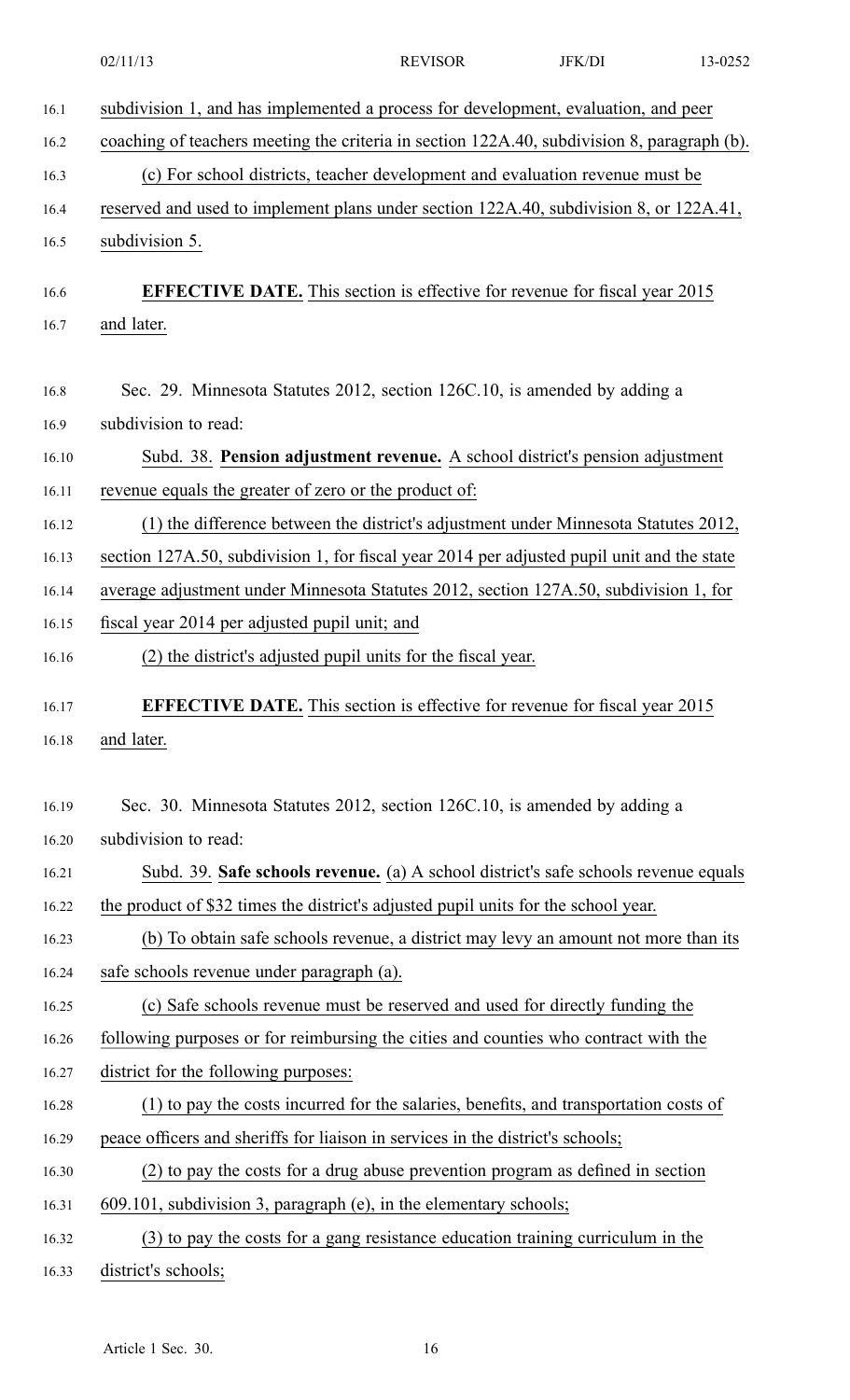|       | 02/11/13<br><b>REVISOR</b><br><b>JFK/DI</b><br>13-0252                                      |  |  |  |  |
|-------|---------------------------------------------------------------------------------------------|--|--|--|--|
| 16.1  | subdivision 1, and has implemented a process for development, evaluation, and peer          |  |  |  |  |
| 16.2  | coaching of teachers meeting the criteria in section 122A.40, subdivision 8, paragraph (b). |  |  |  |  |
| 16.3  | (c) For school districts, teacher development and evaluation revenue must be                |  |  |  |  |
| 16.4  | reserved and used to implement plans under section 122A.40, subdivision 8, or 122A.41,      |  |  |  |  |
| 16.5  | subdivision 5.                                                                              |  |  |  |  |
| 16.6  | <b>EFFECTIVE DATE.</b> This section is effective for revenue for fiscal year 2015           |  |  |  |  |
| 16.7  | and later.                                                                                  |  |  |  |  |
|       |                                                                                             |  |  |  |  |
| 16.8  | Sec. 29. Minnesota Statutes 2012, section 126C.10, is amended by adding a                   |  |  |  |  |
| 16.9  | subdivision to read:                                                                        |  |  |  |  |
| 16.10 | Subd. 38. Pension adjustment revenue. A school district's pension adjustment                |  |  |  |  |
| 16.11 | revenue equals the greater of zero or the product of:                                       |  |  |  |  |
| 16.12 | (1) the difference between the district's adjustment under Minnesota Statutes 2012,         |  |  |  |  |
| 16.13 | section 127A.50, subdivision 1, for fiscal year 2014 per adjusted pupil unit and the state  |  |  |  |  |
| 16.14 | average adjustment under Minnesota Statutes 2012, section 127A.50, subdivision 1, for       |  |  |  |  |
| 16.15 | fiscal year 2014 per adjusted pupil unit; and                                               |  |  |  |  |
| 16.16 | (2) the district's adjusted pupil units for the fiscal year.                                |  |  |  |  |
| 16.17 | <b>EFFECTIVE DATE.</b> This section is effective for revenue for fiscal year 2015           |  |  |  |  |
| 16.18 | and later.                                                                                  |  |  |  |  |
|       |                                                                                             |  |  |  |  |
| 16.19 | Sec. 30. Minnesota Statutes 2012, section 126C.10, is amended by adding a                   |  |  |  |  |
| 16.20 | subdivision to read:                                                                        |  |  |  |  |
| 16.21 | Subd. 39. Safe schools revenue. (a) A school district's safe schools revenue equals         |  |  |  |  |
| 16.22 | the product of \$32 times the district's adjusted pupil units for the school year.          |  |  |  |  |
| 16.23 | (b) To obtain safe schools revenue, a district may levy an amount not more than its         |  |  |  |  |
| 16.24 | safe schools revenue under paragraph (a).                                                   |  |  |  |  |
| 16.25 | (c) Safe schools revenue must be reserved and used for directly funding the                 |  |  |  |  |
| 16.26 | following purposes or for reimbursing the cities and counties who contract with the         |  |  |  |  |
| 16.27 | district for the following purposes:                                                        |  |  |  |  |
| 16.28 | (1) to pay the costs incurred for the salaries, benefits, and transportation costs of       |  |  |  |  |
| 16.29 | peace officers and sheriffs for liaison in services in the district's schools;              |  |  |  |  |
| 16.30 | (2) to pay the costs for a drug abuse prevention program as defined in section              |  |  |  |  |
| 16.31 | 609.101, subdivision 3, paragraph (e), in the elementary schools;                           |  |  |  |  |
| 16.32 | (3) to pay the costs for a gang resistance education training curriculum in the             |  |  |  |  |
| 16.33 | district's schools;                                                                         |  |  |  |  |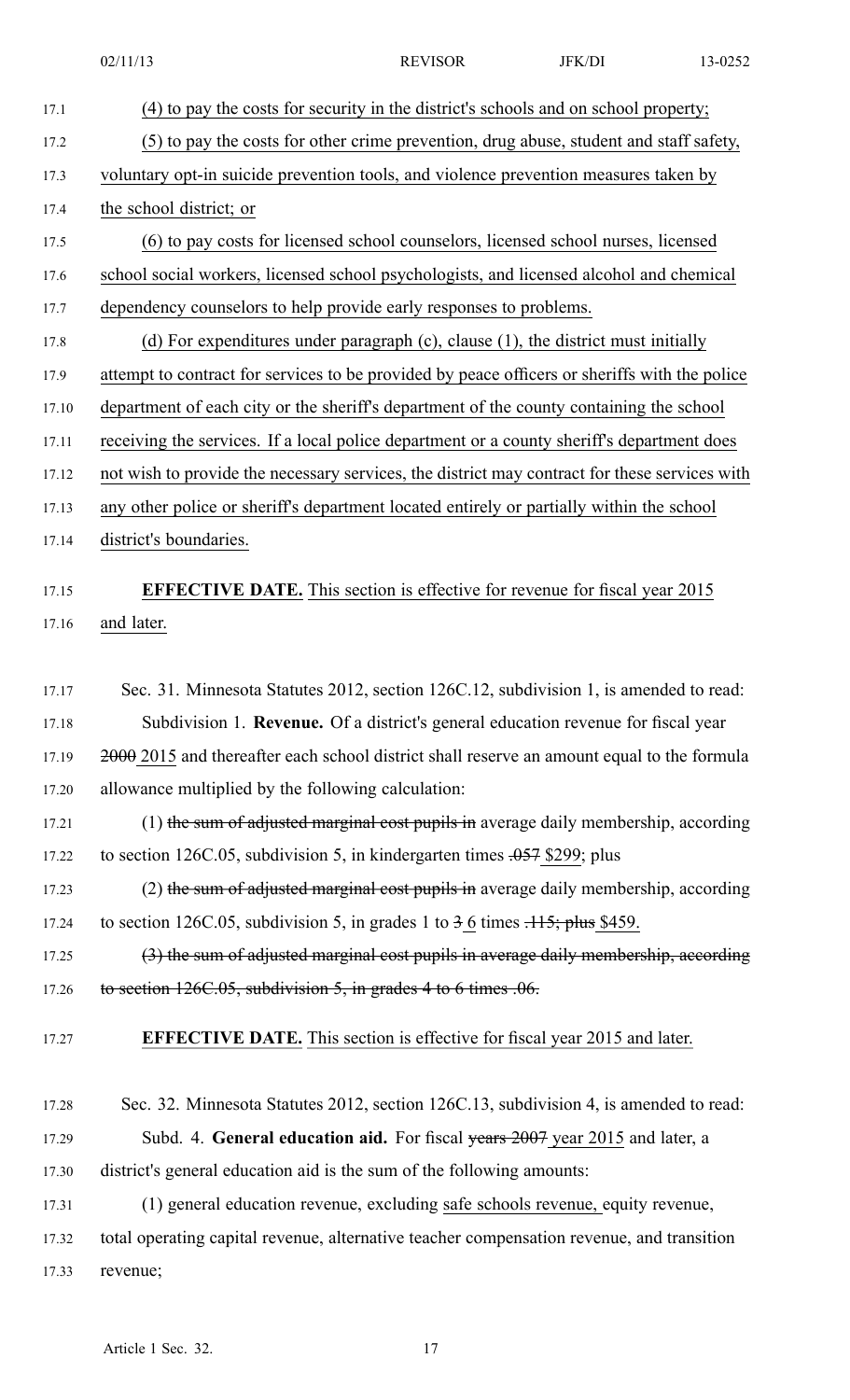17.1 (4) to pay the costs for security in the district's schools and on school property; 17.2 (5) to pay the costs for other crime prevention, drug abuse, student and staff safety, 17.3 voluntary opt-in suicide prevention tools, and violence prevention measures taken by 17.4 the school district; or 17.5 (6) to pay costs for licensed school counselors, licensed school nurses, licensed 17.6 school social workers, licensed school psychologists, and licensed alcohol and chemical 17.7 dependency counselors to help provide early responses to problems. 17.8 (d) For expenditures under paragraph (c), clause (1), the district must initially 17.9 attempt to contract for services to be provided by peace officers or sheriffs with the police 17.10 department of each city or the sheriff's department of the county containing the school 17.11 receiving the services. If <sup>a</sup> local police department or <sup>a</sup> county sheriff's department does 17.12 not wish to provide the necessary services, the district may contract for these services with 17.13 any other police or sheriff's department located entirely or partially within the school 17.14 district's boundaries. 17.15 **EFFECTIVE DATE.** This section is effective for revenue for fiscal year 2015 17.16 and later. 17.17 Sec. 31. Minnesota Statutes 2012, section 126C.12, subdivision 1, is amended to read: 17.18 Subdivision 1. **Revenue.** Of <sup>a</sup> district's general education revenue for fiscal year 17.19 2000 2015 and thereafter each school district shall reserve an amount equal to the formula 17.20 allowance multiplied by the following calculation: 17.21 (1) the sum of adjusted marginal cost pupils in average daily membership, according 17.22 to section 126C.05, subdivision 5, in kindergarten times .057 \$299; plus 17.23 (2) the sum of adjusted marginal cost pupils in average daily membership, according 17.24 to section 126C.05, subdivision 5, in grades 1 to  $3.6$  times  $.115$ ; plus \$459. 17.25 (3) the sum of adjusted marginal cost pupils in average daily membership, according 17.26 to section 126C.05, subdivision 5, in grades 4 to 6 times .06. 17.27 **EFFECTIVE DATE.** This section is effective for fiscal year 2015 and later. 17.28 Sec. 32. Minnesota Statutes 2012, section 126C.13, subdivision 4, is amended to read: 17.29 Subd. 4. **General education aid.** For fiscal years 2007 year 2015 and later, <sup>a</sup> 17.30 district's general education aid is the sum of the following amounts: 17.31 (1) general education revenue, excluding safe schools revenue, equity revenue, 17.32 total operating capital revenue, alternative teacher compensation revenue, and transition 17.33 revenue; Article 1 Sec. 32. 17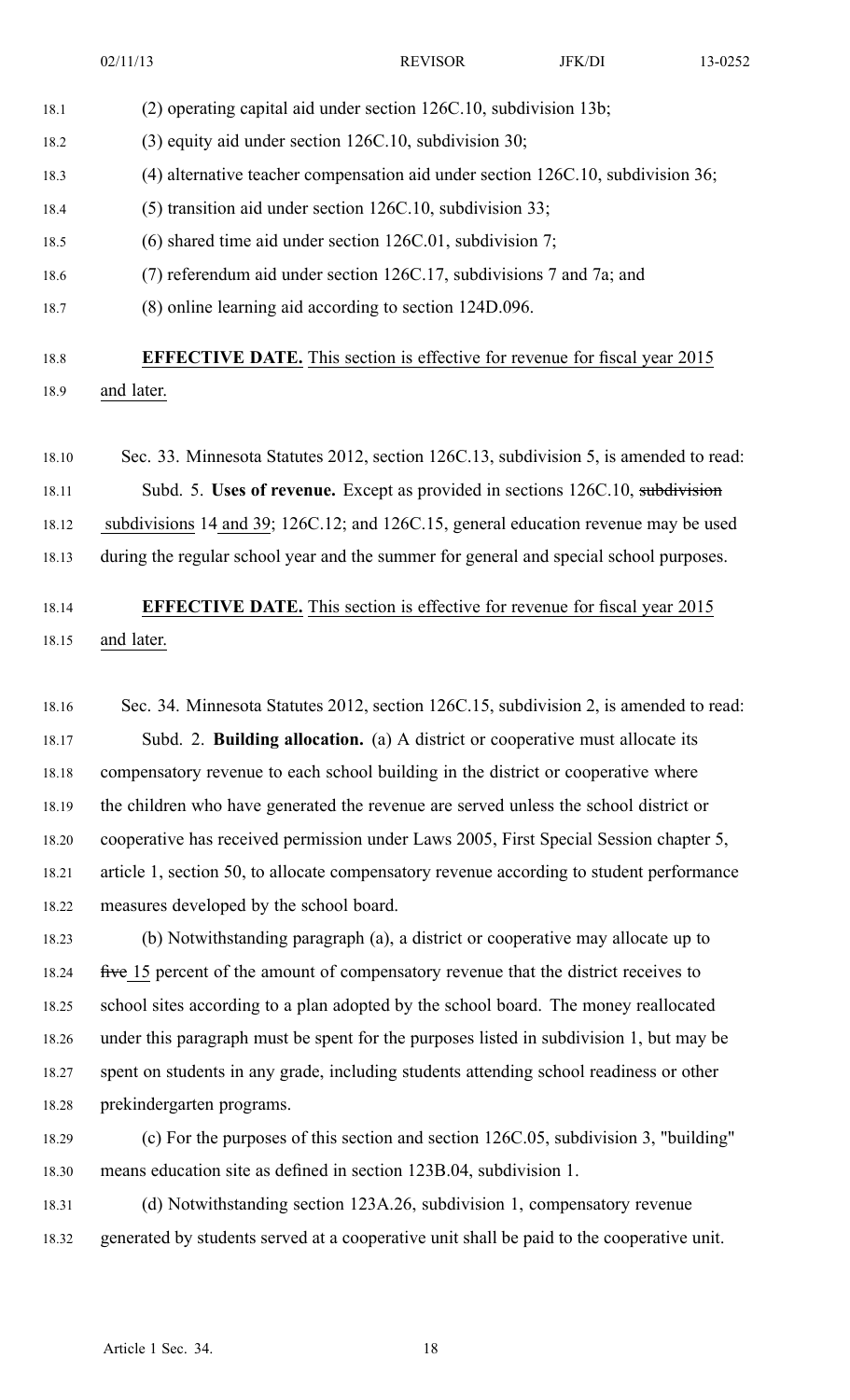02/11/13 **REVISOR** JFK/DI 13-0252 18.1 (2) operating capital aid under section 126C.10, subdivision 13b; 18.2 (3) equity aid under section 126C.10, subdivision 30; 18.3 (4) alternative teacher compensation aid under section 126C.10, subdivision 36; 18.4 (5) transition aid under section 126C.10, subdivision 33; 18.5 (6) shared time aid under section 126C.01, subdivision 7; 18.6 (7) referendum aid under section 126C.17, subdivisions 7 and 7a; and 18.7 (8) online learning aid according to section 124D.096. 18.8 **EFFECTIVE DATE.** This section is effective for revenue for fiscal year 2015 18.9 and later.

18.10 Sec. 33. Minnesota Statutes 2012, section 126C.13, subdivision 5, is amended to read: 18.11 Subd. 5. **Uses of revenue.** Except as provided in sections 126C.10, subdivision 18.12 subdivisions 14 and 39; 126C.12; and 126C.15, general education revenue may be used 18.13 during the regular school year and the summer for general and special school purposes.

### 18.14 **EFFECTIVE DATE.** This section is effective for revenue for fiscal year 2015 18.15 and later.

18.16 Sec. 34. Minnesota Statutes 2012, section 126C.15, subdivision 2, is amended to read: 18.17 Subd. 2. **Building allocation.** (a) A district or cooperative must allocate its 18.18 compensatory revenue to each school building in the district or cooperative where 18.19 the children who have generated the revenue are served unless the school district or 18.20 cooperative has received permission under Laws 2005, First Special Session chapter 5, 18.21 article 1, section 50, to allocate compensatory revenue according to student performance 18.22 measures developed by the school board.

18.23 (b) Notwithstanding paragraph (a), <sup>a</sup> district or cooperative may allocate up to 18.24 five 15 percent of the amount of compensatory revenue that the district receives to 18.25 school sites according to <sup>a</sup> plan adopted by the school board. The money reallocated 18.26 under this paragraph must be spen<sup>t</sup> for the purposes listed in subdivision 1, but may be 18.27 spen<sup>t</sup> on students in any grade, including students attending school readiness or other 18.28 prekindergarten programs.

18.29 (c) For the purposes of this section and section 126C.05, subdivision 3, "building" 18.30 means education site as defined in section 123B.04, subdivision 1.

18.31 (d) Notwithstanding section 123A.26, subdivision 1, compensatory revenue 18.32 generated by students served at <sup>a</sup> cooperative unit shall be paid to the cooperative unit.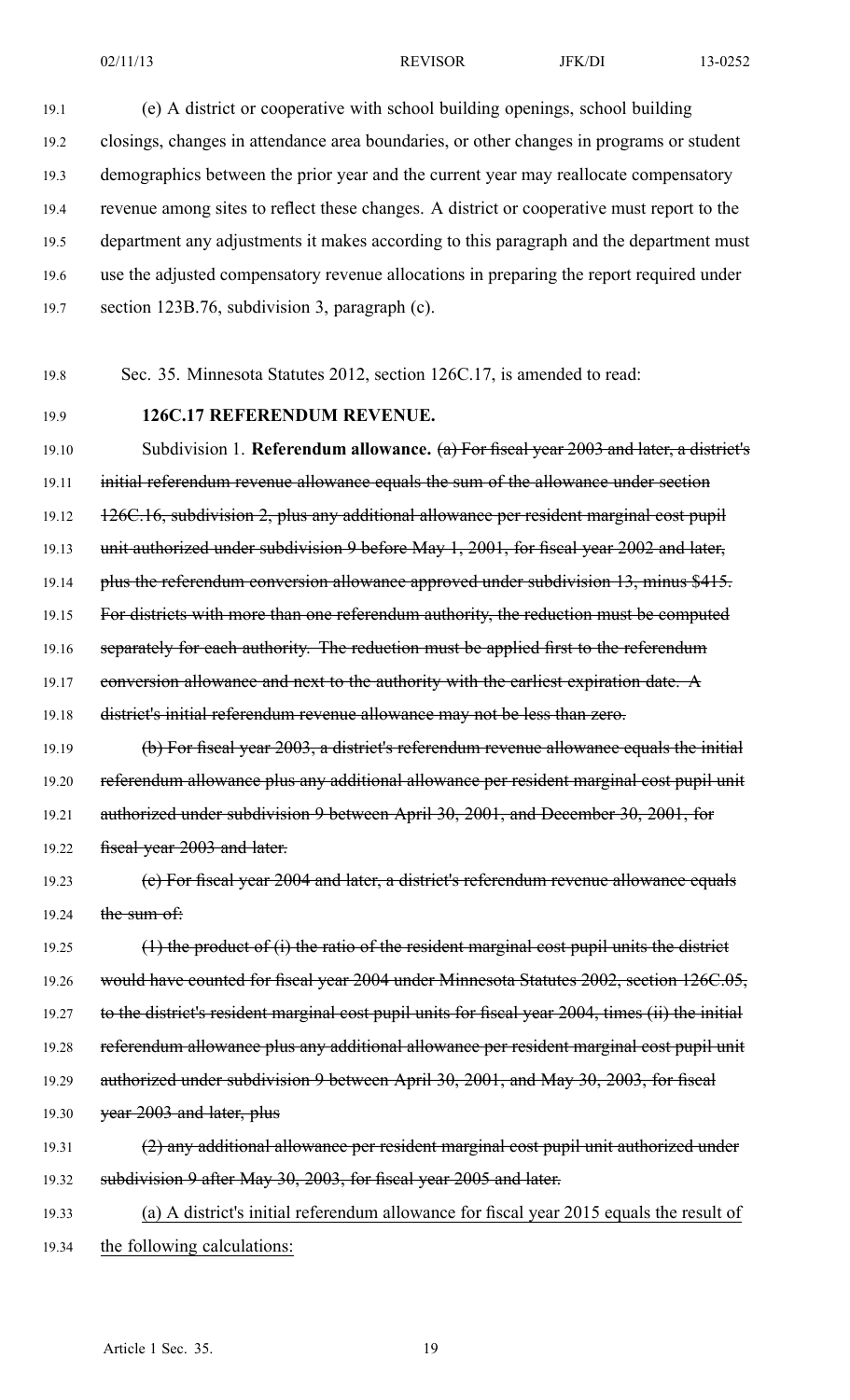19.1 (e) A district or cooperative with school building openings, school building 19.2 closings, changes in attendance area boundaries, or other changes in programs or student 19.3 demographics between the prior year and the current year may reallocate compensatory 19.4 revenue among sites to reflect these changes. A district or cooperative must repor<sup>t</sup> to the 19.5 department any adjustments it makes according to this paragraph and the department must 19.6 use the adjusted compensatory revenue allocations in preparing the repor<sup>t</sup> required under 19.7 section 123B.76, subdivision 3, paragraph (c).

19.8 Sec. 35. Minnesota Statutes 2012, section 126C.17, is amended to read:

### 19.9 **126C.17 REFERENDUM REVENUE.**

19.10 Subdivision 1. **Referendum allowance.** (a) For fiscal year 2003 and later, <sup>a</sup> district's 19.11 initial referendum revenue allowance equals the sum of the allowance under section 19.12 126C.16, subdivision 2, plus any additional allowance per resident marginal cost pupil 19.13 unit authorized under subdivision 9 before May 1, 2001, for fiscal year 2002 and later, 19.14 plus the referendum conversion allowance approved under subdivision 13, minus \$415. 19.15 For districts with more than one referendum authority, the reduction must be computed 19.16 separately for each authority. The reduction must be applied first to the referendum 19.17 conversion allowance and next to the authority with the earliest expiration date. A 19.18 district's initial referendum revenue allowance may not be less than zero. 19.19 (b) For fiscal year 2003, <sup>a</sup> district's referendum revenue allowance equals the initial 19.20 referendum allowance plus any additional allowance per resident marginal cost pupil unit 19.21 authorized under subdivision 9 between April 30, 2001, and December 30, 2001, for 19.22 fiscal year 2003 and later. 19.23 (c) For fiscal year 2004 and later, <sup>a</sup> district's referendum revenue allowance equals 19.24 the sum of:

19.25  $(1)$  the product of (i) the ratio of the resident marginal cost pupil units the district 19.26 would have counted for fiscal year 2004 under Minnesota Statutes 2002, section 126C.05, 19.27 to the district's resident marginal cost pupil units for fiscal year 2004, times (ii) the initial 19.28 referendum allowance plus any additional allowance per resident marginal cost pupil unit 19.29 authorized under subdivision 9 between April 30, 2001, and May 30, 2003, for fiscal 19.30 year 2003 and later, plus 19.31  $(2)$  any additional allowance per resident marginal cost pupil unit authorized under

19.33 (a) A district's initial referendum allowance for fiscal year 2015 equals the result of 19.34 the following calculations:

19.32 subdivision 9 after May 30, 2003, for fiscal year 2005 and later.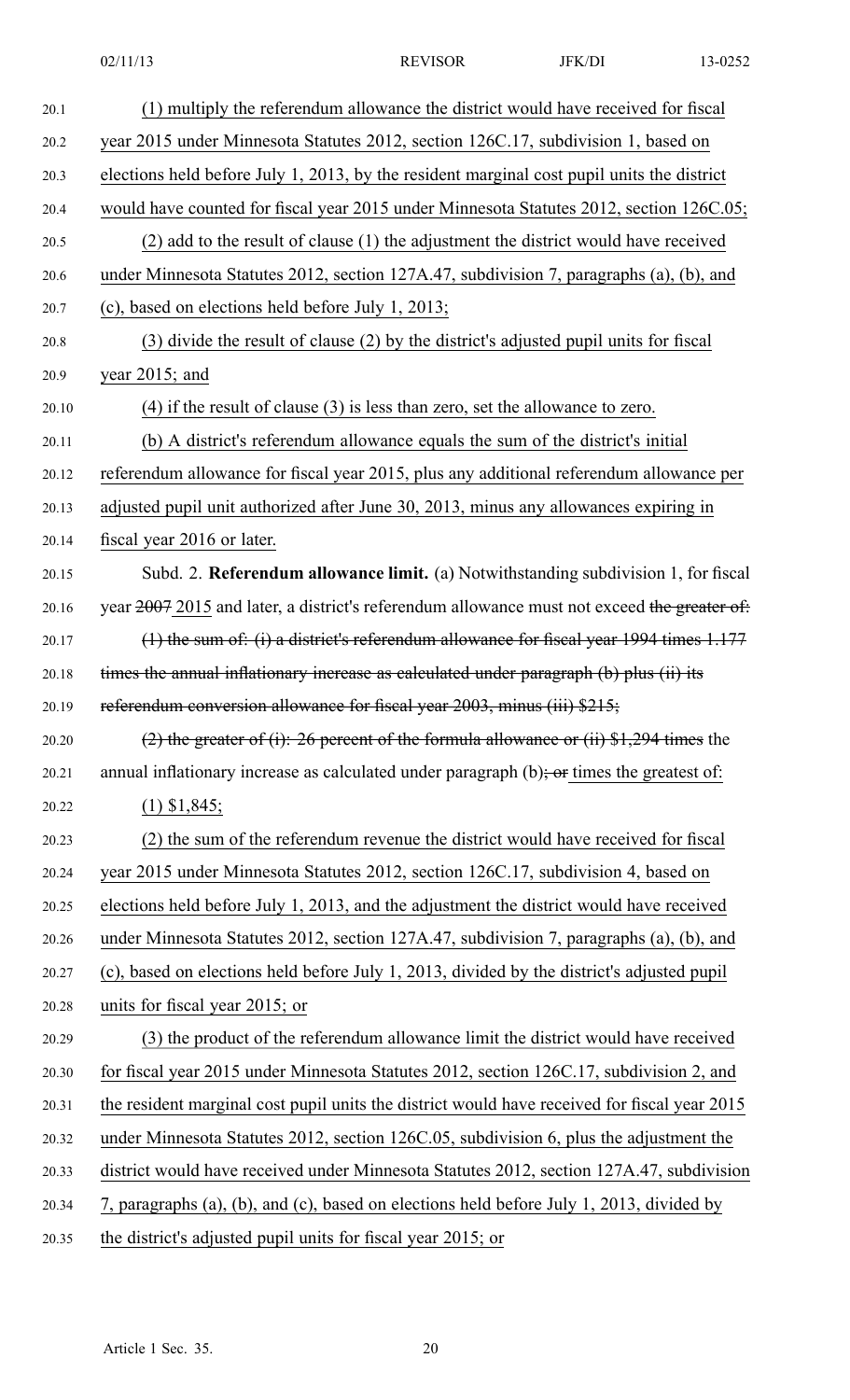| 20.1  | (1) multiply the referendum allowance the district would have received for fiscal            |
|-------|----------------------------------------------------------------------------------------------|
| 20.2  | year 2015 under Minnesota Statutes 2012, section 126C.17, subdivision 1, based on            |
| 20.3  | elections held before July 1, 2013, by the resident marginal cost pupil units the district   |
| 20.4  | would have counted for fiscal year 2015 under Minnesota Statutes 2012, section 126C.05;      |
| 20.5  | (2) add to the result of clause (1) the adjustment the district would have received          |
| 20.6  | under Minnesota Statutes 2012, section 127A.47, subdivision 7, paragraphs (a), (b), and      |
| 20.7  | (c), based on elections held before July 1, 2013;                                            |
| 20.8  | (3) divide the result of clause (2) by the district's adjusted pupil units for fiscal        |
| 20.9  | year $2015$ ; and                                                                            |
| 20.10 | $(4)$ if the result of clause $(3)$ is less than zero, set the allowance to zero.            |
| 20.11 | (b) A district's referendum allowance equals the sum of the district's initial               |
| 20.12 | referendum allowance for fiscal year 2015, plus any additional referendum allowance per      |
| 20.13 | adjusted pupil unit authorized after June 30, 2013, minus any allowances expiring in         |
| 20.14 | fiscal year 2016 or later.                                                                   |
| 20.15 | Subd. 2. Referendum allowance limit. (a) Notwithstanding subdivision 1, for fiscal           |
| 20.16 | year 2007 2015 and later, a district's referendum allowance must not exceed the greater of:  |
| 20.17 | $(1)$ the sum of: (i) a district's referendum allowance for fiscal year 1994 times 1.177     |
| 20.18 | times the annual inflationary increase as calculated under paragraph (b) plus (ii) its       |
| 20.19 | referendum conversion allowance for fiscal year 2003, minus (iii) \$215;                     |
| 20.20 | (2) the greater of (i): 26 percent of the formula allowance or (ii) $$1,294$ times the       |
| 20.21 | annual inflationary increase as calculated under paragraph $(b)$ ; or times the greatest of: |
| 20.22 | $(1)$ \$1,845;                                                                               |
| 20.23 | (2) the sum of the referendum revenue the district would have received for fiscal            |
| 20.24 | year 2015 under Minnesota Statutes 2012, section 126C.17, subdivision 4, based on            |
| 20.25 | elections held before July 1, 2013, and the adjustment the district would have received      |
| 20.26 | under Minnesota Statutes 2012, section 127A.47, subdivision 7, paragraphs (a), (b), and      |
| 20.27 | (c), based on elections held before July 1, 2013, divided by the district's adjusted pupil   |
| 20.28 | units for fiscal year 2015; or                                                               |
| 20.29 | (3) the product of the referendum allowance limit the district would have received           |
| 20.30 | for fiscal year 2015 under Minnesota Statutes 2012, section 126C.17, subdivision 2, and      |
| 20.31 | the resident marginal cost pupil units the district would have received for fiscal year 2015 |
| 20.32 | under Minnesota Statutes 2012, section 126C.05, subdivision 6, plus the adjustment the       |
| 20.33 | district would have received under Minnesota Statutes 2012, section 127A.47, subdivision     |
| 20.34 | 7, paragraphs (a), (b), and (c), based on elections held before July 1, 2013, divided by     |
| 20.35 | the district's adjusted pupil units for fiscal year 2015; or                                 |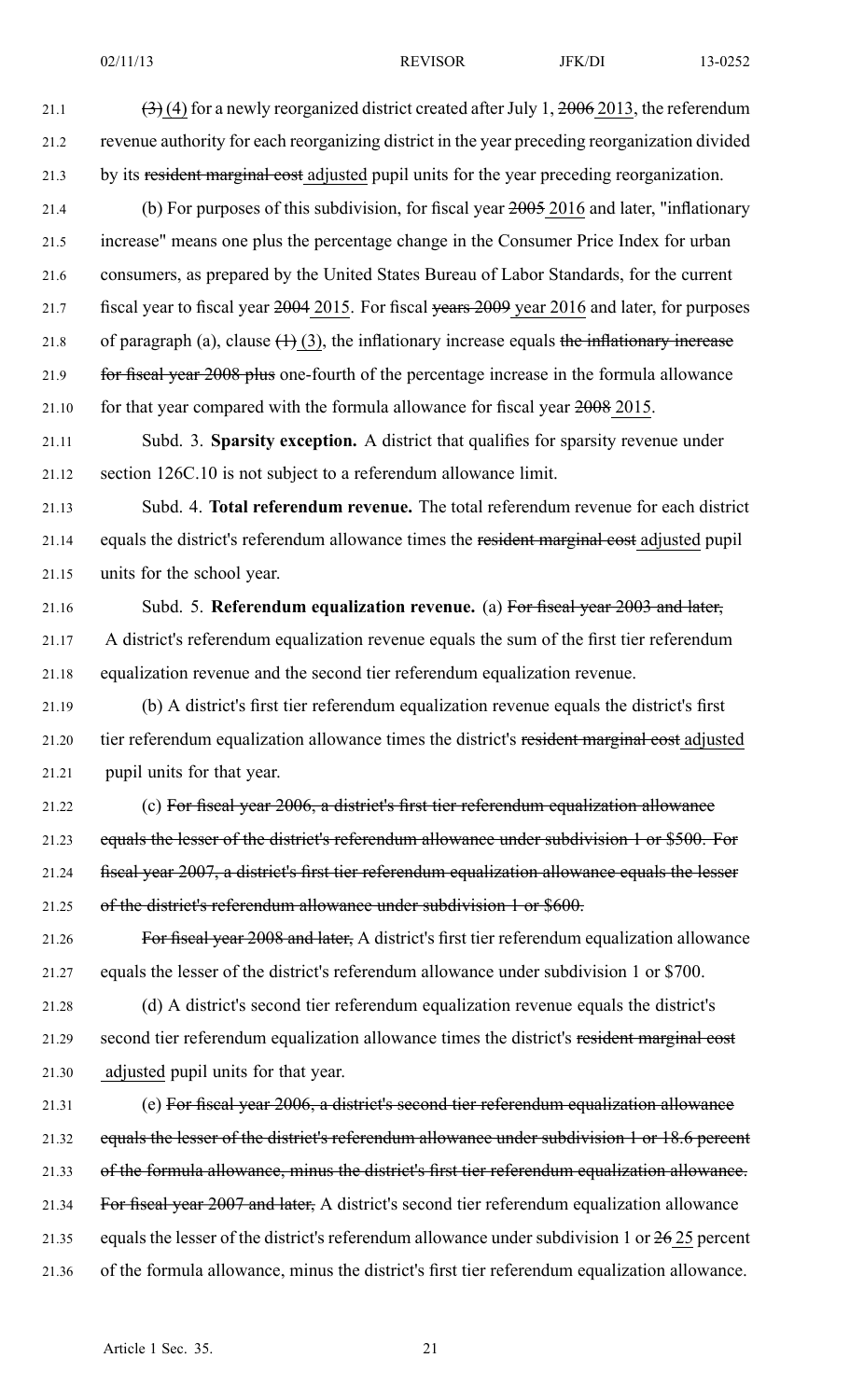21.1  $(3)(4)$  for a newly reorganized district created after July 1, 2006 2013, the referendum 21.2 revenue authority for each reorganizing district in the year preceding reorganization divided 21.3 by its resident marginal cost adjusted pupil units for the year preceding reorganization. 21.4 (b) For purposes of this subdivision, for fiscal year 2005 2016 and later, "inflationary 21.5 increase" means one plus the percentage change in the Consumer Price Index for urban 21.6 consumers, as prepared by the United States Bureau of Labor Standards, for the current 21.7 fiscal year to fiscal year 2004 2015. For fiscal years 2009 year 2016 and later, for purposes 21.8 of paragraph (a), clause  $(1)(3)$ , the inflationary increase equals the inflationary increase 21.9 for fiscal year 2008 plus one-fourth of the percentage increase in the formula allowance 21.10 for that year compared with the formula allowance for fiscal year 2008 2015. 21.11 Subd. 3. **Sparsity exception.** A district that qualifies for sparsity revenue under 21.12 section 126C.10 is not subject to <sup>a</sup> referendum allowance limit. 21.13 Subd. 4. **Total referendum revenue.** The total referendum revenue for each district 21.14 equals the district's referendum allowance times the resident marginal cost adjusted pupil 21.15 units for the school year. 21.16 Subd. 5. **Referendum equalization revenue.** (a) For fiscal year 2003 and later, 21.17 A district's referendum equalization revenue equals the sum of the first tier referendum 21.18 equalization revenue and the second tier referendum equalization revenue. 21.19 (b) A district's first tier referendum equalization revenue equals the district's first 21.20 tier referendum equalization allowance times the district's resident marginal cost adjusted 21.21 pupil units for that year. 21.22 (c) For fiscal year 2006, <sup>a</sup> district's first tier referendum equalization allowance 21.23 equals the lesser of the district's referendum allowance under subdivision 1 or \$500. For 21.24 fiscal year 2007, <sup>a</sup> district's first tier referendum equalization allowance equals the lesser 21.25 of the district's referendum allowance under subdivision 1 or \$600. 21.26 For fiscal year 2008 and later, Adistrict's first tier referendum equalization allowance 21.27 equals the lesser of the district's referendum allowance under subdivision 1 or \$700. 21.28 (d) A district's second tier referendum equalization revenue equals the district's 21.29 second tier referendum equalization allowance times the district's resident marginal cost 21.30 adjusted pupil units for that year. 21.31 (e) For fiscal year 2006, <sup>a</sup> district's second tier referendum equalization allowance 21.32 equals the lesser of the district's referendum allowance under subdivision 1 or 18.6 percen<sup>t</sup> 21.33 of the formula allowance, minus the district's first tier referendum equalization allowance. 21.34 For fiscal year 2007 and later, A district's second tier referendum equalization allowance 21.35 equals the lesser of the district's referendum allowance under subdivision 1 or 26 25 percen<sup>t</sup>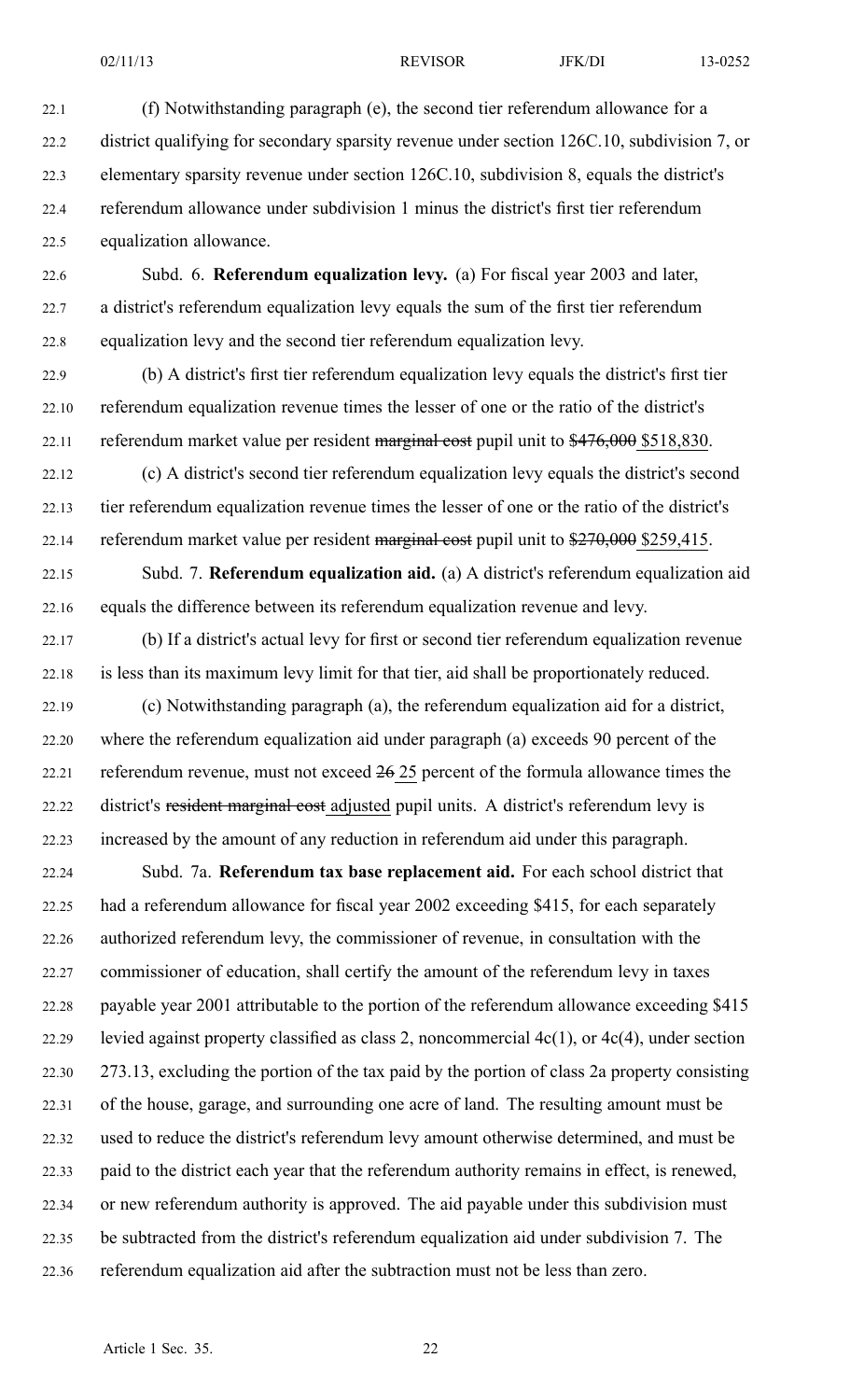- 22.1 (f) Notwithstanding paragraph (e), the second tier referendum allowance for <sup>a</sup> 22.2 district qualifying for secondary sparsity revenue under section 126C.10, subdivision 7, or 22.3 elementary sparsity revenue under section 126C.10, subdivision 8, equals the district's 22.4 referendum allowance under subdivision 1 minus the district's first tier referendum 22.5 equalization allowance.
- 22.6 Subd. 6. **Referendum equalization levy.** (a) For fiscal year 2003 and later, 22.7 <sup>a</sup> district's referendum equalization levy equals the sum of the first tier referendum 22.8 equalization levy and the second tier referendum equalization levy.
- 22.9 (b) A district's first tier referendum equalization levy equals the district's first tier 22.10 referendum equalization revenue times the lesser of one or the ratio of the district's 22.11 referendum market value per resident marginal cost pupil unit to \$476,000 \$518,830.
- 22.12 (c) A district's second tier referendum equalization levy equals the district's second 22.13 tier referendum equalization revenue times the lesser of one or the ratio of the district's 22.14 referendum market value per resident marginal cost pupil unit to \$270,000 \$259,415.
- 22.15 Subd. 7. **Referendum equalization aid.** (a) A district's referendum equalization aid 22.16 equals the difference between its referendum equalization revenue and levy.
- 22.17 (b) If <sup>a</sup> district's actual levy for first or second tier referendum equalization revenue 22.18 is less than its maximum levy limit for that tier, aid shall be proportionately reduced.
- 22.19 (c) Notwithstanding paragraph (a), the referendum equalization aid for <sup>a</sup> district, 22.20 where the referendum equalization aid under paragraph (a) exceeds 90 percen<sup>t</sup> of the 22.21 referendum revenue, must not exceed 26 25 percen<sup>t</sup> of the formula allowance times the 22.22 district's resident marginal cost adjusted pupil units. A district's referendum levy is 22.23 increased by the amount of any reduction in referendum aid under this paragraph.
- 22.24 Subd. 7a. **Referendum tax base replacement aid.** For each school district that 22.25 had <sup>a</sup> referendum allowance for fiscal year 2002 exceeding \$415, for each separately 22.26 authorized referendum levy, the commissioner of revenue, in consultation with the 22.27 commissioner of education, shall certify the amount of the referendum levy in taxes 22.28 payable year 2001 attributable to the portion of the referendum allowance exceeding \$415 22.29 levied against property classified as class 2, noncommercial  $4c(1)$ , or  $4c(4)$ , under section 22.30 273.13, excluding the portion of the tax paid by the portion of class 2a property consisting 22.31 of the house, garage, and surrounding one acre of land. The resulting amount must be 22.32 used to reduce the district's referendum levy amount otherwise determined, and must be 22.33 paid to the district each year that the referendum authority remains in effect, is renewed, 22.34 or new referendum authority is approved. The aid payable under this subdivision must 22.35 be subtracted from the district's referendum equalization aid under subdivision 7. The 22.36 referendum equalization aid after the subtraction must not be less than zero.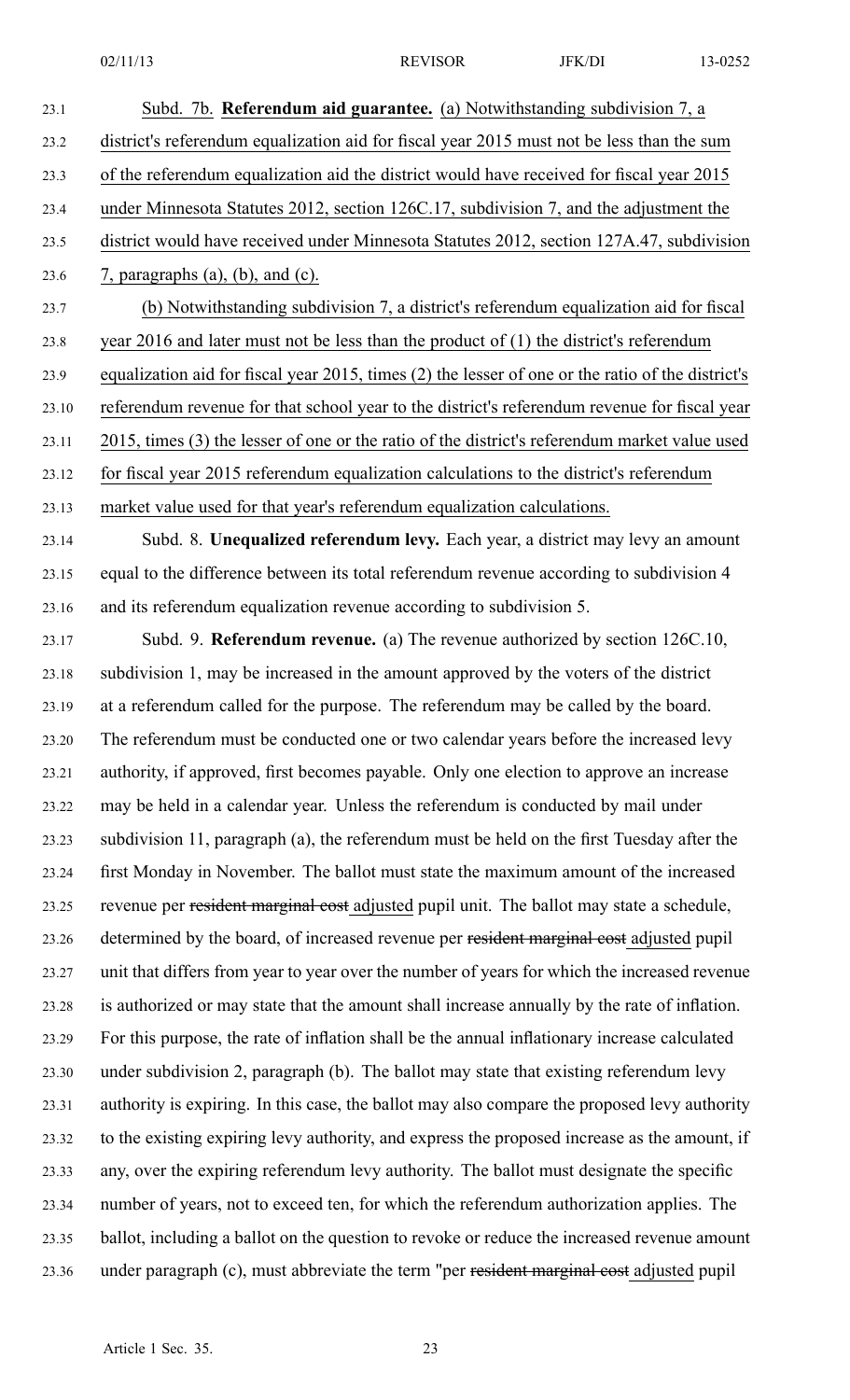23.1 Subd. 7b. **Referendum aid guarantee.** (a) Notwithstanding subdivision 7, <sup>a</sup>

23.2 district's referendum equalization aid for fiscal year 2015 must not be less than the sum 23.3 of the referendum equalization aid the district would have received for fiscal year 2015 23.4 under Minnesota Statutes 2012, section 126C.17, subdivision 7, and the adjustment the 23.5 district would have received under Minnesota Statutes 2012, section 127A.47, subdivision 23.6 7, paragraphs (a), (b), and (c). 23.7 (b) Notwithstanding subdivision 7, <sup>a</sup> district's referendum equalization aid for fiscal 23.8 year 2016 and later must not be less than the product of (1) the district's referendum 23.9 equalization aid for fiscal year 2015, times (2) the lesser of one or the ratio of the district's 23.10 referendum revenue for that school year to the district's referendum revenue for fiscal year 23.11 2015, times (3) the lesser of one or the ratio of the district's referendum market value used 23.12 for fiscal year 2015 referendum equalization calculations to the district's referendum 23.13 market value used for that year's referendum equalization calculations. 23.14 Subd. 8. **Unequalized referendum levy.** Each year, <sup>a</sup> district may levy an amount 23.15 equal to the difference between its total referendum revenue according to subdivision 4 23.16 and its referendum equalization revenue according to subdivision 5. 23.17 Subd. 9. **Referendum revenue.** (a) The revenue authorized by section 126C.10, 23.18 subdivision 1, may be increased in the amount approved by the voters of the district 23.19 at <sup>a</sup> referendum called for the purpose. The referendum may be called by the board. 23.20 The referendum must be conducted one or two calendar years before the increased levy 23.21 authority, if approved, first becomes payable. Only one election to approve an increase 23.22 may be held in <sup>a</sup> calendar year. Unless the referendum is conducted by mail under 23.23 subdivision 11, paragraph (a), the referendum must be held on the first Tuesday after the 23.24 first Monday in November. The ballot must state the maximum amount of the increased 23.25 revenue per resident marginal cost adjusted pupil unit. The ballot may state <sup>a</sup> schedule, 23.26 determined by the board, of increased revenue per resident marginal cost adjusted pupil 23.27 unit that differs from year to year over the number of years for which the increased revenue 23.28 is authorized or may state that the amount shall increase annually by the rate of inflation. 23.29 For this purpose, the rate of inflation shall be the annual inflationary increase calculated 23.30 under subdivision 2, paragraph (b). The ballot may state that existing referendum levy 23.31 authority is expiring. In this case, the ballot may also compare the proposed levy authority 23.32 to the existing expiring levy authority, and express the proposed increase as the amount, if 23.33 any, over the expiring referendum levy authority. The ballot must designate the specific 23.34 number of years, not to exceed ten, for which the referendum authorization applies. The 23.35 ballot, including <sup>a</sup> ballot on the question to revoke or reduce the increased revenue amount 23.36 under paragraph (c), must abbreviate the term "per resident marginal cost adjusted pupil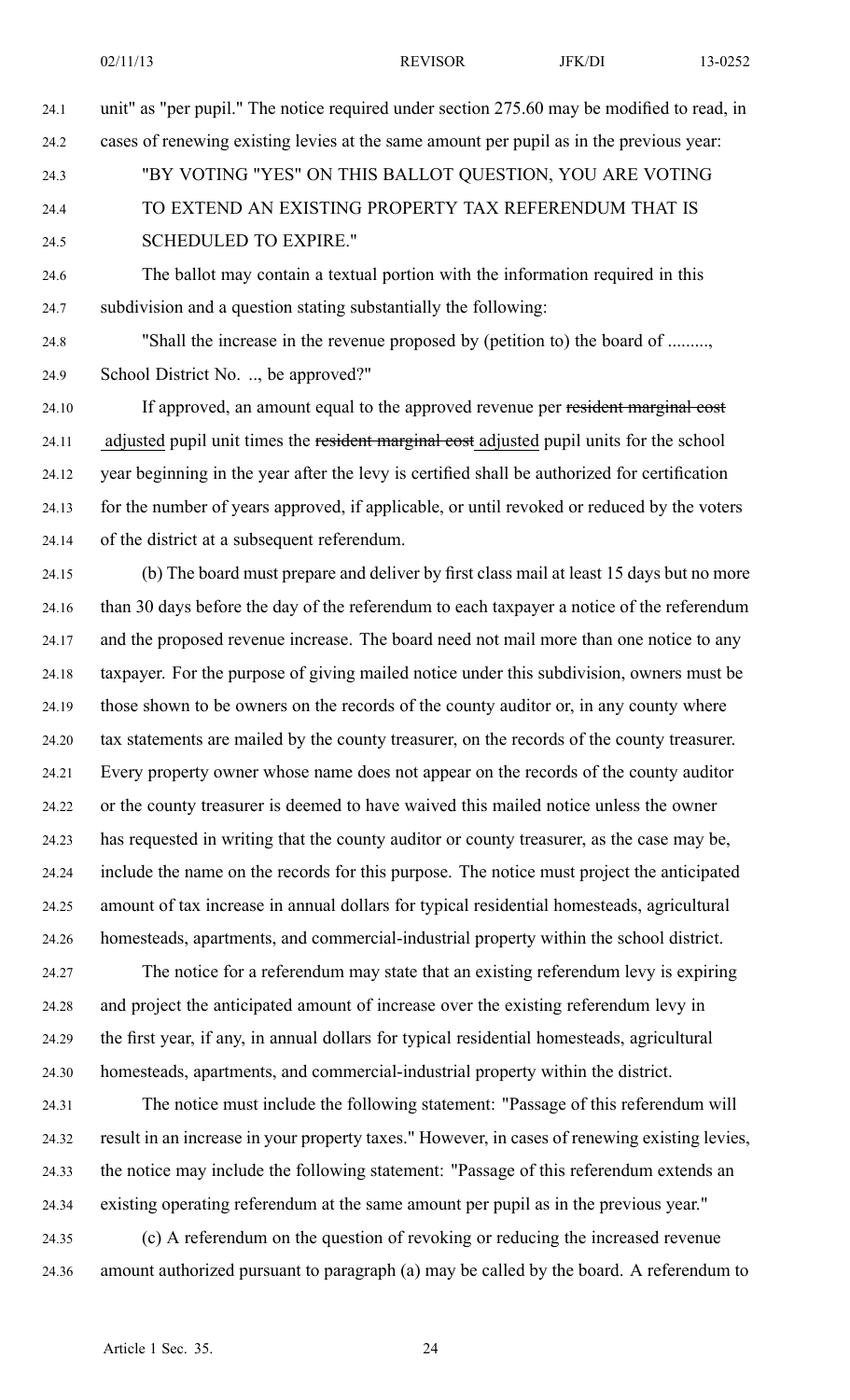- 24.1 unit" as "per pupil." The notice required under section 275.60 may be modified to read, in
- 24.2 cases of renewing existing levies at the same amount per pupil as in the previous year:
- 

24.3 "BY VOTING "YES" ON THIS BALLOT QUESTION, YOU ARE VOTING 24.4 TO EXTEND AN EXISTING PROPERTY TAX REFERENDUM THAT IS 24.5 SCHEDULED TO EXPIRE."

24.6 The ballot may contain <sup>a</sup> textual portion with the information required in this 24.7 subdivision and <sup>a</sup> question stating substantially the following:

24.8 "Shall the increase in the revenue proposed by (petition to) the board of ........., 24.9 School District No. .., be approved?"

24.10 If approved, an amount equal to the approved revenue per resident marginal cost 24.11 adjusted pupil unit times the resident marginal cost adjusted pupil units for the school 24.12 year beginning in the year after the levy is certified shall be authorized for certification 24.13 for the number of years approved, if applicable, or until revoked or reduced by the voters 24.14 of the district at <sup>a</sup> subsequent referendum.

24.15 (b) The board must prepare and deliver by first class mail at least 15 days but no more 24.16 than 30 days before the day of the referendum to each taxpayer <sup>a</sup> notice of the referendum 24.17 and the proposed revenue increase. The board need not mail more than one notice to any 24.18 taxpayer. For the purpose of giving mailed notice under this subdivision, owners must be 24.19 those shown to be owners on the records of the county auditor or, in any county where 24.20 tax statements are mailed by the county treasurer, on the records of the county treasurer. 24.21 Every property owner whose name does not appear on the records of the county auditor 24.22 or the county treasurer is deemed to have waived this mailed notice unless the owner 24.23 has requested in writing that the county auditor or county treasurer, as the case may be, 24.24 include the name on the records for this purpose. The notice must project the anticipated 24.25 amount of tax increase in annual dollars for typical residential homesteads, agricultural 24.26 homesteads, apartments, and commercial-industrial property within the school district.

24.27 The notice for <sup>a</sup> referendum may state that an existing referendum levy is expiring 24.28 and project the anticipated amount of increase over the existing referendum levy in 24.29 the first year, if any, in annual dollars for typical residential homesteads, agricultural 24.30 homesteads, apartments, and commercial-industrial property within the district.

24.31 The notice must include the following statement: "Passage of this referendum will 24.32 result in an increase in your property taxes." However, in cases of renewing existing levies, 24.33 the notice may include the following statement: "Passage of this referendum extends an 24.34 existing operating referendum at the same amount per pupil as in the previous year."

24.35 (c) A referendum on the question of revoking or reducing the increased revenue 24.36 amount authorized pursuan<sup>t</sup> to paragraph (a) may be called by the board. A referendum to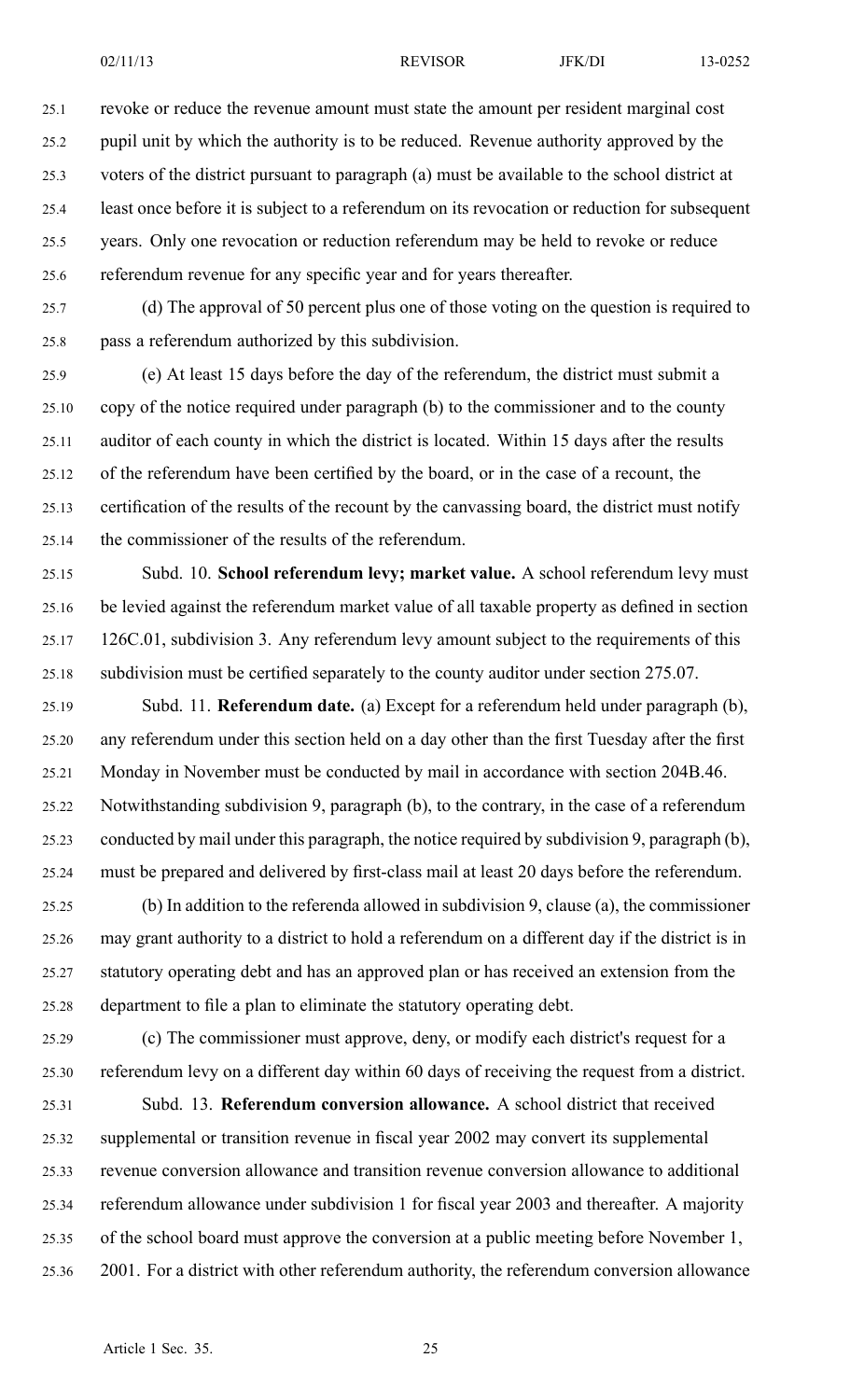25.1 revoke or reduce the revenue amount must state the amount per resident marginal cost 25.2 pupil unit by which the authority is to be reduced. Revenue authority approved by the 25.3 voters of the district pursuan<sup>t</sup> to paragraph (a) must be available to the school district at 25.4 least once before it is subject to <sup>a</sup> referendum on its revocation or reduction for subsequent 25.5 years. Only one revocation or reduction referendum may be held to revoke or reduce 25.6 referendum revenue for any specific year and for years thereafter.

25.7 (d) The approval of 50 percen<sup>t</sup> plus one of those voting on the question is required to 25.8 pass <sup>a</sup> referendum authorized by this subdivision.

25.9 (e) At least 15 days before the day of the referendum, the district must submit <sup>a</sup> 25.10 copy of the notice required under paragraph (b) to the commissioner and to the county 25.11 auditor of each county in which the district is located. Within 15 days after the results 25.12 of the referendum have been certified by the board, or in the case of <sup>a</sup> recount, the 25.13 certification of the results of the recount by the canvassing board, the district must notify 25.14 the commissioner of the results of the referendum.

25.15 Subd. 10. **School referendum levy; market value.** A school referendum levy must 25.16 be levied against the referendum market value of all taxable property as defined in section 25.17 126C.01, subdivision 3. Any referendum levy amount subject to the requirements of this 25.18 subdivision must be certified separately to the county auditor under section 275.07.

25.19 Subd. 11. **Referendum date.** (a) Except for <sup>a</sup> referendum held under paragraph (b), 25.20 any referendum under this section held on <sup>a</sup> day other than the first Tuesday after the first 25.21 Monday in November must be conducted by mail in accordance with section 204B.46. 25.22 Notwithstanding subdivision 9, paragraph (b), to the contrary, in the case of <sup>a</sup> referendum 25.23 conducted by mail under this paragraph, the notice required by subdivision 9, paragraph (b), 25.24 must be prepared and delivered by first-class mail at least 20 days before the referendum.

25.25 (b) In addition to the referenda allowed in subdivision 9, clause (a), the commissioner 25.26 may gran<sup>t</sup> authority to <sup>a</sup> district to hold <sup>a</sup> referendum on <sup>a</sup> different day if the district is in 25.27 statutory operating debt and has an approved plan or has received an extension from the 25.28 department to file <sup>a</sup> plan to eliminate the statutory operating debt.

25.29 (c) The commissioner must approve, deny, or modify each district's reques<sup>t</sup> for <sup>a</sup> 25.30 referendum levy on <sup>a</sup> different day within 60 days of receiving the reques<sup>t</sup> from <sup>a</sup> district.

25.31 Subd. 13. **Referendum conversion allowance.** A school district that received 25.32 supplemental or transition revenue in fiscal year 2002 may convert its supplemental 25.33 revenue conversion allowance and transition revenue conversion allowance to additional 25.34 referendum allowance under subdivision 1 for fiscal year 2003 and thereafter. A majority 25.35 of the school board must approve the conversion at <sup>a</sup> public meeting before November 1, 25.36 2001. For <sup>a</sup> district with other referendum authority, the referendum conversion allowance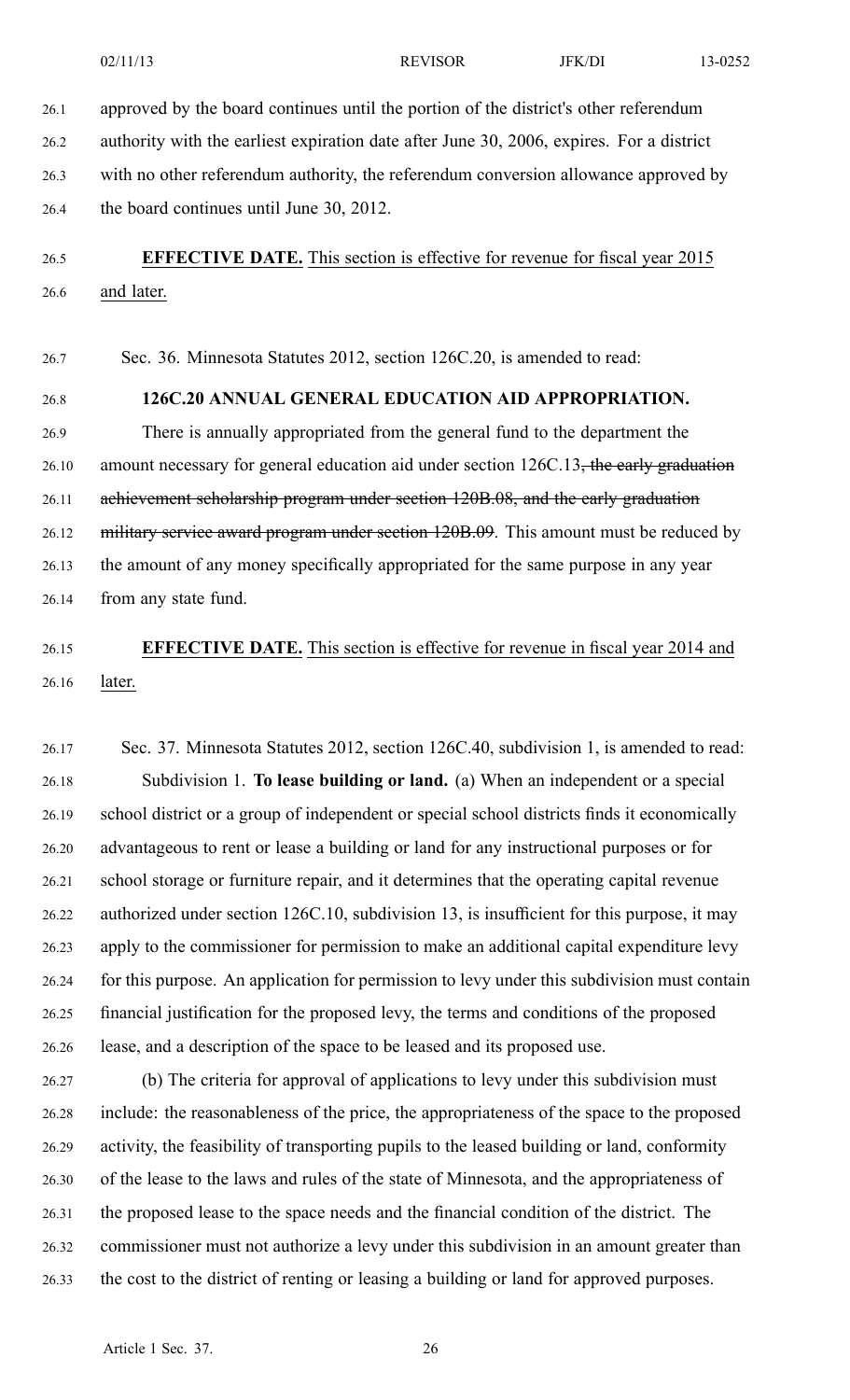26.1 approved by the board continues until the portion of the district's other referendum

26.2 authority with the earliest expiration date after June 30, 2006, expires. For <sup>a</sup> district 26.3 with no other referendum authority, the referendum conversion allowance approved by 26.4 the board continues until June 30, 2012.

# 26.5 **EFFECTIVE DATE.** This section is effective for revenue for fiscal year 2015 26.6 and later.

26.7 Sec. 36. Minnesota Statutes 2012, section 126C.20, is amended to read:

#### 26.8 **126C.20 ANNUAL GENERAL EDUCATION AID APPROPRIATION.**

26.9 There is annually appropriated from the general fund to the department the 26.10 amount necessary for general education aid under section 126C.13, the early graduation 26.11 achievement scholarship program under section 120B.08, and the early graduation 26.12 military service award program under section 120B.09. This amount must be reduced by 26.13 the amount of any money specifically appropriated for the same purpose in any year 26.14 from any state fund.

# 26.15 **EFFECTIVE DATE.** This section is effective for revenue in fiscal year 2014 and 26.16 later.

26.17 Sec. 37. Minnesota Statutes 2012, section 126C.40, subdivision 1, is amended to read: 26.18 Subdivision 1. **To lease building or land.** (a) When an independent or <sup>a</sup> special 26.19 school district or <sup>a</sup> group of independent or special school districts finds it economically 26.20 advantageous to rent or lease <sup>a</sup> building or land for any instructional purposes or for 26.21 school storage or furniture repair, and it determines that the operating capital revenue 26.22 authorized under section 126C.10, subdivision 13, is insufficient for this purpose, it may 26.23 apply to the commissioner for permission to make an additional capital expenditure levy 26.24 for this purpose. An application for permission to levy under this subdivision must contain 26.25 financial justification for the proposed levy, the terms and conditions of the proposed 26.26 lease, and <sup>a</sup> description of the space to be leased and its proposed use.

26.27 (b) The criteria for approval of applications to levy under this subdivision must 26.28 include: the reasonableness of the price, the appropriateness of the space to the proposed 26.29 activity, the feasibility of transporting pupils to the leased building or land, conformity 26.30 of the lease to the laws and rules of the state of Minnesota, and the appropriateness of 26.31 the proposed lease to the space needs and the financial condition of the district. The 26.32 commissioner must not authorize <sup>a</sup> levy under this subdivision in an amount greater than 26.33 the cost to the district of renting or leasing <sup>a</sup> building or land for approved purposes.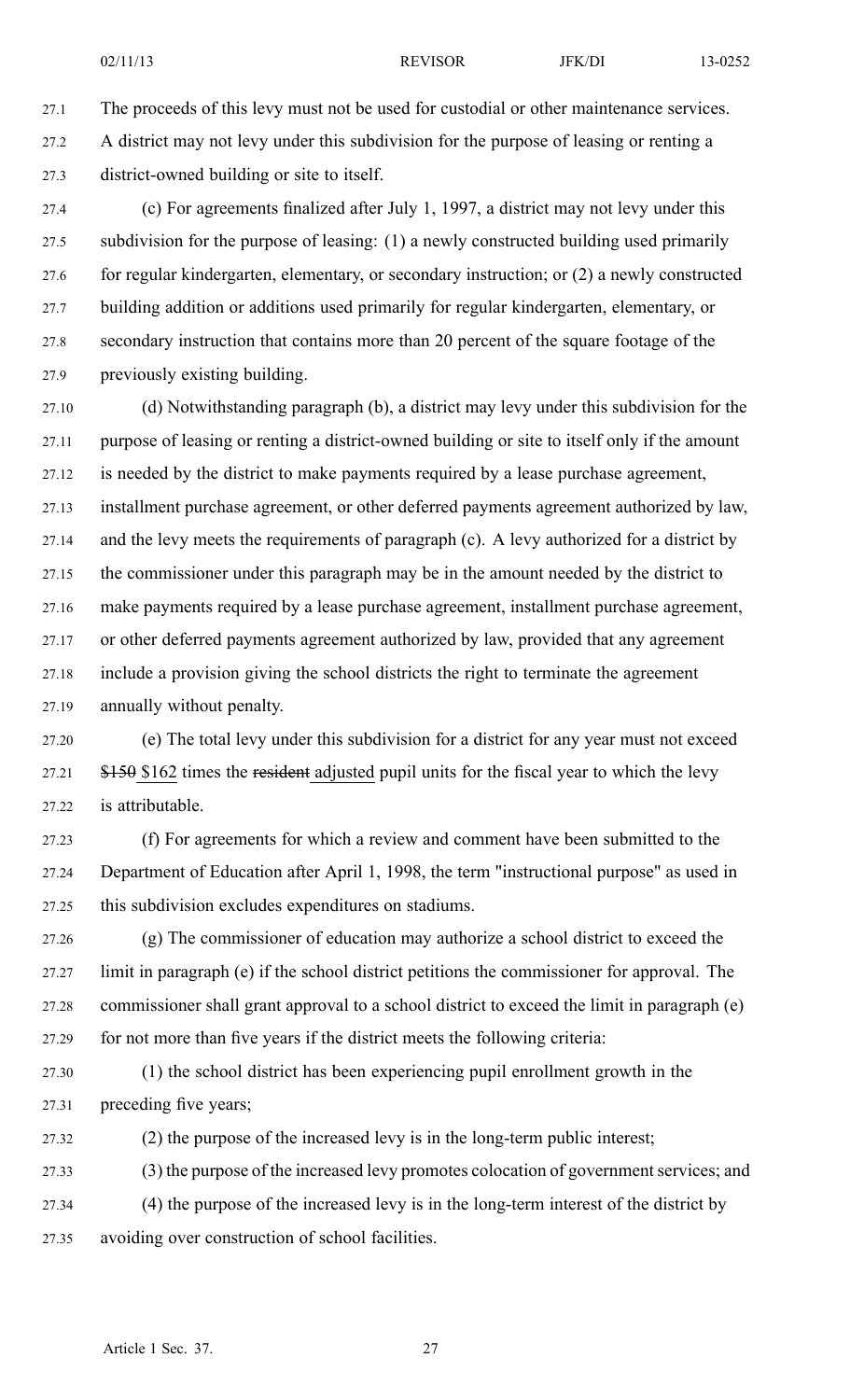27.1 The proceeds of this levy must not be used for custodial or other maintenance services. 27.2 A district may not levy under this subdivision for the purpose of leasing or renting <sup>a</sup> 27.3 district-owned building or site to itself.

27.4 (c) For agreements finalized after July 1, 1997, <sup>a</sup> district may not levy under this 27.5 subdivision for the purpose of leasing: (1) <sup>a</sup> newly constructed building used primarily 27.6 for regular kindergarten, elementary, or secondary instruction; or (2) <sup>a</sup> newly constructed 27.7 building addition or additions used primarily for regular kindergarten, elementary, or 27.8 secondary instruction that contains more than 20 percen<sup>t</sup> of the square footage of the 27.9 previously existing building.

27.10 (d) Notwithstanding paragraph (b), <sup>a</sup> district may levy under this subdivision for the 27.11 purpose of leasing or renting <sup>a</sup> district-owned building or site to itself only if the amount 27.12 is needed by the district to make payments required by <sup>a</sup> lease purchase agreement, 27.13 installment purchase agreement, or other deferred payments agreemen<sup>t</sup> authorized by law, 27.14 and the levy meets the requirements of paragraph (c). A levy authorized for <sup>a</sup> district by 27.15 the commissioner under this paragraph may be in the amount needed by the district to 27.16 make payments required by <sup>a</sup> lease purchase agreement, installment purchase agreement, 27.17 or other deferred payments agreemen<sup>t</sup> authorized by law, provided that any agreemen<sup>t</sup> 27.18 include <sup>a</sup> provision giving the school districts the right to terminate the agreemen<sup>t</sup> 27.19 annually without penalty.

27.20 (e) The total levy under this subdivision for <sup>a</sup> district for any year must not exceed 27.21 \$150 \$162 times the resident adjusted pupil units for the fiscal year to which the levy 27.22 is attributable.

27.23 (f) For agreements for which <sup>a</sup> review and comment have been submitted to the 27.24 Department of Education after April 1, 1998, the term "instructional purpose" as used in 27.25 this subdivision excludes expenditures on stadiums.

27.26 (g) The commissioner of education may authorize <sup>a</sup> school district to exceed the 27.27 limit in paragraph (e) if the school district petitions the commissioner for approval. The 27.28 commissioner shall gran<sup>t</sup> approval to <sup>a</sup> school district to exceed the limit in paragraph (e) 27.29 for not more than five years if the district meets the following criteria:

27.30 (1) the school district has been experiencing pupil enrollment growth in the 27.31 preceding five years;

27.32 (2) the purpose of the increased levy is in the long-term public interest;

27.33 (3) the purpose of the increased levy promotes colocation of government services; and 27.34 (4) the purpose of the increased levy is in the long-term interest of the district by 27.35 avoiding over construction of school facilities.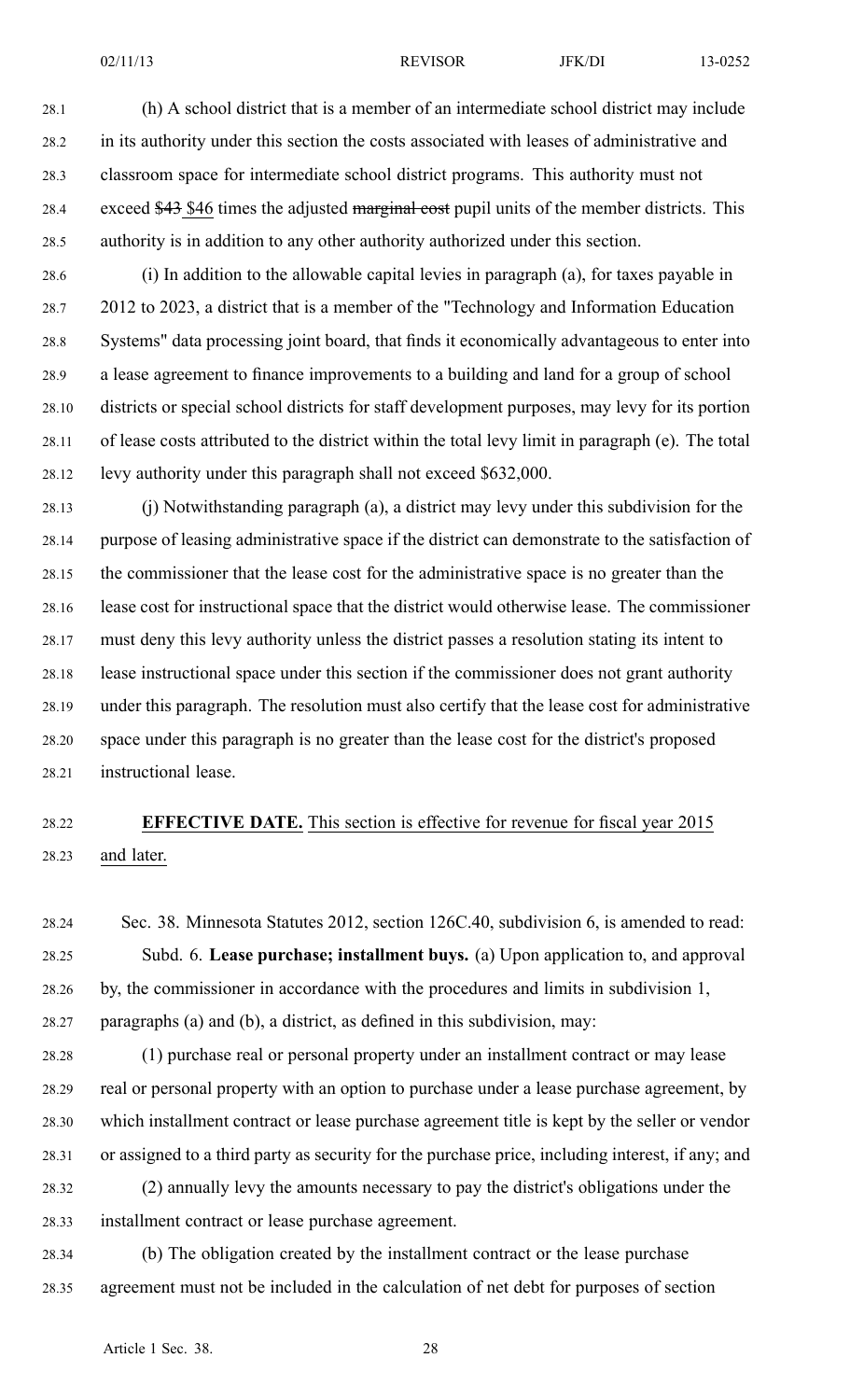28.1 (h) A school district that is <sup>a</sup> member of an intermediate school district may include 28.2 in its authority under this section the costs associated with leases of administrative and 28.3 classroom space for intermediate school district programs. This authority must not 28.4 exceed \$43 \$46 times the adjusted marginal cost pupil units of the member districts. This 28.5 authority is in addition to any other authority authorized under this section.

28.6 (i) In addition to the allowable capital levies in paragraph (a), for taxes payable in 28.7 2012 to 2023, <sup>a</sup> district that is <sup>a</sup> member of the "Technology and Information Education 28.8 Systems" data processing joint board, that finds it economically advantageous to enter into 28.9 <sup>a</sup> lease agreemen<sup>t</sup> to finance improvements to <sup>a</sup> building and land for <sup>a</sup> group of school 28.10 districts or special school districts for staff development purposes, may levy for its portion 28.11 of lease costs attributed to the district within the total levy limit in paragraph (e). The total 28.12 levy authority under this paragraph shall not exceed \$632,000.

28.13 (j) Notwithstanding paragraph (a), <sup>a</sup> district may levy under this subdivision for the 28.14 purpose of leasing administrative space if the district can demonstrate to the satisfaction of 28.15 the commissioner that the lease cost for the administrative space is no greater than the 28.16 lease cost for instructional space that the district would otherwise lease. The commissioner 28.17 must deny this levy authority unless the district passes <sup>a</sup> resolution stating its intent to 28.18 lease instructional space under this section if the commissioner does not gran<sup>t</sup> authority 28.19 under this paragraph. The resolution must also certify that the lease cost for administrative 28.20 space under this paragraph is no greater than the lease cost for the district's proposed 28.21 instructional lease.

# 28.22 **EFFECTIVE DATE.** This section is effective for revenue for fiscal year 2015 28.23 and later.

28.24 Sec. 38. Minnesota Statutes 2012, section 126C.40, subdivision 6, is amended to read: 28.25 Subd. 6. **Lease purchase; installment buys.** (a) Upon application to, and approval 28.26 by, the commissioner in accordance with the procedures and limits in subdivision 1, 28.27 paragraphs (a) and (b), <sup>a</sup> district, as defined in this subdivision, may:

28.28 (1) purchase real or personal property under an installment contract or may lease 28.29 real or personal property with an option to purchase under <sup>a</sup> lease purchase agreement, by 28.30 which installment contract or lease purchase agreemen<sup>t</sup> title is kept by the seller or vendor 28.31 or assigned to <sup>a</sup> third party as security for the purchase price, including interest, if any; and 28.32 (2) annually levy the amounts necessary to pay the district's obligations under the

28.33 installment contract or lease purchase agreement.

28.34 (b) The obligation created by the installment contract or the lease purchase 28.35 agreemen<sup>t</sup> must not be included in the calculation of net debt for purposes of section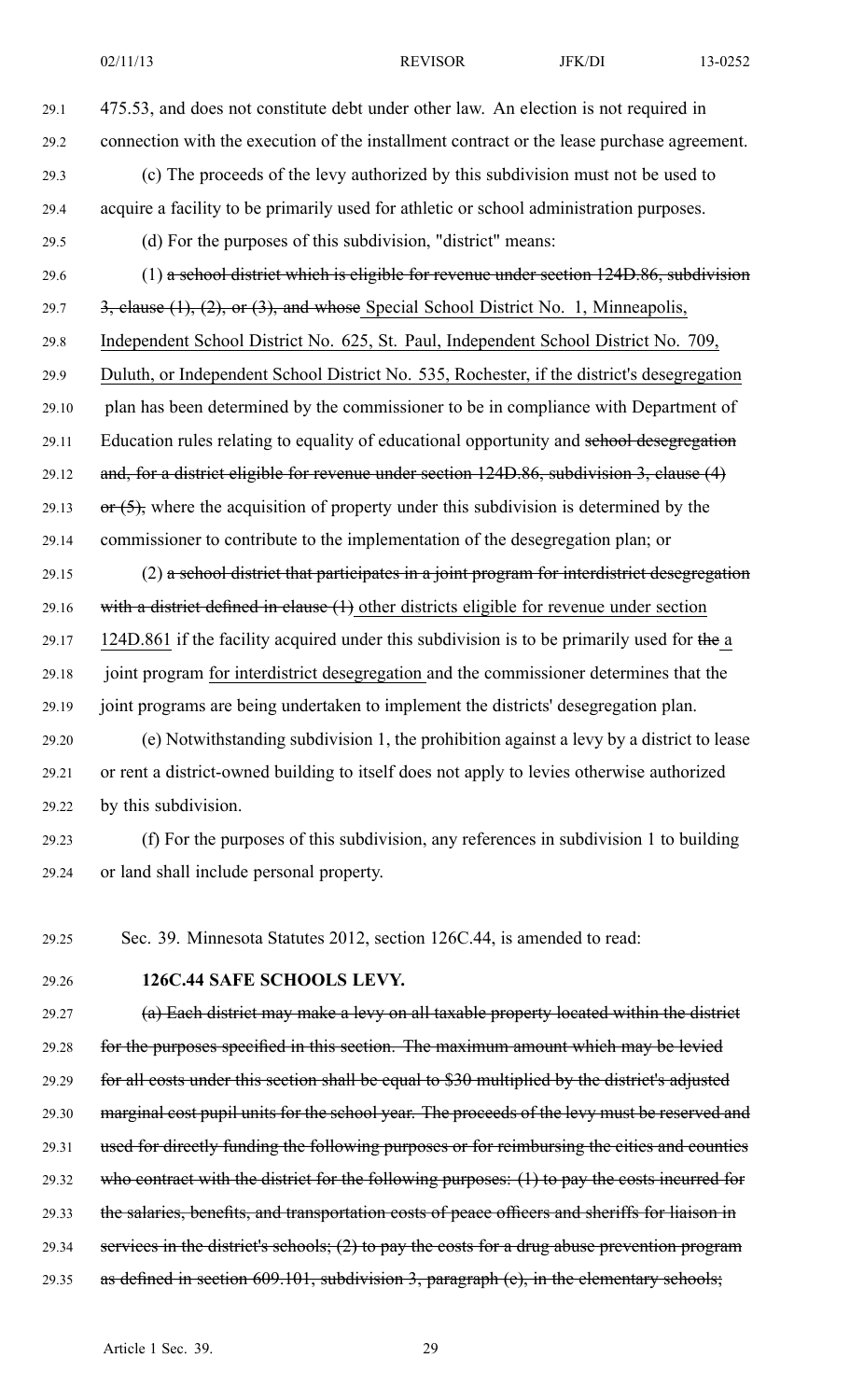- 29.1 475.53, and does not constitute debt under other law. An election is not required in 29.2 connection with the execution of the installment contract or the lease purchase agreement. 29.3 (c) The proceeds of the levy authorized by this subdivision must not be used to 29.4 acquire <sup>a</sup> facility to be primarily used for athletic or school administration purposes. 29.5 (d) For the purposes of this subdivision, "district" means: 29.6 (1) a school district which is eligible for revenue under section 124D.86, subdivision 29.7  $\frac{3}{2}$ , clause (1), (2), or (3), and whose Special School District No. 1, Minneapolis, 29.8 Independent School District No. 625, St. Paul, Independent School District No. 709, 29.9 Duluth, or Independent School District No. 535, Rochester, if the district's desegregation 29.10 plan has been determined by the commissioner to be in compliance with Department of 29.11 Education rules relating to equality of educational opportunity and school desegregation 29.12 and, for <sup>a</sup> district eligible for revenue under section 124D.86, subdivision 3, clause (4) 29.13 or  $(5)$ , where the acquisition of property under this subdivision is determined by the 29.14 commissioner to contribute to the implementation of the desegregation plan; or  $29.15$  (2) a school district that participates in a joint program for interdistrict desegregation 29.16 with a district defined in clause  $(1)$  other districts eligible for revenue under section 29.17 124D.861 if the facility acquired under this subdivision is to be primarily used for the a 29.18 joint program for interdistrict desegregation and the commissioner determines that the 29.19 joint programs are being undertaken to implement the districts' desegregation plan. 29.20 (e) Notwithstanding subdivision 1, the prohibition against <sup>a</sup> levy by <sup>a</sup> district to lease 29.21 or rent <sup>a</sup> district-owned building to itself does not apply to levies otherwise authorized 29.22 by this subdivision. 29.23 (f) For the purposes of this subdivision, any references in subdivision 1 to building
- 29.24 or land shall include personal property.

29.25 Sec. 39. Minnesota Statutes 2012, section 126C.44, is amended to read:

29.26 **126C.44 SAFE SCHOOLS LEVY.**

29.27 (a) Each district may make <sup>a</sup> levy on all taxable property located within the district 29.28 for the purposes specified in this section. The maximum amount which may be levied 29.29 for all costs under this section shall be equal to \$30 multiplied by the district's adjusted 29.30 marginal cost pupil units for the school year. The proceeds of the levy must be reserved and 29.31 used for directly funding the following purposes or for reimbursing the cities and counties 29.32 who contract with the district for the following purposes: (1) to pay the costs incurred for 29.33 the salaries, benefits, and transportation costs of peace officers and sheriffs for liaison in 29.34 services in the district's schools; (2) to pay the costs for <sup>a</sup> drug abuse prevention program 29.35 as defined in section 609.101, subdivision 3, paragraph (e), in the elementary schools;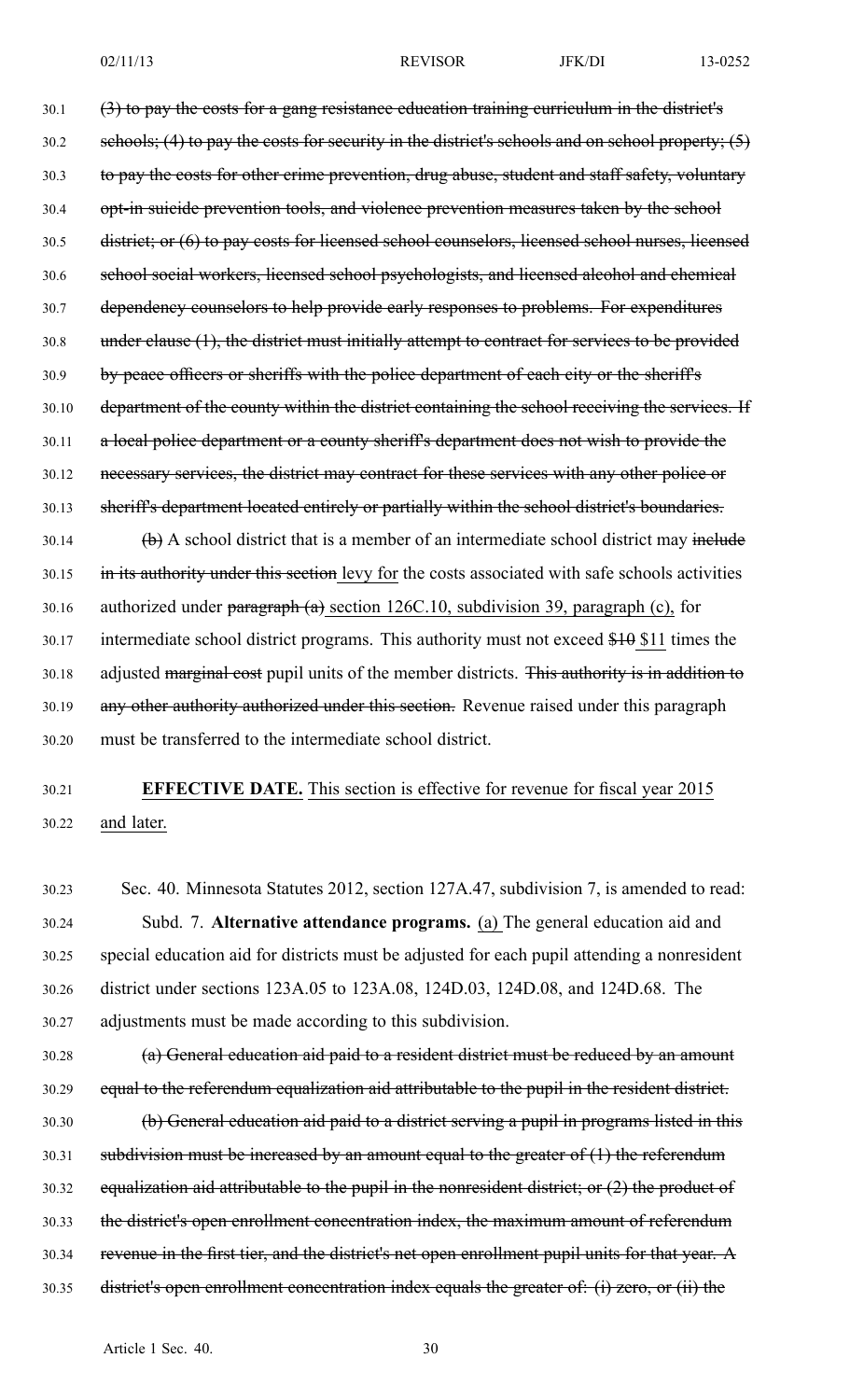30.1 (3) to pay the costs for <sup>a</sup> gang resistance education training curriculum in the district's 30.2 schools; (4) to pay the costs for security in the district's schools and on school property; (5) 30.3 to pay the costs for other crime prevention, drug abuse, student and staff safety, voluntary 30.4 opt-in suicide prevention tools, and violence prevention measures taken by the school 30.5 district; or (6) to pay costs for licensed school counselors, licensed school nurses, licensed 30.6 school social workers, licensed school psychologists, and licensed alcohol and chemical 30.7 dependency counselors to help provide early responses to problems. For expenditures 30.8 under clause (1), the district must initially attempt to contract for services to be provided 30.9 by peace officers or sheriffs with the police department of each city or the sheriff's 30.10 department of the county within the district containing the school receiving the services. If 30.11 a local police department or a county sheriff's department does not wish to provide the 30.12 necessary services, the district may contract for these services with any other police or 30.13 sheriff's department located entirely or partially within the school district's boundaries.  $30.14$  (b) A school district that is a member of an intermediate school district may include 30.15 in its authority under this section levy for the costs associated with safe schools activities 30.16 authorized under paragraph (a) section 126C.10, subdivision 39, paragraph (c), for

30.17 intermediate school district programs. This authority must not exceed \$10 \$11 times the 30.18 adjusted marginal cost pupil units of the member districts. This authority is in addition to 30.19 any other authority authorized under this section. Revenue raised under this paragraph 30.20 must be transferred to the intermediate school district.

# 30.21 **EFFECTIVE DATE.** This section is effective for revenue for fiscal year 2015 30.22 and later.

30.23 Sec. 40. Minnesota Statutes 2012, section 127A.47, subdivision 7, is amended to read: 30.24 Subd. 7. **Alternative attendance programs.** (a) The general education aid and 30.25 special education aid for districts must be adjusted for each pupil attending <sup>a</sup> nonresident 30.26 district under sections 123A.05 to 123A.08, 124D.03, 124D.08, and 124D.68. The 30.27 adjustments must be made according to this subdivision.

30.28 (a) General education aid paid to <sup>a</sup> resident district must be reduced by an amount 30.29 equal to the referendum equalization aid attributable to the pupil in the resident district. 30.30 (b) General education aid paid to <sup>a</sup> district serving <sup>a</sup> pupil in programs listed in this 30.31 subdivision must be increased by an amount equal to the greater of  $(1)$  the referendum 30.32 equalization aid attributable to the pupil in the nonresident district; or  $(2)$  the product of 30.33 the district's open enrollment concentration index, the maximum amount of referendum 30.34 revenue in the first tier, and the district's net open enrollment pupil units for that year. A 30.35 district's open enrollment concentration index equals the greater of: (i) zero, or (ii) the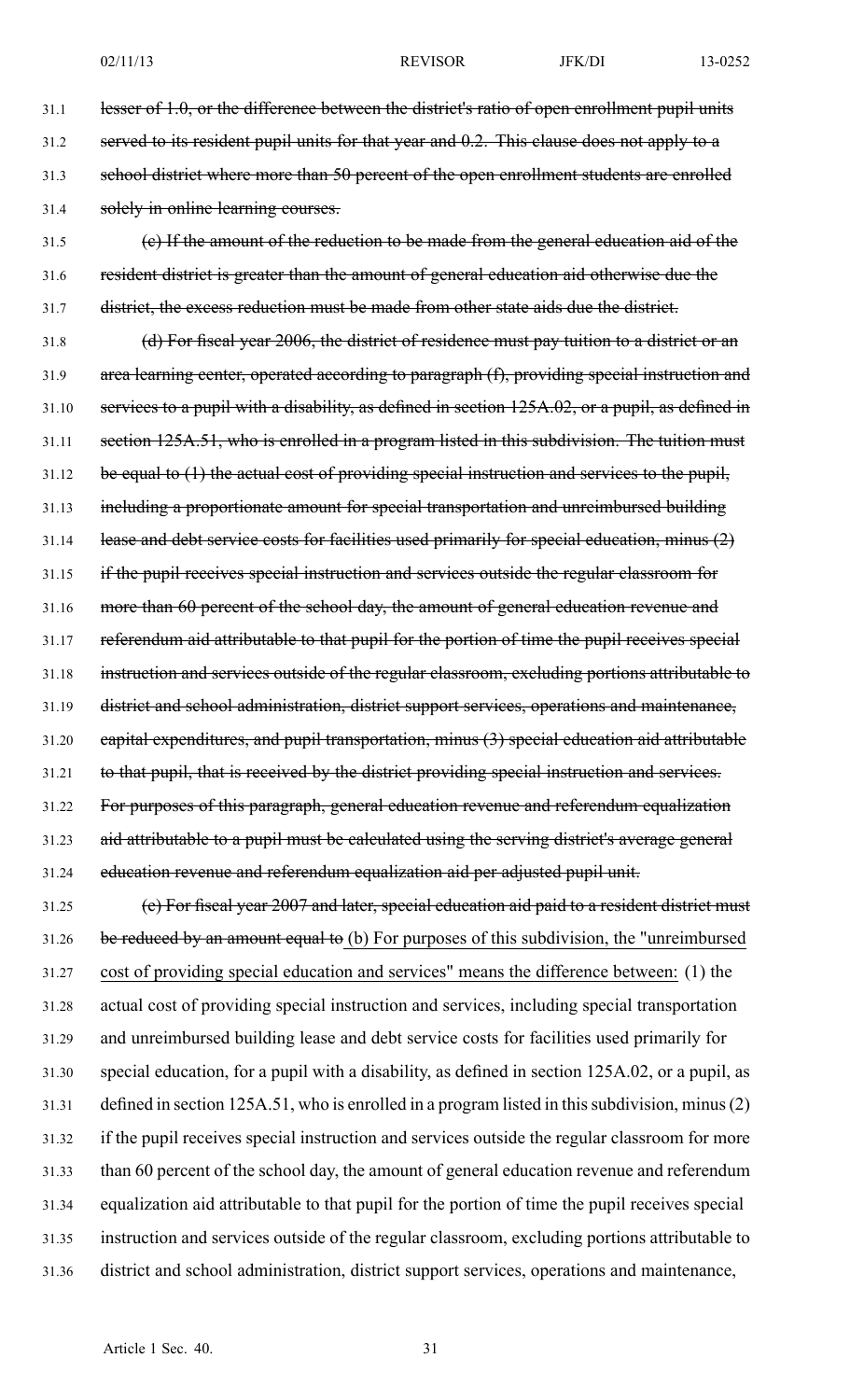31.1 lesser of 1.0, or the difference between the district's ratio of open enrollment pupil units 31.2 served to its resident pupil units for that year and 0.2. This clause does not apply to a 31.3 school district where more than 50 percen<sup>t</sup> of the open enrollment students are enrolled 31.4 solely in online learning courses. 31.5 (c) If the amount of the reduction to be made from the general education aid of the 31.6 resident district is greater than the amount of general education aid otherwise due the 31.7 district, the excess reduction must be made from other state aids due the district. 31.8 (d) For fiscal year 2006, the district of residence must pay tuition to <sup>a</sup> district or an 31.9 area learning center, operated according to paragraph (f), providing special instruction and 31.10 services to <sup>a</sup> pupil with <sup>a</sup> disability, as defined in section 125A.02, or <sup>a</sup> pupil, as defined in 31.11 section 125A.51, who is enrolled in a program listed in this subdivision. The tuition must 31.12 be equal to (1) the actual cost of providing special instruction and services to the pupil, 31.13 including a proportionate amount for special transportation and unreimbursed building 31.14 lease and debt service costs for facilities used primarily for special education, minus (2) 31.15 if the pupil receives special instruction and services outside the regular classroom for 31.16 more than 60 percent of the school day, the amount of general education revenue and 31.17 referendum aid attributable to that pupil for the portion of time the pupil receives special 31.18 instruction and services outside of the regular classroom, excluding portions attributable to 31.19 district and school administration, district suppor<sup>t</sup> services, operations and maintenance, 31.20 capital expenditures, and pupil transportation, minus (3) special education aid attributable 31.21 to that pupil, that is received by the district providing special instruction and services. 31.22 For purposes of this paragraph, general education revenue and referendum equalization 31.23 aid attributable to a pupil must be calculated using the serving district's average general 31.24 education revenue and referendum equalization aid per adjusted pupil unit. 31.25 (e) For fiscal year 2007 and later, special education aid paid to <sup>a</sup> resident district must 31.26 be reduced by an amount equal to (b) For purposes of this subdivision, the "unreimbursed 31.27 cost of providing special education and services" means the difference between: (1) the 31.28 actual cost of providing special instruction and services, including special transportation 31.29 and unreimbursed building lease and debt service costs for facilities used primarily for 31.30 special education, for <sup>a</sup> pupil with <sup>a</sup> disability, as defined in section 125A.02, or <sup>a</sup> pupil, as 31.31 defined in section 125A.51, who is enrolled in a program listed in this subdivision, minus (2) 31.32 if the pupil receives special instruction and services outside the regular classroom for more 31.33 than 60 percen<sup>t</sup> of the school day, the amount of general education revenue and referendum 31.34 equalization aid attributable to that pupil for the portion of time the pupil receives special 31.35 instruction and services outside of the regular classroom, excluding portions attributable to 31.36 district and school administration, district suppor<sup>t</sup> services, operations and maintenance,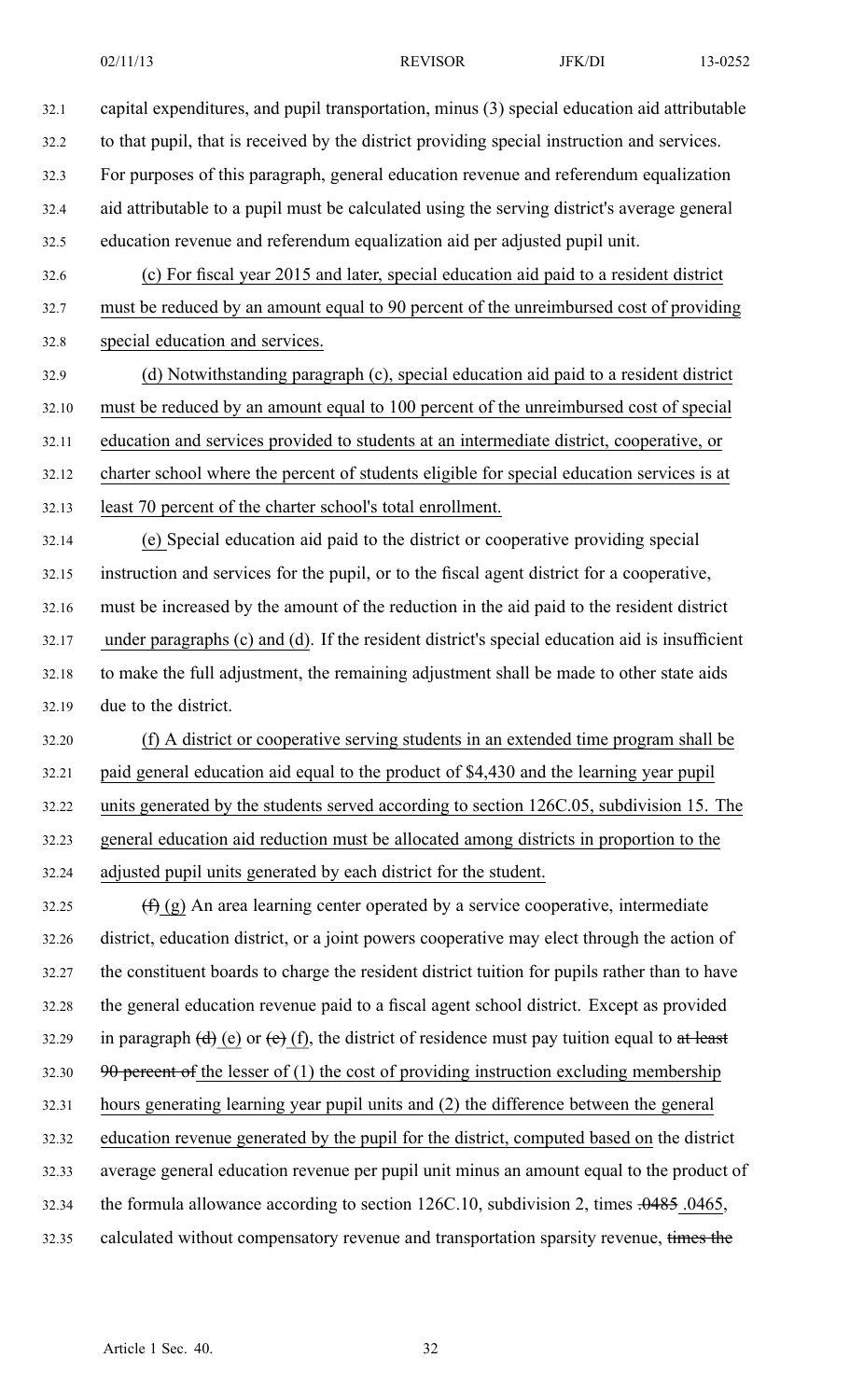32.1 capital expenditures, and pupil transportation, minus (3) special education aid attributable 32.2 to that pupil, that is received by the district providing special instruction and services. 32.3 For purposes of this paragraph, general education revenue and referendum equalization 32.4 aid attributable to <sup>a</sup> pupil must be calculated using the serving district's average general 32.5 education revenue and referendum equalization aid per adjusted pupil unit. 32.6 (c) For fiscal year 2015 and later, special education aid paid to <sup>a</sup> resident district 32.7 must be reduced by an amount equal to 90 percen<sup>t</sup> of the unreimbursed cost of providing 32.8 special education and services. 32.9 (d) Notwithstanding paragraph (c), special education aid paid to <sup>a</sup> resident district 32.10 must be reduced by an amount equal to 100 percen<sup>t</sup> of the unreimbursed cost of special 32.11 education and services provided to students at an intermediate district, cooperative, or 32.12 charter school where the percen<sup>t</sup> of students eligible for special education services is at 32.13 least 70 percen<sup>t</sup> of the charter school's total enrollment. 32.14 (e) Special education aid paid to the district or cooperative providing special 32.15 instruction and services for the pupil, or to the fiscal agen<sup>t</sup> district for <sup>a</sup> cooperative, 32.16 must be increased by the amount of the reduction in the aid paid to the resident district 32.17 under paragraphs (c) and (d). If the resident district's special education aid is insufficient 32.18 to make the full adjustment, the remaining adjustment shall be made to other state aids 32.19 due to the district. 32.20 (f) A district or cooperative serving students in an extended time program shall be 32.21 paid general education aid equal to the product of \$4,430 and the learning year pupil 32.22 units generated by the students served according to section 126C.05, subdivision 15. The 32.23 general education aid reduction must be allocated among districts in proportion to the 32.24 adjusted pupil units generated by each district for the student. 32.25  $(f)$  (g) An area learning center operated by a service cooperative, intermediate 32.26 district, education district, or <sup>a</sup> joint powers cooperative may elect through the action of 32.27 the constituent boards to charge the resident district tuition for pupils rather than to have 32.28 the general education revenue paid to <sup>a</sup> fiscal agen<sup>t</sup> school district. Except as provided 32.29 in paragraph  $(d)$  (e) or  $(e)$  (f), the district of residence must pay tuition equal to at least 32.30 90 percent of the lesser of  $(1)$  the cost of providing instruction excluding membership 32.31 hours generating learning year pupil units and (2) the difference between the general 32.32 education revenue generated by the pupil for the district, computed based on the district 32.33 average general education revenue per pupil unit minus an amount equal to the product of 32.34 the formula allowance according to section  $126C.10$ , subdivision 2, times  $.0485$ . 0465, 32.35 calculated without compensatory revenue and transportation sparsity revenue, times the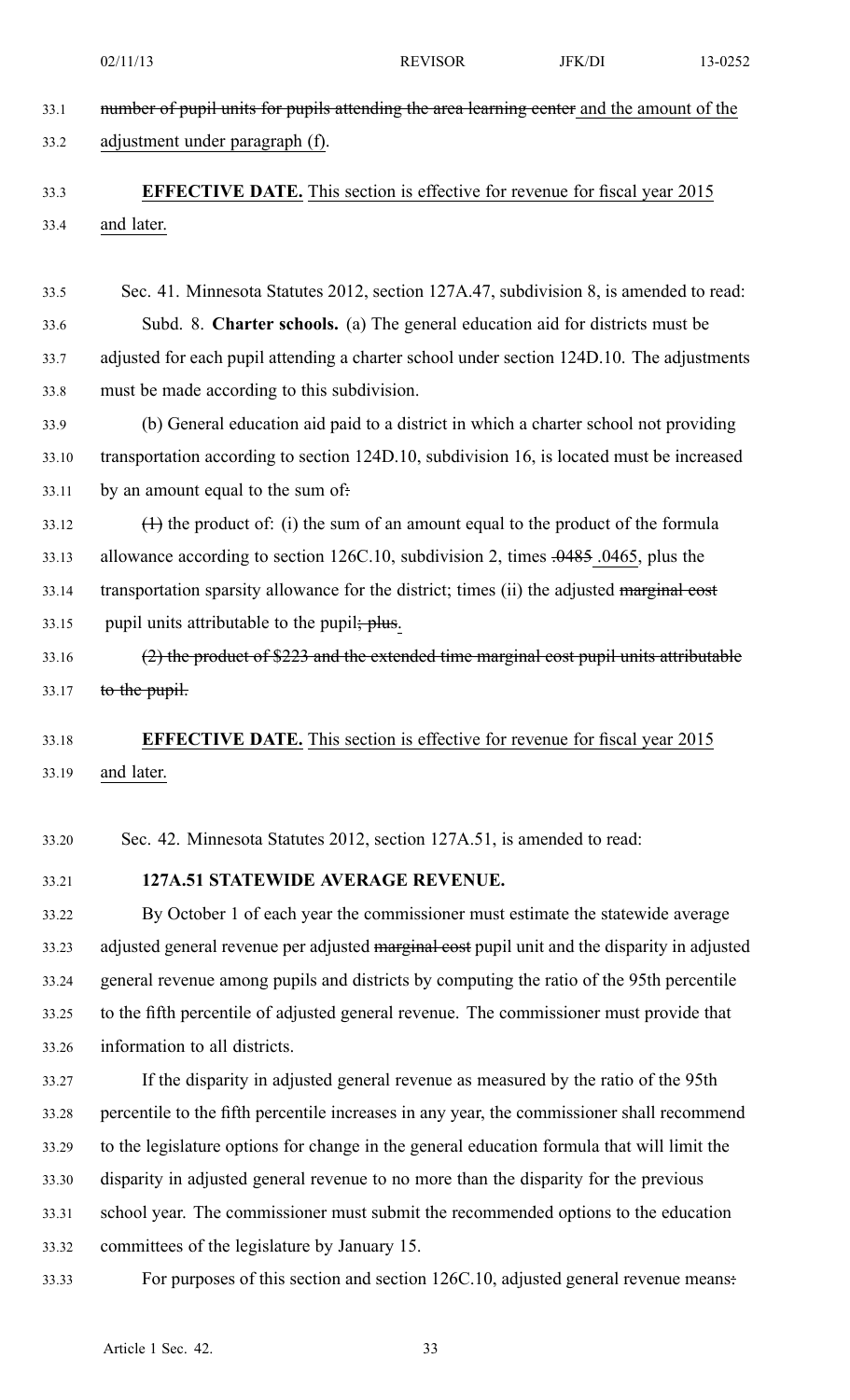02/11/13 **REVISOR** JFK/DI 13-0252 33.1 mumber of pupil units for pupils attending the area learning center and the amount of the 33.2 adjustment under paragraph (f). 33.3 **EFFECTIVE DATE.** This section is effective for revenue for fiscal year 2015 33.4 and later. 33.5 Sec. 41. Minnesota Statutes 2012, section 127A.47, subdivision 8, is amended to read: 33.6 Subd. 8. **Charter schools.** (a) The general education aid for districts must be 33.7 adjusted for each pupil attending <sup>a</sup> charter school under section 124D.10. The adjustments 33.8 must be made according to this subdivision. 33.9 (b) General education aid paid to <sup>a</sup> district in which <sup>a</sup> charter school not providing 33.10 transportation according to section 124D.10, subdivision 16, is located must be increased 33.11 by an amount equal to the sum of.  $33.12$  (1) the product of: (i) the sum of an amount equal to the product of the formula 33.13 allowance according to section 126C.10, subdivision 2, times  $.0485$  .0465, plus the 33.14 transportation sparsity allowance for the district; times (ii) the adjusted marginal cost 33.15 pupil units attributable to the pupil; plus. 33.16 (2) the product of \$223 and the extended time marginal cost pupil units attributable  $33.17$  to the pupil. 33.18 **EFFECTIVE DATE.** This section is effective for revenue for fiscal year 2015 33.19 and later. 33.20 Sec. 42. Minnesota Statutes 2012, section 127A.51, is amended to read: 33.21 **127A.51 STATEWIDE AVERAGE REVENUE.** 33.22 By October 1 of each year the commissioner must estimate the statewide average 33.23 adjusted general revenue per adjusted marginal cost pupil unit and the disparity in adjusted 33.24 general revenue among pupils and districts by computing the ratio of the 95th percentile 33.25 to the fifth percentile of adjusted general revenue. The commissioner must provide that 33.26 information to all districts. 33.27 If the disparity in adjusted general revenue as measured by the ratio of the 95th 33.28 percentile to the fifth percentile increases in any year, the commissioner shall recommend 33.29 to the legislature options for change in the general education formula that will limit the 33.30 disparity in adjusted general revenue to no more than the disparity for the previous 33.31 school year. The commissioner must submit the recommended options to the education 33.32 committees of the legislature by January 15. 33.33 For purposes of this section and section 126C.10, adjusted general revenue means: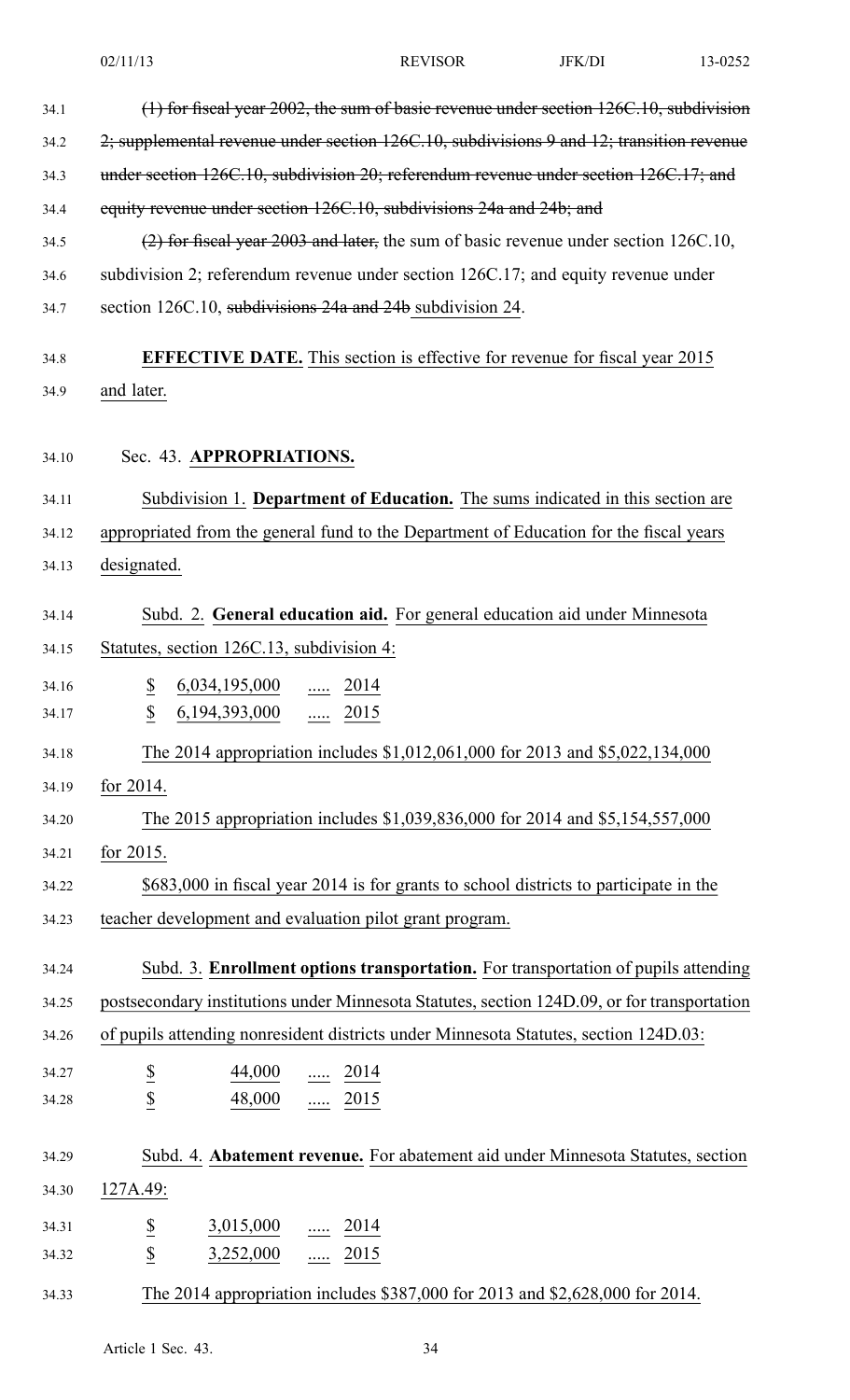|       | 02/11/13                                                                                    | <b>REVISOR</b>                                                      | <b>JFK/DI</b> | 13-0252 |  |  |
|-------|---------------------------------------------------------------------------------------------|---------------------------------------------------------------------|---------------|---------|--|--|
| 34.1  | (1) for fiscal year 2002, the sum of basic revenue under section 126C.10, subdivision       |                                                                     |               |         |  |  |
| 34.2  | 2; supplemental revenue under section 126C.10, subdivisions 9 and 12; transition revenue    |                                                                     |               |         |  |  |
| 34.3  | under section 126C.10, subdivision 20; referendum revenue under section 126C.17; and        |                                                                     |               |         |  |  |
| 34.4  |                                                                                             | equity revenue under section 126C.10, subdivisions 24a and 24b; and |               |         |  |  |
| 34.5  | (2) for fiscal year 2003 and later, the sum of basic revenue under section 126C.10,         |                                                                     |               |         |  |  |
| 34.6  | subdivision 2; referendum revenue under section 126C.17; and equity revenue under           |                                                                     |               |         |  |  |
| 34.7  | section 126C.10, subdivisions 24a and 24b subdivision 24.                                   |                                                                     |               |         |  |  |
| 34.8  | <b>EFFECTIVE DATE.</b> This section is effective for revenue for fiscal year 2015           |                                                                     |               |         |  |  |
| 34.9  | and later.                                                                                  |                                                                     |               |         |  |  |
| 34.10 | Sec. 43. APPROPRIATIONS.                                                                    |                                                                     |               |         |  |  |
| 34.11 | Subdivision 1. Department of Education. The sums indicated in this section are              |                                                                     |               |         |  |  |
| 34.12 | appropriated from the general fund to the Department of Education for the fiscal years      |                                                                     |               |         |  |  |
| 34.13 | designated.                                                                                 |                                                                     |               |         |  |  |
| 34.14 | Subd. 2. General education aid. For general education aid under Minnesota                   |                                                                     |               |         |  |  |
| 34.15 | Statutes, section 126C.13, subdivision 4:                                                   |                                                                     |               |         |  |  |
| 34.16 | $\underline{\$}$<br>$6,034,195,000$ 2014                                                    |                                                                     |               |         |  |  |
| 34.17 | \$<br>$\underline{6,194,393,000}$ 2015                                                      |                                                                     |               |         |  |  |
| 34.18 | The 2014 appropriation includes \$1,012,061,000 for 2013 and \$5,022,134,000                |                                                                     |               |         |  |  |
| 34.19 | for 2014.                                                                                   |                                                                     |               |         |  |  |
| 34.20 | The 2015 appropriation includes \$1,039,836,000 for 2014 and \$5,154,557,000                |                                                                     |               |         |  |  |
| 34.21 | for 2015.                                                                                   |                                                                     |               |         |  |  |
| 34.22 | \$683,000 in fiscal year 2014 is for grants to school districts to participate in the       |                                                                     |               |         |  |  |
| 34.23 | teacher development and evaluation pilot grant program.                                     |                                                                     |               |         |  |  |
| 34.24 | Subd. 3. Enrollment options transportation. For transportation of pupils attending          |                                                                     |               |         |  |  |
| 34.25 | postsecondary institutions under Minnesota Statutes, section 124D.09, or for transportation |                                                                     |               |         |  |  |
| 34.26 | of pupils attending nonresident districts under Minnesota Statutes, section 124D.03:        |                                                                     |               |         |  |  |
| 34.27 | $\overline{e}$<br>$\frac{44,000}{\cdots}$ $\frac{2014}{\cdots}$                             |                                                                     |               |         |  |  |
| 34.28 | $\overline{\mathcal{E}}$<br>$\frac{48,000}{}$ 2015                                          |                                                                     |               |         |  |  |
| 34.29 | Subd. 4. Abatement revenue. For abatement aid under Minnesota Statutes, section             |                                                                     |               |         |  |  |
| 34.30 | 127A.49:                                                                                    |                                                                     |               |         |  |  |
| 34.31 | $\underline{\mathbb{S}}$<br>$3,015,000$ 2014                                                |                                                                     |               |         |  |  |
| 34.32 | $\overline{\mathcal{C}}$<br>$3,252,000$ 2015                                                |                                                                     |               |         |  |  |
| 34.33 | The 2014 appropriation includes \$387,000 for 2013 and \$2,628,000 for 2014.                |                                                                     |               |         |  |  |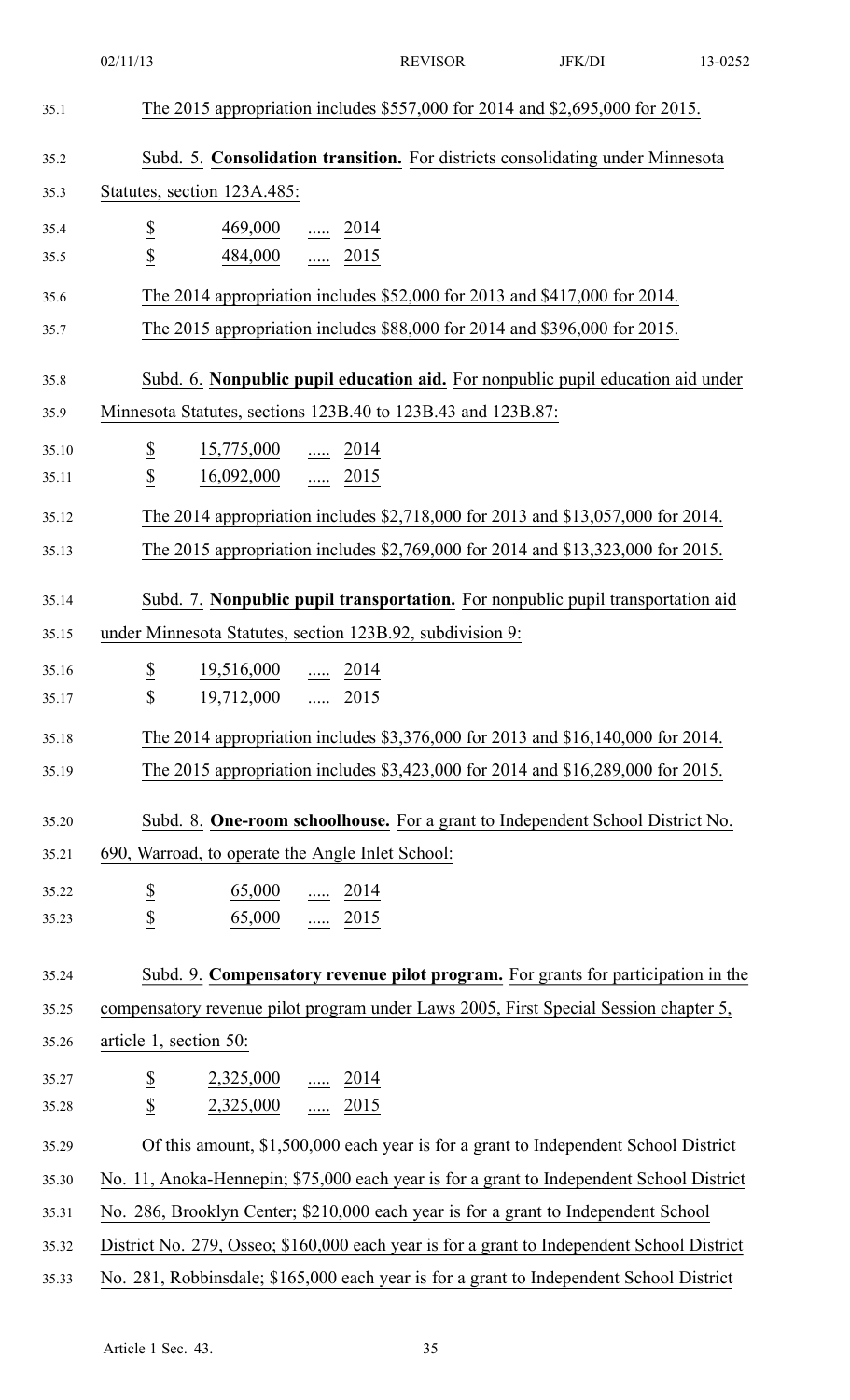|       | 02/11/13                                                                                   | <b>REVISOR</b> | JFK/DI | 13-0252 |  |
|-------|--------------------------------------------------------------------------------------------|----------------|--------|---------|--|
| 35.1  | The 2015 appropriation includes \$557,000 for 2014 and \$2,695,000 for 2015.               |                |        |         |  |
| 35.2  | Subd. 5. Consolidation transition. For districts consolidating under Minnesota             |                |        |         |  |
| 35.3  | Statutes, section 123A.485:                                                                |                |        |         |  |
| 35.4  | $rac{S}{S}$<br>$\frac{469,000}{\cdots}$ 2014                                               |                |        |         |  |
| 35.5  | $\frac{484,000}{}$ 2015                                                                    |                |        |         |  |
| 35.6  | The 2014 appropriation includes \$52,000 for 2013 and \$417,000 for 2014.                  |                |        |         |  |
| 35.7  | The 2015 appropriation includes \$88,000 for 2014 and \$396,000 for 2015.                  |                |        |         |  |
| 35.8  | Subd. 6. Nonpublic pupil education aid. For nonpublic pupil education aid under            |                |        |         |  |
| 35.9  | Minnesota Statutes, sections 123B.40 to 123B.43 and 123B.87:                               |                |        |         |  |
| 35.10 | $\underline{\$}$<br>$\frac{15,775,000}{}$ 2014                                             |                |        |         |  |
| 35.11 | $\underline{\mathbb{S}}$<br>$16,092,000$ 2015                                              |                |        |         |  |
| 35.12 | The 2014 appropriation includes \$2,718,000 for 2013 and \$13,057,000 for 2014.            |                |        |         |  |
| 35.13 | The 2015 appropriation includes \$2,769,000 for 2014 and \$13,323,000 for 2015.            |                |        |         |  |
| 35.14 | Subd. 7. Nonpublic pupil transportation. For nonpublic pupil transportation aid            |                |        |         |  |
| 35.15 | under Minnesota Statutes, section 123B.92, subdivision 9:                                  |                |        |         |  |
| 35.16 | $\underline{\$}$ 19,516,000<br>2014                                                        |                |        |         |  |
| 35.17 | $\underline{\$}$<br>$\frac{19,712,000}{\cdots}$ $\frac{2015}{\cdots}$                      |                |        |         |  |
| 35.18 | The 2014 appropriation includes \$3,376,000 for 2013 and \$16,140,000 for 2014.            |                |        |         |  |
| 35.19 | The 2015 appropriation includes \$3,423,000 for 2014 and \$16,289,000 for 2015.            |                |        |         |  |
| 35.20 | Subd. 8. One-room schoolhouse. For a grant to Independent School District No.              |                |        |         |  |
| 35.21 | 690, Warroad, to operate the Angle Inlet School:                                           |                |        |         |  |
| 35.22 | $\overline{\mathbf{z}}$<br>$\underline{65,000}$ 2014                                       |                |        |         |  |
| 35.23 | $\overline{\mathcal{E}}$<br>65,000  2015                                                   |                |        |         |  |
| 35.24 | Subd. 9. Compensatory revenue pilot program. For grants for participation in the           |                |        |         |  |
| 35.25 | compensatory revenue pilot program under Laws 2005, First Special Session chapter 5,       |                |        |         |  |
| 35.26 | article 1, section 50:                                                                     |                |        |         |  |
| 35.27 | $\underline{\$}$<br>$2,325,000$ 2014                                                       |                |        |         |  |
| 35.28 | $\overline{2}$<br>$2,325,000$ 2015                                                         |                |        |         |  |
| 35.29 | Of this amount, \$1,500,000 each year is for a grant to Independent School District        |                |        |         |  |
| 35.30 | No. 11, Anoka-Hennepin; \$75,000 each year is for a grant to Independent School District   |                |        |         |  |
| 35.31 | No. 286, Brooklyn Center; \$210,000 each year is for a grant to Independent School         |                |        |         |  |
| 35.32 | District No. 279, Osseo; \$160,000 each year is for a grant to Independent School District |                |        |         |  |
| 35.33 | No. 281, Robbinsdale; \$165,000 each year is for a grant to Independent School District    |                |        |         |  |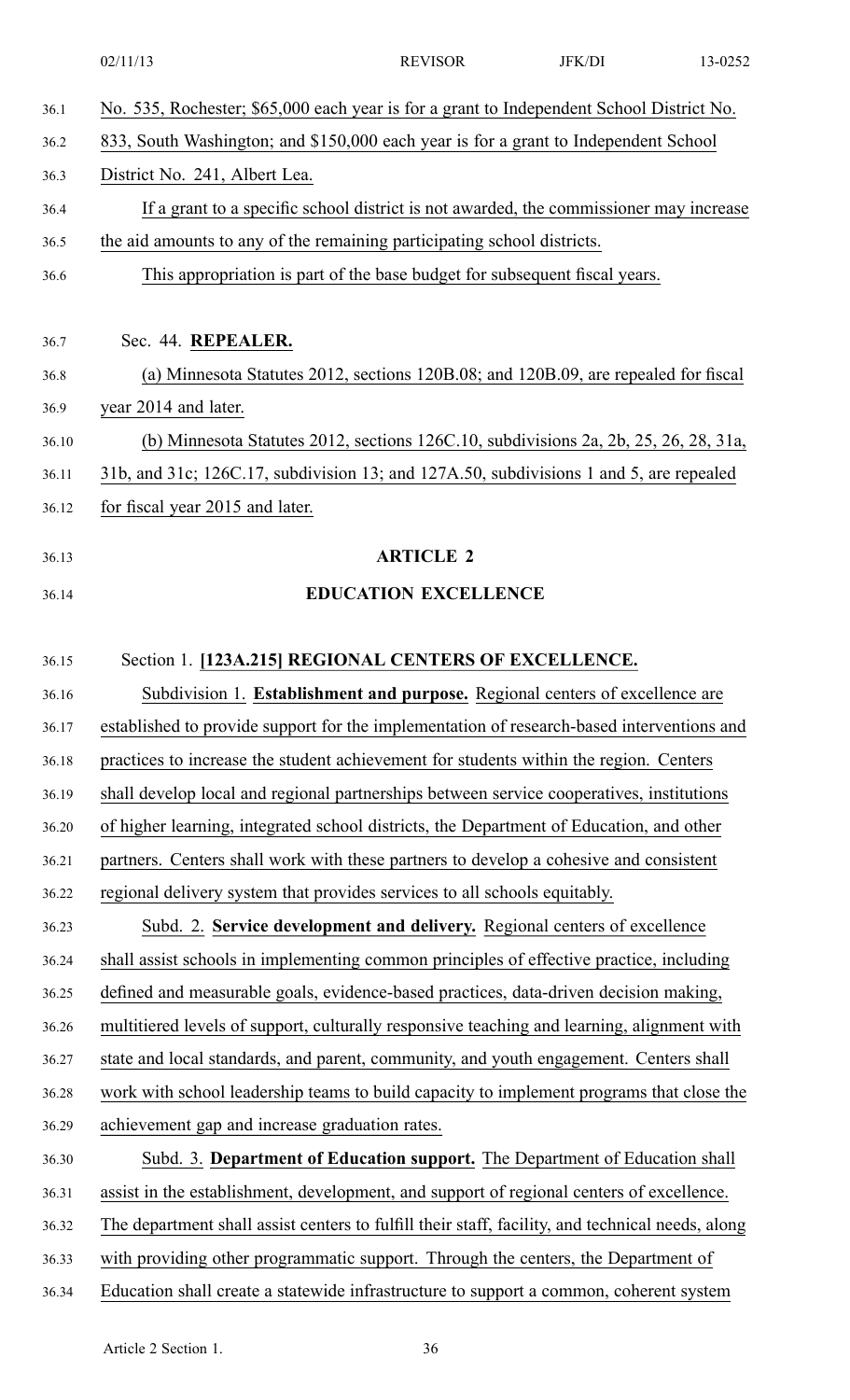|       | 02/11/13                                                                                         | <b>REVISOR</b>              | JFK/DI | 13-0252 |
|-------|--------------------------------------------------------------------------------------------------|-----------------------------|--------|---------|
| 36.1  | No. 535, Rochester; \$65,000 each year is for a grant to Independent School District No.         |                             |        |         |
| 36.2  | 833, South Washington; and \$150,000 each year is for a grant to Independent School              |                             |        |         |
| 36.3  | District No. 241, Albert Lea.                                                                    |                             |        |         |
| 36.4  | If a grant to a specific school district is not awarded, the commissioner may increase           |                             |        |         |
| 36.5  | the aid amounts to any of the remaining participating school districts.                          |                             |        |         |
| 36.6  | This appropriation is part of the base budget for subsequent fiscal years.                       |                             |        |         |
|       |                                                                                                  |                             |        |         |
| 36.7  | Sec. 44. REPEALER.                                                                               |                             |        |         |
| 36.8  | (a) Minnesota Statutes 2012, sections 120B.08; and 120B.09, are repealed for fiscal              |                             |        |         |
| 36.9  | year 2014 and later.                                                                             |                             |        |         |
| 36.10 | (b) Minnesota Statutes 2012, sections 126C.10, subdivisions 2a, 2b, 25, 26, 28, 31a,             |                             |        |         |
| 36.11 | 31b, and 31c; 126C.17, subdivision 13; and 127A.50, subdivisions 1 and 5, are repealed           |                             |        |         |
| 36.12 | for fiscal year 2015 and later.                                                                  |                             |        |         |
| 36.13 |                                                                                                  | <b>ARTICLE 2</b>            |        |         |
| 36.14 |                                                                                                  | <b>EDUCATION EXCELLENCE</b> |        |         |
|       |                                                                                                  |                             |        |         |
| 36.15 | Section 1. [123A.215] REGIONAL CENTERS OF EXCELLENCE.                                            |                             |        |         |
| 36.16 | Subdivision 1. Establishment and purpose. Regional centers of excellence are                     |                             |        |         |
| 36.17 | established to provide support for the implementation of research-based interventions and        |                             |        |         |
| 36.18 | practices to increase the student achievement for students within the region. Centers            |                             |        |         |
| 36.19 | shall develop local and regional partnerships between service cooperatives, institutions         |                             |        |         |
| 36.20 | of higher learning, integrated school districts, the Department of Education, and other          |                             |        |         |
| 36.21 | partners. Centers shall work with these partners to develop a cohesive and consistent            |                             |        |         |
| 36.22 | regional delivery system that provides services to all schools equitably.                        |                             |        |         |
| 36.23 | Subd. 2. Service development and delivery. Regional centers of excellence                        |                             |        |         |
| 36.24 | shall assist schools in implementing common principles of effective practice, including          |                             |        |         |
| 36.25 | defined and measurable goals, evidence-based practices, data-driven decision making,             |                             |        |         |
| 36.26 | multitiered levels of support, culturally responsive teaching and learning, alignment with       |                             |        |         |
| 36.27 | state and local standards, and parent, community, and youth engagement. Centers shall            |                             |        |         |
| 36.28 | work with school leadership teams to build capacity to implement programs that close the         |                             |        |         |
| 36.29 | achievement gap and increase graduation rates.                                                   |                             |        |         |
| 36.30 | Subd. 3. Department of Education support. The Department of Education shall                      |                             |        |         |
| 36.31 | assist in the establishment, development, and support of regional centers of excellence.         |                             |        |         |
| 36.32 | The department shall assist centers to fulfill their staff, facility, and technical needs, along |                             |        |         |
| 36.33 | with providing other programmatic support. Through the centers, the Department of                |                             |        |         |
| 36.34 | Education shall create a statewide infrastructure to support a common, coherent system           |                             |        |         |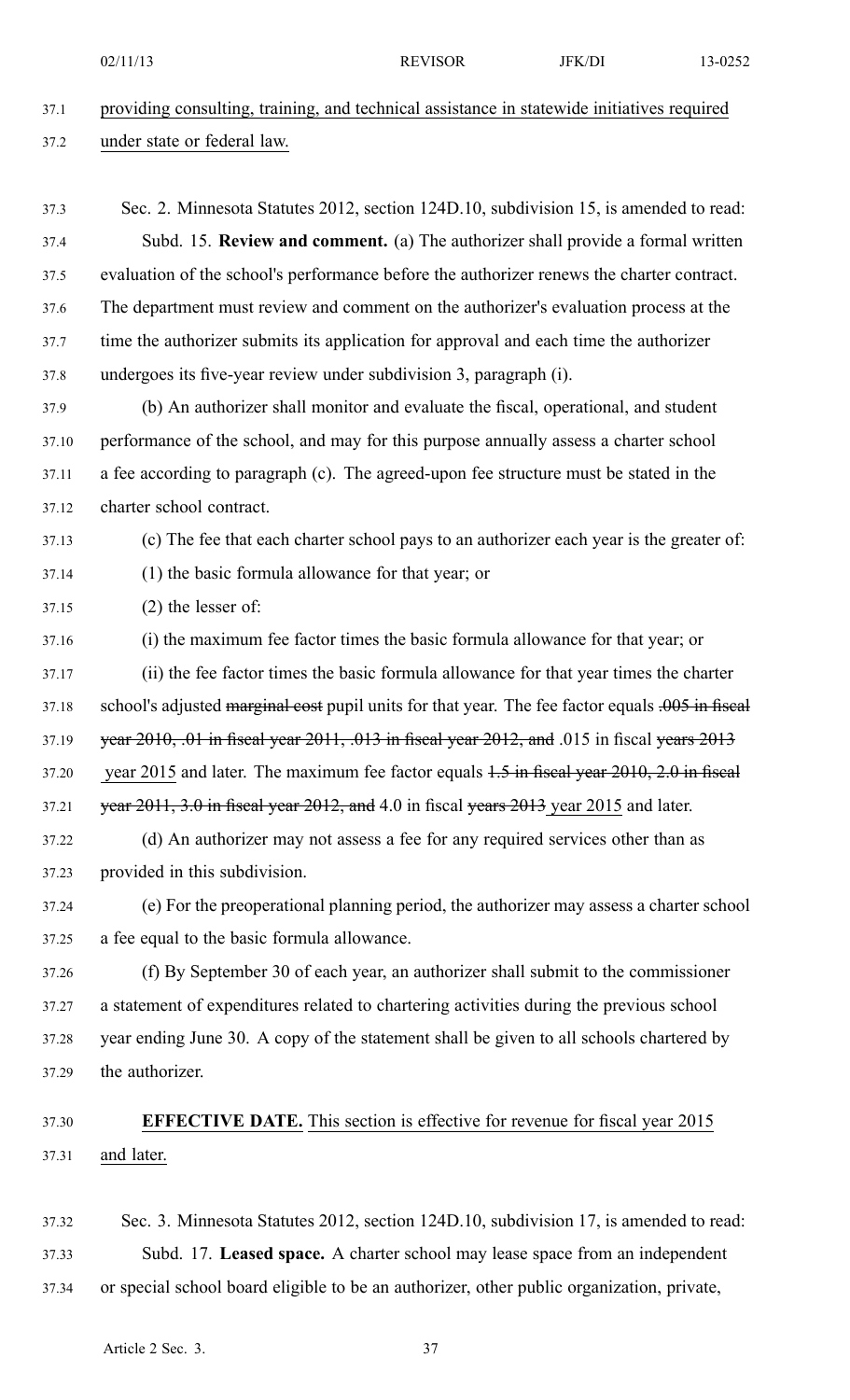| 37.1 | providing consulting, training, and technical assistance in statewide initiatives required |
|------|--------------------------------------------------------------------------------------------|
| 37.2 | under state or federal law.                                                                |

- 37.3 Sec. 2. Minnesota Statutes 2012, section 124D.10, subdivision 15, is amended to read: 37.4 Subd. 15. **Review and comment.** (a) The authorizer shall provide <sup>a</sup> formal written 37.5 evaluation of the school's performance before the authorizer renews the charter contract. 37.6 The department must review and comment on the authorizer's evaluation process at the 37.7 time the authorizer submits its application for approval and each time the authorizer 37.8 undergoes its five-year review under subdivision 3, paragraph (i).
- 37.9 (b) An authorizer shall monitor and evaluate the fiscal, operational, and student 37.10 performance of the school, and may for this purpose annually assess <sup>a</sup> charter school 37.11 <sup>a</sup> fee according to paragraph (c). The agreed-upon fee structure must be stated in the 37.12 charter school contract.

#### 37.13 (c) The fee that each charter school pays to an authorizer each year is the greater of:

37.14 (1) the basic formula allowance for that year; or

37.15 (2) the lesser of:

- 37.16 (i) the maximum fee factor times the basic formula allowance for that year; or 37.17 (ii) the fee factor times the basic formula allowance for that year times the charter 37.18 school's adjusted marginal cost pupil units for that year. The fee factor equals .005 in fiscal 37.19 year 2010, .01 in fiscal year 2011, .013 in fiscal year 2012, and .015 in fiscal years 2013 37.20 year 2015 and later. The maximum fee factor equals 1.5 in fiscal year 2010, 2.0 in fiscal 37.21 vear  $2011$ ,  $3.0$  in fiscal year  $2012$ , and 4.0 in fiscal years  $2013$  year 2015 and later.
- 37.22 (d) An authorizer may not assess <sup>a</sup> fee for any required services other than as 37.23 provided in this subdivision.
- 37.24 (e) For the preoperational planning period, the authorizer may assess <sup>a</sup> charter school 37.25 <sup>a</sup> fee equal to the basic formula allowance.
- 37.26 (f) By September 30 of each year, an authorizer shall submit to the commissioner 37.27 <sup>a</sup> statement of expenditures related to chartering activities during the previous school 37.28 year ending June 30. A copy of the statement shall be given to all schools chartered by 37.29 the authorizer.

# 37.30 **EFFECTIVE DATE.** This section is effective for revenue for fiscal year 2015 37.31 and later.

37.32 Sec. 3. Minnesota Statutes 2012, section 124D.10, subdivision 17, is amended to read: 37.33 Subd. 17. **Leased space.** A charter school may lease space from an independent 37.34 or special school board eligible to be an authorizer, other public organization, private,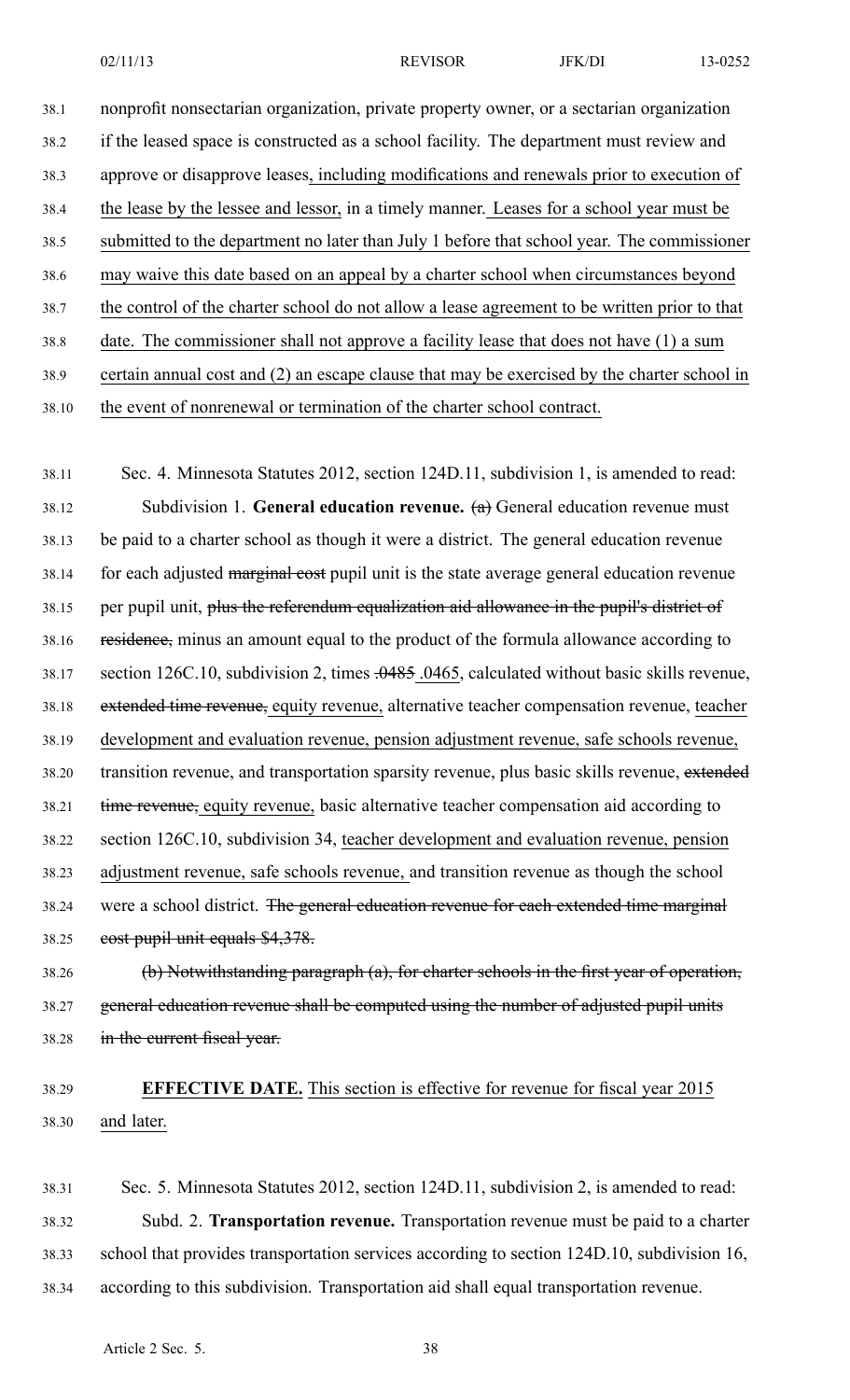38.1 nonprofit nonsectarian organization, private property owner, or <sup>a</sup> sectarian organization 38.2 if the leased space is constructed as <sup>a</sup> school facility. The department must review and 38.3 approve or disapprove leases, including modifications and renewals prior to execution of 38.4 the lease by the lessee and lessor, in <sup>a</sup> timely manner. Leases for <sup>a</sup> school year must be 38.5 submitted to the department no later than July 1 before that school year. The commissioner 38.6 may waive this date based on an appeal by <sup>a</sup> charter school when circumstances beyond 38.7 the control of the charter school do not allow <sup>a</sup> lease agreemen<sup>t</sup> to be written prior to that 38.8 date. The commissioner shall not approve <sup>a</sup> facility lease that does not have (1) <sup>a</sup> sum 38.9 certain annual cost and (2) an escape clause that may be exercised by the charter school in

38.10 the event of nonrenewal or termination of the charter school contract.

38.11 Sec. 4. Minnesota Statutes 2012, section 124D.11, subdivision 1, is amended to read: 38.12 Subdivision 1. **General education revenue.** (a) General education revenue must 38.13 be paid to <sup>a</sup> charter school as though it were <sup>a</sup> district. The general education revenue 38.14 for each adjusted marginal cost pupil unit is the state average general education revenue 38.15 per pupil unit, plus the referendum equalization aid allowance in the pupil's district of 38.16 residence, minus an amount equal to the product of the formula allowance according to 38.17 section 126C.10, subdivision 2, times .0485 .0465, calculated without basic skills revenue, 38.18 extended time revenue, equity revenue, alternative teacher compensation revenue, teacher 38.19 development and evaluation revenue, pension adjustment revenue, safe schools revenue, 38.20 transition revenue, and transportation sparsity revenue, plus basic skills revenue, extended 38.21 time revenue, equity revenue, basic alternative teacher compensation aid according to 38.22 section 126C.10, subdivision 34, teacher development and evaluation revenue, pension 38.23 adjustment revenue, safe schools revenue, and transition revenue as though the school 38.24 were <sup>a</sup> school district. The general education revenue for each extended time marginal 38.25 cost pupil unit equals \$4,378.

38.26 (b) Notwithstanding paragraph (a), for charter schools in the first year of operation, 38.27 general education revenue shall be computed using the number of adjusted pupil units 38.28 in the current fiscal year.

# 38.29 **EFFECTIVE DATE.** This section is effective for revenue for fiscal year 2015 38.30 and later.

38.31 Sec. 5. Minnesota Statutes 2012, section 124D.11, subdivision 2, is amended to read: 38.32 Subd. 2. **Transportation revenue.** Transportation revenue must be paid to <sup>a</sup> charter 38.33 school that provides transportation services according to section 124D.10, subdivision 16, 38.34 according to this subdivision. Transportation aid shall equal transportation revenue.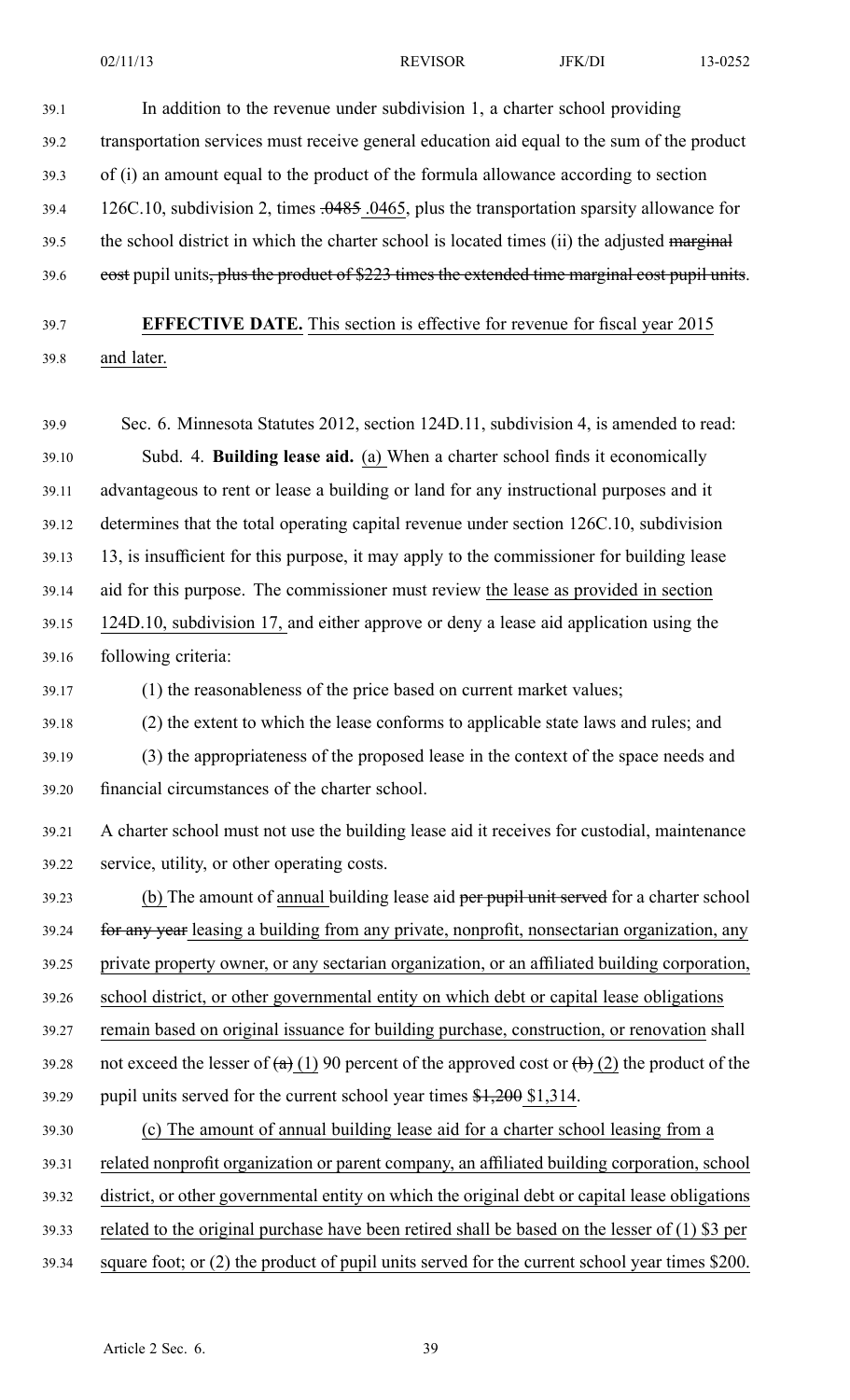39.1 In addition to the revenue under subdivision 1, <sup>a</sup> charter school providing 39.2 transportation services must receive general education aid equal to the sum of the product 39.3 of (i) an amount equal to the product of the formula allowance according to section 39.4 126C.10, subdivision 2, times  $.0485$ .0465, plus the transportation sparsity allowance for 39.5 the school district in which the charter school is located times (ii) the adjusted marginal 39.6 cost pupil units, plus the product of \$223 times the extended time marginal cost pupil units. 39.7 **EFFECTIVE DATE.** This section is effective for revenue for fiscal year 2015 39.8 and later. 39.9 Sec. 6. Minnesota Statutes 2012, section 124D.11, subdivision 4, is amended to read: 39.10 Subd. 4. **Building lease aid.** (a) When <sup>a</sup> charter school finds it economically 39.11 advantageous to rent or lease <sup>a</sup> building or land for any instructional purposes and it 39.12 determines that the total operating capital revenue under section 126C.10, subdivision 39.13 13, is insufficient for this purpose, it may apply to the commissioner for building lease 39.14 aid for this purpose. The commissioner must review the lease as provided in section 39.15 124D.10, subdivision 17, and either approve or deny <sup>a</sup> lease aid application using the 39.16 following criteria: 39.17 (1) the reasonableness of the price based on current market values; 39.18 (2) the extent to which the lease conforms to applicable state laws and rules; and 39.19 (3) the appropriateness of the proposed lease in the context of the space needs and 39.20 financial circumstances of the charter school. 39.21 A charter school must not use the building lease aid it receives for custodial, maintenance 39.22 service, utility, or other operating costs. 39.23 (b) The amount of annual building lease aid per pupil unit served for a charter school 39.24 for any year leasing a building from any private, nonprofit, nonsectarian organization, any 39.25 private property owner, or any sectarian organization, or an affiliated building corporation, 39.26 school district, or other governmental entity on which debt or capital lease obligations 39.27 remain based on original issuance for building purchase, construction, or renovation shall 39.28 not exceed the lesser of  $(a)$  (1) 90 percent of the approved cost or  $(b)$  (2) the product of the 39.29 pupil units served for the current school year times \$1,200 \$1,314. 39.30 (c) The amount of annual building lease aid for <sup>a</sup> charter school leasing from <sup>a</sup> 39.31 related nonprofit organization or paren<sup>t</sup> company, an affiliated building corporation, school

39.32 district, or other governmental entity on which the original debt or capital lease obligations

39.33 related to the original purchase have been retired shall be based on the lesser of (1) \$3 per

39.34 square foot; or (2) the product of pupil units served for the current school year times \$200.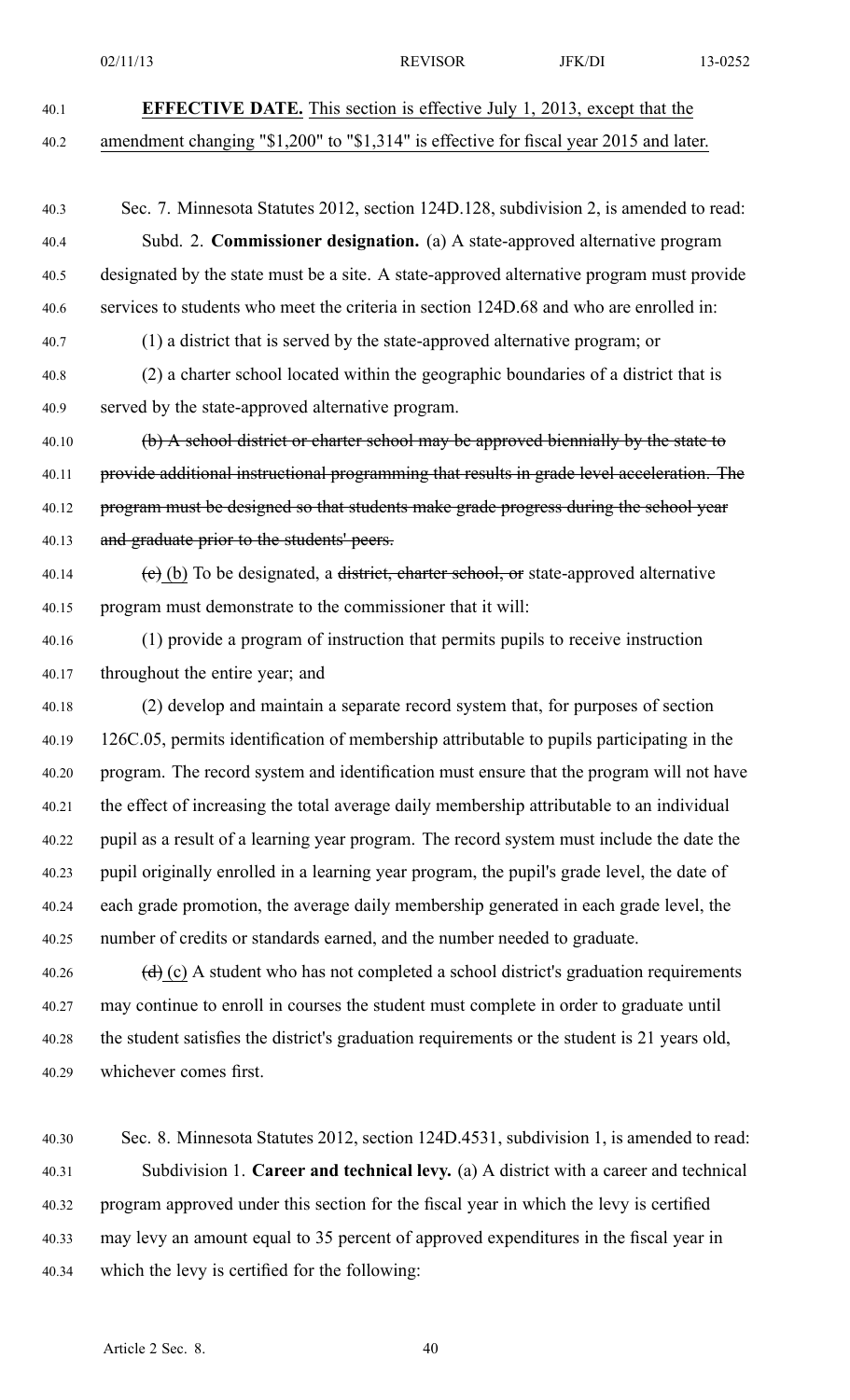02/11/13 **REVISOR** JFK/DI 13-0252 40.1 **EFFECTIVE DATE.** This section is effective July 1, 2013, excep<sup>t</sup> that the 40.2 amendment changing "\$1,200" to "\$1,314" is effective for fiscal year 2015 and later. 40.3 Sec. 7. Minnesota Statutes 2012, section 124D.128, subdivision 2, is amended to read: 40.4 Subd. 2. **Commissioner designation.** (a) A state-approved alternative program 40.5 designated by the state must be <sup>a</sup> site. A state-approved alternative program must provide 40.6 services to students who meet the criteria in section 124D.68 and who are enrolled in: 40.7 (1) <sup>a</sup> district that is served by the state-approved alternative program; or 40.8 (2) <sup>a</sup> charter school located within the geographic boundaries of <sup>a</sup> district that is 40.9 served by the state-approved alternative program. 40.10 (b) A school district or charter school may be approved biennially by the state to 40.11 provide additional instructional programming that results in grade level acceleration. The 40.12 program must be designed so that students make grade progress during the school year 40.13 and graduate prior to the students' peers. 40.14 (e) (b) To be designated, a district, charter school, or state-approved alternative 40.15 program must demonstrate to the commissioner that it will: 40.16 (1) provide <sup>a</sup> program of instruction that permits pupils to receive instruction 40.17 throughout the entire year; and 40.18 (2) develop and maintain <sup>a</sup> separate record system that, for purposes of section 40.19 126C.05, permits identification of membership attributable to pupils participating in the 40.20 program. The record system and identification must ensure that the program will not have 40.21 the effect of increasing the total average daily membership attributable to an individual 40.22 pupil as <sup>a</sup> result of <sup>a</sup> learning year program. The record system must include the date the 40.23 pupil originally enrolled in <sup>a</sup> learning year program, the pupil's grade level, the date of 40.24 each grade promotion, the average daily membership generated in each grade level, the 40.25 number of credits or standards earned, and the number needed to graduate. 40.26  $(d)$  (c) A student who has not completed a school district's graduation requirements 40.27 may continue to enroll in courses the student must complete in order to graduate until 40.28 the student satisfies the district's graduation requirements or the student is 21 years old, 40.29 whichever comes first. 40.30 Sec. 8. Minnesota Statutes 2012, section 124D.4531, subdivision 1, is amended to read: 40.31 Subdivision 1. **Career and technical levy.** (a) A district with <sup>a</sup> career and technical 40.32 program approved under this section for the fiscal year in which the levy is certified

40.33 may levy an amount equal to 35 percen<sup>t</sup> of approved expenditures in the fiscal year in 40.34 which the levy is certified for the following: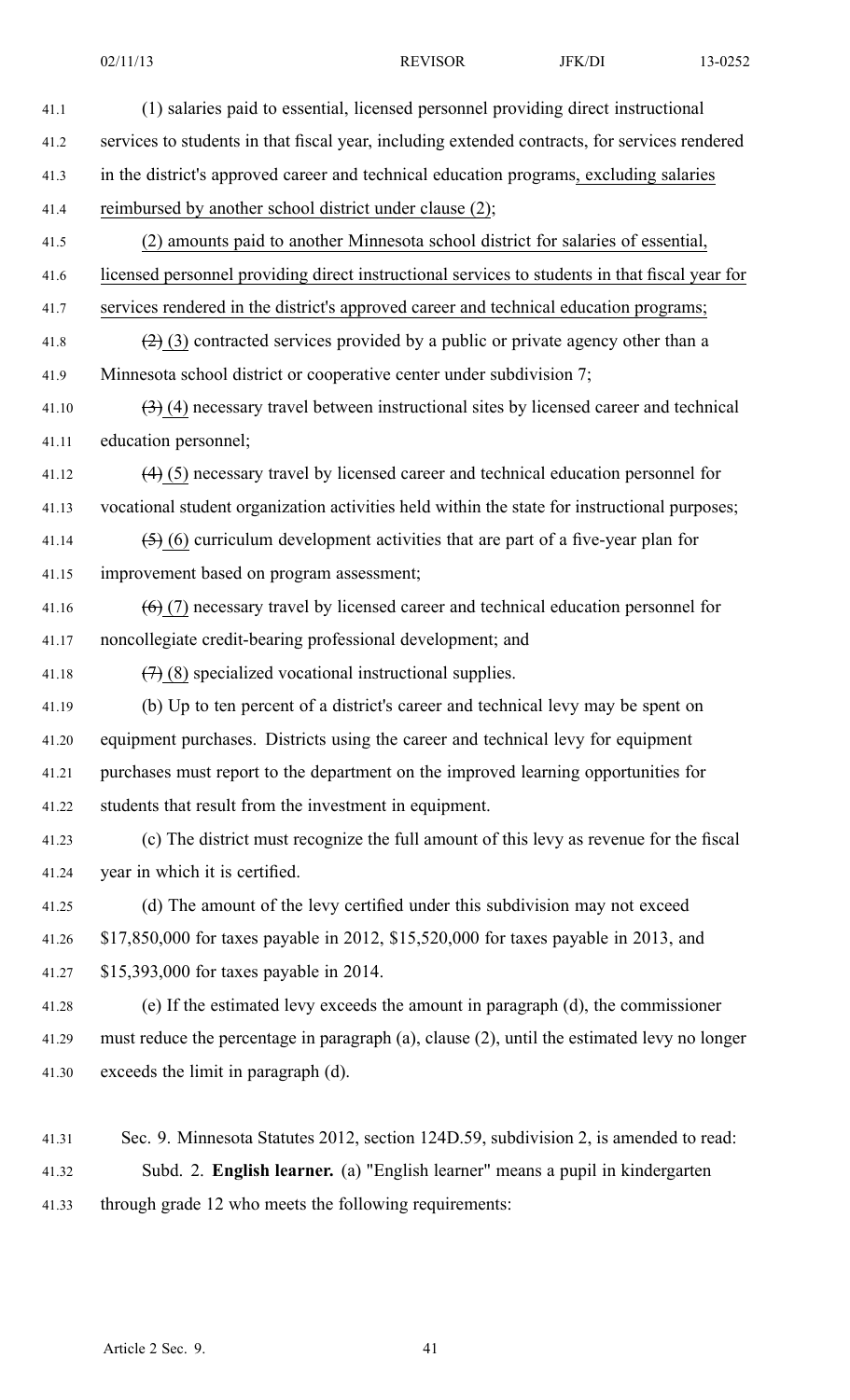| 41.1  | (1) salaries paid to essential, licensed personnel providing direct instructional              |
|-------|------------------------------------------------------------------------------------------------|
| 41.2  | services to students in that fiscal year, including extended contracts, for services rendered  |
| 41.3  | in the district's approved career and technical education programs, excluding salaries         |
| 41.4  | reimbursed by another school district under clause (2);                                        |
| 41.5  | (2) amounts paid to another Minnesota school district for salaries of essential,               |
| 41.6  | licensed personnel providing direct instructional services to students in that fiscal year for |
| 41.7  | services rendered in the district's approved career and technical education programs;          |
| 41.8  | $(2)$ (3) contracted services provided by a public or private agency other than a              |
| 41.9  | Minnesota school district or cooperative center under subdivision 7;                           |
| 41.10 | $(3)$ (4) necessary travel between instructional sites by licensed career and technical        |
| 41.11 | education personnel;                                                                           |
| 41.12 | $(4)$ (5) necessary travel by licensed career and technical education personnel for            |
| 41.13 | vocational student organization activities held within the state for instructional purposes;   |
| 41.14 | $(5)$ (6) curriculum development activities that are part of a five-year plan for              |
| 41.15 | improvement based on program assessment;                                                       |
| 41.16 | $(6)$ (7) necessary travel by licensed career and technical education personnel for            |
| 41.17 | noncollegiate credit-bearing professional development; and                                     |
| 41.18 | $(7)$ (8) specialized vocational instructional supplies.                                       |
| 41.19 | (b) Up to ten percent of a district's career and technical levy may be spent on                |
| 41.20 | equipment purchases. Districts using the career and technical levy for equipment               |
| 41.21 | purchases must report to the department on the improved learning opportunities for             |
| 41.22 | students that result from the investment in equipment.                                         |
| 41.23 | (c) The district must recognize the full amount of this levy as revenue for the fiscal         |
| 41.24 | year in which it is certified.                                                                 |
| 41.25 | (d) The amount of the levy certified under this subdivision may not exceed                     |
| 41.26 | \$17,850,000 for taxes payable in 2012, \$15,520,000 for taxes payable in 2013, and            |
| 41.27 | \$15,393,000 for taxes payable in 2014.                                                        |
| 41.28 | (e) If the estimated levy exceeds the amount in paragraph (d), the commissioner                |
| 41.29 | must reduce the percentage in paragraph (a), clause (2), until the estimated levy no longer    |
| 41.30 | exceeds the limit in paragraph (d).                                                            |
| 41.31 | Sec. 9. Minnesota Statutes 2012, section 124D.59, subdivision 2, is amended to read:           |
| 41.32 | Subd. 2. English learner. (a) "English learner" means a pupil in kindergarten                  |

41.33 through grade 12 who meets the following requirements: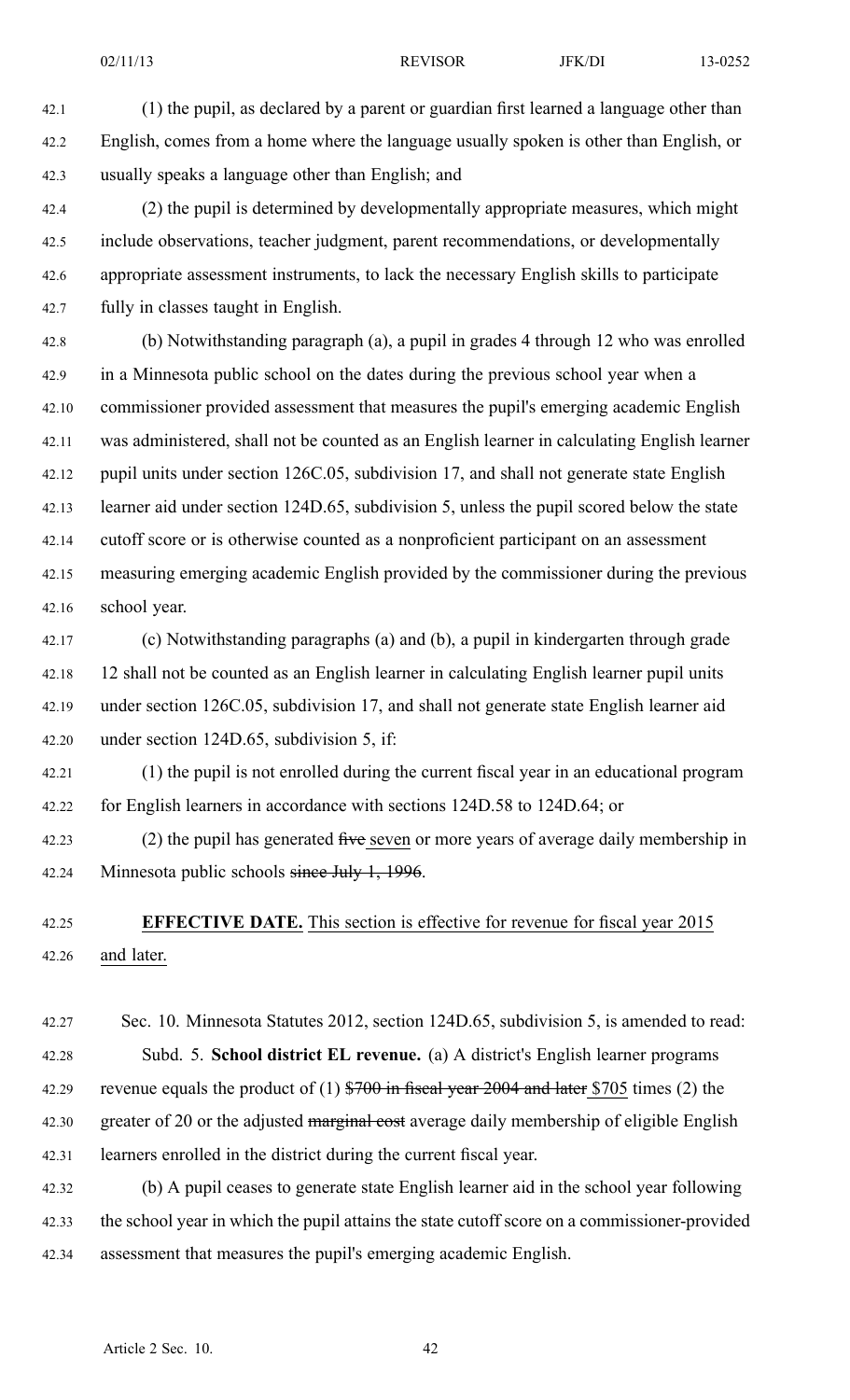42.1 (1) the pupil, as declared by <sup>a</sup> paren<sup>t</sup> or guardian first learned <sup>a</sup> language other than 42.2 English, comes from <sup>a</sup> home where the language usually spoken is other than English, or 42.3 usually speaks <sup>a</sup> language other than English; and

42.4 (2) the pupil is determined by developmentally appropriate measures, which might 42.5 include observations, teacher judgment, paren<sup>t</sup> recommendations, or developmentally 42.6 appropriate assessment instruments, to lack the necessary English skills to participate 42.7 fully in classes taught in English.

42.8 (b) Notwithstanding paragraph (a), <sup>a</sup> pupil in grades 4 through 12 who was enrolled 42.9 in <sup>a</sup> Minnesota public school on the dates during the previous school year when <sup>a</sup> 42.10 commissioner provided assessment that measures the pupil's emerging academic English 42.11 was administered, shall not be counted as an English learner in calculating English learner 42.12 pupil units under section 126C.05, subdivision 17, and shall not generate state English 42.13 learner aid under section 124D.65, subdivision 5, unless the pupil scored below the state 42.14 cutoff score or is otherwise counted as <sup>a</sup> nonproficient participant on an assessment 42.15 measuring emerging academic English provided by the commissioner during the previous 42.16 school year.

42.17 (c) Notwithstanding paragraphs (a) and (b), <sup>a</sup> pupil in kindergarten through grade 42.18 12 shall not be counted as an English learner in calculating English learner pupil units 42.19 under section 126C.05, subdivision 17, and shall not generate state English learner aid 42.20 under section 124D.65, subdivision 5, if:

42.21 (1) the pupil is not enrolled during the current fiscal year in an educational program 42.22 for English learners in accordance with sections 124D.58 to 124D.64; or

42.23 (2) the pupil has generated five seven or more years of average daily membership in 42.24 Minnesota public schools since July 1, 1996.

42.25 **EFFECTIVE DATE.** This section is effective for revenue for fiscal year 2015 42.26 and later.

42.27 Sec. 10. Minnesota Statutes 2012, section 124D.65, subdivision 5, is amended to read: 42.28 Subd. 5. **School district EL revenue.** (a) A district's English learner programs 42.29 revenue equals the product of  $(1)$  \$700 in fiscal year 2004 and later \$705 times  $(2)$  the 42.30 greater of 20 or the adjusted marginal cost average daily membership of eligible English 42.31 learners enrolled in the district during the current fiscal year.

42.32 (b) A pupil ceases to generate state English learner aid in the school year following 42.33 the school year in which the pupil attains the state cutoff score on <sup>a</sup> commissioner-provided 42.34 assessment that measures the pupil's emerging academic English.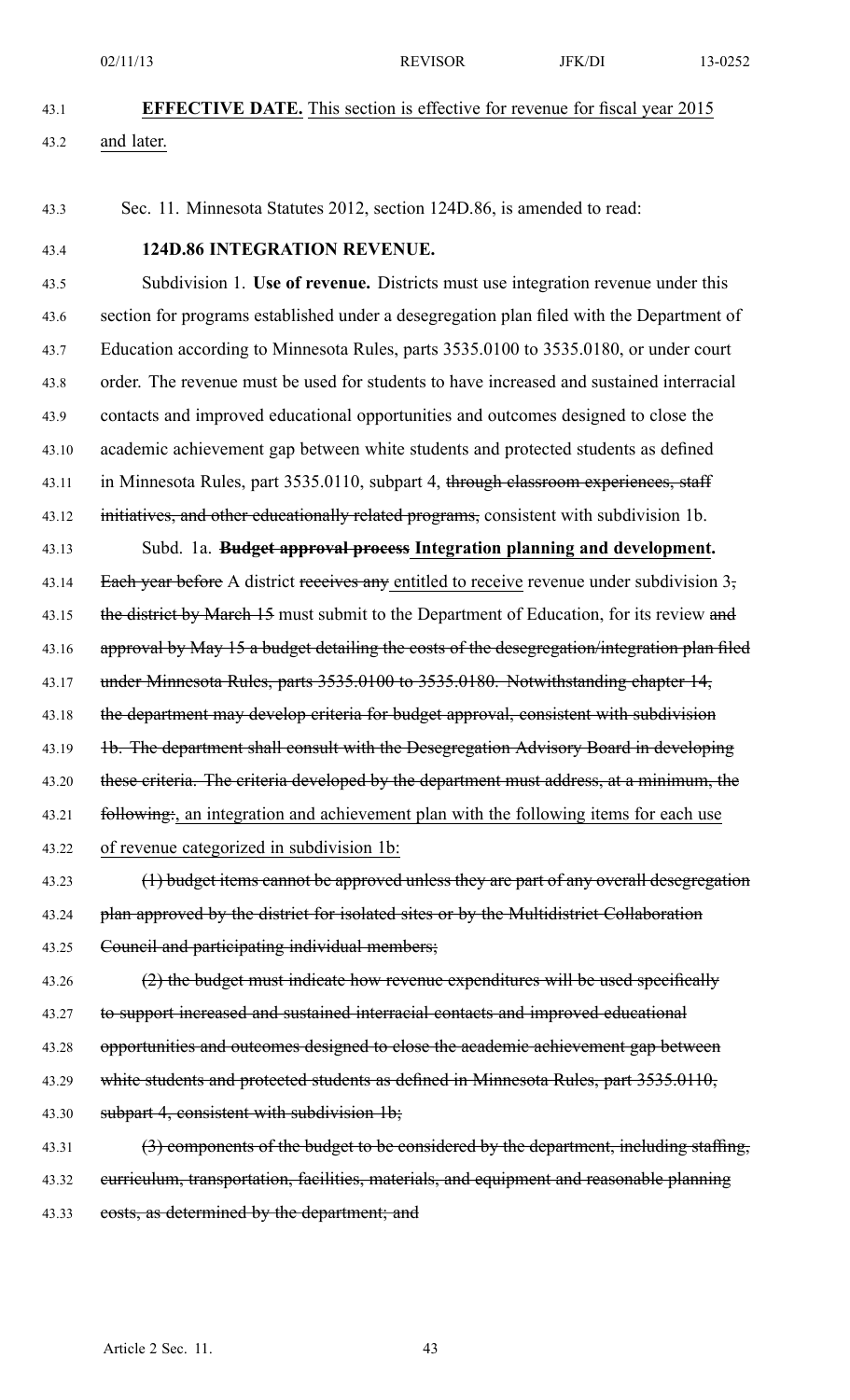02/11/13 **REVISOR** JFK/DI 13-0252

- 43.1 **EFFECTIVE DATE.** This section is effective for revenue for fiscal year 2015 43.2 and later.
- 43.3 Sec. 11. Minnesota Statutes 2012, section 124D.86, is amended to read:
- 

#### 43.4 **124D.86 INTEGRATION REVENUE.**

43.5 Subdivision 1. **Use of revenue.** Districts must use integration revenue under this 43.6 section for programs established under <sup>a</sup> desegregation plan filed with the Department of 43.7 Education according to Minnesota Rules, parts 3535.0100 to 3535.0180, or under court 43.8 order. The revenue must be used for students to have increased and sustained interracial 43.9 contacts and improved educational opportunities and outcomes designed to close the 43.10 academic achievement gap between white students and protected students as defined 43.11 in Minnesota Rules, part 3535.0110, subpart 4, through classroom experiences, staff 43.12 initiatives, and other educationally related programs, consistent with subdivision 1b. 43.13 Subd. 1a. **Budget approval process Integration planning and development.** 43.14 Each year before A district receives any entitled to receive revenue under subdivision 3, 43.15 the district by March 15 must submit to the Department of Education, for its review and 43.16 approval by May 15 a budget detailing the costs of the desegregation/integration plan filed 43.17 under Minnesota Rules, parts 3535.0100 to 3535.0180. Notwithstanding chapter 14, 43.18 the department may develop criteria for budget approval, consistent with subdivision 43.19 1b. The department shall consult with the Desegregation Advisory Board in developing 43.20 these criteria. The criteria developed by the department must address, at a minimum, the 43.21 following:, an integration and achievement plan with the following items for each use 43.22 of revenue categorized in subdivision 1b:

43.23 (1) budget items cannot be approved unless they are part of any overall desegregation 43.24 plan approved by the district for isolated sites or by the Multidistrict Collaboration 43.25 Council and participating individual members;

43.26 (2) the budget must indicate how revenue expenditures will be used specifically 43.27 to suppor<sup>t</sup> increased and sustained interracial contacts and improved educational 43.28 opportunities and outcomes designed to close the academic achievement gap between 43.29 white students and protected students as defined in Minnesota Rules, part 3535.0110, 43.30 subpart 4, consistent with subdivision 1b;

43.31 (3) components of the budget to be considered by the department, including staffing, 43.32 curriculum, transportation, facilities, materials, and equipment and reasonable planning 43.33 costs, as determined by the department; and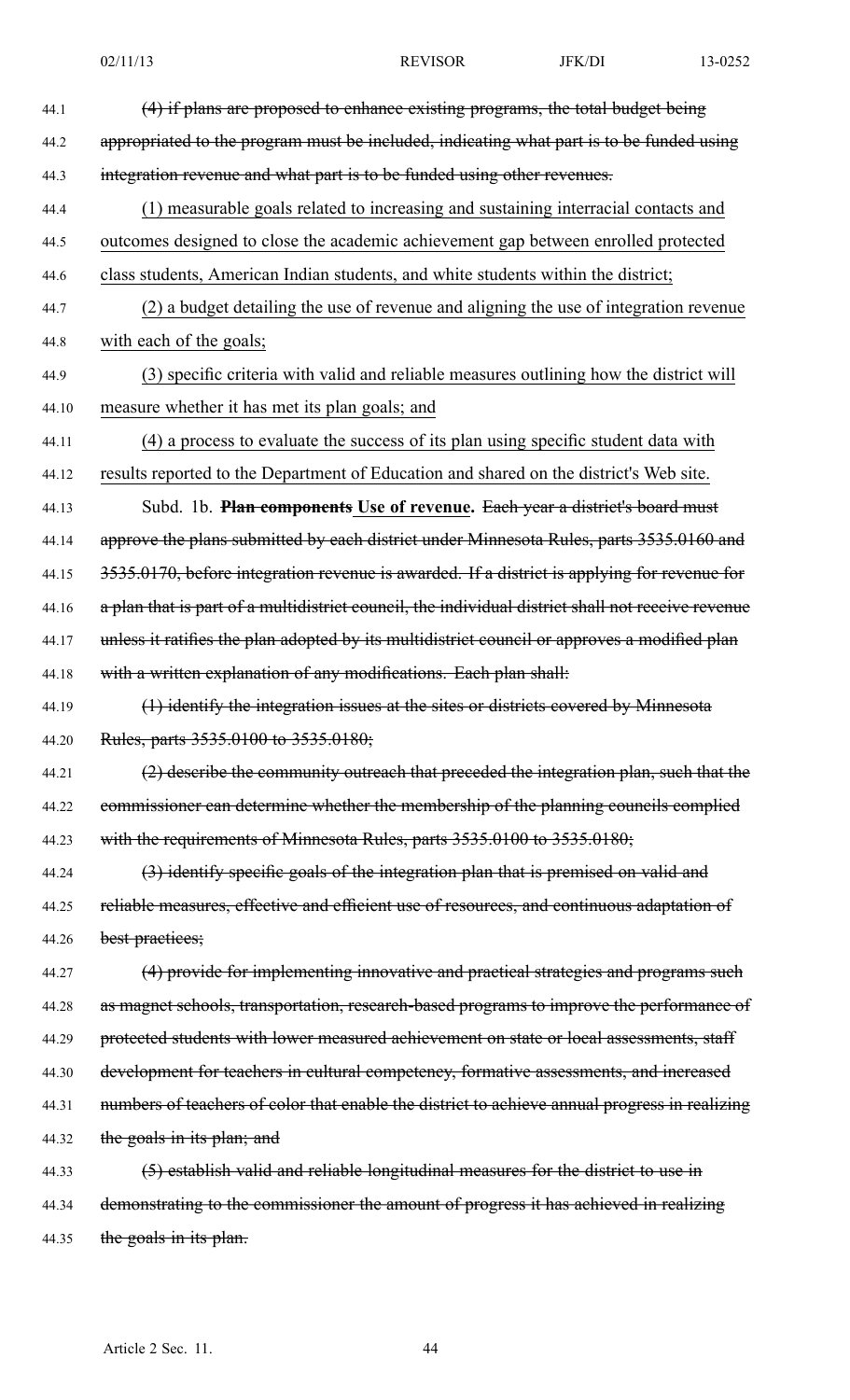| 44.1  | (4) if plans are proposed to enhance existing programs, the total budget being                    |
|-------|---------------------------------------------------------------------------------------------------|
| 44.2  | appropriated to the program must be included, indicating what part is to be funded using          |
| 44.3  | integration revenue and what part is to be funded using other revenues.                           |
| 44.4  | (1) measurable goals related to increasing and sustaining interracial contacts and                |
| 44.5  | outcomes designed to close the academic achievement gap between enrolled protected                |
| 44.6  | class students, American Indian students, and white students within the district;                 |
| 44.7  | (2) a budget detailing the use of revenue and aligning the use of integration revenue             |
| 44.8  | with each of the goals;                                                                           |
| 44.9  | (3) specific criteria with valid and reliable measures outlining how the district will            |
| 44.10 | measure whether it has met its plan goals; and                                                    |
| 44.11 | (4) a process to evaluate the success of its plan using specific student data with                |
| 44.12 | results reported to the Department of Education and shared on the district's Web site.            |
| 44.13 | Subd. 1b. Plan components Use of revenue. Each year a district's board must                       |
| 44.14 | approve the plans submitted by each district under Minnesota Rules, parts 3535.0160 and           |
| 44.15 | 3535.0170, before integration revenue is awarded. If a district is applying for revenue for       |
| 44.16 | a plan that is part of a multidistrict council, the individual district shall not receive revenue |
| 44.17 | unless it ratifies the plan adopted by its multidistrict council or approves a modified plan      |
| 44.18 | with a written explanation of any modifications. Each plan shall:                                 |
| 44.19 | (1) identify the integration issues at the sites or districts covered by Minnesota                |
| 44.20 | Rules, parts 3535.0100 to 3535.0180;                                                              |
| 44.21 | (2) describe the community outreach that preceded the integration plan, such that the             |
| 44.22 | commissioner can determine whether the membership of the planning councils complied               |
| 44.23 | with the requirements of Minnesota Rules, parts 3535.0100 to 3535.0180;                           |
| 44.24 | (3) identify specific goals of the integration plan that is premised on valid and                 |
| 44.25 | reliable measures, effective and efficient use of resources, and continuous adaptation of         |
| 44.26 | best practices;                                                                                   |
| 44.27 | (4) provide for implementing innovative and practical strategies and programs such                |
| 44.28 | as magnet schools, transportation, research-based programs to improve the performance of          |
| 44.29 | protected students with lower measured achievement on state or local assessments, staff           |
| 44.30 | development for teachers in cultural competency, formative assessments, and increased             |
| 44.31 | numbers of teachers of color that enable the district to achieve annual progress in realizing     |
| 44.32 | the goals in its plan; and                                                                        |
| 44.33 | (5) establish valid and reliable longitudinal measures for the district to use in                 |
| 44.34 | demonstrating to the commissioner the amount of progress it has achieved in realizing             |
| 44.35 | the goals in its plan.                                                                            |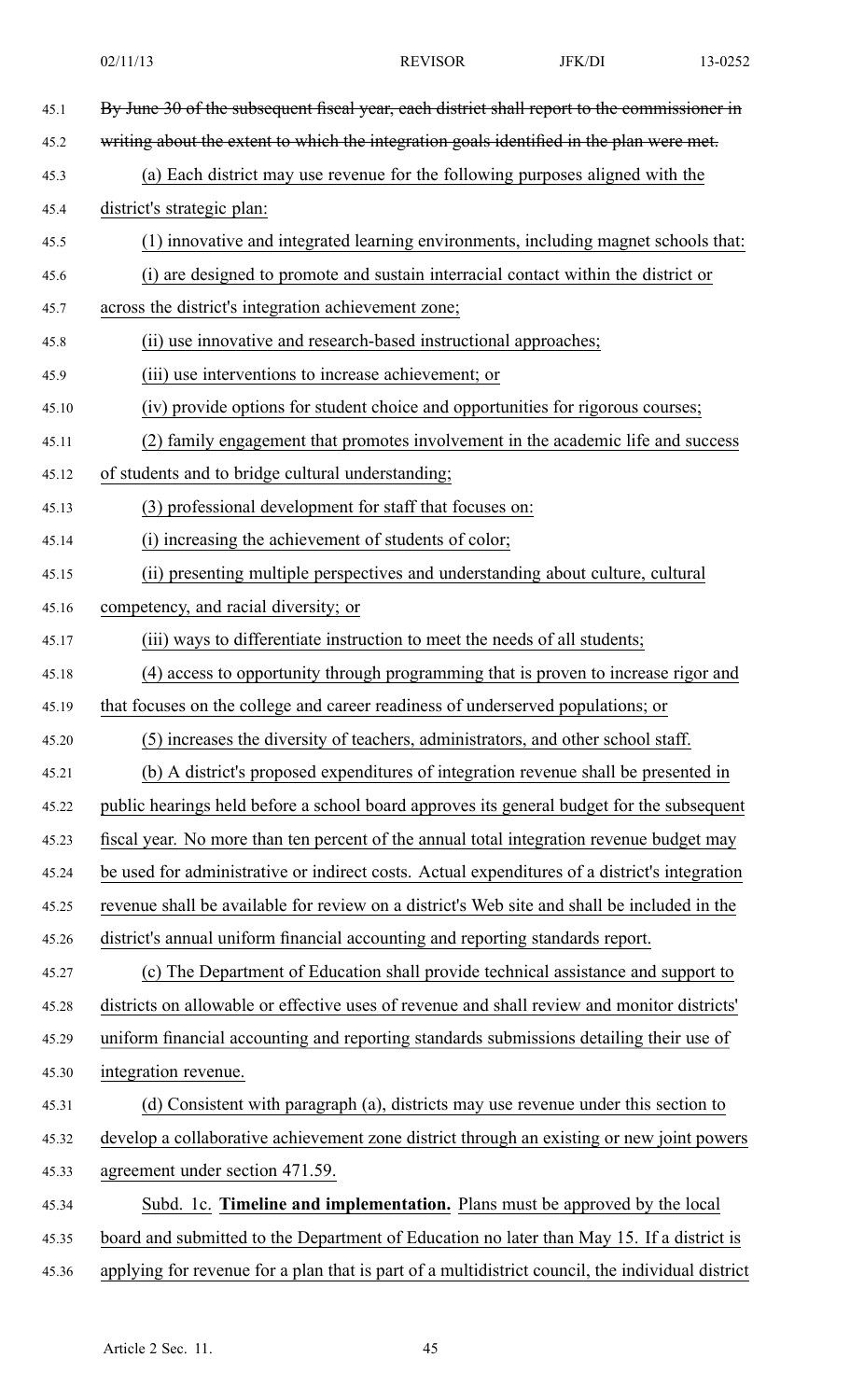| 45.1  | By June 30 of the subsequent fiscal year, each district shall report to the commissioner in      |
|-------|--------------------------------------------------------------------------------------------------|
| 45.2  | writing about the extent to which the integration goals identified in the plan were met.         |
| 45.3  | (a) Each district may use revenue for the following purposes aligned with the                    |
| 45.4  | district's strategic plan:                                                                       |
| 45.5  | (1) innovative and integrated learning environments, including magnet schools that:              |
| 45.6  | (i) are designed to promote and sustain interracial contact within the district or               |
| 45.7  | across the district's integration achievement zone;                                              |
| 45.8  | (ii) use innovative and research-based instructional approaches;                                 |
| 45.9  | (iii) use interventions to increase achievement; or                                              |
| 45.10 | (iv) provide options for student choice and opportunities for rigorous courses;                  |
| 45.11 | (2) family engagement that promotes involvement in the academic life and success                 |
| 45.12 | of students and to bridge cultural understanding;                                                |
| 45.13 | (3) professional development for staff that focuses on:                                          |
| 45.14 | (i) increasing the achievement of students of color;                                             |
| 45.15 | (ii) presenting multiple perspectives and understanding about culture, cultural                  |
| 45.16 | competency, and racial diversity; or                                                             |
| 45.17 | (iii) ways to differentiate instruction to meet the needs of all students;                       |
| 45.18 | (4) access to opportunity through programming that is proven to increase rigor and               |
| 45.19 | that focuses on the college and career readiness of underserved populations; or                  |
| 45.20 | (5) increases the diversity of teachers, administrators, and other school staff.                 |
| 45.21 | (b) A district's proposed expenditures of integration revenue shall be presented in              |
| 45.22 | public hearings held before a school board approves its general budget for the subsequent        |
| 45.23 | fiscal year. No more than ten percent of the annual total integration revenue budget may         |
| 45.24 | be used for administrative or indirect costs. Actual expenditures of a district's integration    |
| 45.25 | revenue shall be available for review on a district's Web site and shall be included in the      |
| 45.26 | district's annual uniform financial accounting and reporting standards report.                   |
| 45.27 | (c) The Department of Education shall provide technical assistance and support to                |
| 45.28 | districts on allowable or effective uses of revenue and shall review and monitor districts'      |
| 45.29 | uniform financial accounting and reporting standards submissions detailing their use of          |
| 45.30 | integration revenue.                                                                             |
| 45.31 | (d) Consistent with paragraph (a), districts may use revenue under this section to               |
| 45.32 | develop a collaborative achievement zone district through an existing or new joint powers        |
| 45.33 | agreement under section 471.59.                                                                  |
| 45.34 | Subd. 1c. Timeline and implementation. Plans must be approved by the local                       |
| 45.35 | board and submitted to the Department of Education no later than May 15. If a district is        |
| 45.36 | applying for revenue for a plan that is part of a multidistrict council, the individual district |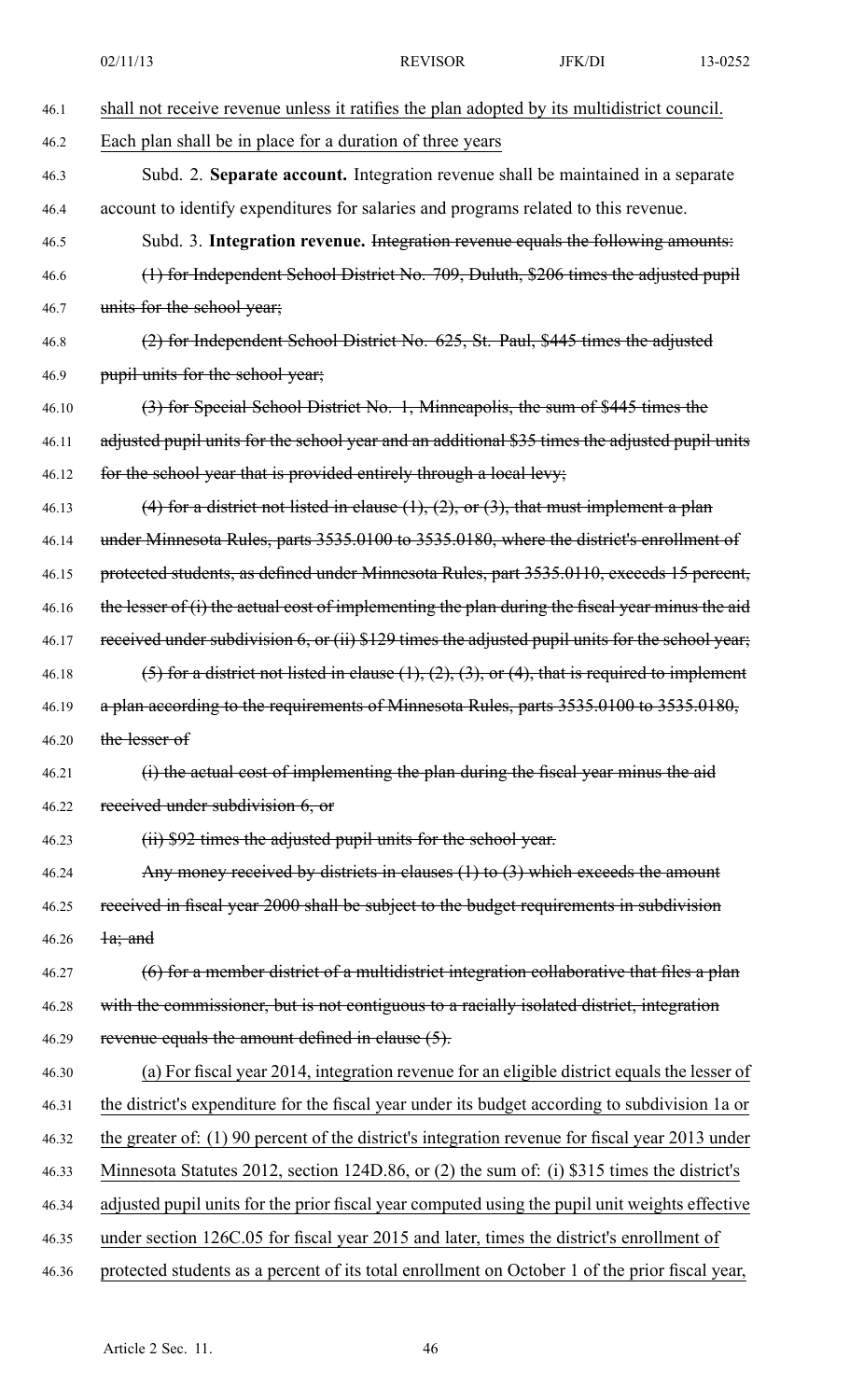|       | 02/11/13                                                                                                 | <b>REVISOR</b>                                                                      | JFK/DI | 13-0252 |  |
|-------|----------------------------------------------------------------------------------------------------------|-------------------------------------------------------------------------------------|--------|---------|--|
| 46.1  | shall not receive revenue unless it ratifies the plan adopted by its multidistrict council.              |                                                                                     |        |         |  |
| 46.2  | Each plan shall be in place for a duration of three years                                                |                                                                                     |        |         |  |
| 46.3  | Subd. 2. Separate account. Integration revenue shall be maintained in a separate                         |                                                                                     |        |         |  |
| 46.4  |                                                                                                          | account to identify expenditures for salaries and programs related to this revenue. |        |         |  |
| 46.5  | Subd. 3. Integration revenue. Integration revenue equals the following amounts:                          |                                                                                     |        |         |  |
| 46.6  | (1) for Independent School District No. 709, Duluth, \$206 times the adjusted pupil                      |                                                                                     |        |         |  |
| 46.7  | units for the school year;                                                                               |                                                                                     |        |         |  |
| 46.8  | (2) for Independent School District No. 625, St. Paul, \$445 times the adjusted                          |                                                                                     |        |         |  |
| 46.9  | pupil units for the school year;                                                                         |                                                                                     |        |         |  |
| 46.10 | (3) for Special School District No. 1, Minneapolis, the sum of \$445 times the                           |                                                                                     |        |         |  |
| 46.11 | adjusted pupil units for the school year and an additional \$35 times the adjusted pupil units           |                                                                                     |        |         |  |
| 46.12 | for the school year that is provided entirely through a local levy;                                      |                                                                                     |        |         |  |
| 46.13 | (4) for a district not listed in clause $(1)$ , $(2)$ , or $(3)$ , that must implement a plan            |                                                                                     |        |         |  |
| 46.14 | under Minnesota Rules, parts 3535.0100 to 3535.0180, where the district's enrollment of                  |                                                                                     |        |         |  |
| 46.15 | protected students, as defined under Minnesota Rules, part 3535.0110, exceeds 15 percent,                |                                                                                     |        |         |  |
| 46.16 | the lesser of (i) the actual cost of implementing the plan during the fiscal year minus the aid          |                                                                                     |        |         |  |
| 46.17 | received under subdivision 6, or (ii) \$129 times the adjusted pupil units for the school year;          |                                                                                     |        |         |  |
| 46.18 | (5) for a district not listed in clause $(1)$ , $(2)$ , $(3)$ , or $(4)$ , that is required to implement |                                                                                     |        |         |  |
| 46.19 | a plan according to the requirements of Minnesota Rules, parts 3535.0100 to 3535.0180,                   |                                                                                     |        |         |  |
| 46.20 | the lesser of                                                                                            |                                                                                     |        |         |  |
| 46.21 | (i) the actual cost of implementing the plan during the fiscal year minus the aid                        |                                                                                     |        |         |  |
| 46.22 | received under subdivision 6, or                                                                         |                                                                                     |        |         |  |
| 46.23 | (ii) \$92 times the adjusted pupil units for the school year.                                            |                                                                                     |        |         |  |
| 46.24 | Any money received by districts in clauses $(1)$ to $(3)$ which exceeds the amount                       |                                                                                     |        |         |  |
| 46.25 | received in fiscal year 2000 shall be subject to the budget requirements in subdivision                  |                                                                                     |        |         |  |
| 46.26 | $\frac{1}{a}$ ; and                                                                                      |                                                                                     |        |         |  |
| 46.27 | $(6)$ for a member district of a multidistrict integration collaborative that files a plan               |                                                                                     |        |         |  |
| 46.28 | with the commissioner, but is not contiguous to a racially isolated district, integration                |                                                                                     |        |         |  |
| 46.29 | revenue equals the amount defined in clause $(5)$ .                                                      |                                                                                     |        |         |  |
| 46.30 | (a) For fiscal year 2014, integration revenue for an eligible district equals the lesser of              |                                                                                     |        |         |  |
| 46.31 | the district's expenditure for the fiscal year under its budget according to subdivision 1a or           |                                                                                     |        |         |  |
| 46.32 | the greater of: $(1)$ 90 percent of the district's integration revenue for fiscal year 2013 under        |                                                                                     |        |         |  |
| 46.33 | Minnesota Statutes 2012, section 124D.86, or (2) the sum of: (i) \$315 times the district's              |                                                                                     |        |         |  |
| 46.34 | adjusted pupil units for the prior fiscal year computed using the pupil unit weights effective           |                                                                                     |        |         |  |
| 46.35 | under section 126C.05 for fiscal year 2015 and later, times the district's enrollment of                 |                                                                                     |        |         |  |
| 46.36 | protected students as a percent of its total enrollment on October 1 of the prior fiscal year,           |                                                                                     |        |         |  |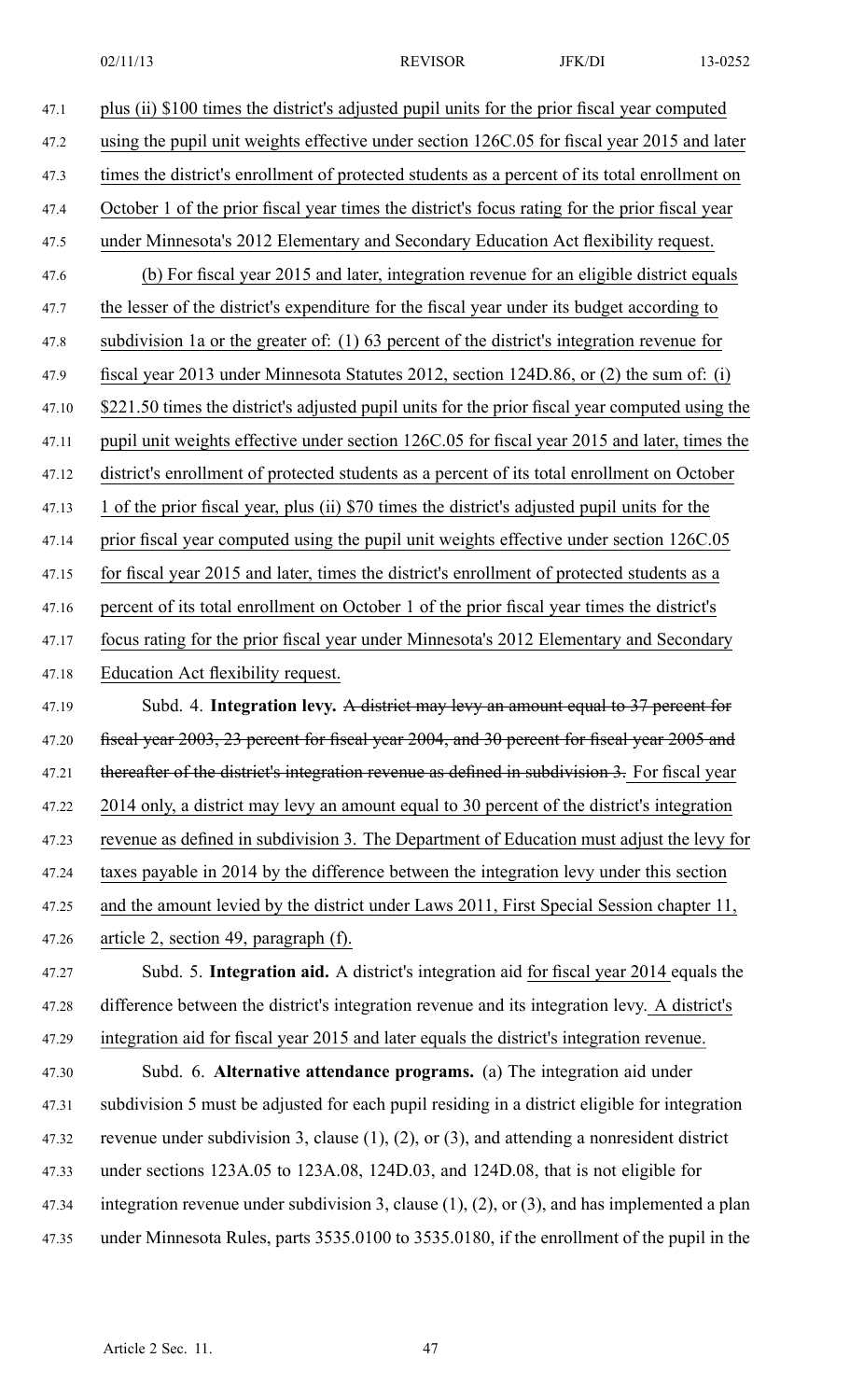47.1 plus (ii) \$100 times the district's adjusted pupil units for the prior fiscal year computed 47.2 using the pupil unit weights effective under section 126C.05 for fiscal year 2015 and later 47.3 times the district's enrollment of protected students as <sup>a</sup> percen<sup>t</sup> of its total enrollment on 47.4 October 1 of the prior fiscal year times the district's focus rating for the prior fiscal year 47.5 under Minnesota's 2012 Elementary and Secondary Education Act flexibility request. 47.6 (b) For fiscal year 2015 and later, integration revenue for an eligible district equals 47.7 the lesser of the district's expenditure for the fiscal year under its budget according to 47.8 subdivision 1a or the greater of: (1) 63 percen<sup>t</sup> of the district's integration revenue for 47.9 fiscal year 2013 under Minnesota Statutes 2012, section 124D.86, or (2) the sum of: (i) 47.10 \$221.50 times the district's adjusted pupil units for the prior fiscal year computed using the 47.11 pupil unit weights effective under section 126C.05 for fiscal year 2015 and later, times the 47.12 district's enrollment of protected students as <sup>a</sup> percen<sup>t</sup> of its total enrollment on October 47.13 1 of the prior fiscal year, plus (ii) \$70 times the district's adjusted pupil units for the 47.14 prior fiscal year computed using the pupil unit weights effective under section 126C.05 47.15 for fiscal year 2015 and later, times the district's enrollment of protected students as <sup>a</sup> 47.16 percen<sup>t</sup> of its total enrollment on October 1 of the prior fiscal year times the district's 47.17 focus rating for the prior fiscal year under Minnesota's 2012 Elementary and Secondary 47.18 Education Act flexibility request. 47.19 Subd. 4. **Integration levy.** A district may levy an amount equal to 37 percen<sup>t</sup> for 47.20 fiscal year 2003, 23 percent for fiscal year 2004, and 30 percent for fiscal year 2005 and 47.21 thereafter of the district's integration revenue as defined in subdivision 3. For fiscal year 47.22 2014 only, <sup>a</sup> district may levy an amount equal to 30 percen<sup>t</sup> of the district's integration 47.23 revenue as defined in subdivision 3. The Department of Education must adjust the levy for 47.24 taxes payable in 2014 by the difference between the integration levy under this section 47.25 and the amount levied by the district under Laws 2011, First Special Session chapter 11, 47.26 article 2, section 49, paragraph (f). 47.27 Subd. 5. **Integration aid.** A district's integration aid for fiscal year 2014 equals the 47.28 difference between the district's integration revenue and its integration levy. A district's 47.29 integration aid for fiscal year 2015 and later equals the district's integration revenue. 47.30 Subd. 6. **Alternative attendance programs.** (a) The integration aid under

47.31 subdivision 5 must be adjusted for each pupil residing in <sup>a</sup> district eligible for integration 47.32 revenue under subdivision 3, clause (1), (2), or (3), and attending <sup>a</sup> nonresident district 47.33 under sections 123A.05 to 123A.08, 124D.03, and 124D.08, that is not eligible for 47.34 integration revenue under subdivision 3, clause (1), (2), or (3), and has implemented <sup>a</sup> plan 47.35 under Minnesota Rules, parts 3535.0100 to 3535.0180, if the enrollment of the pupil in the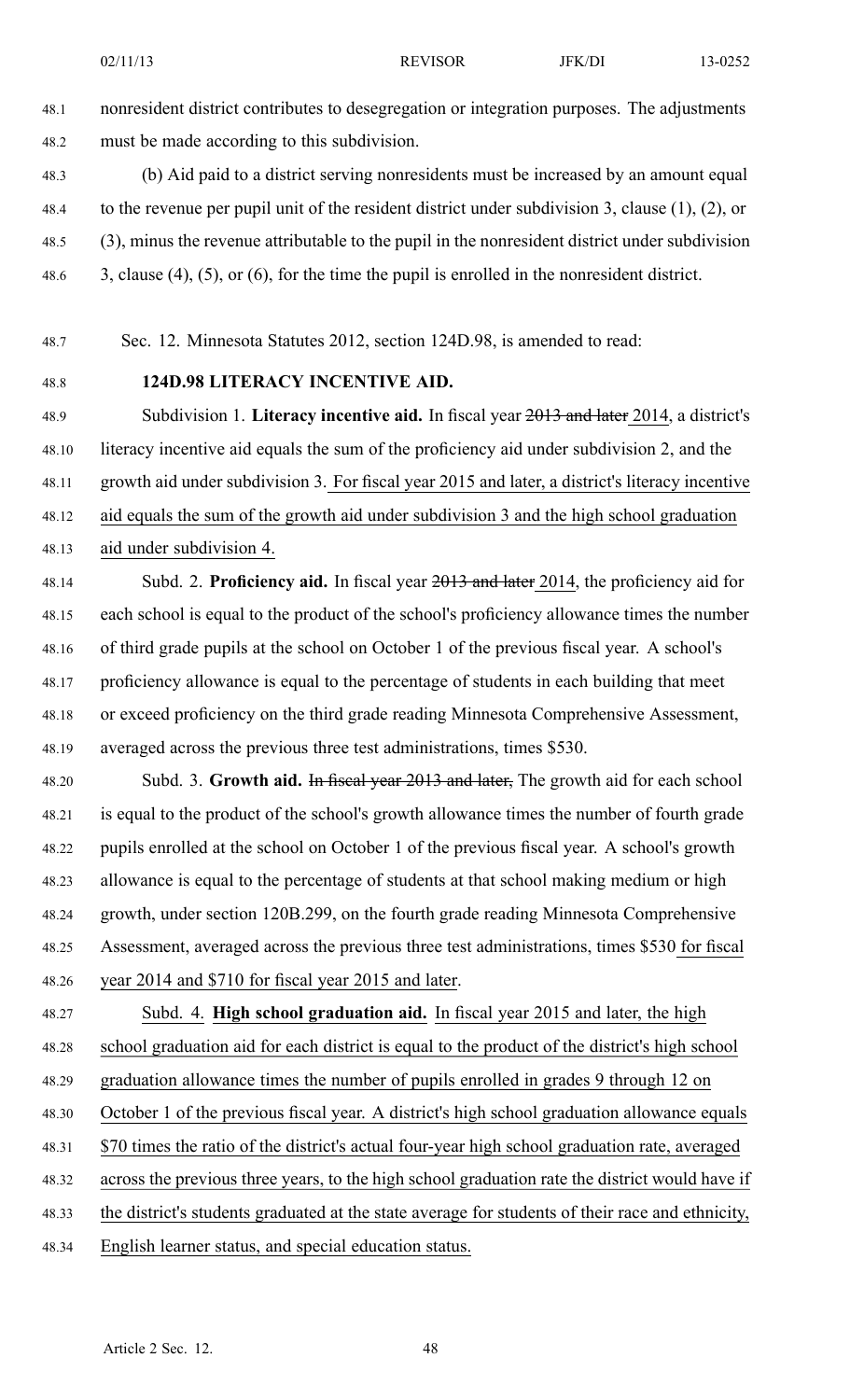48.1 nonresident district contributes to desegregation or integration purposes. The adjustments 48.2 must be made according to this subdivision.

48.3 (b) Aid paid to <sup>a</sup> district serving nonresidents must be increased by an amount equal 48.4 to the revenue per pupil unit of the resident district under subdivision 3, clause (1), (2), or 48.5 (3), minus the revenue attributable to the pupil in the nonresident district under subdivision 48.6 3, clause (4), (5), or (6), for the time the pupil is enrolled in the nonresident district.

48.7 Sec. 12. Minnesota Statutes 2012, section 124D.98, is amended to read:

## 48.8 **124D.98 LITERACY INCENTIVE AID.**

48.9 Subdivision 1. **Literacy incentive aid.** In fiscal year 2013 and later 2014, <sup>a</sup> district's 48.10 literacy incentive aid equals the sum of the proficiency aid under subdivision 2, and the 48.11 growth aid under subdivision 3. For fiscal year 2015 and later, <sup>a</sup> district's literacy incentive 48.12 aid equals the sum of the growth aid under subdivision 3 and the high school graduation 48.13 aid under subdivision 4.

48.14 Subd. 2. **Proficiency aid.** In fiscal year 2013 and later 2014, the proficiency aid for 48.15 each school is equal to the product of the school's proficiency allowance times the number 48.16 of third grade pupils at the school on October 1 of the previous fiscal year. A school's 48.17 proficiency allowance is equal to the percentage of students in each building that meet 48.18 or exceed proficiency on the third grade reading Minnesota Comprehensive Assessment, 48.19 averaged across the previous three test administrations, times \$530.

48.20 Subd. 3. **Growth aid.** In fiscal year 2013 and later, The growth aid for each school 48.21 is equal to the product of the school's growth allowance times the number of fourth grade 48.22 pupils enrolled at the school on October 1 of the previous fiscal year. A school's growth 48.23 allowance is equal to the percentage of students at that school making medium or high 48.24 growth, under section 120B.299, on the fourth grade reading Minnesota Comprehensive 48.25 Assessment, averaged across the previous three test administrations, times \$530 for fiscal 48.26 year 2014 and \$710 for fiscal year 2015 and later.

48.27 Subd. 4. **High school graduation aid.** In fiscal year 2015 and later, the high 48.28 school graduation aid for each district is equal to the product of the district's high school

48.29 graduation allowance times the number of pupils enrolled in grades 9 through 12 on

- 48.30 October 1 of the previous fiscal year. A district's high school graduation allowance equals
- 48.31 \$70 times the ratio of the district's actual four-year high school graduation rate, averaged

48.32 across the previous three years, to the high school graduation rate the district would have if

- 48.33 the district's students graduated at the state average for students of their race and ethnicity,
- 48.34 English learner status, and special education status.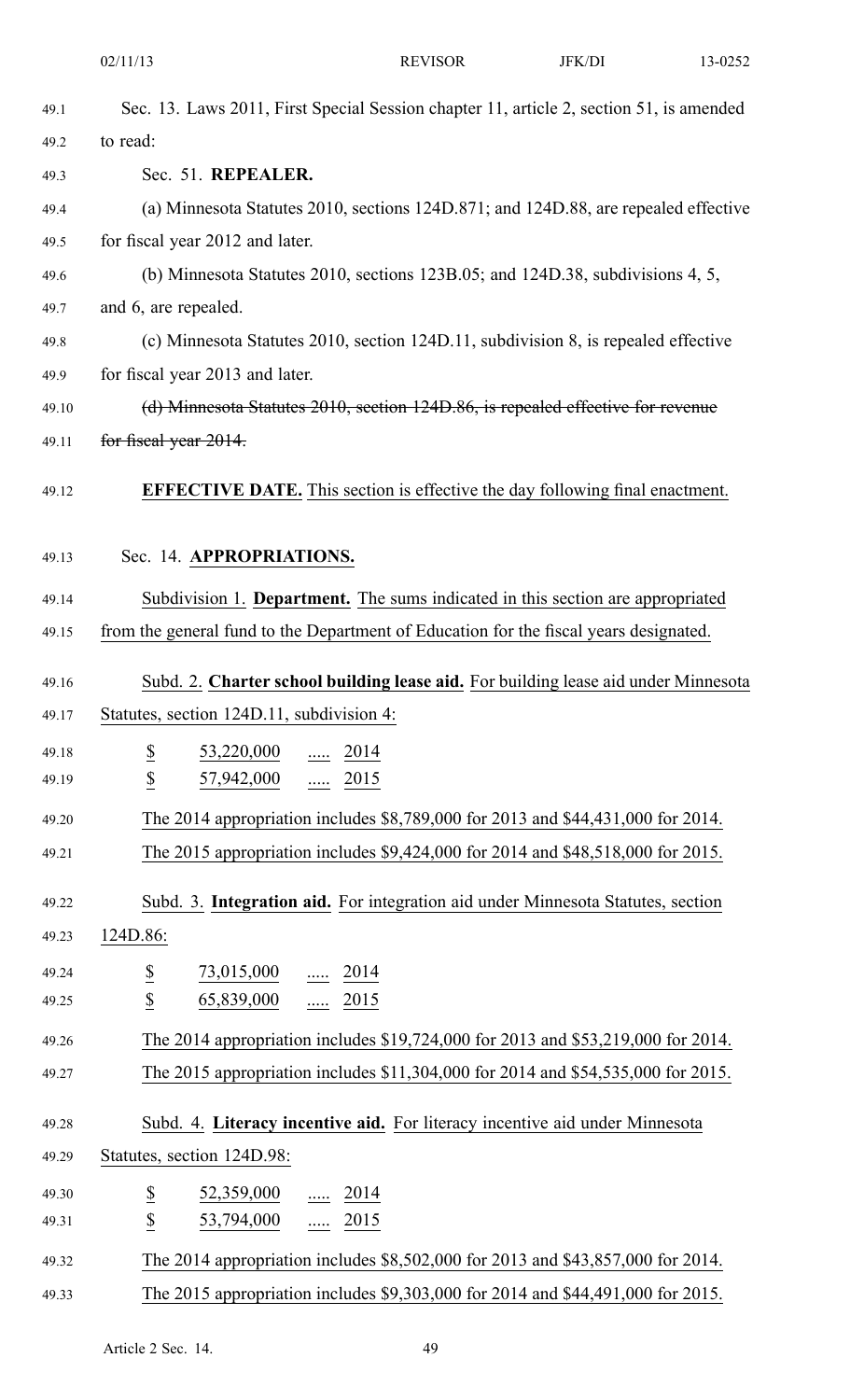|       | 02/11/13                                                                                | <b>REVISOR</b>                                                                       | JFK/DI | 13-0252 |
|-------|-----------------------------------------------------------------------------------------|--------------------------------------------------------------------------------------|--------|---------|
| 49.1  | Sec. 13. Laws 2011, First Special Session chapter 11, article 2, section 51, is amended |                                                                                      |        |         |
| 49.2  | to read:                                                                                |                                                                                      |        |         |
| 49.3  | Sec. 51. REPEALER.                                                                      |                                                                                      |        |         |
| 49.4  |                                                                                         | (a) Minnesota Statutes 2010, sections 124D.871; and 124D.88, are repealed effective  |        |         |
| 49.5  | for fiscal year 2012 and later.                                                         |                                                                                      |        |         |
| 49.6  |                                                                                         | (b) Minnesota Statutes 2010, sections $123B.05$ ; and $124D.38$ , subdivisions 4, 5, |        |         |
| 49.7  | and 6, are repealed.                                                                    |                                                                                      |        |         |
| 49.8  |                                                                                         | (c) Minnesota Statutes 2010, section 124D.11, subdivision 8, is repealed effective   |        |         |
| 49.9  | for fiscal year 2013 and later.                                                         |                                                                                      |        |         |
| 49.10 |                                                                                         | (d) Minnesota Statutes 2010, section 124D.86, is repealed effective for revenue      |        |         |
| 49.11 | for fiscal year 2014.                                                                   |                                                                                      |        |         |
| 49.12 |                                                                                         | <b>EFFECTIVE DATE.</b> This section is effective the day following final enactment.  |        |         |
| 49.13 | Sec. 14. APPROPRIATIONS.                                                                |                                                                                      |        |         |
| 49.14 |                                                                                         | Subdivision 1. Department. The sums indicated in this section are appropriated       |        |         |
| 49.15 | from the general fund to the Department of Education for the fiscal years designated.   |                                                                                      |        |         |
| 49.16 |                                                                                         | Subd. 2. Charter school building lease aid. For building lease aid under Minnesota   |        |         |
| 49.17 | Statutes, section 124D.11, subdivision 4:                                               |                                                                                      |        |         |
| 49.18 | $\underline{\$}$<br>$\frac{53,220,000}{\ldots}$ $\frac{2014}{\ldots}$                   |                                                                                      |        |         |
| 49.19 | $\underline{\$}$<br>$\frac{57,942,000}{\ldots}$ $\frac{2015}{\ldots}$                   |                                                                                      |        |         |
| 49.20 |                                                                                         | The 2014 appropriation includes \$8,789,000 for 2013 and \$44,431,000 for 2014.      |        |         |
| 49.21 |                                                                                         | The 2015 appropriation includes \$9,424,000 for 2014 and \$48,518,000 for 2015.      |        |         |
| 49.22 |                                                                                         | Subd. 3. Integration aid. For integration aid under Minnesota Statutes, section      |        |         |
| 49.23 | 124D.86:                                                                                |                                                                                      |        |         |
| 49.24 | $\overline{\mathcal{E}}$<br>$\frac{73,015,000}{}$ 2014                                  |                                                                                      |        |         |
| 49.25 | $\underline{\mathbb{S}}$<br>$65,839,000$ 2015                                           |                                                                                      |        |         |
| 49.26 |                                                                                         | The 2014 appropriation includes \$19,724,000 for 2013 and \$53,219,000 for 2014.     |        |         |
| 49.27 |                                                                                         | The 2015 appropriation includes \$11,304,000 for 2014 and \$54,535,000 for 2015.     |        |         |
| 49.28 |                                                                                         | Subd. 4. Literacy incentive aid. For literacy incentive aid under Minnesota          |        |         |
| 49.29 | Statutes, section 124D.98:                                                              |                                                                                      |        |         |
| 49.30 | $\overline{\mathcal{E}}$<br>$\underline{52,359,000}$ 2014                               |                                                                                      |        |         |
| 49.31 | $\boldsymbol{\mathsf{S}}$<br>$\frac{53,794,000}{\ldots}$ $\frac{2015}{\ldots}$          |                                                                                      |        |         |
| 49.32 |                                                                                         | The 2014 appropriation includes \$8,502,000 for 2013 and \$43,857,000 for 2014.      |        |         |
| 49.33 |                                                                                         | The 2015 appropriation includes \$9,303,000 for 2014 and \$44,491,000 for 2015.      |        |         |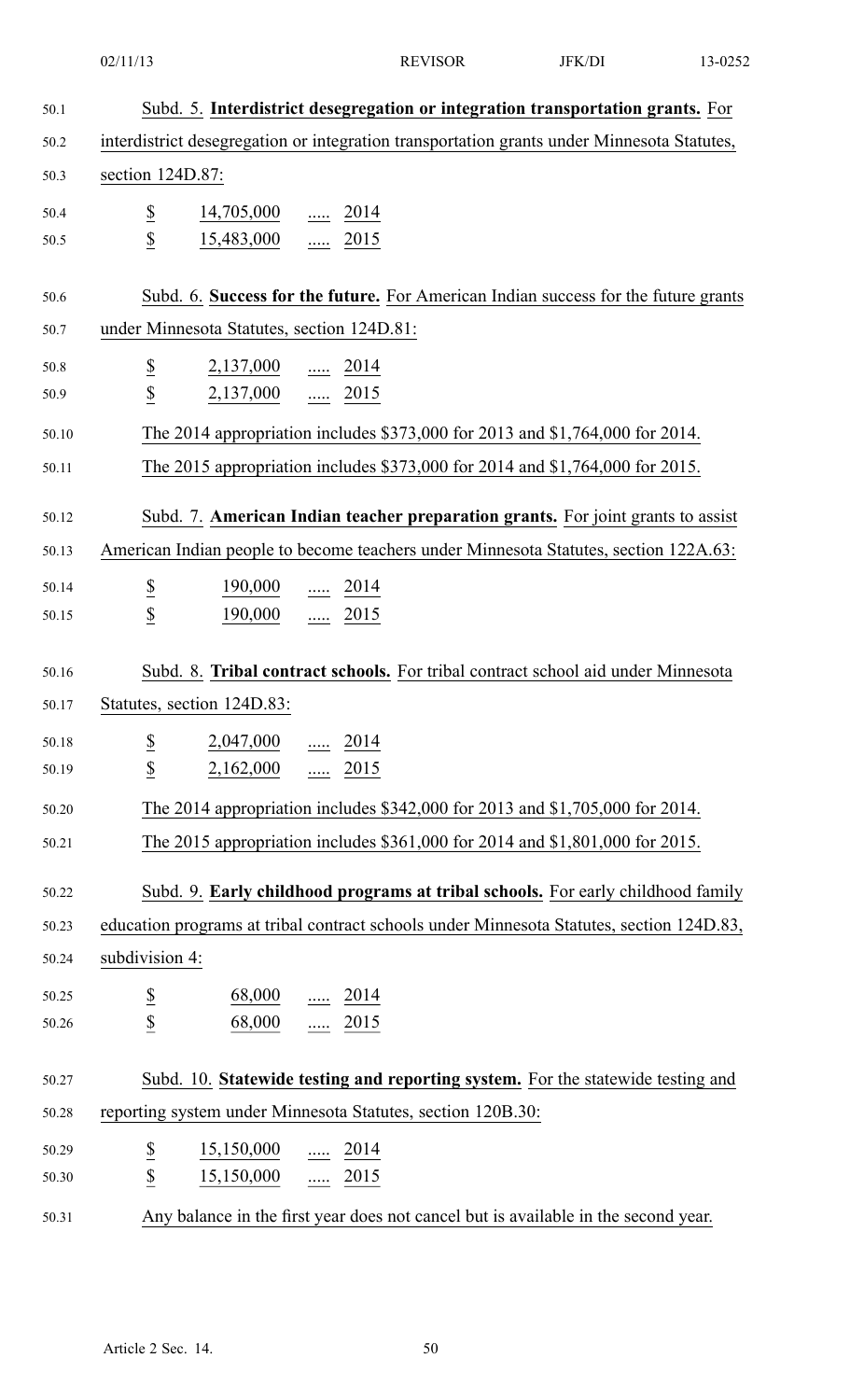| 50.1  | Subd. 5. Interdistrict desegregation or integration transportation grants. For             |  |  |  |  |
|-------|--------------------------------------------------------------------------------------------|--|--|--|--|
| 50.2  | interdistrict desegregation or integration transportation grants under Minnesota Statutes, |  |  |  |  |
| 50.3  | section 124D.87:                                                                           |  |  |  |  |
| 50.4  | $\frac{14,705,000}{}$ 2014                                                                 |  |  |  |  |
| 50.5  | $rac{S}{S}$<br>$15,483,000$ 2015                                                           |  |  |  |  |
|       |                                                                                            |  |  |  |  |
| 50.6  | Subd. 6. Success for the future. For American Indian success for the future grants         |  |  |  |  |
| 50.7  | under Minnesota Statutes, section 124D.81:                                                 |  |  |  |  |
| 50.8  | $\underline{\$}$<br>$2,137,000$ 2014<br>$\overline{2}$<br>$2,137,000$ 2015                 |  |  |  |  |
| 50.9  |                                                                                            |  |  |  |  |
| 50.10 | The 2014 appropriation includes \$373,000 for 2013 and \$1,764,000 for 2014.               |  |  |  |  |
| 50.11 | The 2015 appropriation includes \$373,000 for 2014 and \$1,764,000 for 2015.               |  |  |  |  |
| 50.12 | Subd. 7. American Indian teacher preparation grants. For joint grants to assist            |  |  |  |  |
| 50.13 | American Indian people to become teachers under Minnesota Statutes, section 122A.63:       |  |  |  |  |
| 50.14 | 190,000<br>$\frac{1.0014}{2.014}$                                                          |  |  |  |  |
| 50.15 | $rac{S}{S}$<br>190,000  2015                                                               |  |  |  |  |
|       |                                                                                            |  |  |  |  |
| 50.16 | Subd. 8. Tribal contract schools. For tribal contract school aid under Minnesota           |  |  |  |  |
| 50.17 | Statutes, section 124D.83:                                                                 |  |  |  |  |
| 50.18 | $2,047,000$ 2014                                                                           |  |  |  |  |
| 50.19 | $rac{S}{S}$<br>$2,162,000$ 2015                                                            |  |  |  |  |
| 50.20 | The 2014 appropriation includes \$342,000 for 2013 and \$1,705,000 for 2014.               |  |  |  |  |
| 50.21 | The 2015 appropriation includes \$361,000 for 2014 and \$1,801,000 for 2015.               |  |  |  |  |
|       |                                                                                            |  |  |  |  |
| 50.22 | Subd. 9. Early childhood programs at tribal schools. For early childhood family            |  |  |  |  |
| 50.23 | education programs at tribal contract schools under Minnesota Statutes, section 124D.83,   |  |  |  |  |
| 50.24 | subdivision 4:                                                                             |  |  |  |  |
| 50.25 | $rac{S}{\sqrt{2}}$<br>$\underline{68,000}$ 2014                                            |  |  |  |  |
| 50.26 | $68,000$ 2015                                                                              |  |  |  |  |
| 50.27 | Subd. 10. Statewide testing and reporting system. For the statewide testing and            |  |  |  |  |
| 50.28 | reporting system under Minnesota Statutes, section 120B.30:                                |  |  |  |  |
| 50.29 | $\overline{\partial}$<br>$\frac{15,150,000}{\ldots}$ $\frac{2014}{\ldots}$                 |  |  |  |  |
| 50.30 | $\overline{\mathcal{E}}$<br>$15,150,000$ 2015                                              |  |  |  |  |
| 50.31 | Any balance in the first year does not cancel but is available in the second year.         |  |  |  |  |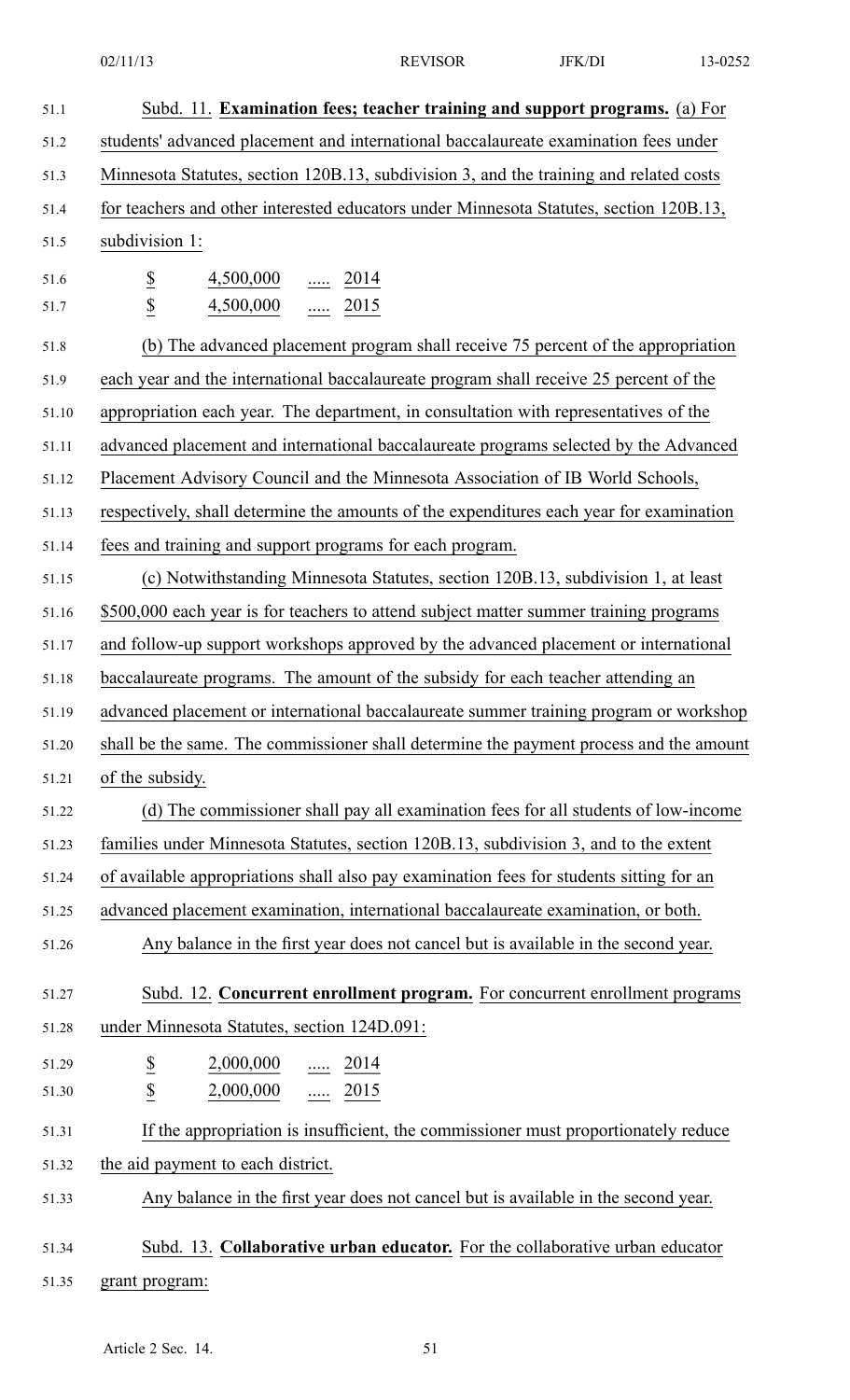| 51.1  | Subd. 11. Examination fees; teacher training and support programs. (a) For              |
|-------|-----------------------------------------------------------------------------------------|
| 51.2  | students' advanced placement and international baccalaureate examination fees under     |
| 51.3  | Minnesota Statutes, section 120B.13, subdivision 3, and the training and related costs  |
| 51.4  | for teachers and other interested educators under Minnesota Statutes, section 120B.13,  |
| 51.5  | subdivision 1:                                                                          |
| 51.6  | $\underline{\$}$<br>4,500,000<br>$\underline{\cdots}$ 2014                              |
| 51.7  | $\underline{\mathbb{S}}$<br>$\frac{1}{2015}$<br>4,500,000                               |
| 51.8  | (b) The advanced placement program shall receive 75 percent of the appropriation        |
| 51.9  | each year and the international baccalaureate program shall receive 25 percent of the   |
| 51.10 | appropriation each year. The department, in consultation with representatives of the    |
| 51.11 | advanced placement and international baccalaureate programs selected by the Advanced    |
| 51.12 | Placement Advisory Council and the Minnesota Association of IB World Schools,           |
| 51.13 | respectively, shall determine the amounts of the expenditures each year for examination |
| 51.14 | fees and training and support programs for each program.                                |
| 51.15 | (c) Notwithstanding Minnesota Statutes, section 120B.13, subdivision 1, at least        |
| 51.16 | \$500,000 each year is for teachers to attend subject matter summer training programs   |
| 51.17 | and follow-up support workshops approved by the advanced placement or international     |
| 51.18 | baccalaureate programs. The amount of the subsidy for each teacher attending an         |
| 51.19 | advanced placement or international baccalaureate summer training program or workshop   |
| 51.20 | shall be the same. The commissioner shall determine the payment process and the amount  |
| 51.21 | of the subsidy.                                                                         |
| 51.22 | (d) The commissioner shall pay all examination fees for all students of low-income      |
| 51.23 | families under Minnesota Statutes, section 120B.13, subdivision 3, and to the extent    |
| 51.24 | of available appropriations shall also pay examination fees for students sitting for an |
| 51.25 | advanced placement examination, international baccalaureate examination, or both.       |
| 51.26 | Any balance in the first year does not cancel but is available in the second year.      |
| 51.27 | Subd. 12. Concurrent enrollment program. For concurrent enrollment programs             |
| 51.28 | under Minnesota Statutes, section 124D.091:                                             |
| 51.29 | $\overline{\mathbf{z}}$<br>2,000,000<br>$\frac{1}{2014}$                                |
| 51.30 | $\underline{\$}$<br>$2,000,000$ 2015                                                    |
| 51.31 | If the appropriation is insufficient, the commissioner must proportionately reduce      |
| 51.32 | the aid payment to each district.                                                       |
| 51.33 | Any balance in the first year does not cancel but is available in the second year.      |
| 51.34 | Subd. 13. Collaborative urban educator. For the collaborative urban educator            |
| 51.35 | grant program:                                                                          |
|       |                                                                                         |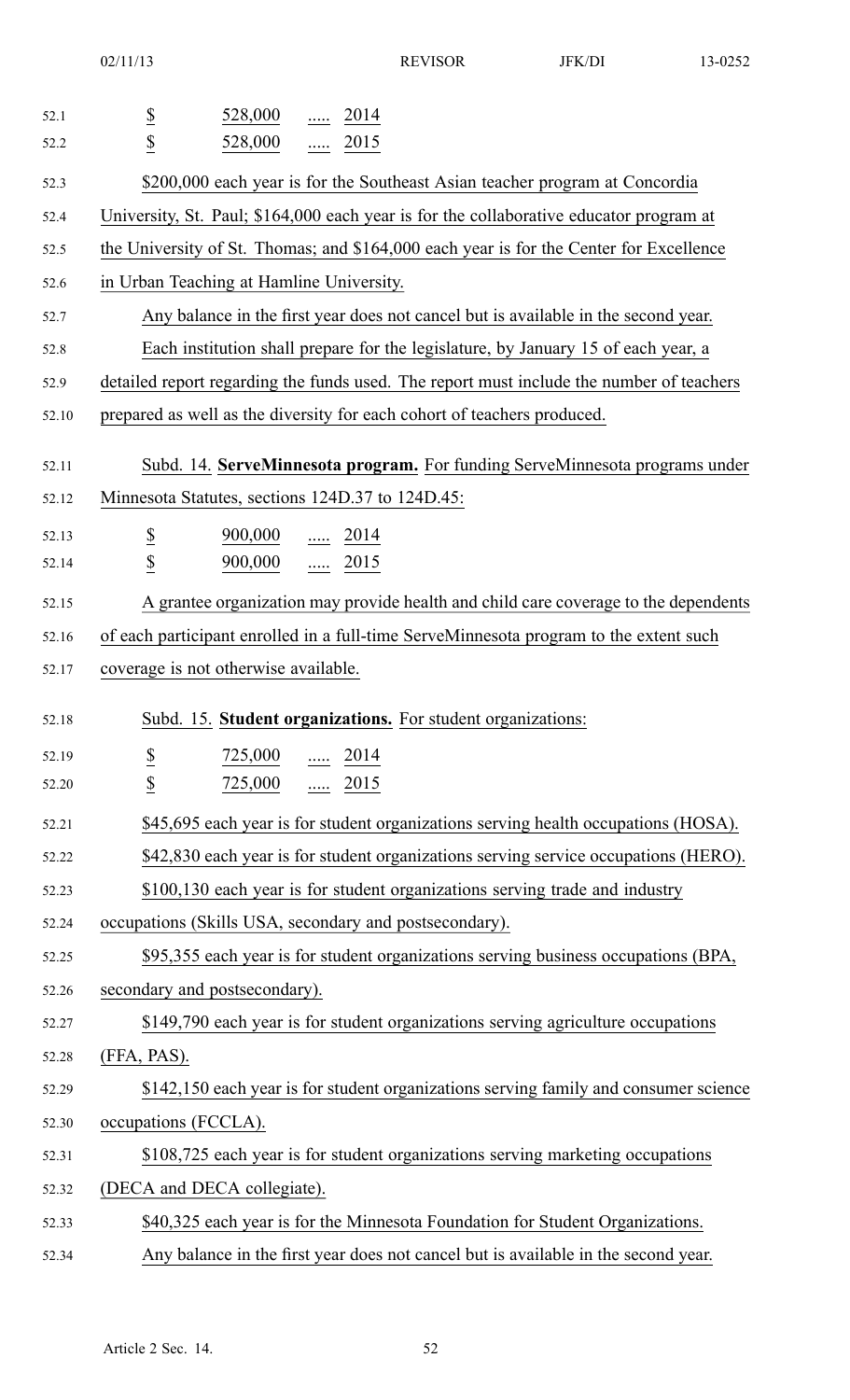02/11/13 REVISOR JFK/DI 13-0252

| 52.1  | 528,000<br>$\ldots$ 2014                                                                 |
|-------|------------------------------------------------------------------------------------------|
| 52.2  | $rac{S}{S}$<br>528,000<br>$\ldots$ 2015                                                  |
| 52.3  | \$200,000 each year is for the Southeast Asian teacher program at Concordia              |
| 52.4  | University, St. Paul; \$164,000 each year is for the collaborative educator program at   |
| 52.5  | the University of St. Thomas; and \$164,000 each year is for the Center for Excellence   |
| 52.6  | in Urban Teaching at Hamline University.                                                 |
| 52.7  | Any balance in the first year does not cancel but is available in the second year.       |
| 52.8  | Each institution shall prepare for the legislature, by January 15 of each year, a        |
| 52.9  | detailed report regarding the funds used. The report must include the number of teachers |
| 52.10 | prepared as well as the diversity for each cohort of teachers produced.                  |
| 52.11 | Subd. 14. ServeMinnesota program. For funding ServeMinnesota programs under              |
| 52.12 | Minnesota Statutes, sections 124D.37 to 124D.45:                                         |
| 52.13 | $\overline{\mathcal{E}}$<br>$\frac{900,000}{}$ 2014                                      |
| 52.14 | $\underline{\mathbb{S}}$<br>$rac{1}{2015}$<br>900,000                                    |
| 52.15 | A grantee organization may provide health and child care coverage to the dependents      |
| 52.16 | of each participant enrolled in a full-time ServeMinnesota program to the extent such    |
| 52.17 | coverage is not otherwise available.                                                     |
| 52.18 | Subd. 15. Student organizations. For student organizations:                              |
| 52.19 | $\overline{\mathbf{z}}$<br>$\frac{725,000}{\cdots}$ 2014                                 |
| 52.20 | $\underline{\$}$<br>$\frac{725,000}{}$ 2015                                              |
| 52.21 | \$45,695 each year is for student organizations serving health occupations (HOSA).       |
| 52.22 | \$42,830 each year is for student organizations serving service occupations (HERO).      |
| 52.23 | \$100,130 each year is for student organizations serving trade and industry              |
| 52.24 | occupations (Skills USA, secondary and postsecondary).                                   |
| 52.25 | \$95,355 each year is for student organizations serving business occupations (BPA,       |
| 52.26 | secondary and postsecondary).                                                            |
| 52.27 | \$149,790 each year is for student organizations serving agriculture occupations         |
| 52.28 | (FFA, PAS).                                                                              |
| 52.29 | \$142,150 each year is for student organizations serving family and consumer science     |
| 52.30 | occupations (FCCLA).                                                                     |
| 52.31 | \$108,725 each year is for student organizations serving marketing occupations           |
| 52.32 | (DECA and DECA collegiate).                                                              |
| 52.33 | \$40,325 each year is for the Minnesota Foundation for Student Organizations.            |
| 52.34 | Any balance in the first year does not cancel but is available in the second year.       |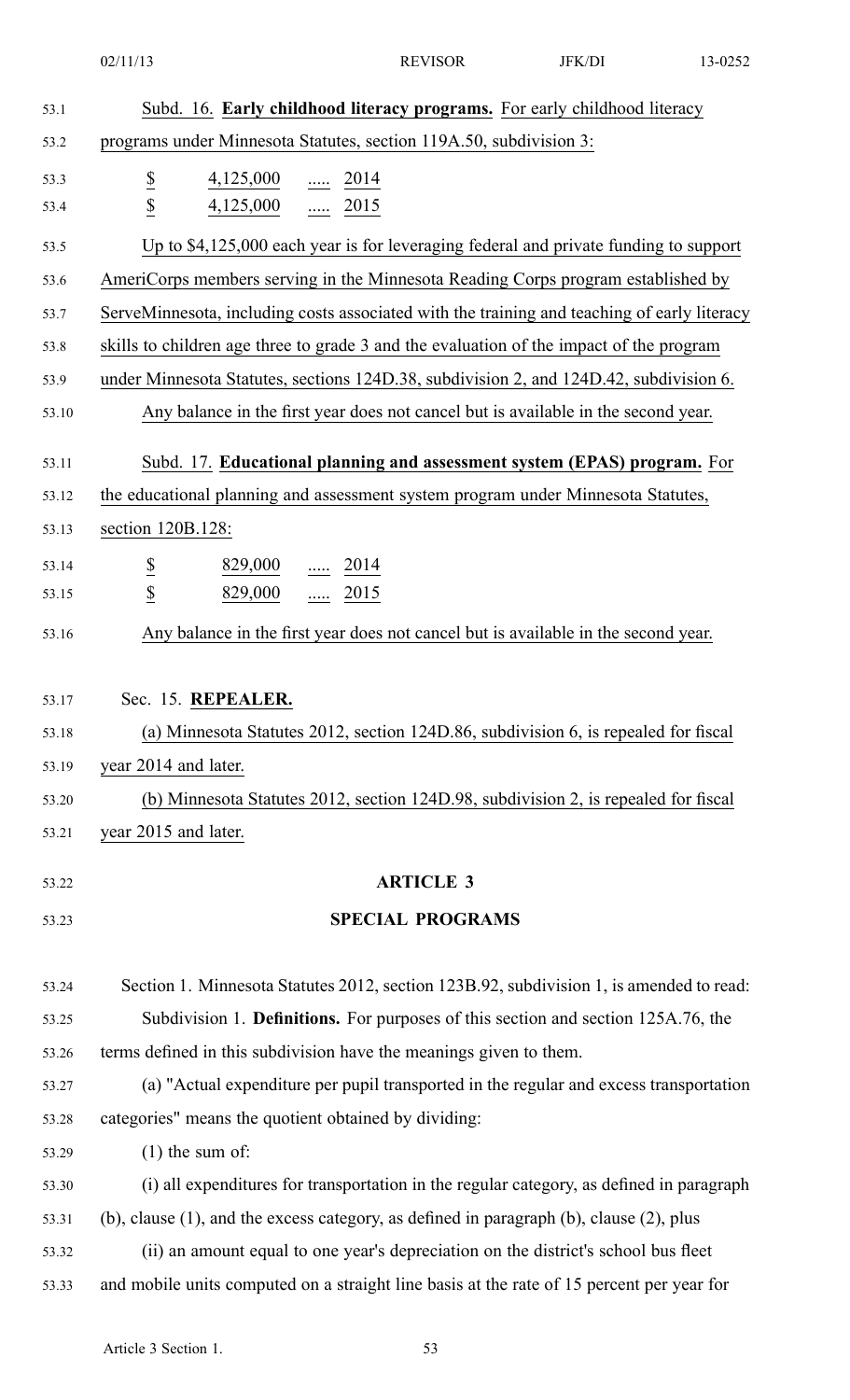02/11/13 REVISOR JFK/DI 13-0252

| 53.1  | Subd. 16. Early childhood literacy programs. For early childhood literacy                        |
|-------|--------------------------------------------------------------------------------------------------|
| 53.2  | programs under Minnesota Statutes, section 119A.50, subdivision 3:                               |
| 53.3  | $\underline{\$}$<br>4,125,000<br>$rac{1}{2014}$                                                  |
| 53.4  | $\overline{2}$<br>$4,125,000$ 2015                                                               |
| 53.5  | Up to \$4,125,000 each year is for leveraging federal and private funding to support             |
| 53.6  | AmeriCorps members serving in the Minnesota Reading Corps program established by                 |
| 53.7  | ServeMinnesota, including costs associated with the training and teaching of early literacy      |
| 53.8  | skills to children age three to grade 3 and the evaluation of the impact of the program          |
| 53.9  | under Minnesota Statutes, sections 124D.38, subdivision 2, and 124D.42, subdivision 6.           |
| 53.10 | Any balance in the first year does not cancel but is available in the second year.               |
| 53.11 | Subd. 17. Educational planning and assessment system (EPAS) program. For                         |
| 53.12 | the educational planning and assessment system program under Minnesota Statutes,                 |
| 53.13 | section 120B.128:                                                                                |
| 53.14 | $\overline{\mathcal{E}}$<br>$\frac{829,000}{}$ 2014                                              |
| 53.15 | $\overline{2}$<br>829,000<br>$\frac{1.0015}{2.015}$                                              |
| 53.16 | Any balance in the first year does not cancel but is available in the second year.               |
|       |                                                                                                  |
| 53.17 | Sec. 15. REPEALER.                                                                               |
| 53.18 | (a) Minnesota Statutes 2012, section 124D.86, subdivision 6, is repealed for fiscal              |
| 53.19 | year 2014 and later.                                                                             |
| 53.20 | (b) Minnesota Statutes 2012, section 124D.98, subdivision 2, is repealed for fiscal              |
| 53.21 | year 2015 and later.                                                                             |
| 53.22 | <b>ARTICLE 3</b>                                                                                 |
| 53.23 | <b>SPECIAL PROGRAMS</b>                                                                          |
|       |                                                                                                  |
| 53.24 | Section 1. Minnesota Statutes 2012, section 123B.92, subdivision 1, is amended to read:          |
| 53.25 | Subdivision 1. Definitions. For purposes of this section and section 125A.76, the                |
| 53.26 | terms defined in this subdivision have the meanings given to them.                               |
| 53.27 | (a) "Actual expenditure per pupil transported in the regular and excess transportation           |
| 53.28 | categories" means the quotient obtained by dividing:                                             |
| 53.29 | $(1)$ the sum of:                                                                                |
| 53.30 | (i) all expenditures for transportation in the regular category, as defined in paragraph         |
| 53.31 | (b), clause $(1)$ , and the excess category, as defined in paragraph $(b)$ , clause $(2)$ , plus |
| 53.32 | (ii) an amount equal to one year's depreciation on the district's school bus fleet               |
| 53.33 | and mobile units computed on a straight line basis at the rate of 15 percent per year for        |
|       |                                                                                                  |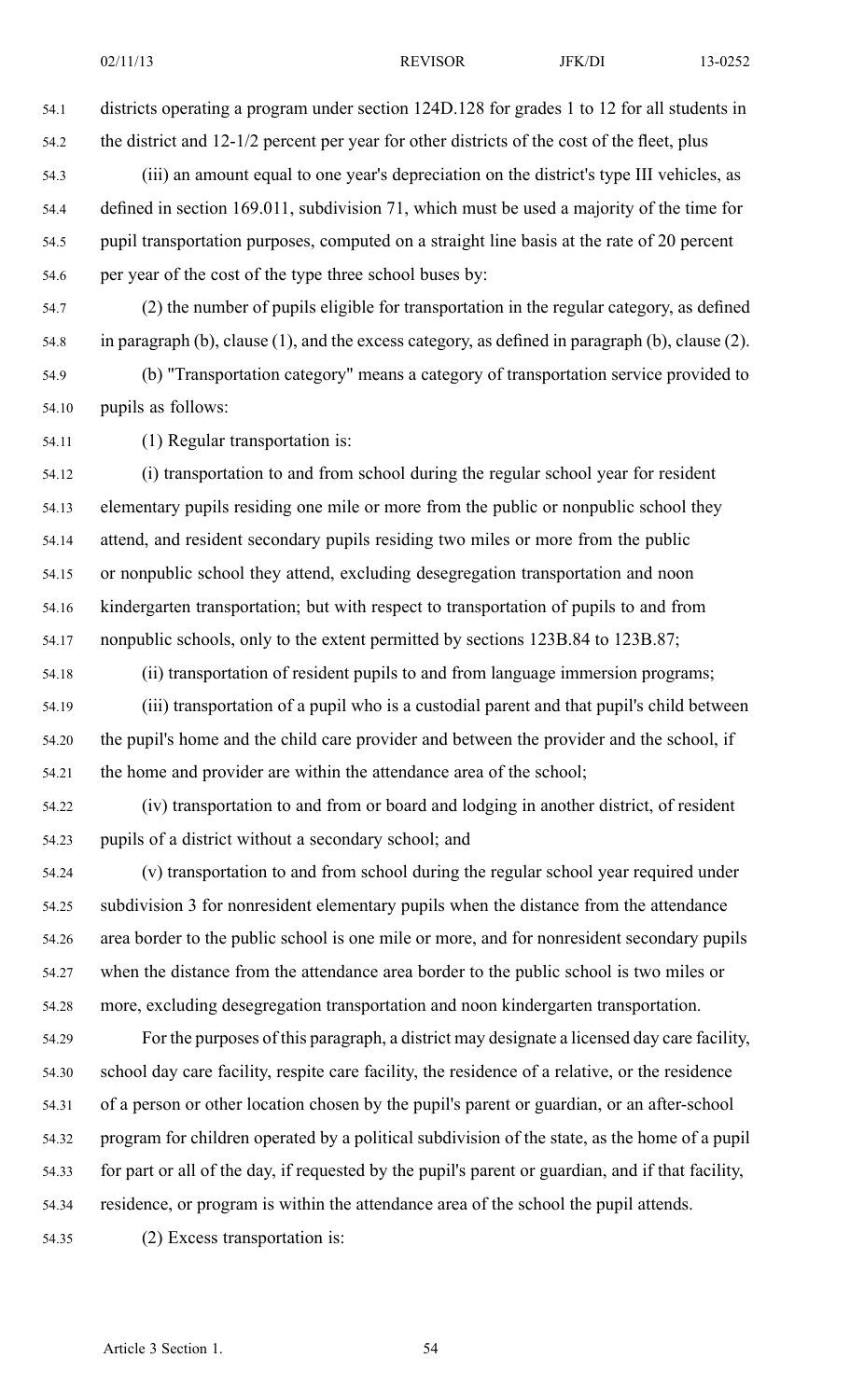54.1 districts operating <sup>a</sup> program under section 124D.128 for grades 1 to 12 for all students in 54.2 the district and 12-1/2 percen<sup>t</sup> per year for other districts of the cost of the fleet, plus 54.3 (iii) an amount equal to one year's depreciation on the district's type III vehicles, as

- 54.4 defined in section 169.011, subdivision 71, which must be used <sup>a</sup> majority of the time for 54.5 pupil transportation purposes, computed on <sup>a</sup> straight line basis at the rate of 20 percen<sup>t</sup> 54.6 per year of the cost of the type three school buses by:
- 54.7 (2) the number of pupils eligible for transportation in the regular category, as defined 54.8 in paragraph (b), clause (1), and the excess category, as defined in paragraph (b), clause (2).
- 54.9 (b) "Transportation category" means <sup>a</sup> category of transportation service provided to 54.10 pupils as follows:
- 54.11 (1) Regular transportation is:

54.12 (i) transportation to and from school during the regular school year for resident 54.13 elementary pupils residing one mile or more from the public or nonpublic school they 54.14 attend, and resident secondary pupils residing two miles or more from the public 54.15 or nonpublic school they attend, excluding desegregation transportation and noon 54.16 kindergarten transportation; but with respec<sup>t</sup> to transportation of pupils to and from 54.17 nonpublic schools, only to the extent permitted by sections 123B.84 to 123B.87;

54.18 (ii) transportation of resident pupils to and from language immersion programs; 54.19 (iii) transportation of <sup>a</sup> pupil who is <sup>a</sup> custodial paren<sup>t</sup> and that pupil's child between 54.20 the pupil's home and the child care provider and between the provider and the school, if 54.21 the home and provider are within the attendance area of the school;

54.22 (iv) transportation to and from or board and lodging in another district, of resident 54.23 pupils of <sup>a</sup> district without <sup>a</sup> secondary school; and

54.24 (v) transportation to and from school during the regular school year required under 54.25 subdivision 3 for nonresident elementary pupils when the distance from the attendance 54.26 area border to the public school is one mile or more, and for nonresident secondary pupils 54.27 when the distance from the attendance area border to the public school is two miles or 54.28 more, excluding desegregation transportation and noon kindergarten transportation.

54.29 For the purposes of this paragraph, <sup>a</sup> district may designate <sup>a</sup> licensed day care facility, 54.30 school day care facility, respite care facility, the residence of <sup>a</sup> relative, or the residence 54.31 of <sup>a</sup> person or other location chosen by the pupil's paren<sup>t</sup> or guardian, or an after-school 54.32 program for children operated by <sup>a</sup> political subdivision of the state, as the home of <sup>a</sup> pupil 54.33 for par<sup>t</sup> or all of the day, if requested by the pupil's paren<sup>t</sup> or guardian, and if that facility, 54.34 residence, or program is within the attendance area of the school the pupil attends.

54.35 (2) Excess transportation is: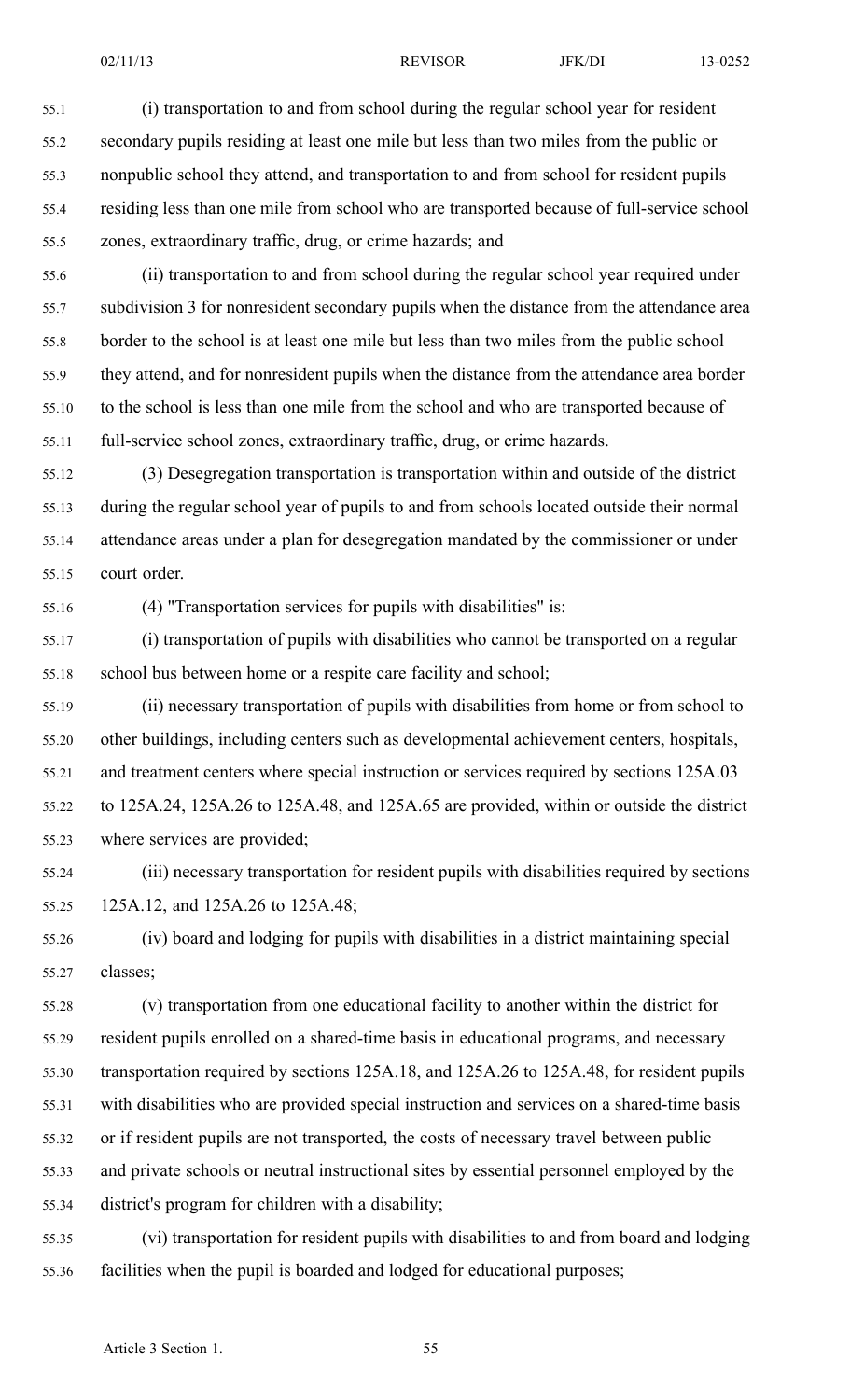55.1 (i) transportation to and from school during the regular school year for resident 55.2 secondary pupils residing at least one mile but less than two miles from the public or 55.3 nonpublic school they attend, and transportation to and from school for resident pupils 55.4 residing less than one mile from school who are transported because of full-service school 55.5 zones, extraordinary traffic, drug, or crime hazards; and

55.6 (ii) transportation to and from school during the regular school year required under 55.7 subdivision 3 for nonresident secondary pupils when the distance from the attendance area 55.8 border to the school is at least one mile but less than two miles from the public school 55.9 they attend, and for nonresident pupils when the distance from the attendance area border 55.10 to the school is less than one mile from the school and who are transported because of 55.11 full-service school zones, extraordinary traffic, drug, or crime hazards.

55.12 (3) Desegregation transportation is transportation within and outside of the district 55.13 during the regular school year of pupils to and from schools located outside their normal 55.14 attendance areas under <sup>a</sup> plan for desegregation mandated by the commissioner or under 55.15 court order.

55.16 (4) "Transportation services for pupils with disabilities" is:

55.17 (i) transportation of pupils with disabilities who cannot be transported on <sup>a</sup> regular 55.18 school bus between home or <sup>a</sup> respite care facility and school;

55.19 (ii) necessary transportation of pupils with disabilities from home or from school to 55.20 other buildings, including centers such as developmental achievement centers, hospitals, 55.21 and treatment centers where special instruction or services required by sections 125A.03 55.22 to 125A.24, 125A.26 to 125A.48, and 125A.65 are provided, within or outside the district 55.23 where services are provided;

55.24 (iii) necessary transportation for resident pupils with disabilities required by sections 55.25 125A.12, and 125A.26 to 125A.48;

55.26 (iv) board and lodging for pupils with disabilities in <sup>a</sup> district maintaining special 55.27 classes;

55.28 (v) transportation from one educational facility to another within the district for 55.29 resident pupils enrolled on <sup>a</sup> shared-time basis in educational programs, and necessary 55.30 transportation required by sections 125A.18, and 125A.26 to 125A.48, for resident pupils 55.31 with disabilities who are provided special instruction and services on <sup>a</sup> shared-time basis 55.32 or if resident pupils are not transported, the costs of necessary travel between public 55.33 and private schools or neutral instructional sites by essential personnel employed by the 55.34 district's program for children with <sup>a</sup> disability;

55.35 (vi) transportation for resident pupils with disabilities to and from board and lodging 55.36 facilities when the pupil is boarded and lodged for educational purposes;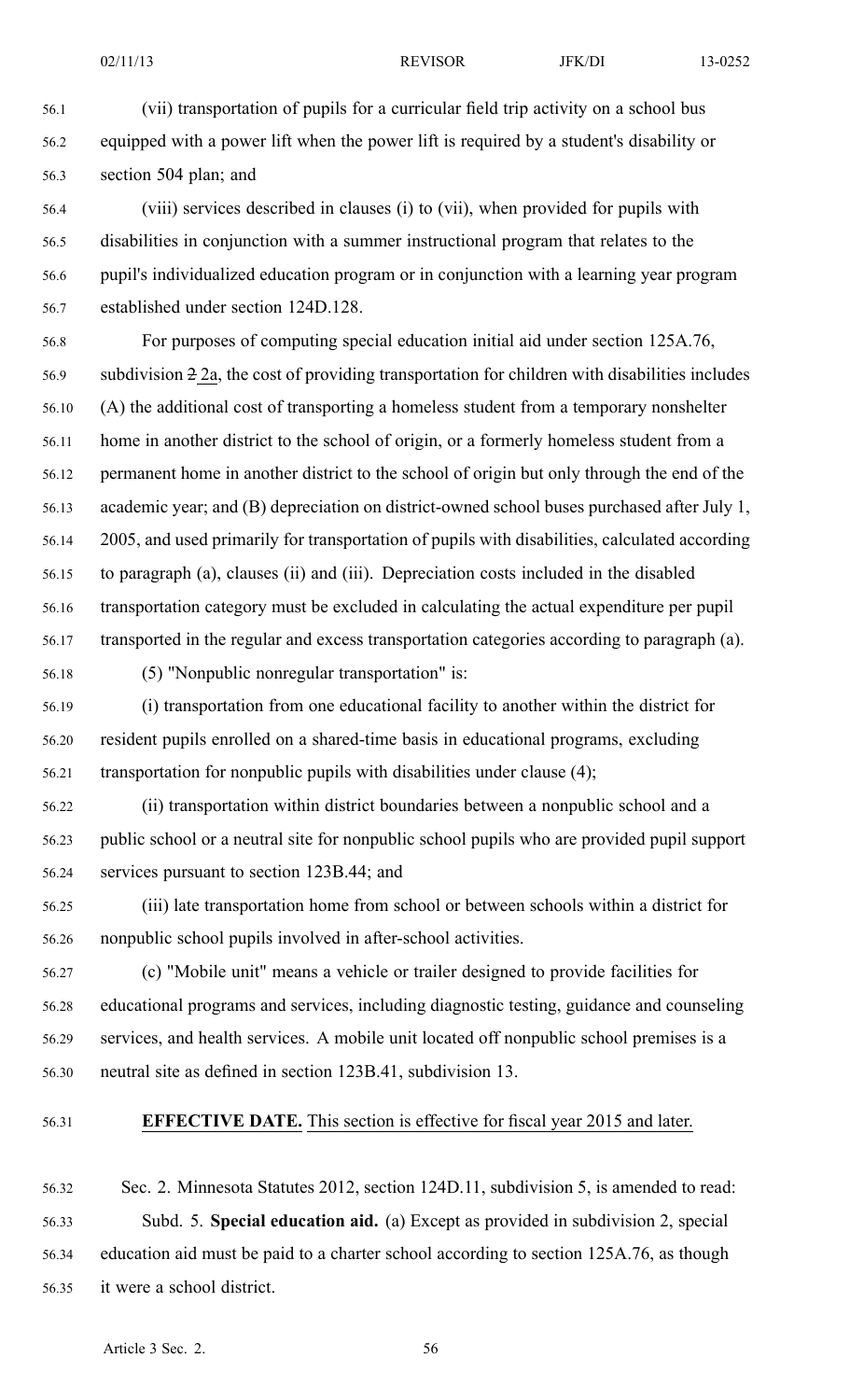56.1 (vii) transportation of pupils for <sup>a</sup> curricular field trip activity on <sup>a</sup> school bus 56.2 equipped with <sup>a</sup> power lift when the power lift is required by <sup>a</sup> student's disability or 56.3 section 504 plan; and

56.4 (viii) services described in clauses (i) to (vii), when provided for pupils with 56.5 disabilities in conjunction with <sup>a</sup> summer instructional program that relates to the 56.6 pupil's individualized education program or in conjunction with <sup>a</sup> learning year program 56.7 established under section 124D.128.

56.8 For purposes of computing special education initial aid under section 125A.76, 56.9 subdivision 2 2a, the cost of providing transportation for children with disabilities includes 56.10 (A) the additional cost of transporting <sup>a</sup> homeless student from <sup>a</sup> temporary nonshelter 56.11 home in another district to the school of origin, or <sup>a</sup> formerly homeless student from <sup>a</sup> 56.12 permanen<sup>t</sup> home in another district to the school of origin but only through the end of the 56.13 academic year; and (B) depreciation on district-owned school buses purchased after July 1, 56.14 2005, and used primarily for transportation of pupils with disabilities, calculated according 56.15 to paragraph (a), clauses (ii) and (iii). Depreciation costs included in the disabled 56.16 transportation category must be excluded in calculating the actual expenditure per pupil 56.17 transported in the regular and excess transportation categories according to paragraph (a).

56.18 (5) "Nonpublic nonregular transportation" is:

56.19 (i) transportation from one educational facility to another within the district for 56.20 resident pupils enrolled on <sup>a</sup> shared-time basis in educational programs, excluding 56.21 transportation for nonpublic pupils with disabilities under clause (4);

56.22 (ii) transportation within district boundaries between <sup>a</sup> nonpublic school and <sup>a</sup> 56.23 public school or <sup>a</sup> neutral site for nonpublic school pupils who are provided pupil suppor<sup>t</sup> 56.24 services pursuan<sup>t</sup> to section 123B.44; and

56.25 (iii) late transportation home from school or between schools within <sup>a</sup> district for 56.26 nonpublic school pupils involved in after-school activities.

56.27 (c) "Mobile unit" means <sup>a</sup> vehicle or trailer designed to provide facilities for 56.28 educational programs and services, including diagnostic testing, guidance and counseling 56.29 services, and health services. A mobile unit located off nonpublic school premises is <sup>a</sup> 56.30 neutral site as defined in section 123B.41, subdivision 13.

56.31 **EFFECTIVE DATE.** This section is effective for fiscal year 2015 and later.

56.32 Sec. 2. Minnesota Statutes 2012, section 124D.11, subdivision 5, is amended to read: 56.33 Subd. 5. **Special education aid.** (a) Except as provided in subdivision 2, special 56.34 education aid must be paid to <sup>a</sup> charter school according to section 125A.76, as though 56.35 it were <sup>a</sup> school district.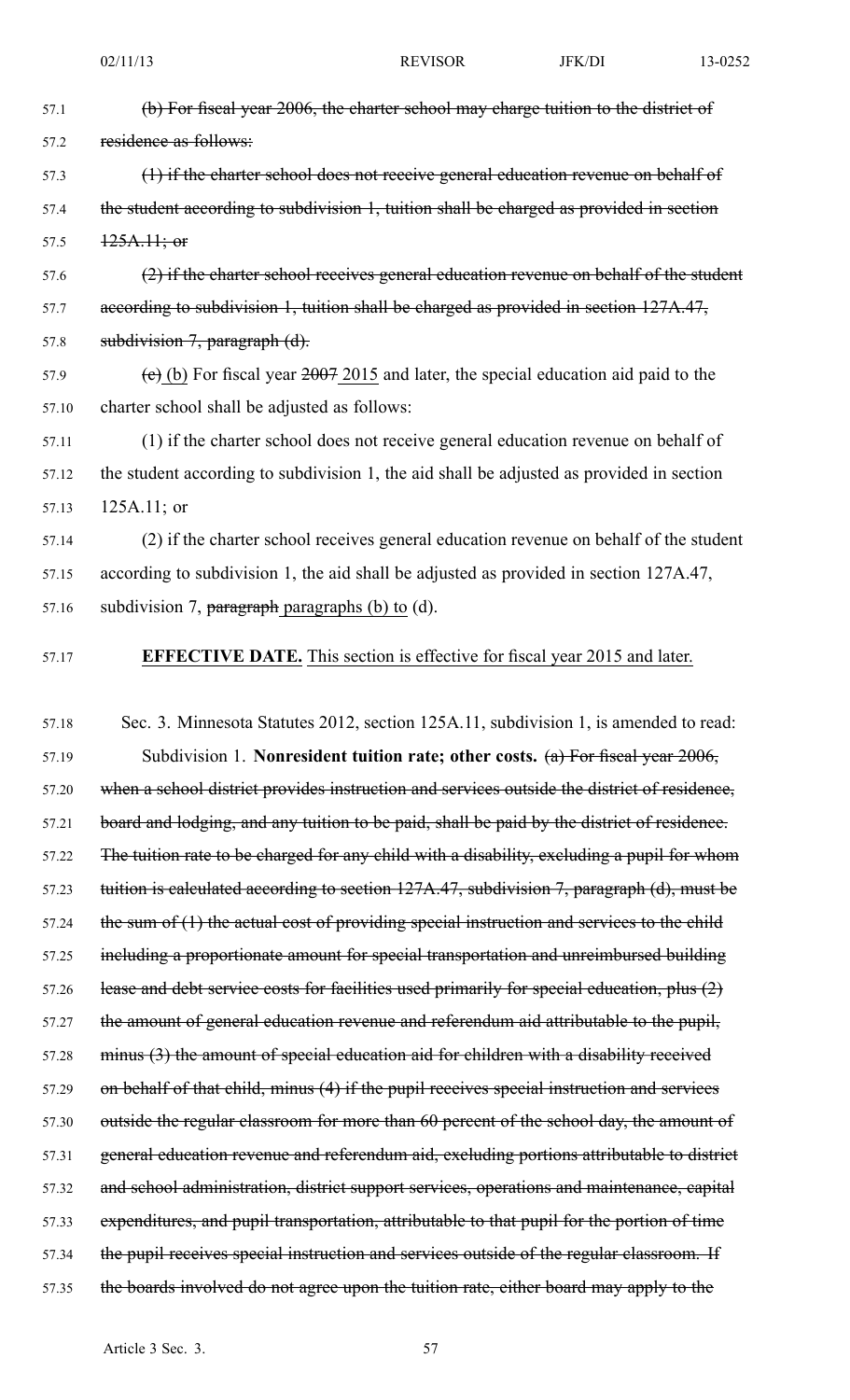57.2 residence as follows:

57.1 (b) For fiscal year 2006, the charter school may charge tuition to the district of

| 57.3  | (1) if the charter school does not receive general education revenue on behalf of           |
|-------|---------------------------------------------------------------------------------------------|
| 57.4  | the student according to subdivision 1, tuition shall be charged as provided in section     |
| 57.5  | $125A.11;$ or                                                                               |
| 57.6  | (2) if the charter school receives general education revenue on behalf of the student       |
| 57.7  | according to subdivision 1, tuition shall be charged as provided in section 127A.47,        |
| 57.8  | subdivision $7$ , paragraph $(d)$ .                                                         |
| 57.9  | (e) (b) For fiscal year $2007$ 2015 and later, the special education aid paid to the        |
| 57.10 | charter school shall be adjusted as follows:                                                |
| 57.11 | (1) if the charter school does not receive general education revenue on behalf of           |
| 57.12 | the student according to subdivision 1, the aid shall be adjusted as provided in section    |
| 57.13 | $125A.11;$ or                                                                               |
| 57.14 | (2) if the charter school receives general education revenue on behalf of the student       |
| 57.15 | according to subdivision 1, the aid shall be adjusted as provided in section 127A.47,       |
| 57.16 | subdivision 7, paragraph paragraphs (b) to $(d)$ .                                          |
| 57.17 | <b>EFFECTIVE DATE.</b> This section is effective for fiscal year 2015 and later.            |
|       |                                                                                             |
| 57.18 | Sec. 3. Minnesota Statutes 2012, section 125A.11, subdivision 1, is amended to read:        |
| 57.19 | Subdivision 1. Nonresident tuition rate; other costs. $(a)$ For fiscal year 2006,           |
| 57.20 | when a school district provides instruction and services outside the district of residence, |
| 57.21 | board and lodging, and any tuition to be paid, shall be paid by the district of residence.  |
| 57.22 | The tuition rate to be charged for any child with a disability, excluding a pupil for whom  |
|       |                                                                                             |
| 57.23 | tuition is calculated according to section 127A.47, subdivision 7, paragraph (d), must be   |
| 57.24 | the sum of $(1)$ the actual cost of providing special instruction and services to the child |
| 57.25 | including a proportionate amount for special transportation and unreimbursed building       |
| 57.26 | lease and debt service costs for facilities used primarily for special education, plus (2)  |
| 57.27 | the amount of general education revenue and referendum aid attributable to the pupil,       |
| 57.28 | minus (3) the amount of special education aid for children with a disability received       |
| 57.29 | on behalf of that child, minus (4) if the pupil receives special instruction and services   |
| 57.30 | outside the regular classroom for more than 60 percent of the school day, the amount of     |
| 57.31 | general education revenue and referendum aid, excluding portions attributable to district   |
| 57.32 | and school administration, district support services, operations and maintenance, capital   |
| 57.33 | expenditures, and pupil transportation, attributable to that pupil for the portion of time  |
| 57.34 | the pupil receives special instruction and services outside of the regular classroom. If    |
| 57.35 | the boards involved do not agree upon the tuition rate, either board may apply to the       |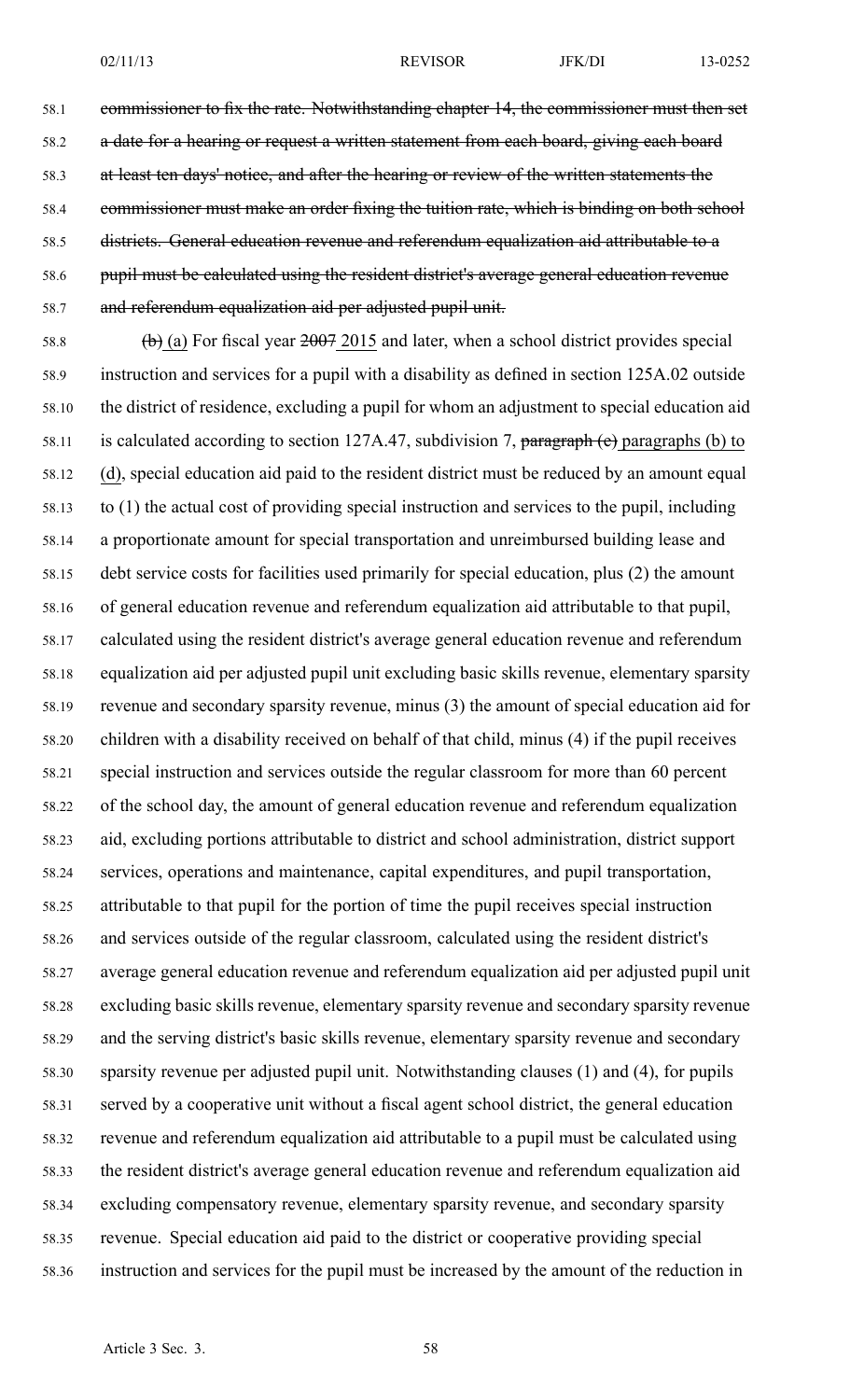58.1 commissioner to fix the rate. Notwithstanding chapter 14, the commissioner must then set 58.2 a date for a hearing or request a written statement from each board, giving each board 58.3 at least ten days' notice, and after the hearing or review of the written statements the 58.4 commissioner must make an order fixing the tuition rate, which is binding on both school 58.5 districts. General education revenue and referendum equalization aid attributable to <sup>a</sup> 58.6 pupil must be calculated using the resident district's average general education revenue 58.7 and referendum equalization aid per adjusted pupil unit.

58.8 (b) (a) For fiscal year  $2007$  2015 and later, when a school district provides special 58.9 instruction and services for <sup>a</sup> pupil with <sup>a</sup> disability as defined in section 125A.02 outside 58.10 the district of residence, excluding <sup>a</sup> pupil for whom an adjustment to special education aid 58.11 is calculated according to section 127A.47, subdivision 7, paragraph (e) paragraphs (b) to 58.12 (d), special education aid paid to the resident district must be reduced by an amount equal 58.13 to (1) the actual cost of providing special instruction and services to the pupil, including 58.14 <sup>a</sup> proportionate amount for special transportation and unreimbursed building lease and 58.15 debt service costs for facilities used primarily for special education, plus (2) the amount 58.16 of general education revenue and referendum equalization aid attributable to that pupil, 58.17 calculated using the resident district's average general education revenue and referendum 58.18 equalization aid per adjusted pupil unit excluding basic skills revenue, elementary sparsity 58.19 revenue and secondary sparsity revenue, minus (3) the amount of special education aid for 58.20 children with <sup>a</sup> disability received on behalf of that child, minus (4) if the pupil receives 58.21 special instruction and services outside the regular classroom for more than 60 percen<sup>t</sup> 58.22 of the school day, the amount of general education revenue and referendum equalization 58.23 aid, excluding portions attributable to district and school administration, district suppor<sup>t</sup> 58.24 services, operations and maintenance, capital expenditures, and pupil transportation, 58.25 attributable to that pupil for the portion of time the pupil receives special instruction 58.26 and services outside of the regular classroom, calculated using the resident district's 58.27 average general education revenue and referendum equalization aid per adjusted pupil unit 58.28 excluding basic skills revenue, elementary sparsity revenue and secondary sparsity revenue 58.29 and the serving district's basic skills revenue, elementary sparsity revenue and secondary 58.30 sparsity revenue per adjusted pupil unit. Notwithstanding clauses (1) and (4), for pupils 58.31 served by <sup>a</sup> cooperative unit without <sup>a</sup> fiscal agen<sup>t</sup> school district, the general education 58.32 revenue and referendum equalization aid attributable to <sup>a</sup> pupil must be calculated using 58.33 the resident district's average general education revenue and referendum equalization aid 58.34 excluding compensatory revenue, elementary sparsity revenue, and secondary sparsity 58.35 revenue. Special education aid paid to the district or cooperative providing special 58.36 instruction and services for the pupil must be increased by the amount of the reduction in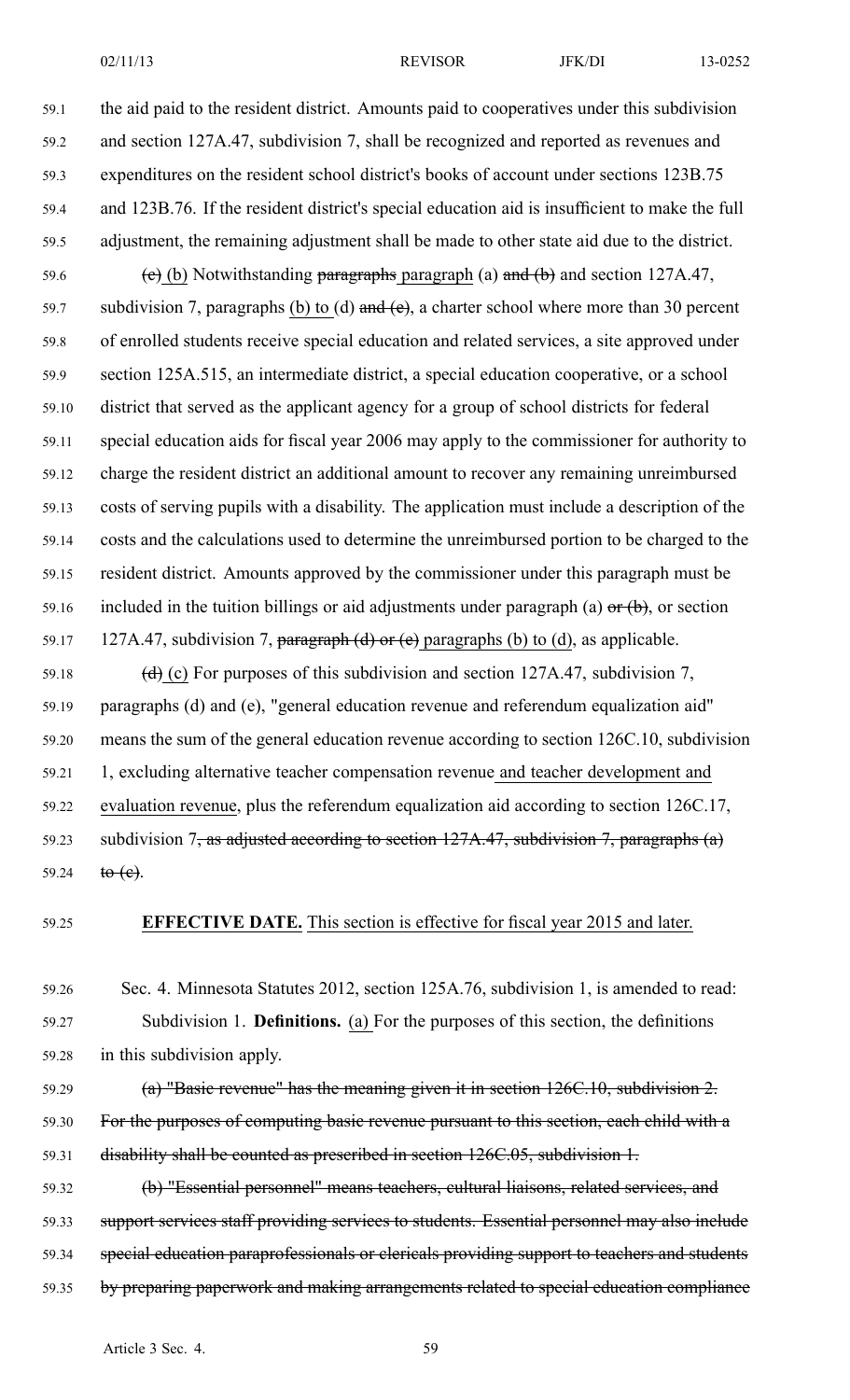02/11/13 **REVISOR** JFK/DI 13-0252

59.1 the aid paid to the resident district. Amounts paid to cooperatives under this subdivision 59.2 and section 127A.47, subdivision 7, shall be recognized and reported as revenues and 59.3 expenditures on the resident school district's books of account under sections 123B.75 59.4 and 123B.76. If the resident district's special education aid is insufficient to make the full 59.5 adjustment, the remaining adjustment shall be made to other state aid due to the district. 59.6 (e) (b) Notwithstanding paragraphs paragraph (a) and (b) and section  $127A.47$ , 59.7 subdivision 7, paragraphs (b) to (d) and (e), a charter school where more than 30 percent 59.8 of enrolled students receive special education and related services, <sup>a</sup> site approved under 59.9 section 125A.515, an intermediate district, <sup>a</sup> special education cooperative, or <sup>a</sup> school 59.10 district that served as the applicant agency for <sup>a</sup> group of school districts for federal 59.11 special education aids for fiscal year 2006 may apply to the commissioner for authority to 59.12 charge the resident district an additional amount to recover any remaining unreimbursed 59.13 costs of serving pupils with <sup>a</sup> disability. The application must include <sup>a</sup> description of the 59.14 costs and the calculations used to determine the unreimbursed portion to be charged to the 59.15 resident district. Amounts approved by the commissioner under this paragraph must be 59.16 included in the tuition billings or aid adjustments under paragraph (a)  $\sigma$  (b), or section 59.17 127A.47, subdivision 7, paragraph (d) or (e) paragraphs (b) to (d), as applicable. 59.18 (d) (c) For purposes of this subdivision and section 127A.47, subdivision 7,

59.19 paragraphs (d) and (e), "general education revenue and referendum equalization aid" 59.20 means the sum of the general education revenue according to section 126C.10, subdivision 59.21 1, excluding alternative teacher compensation revenue and teacher development and 59.22 evaluation revenue, plus the referendum equalization aid according to section 126C.17, 59.23 subdivision  $7$ , as adjusted according to section 127A.47, subdivision 7, paragraphs (a) 59.24  $to (e)$ .

59.25 **EFFECTIVE DATE.** This section is effective for fiscal year 2015 and later.

59.26 Sec. 4. Minnesota Statutes 2012, section 125A.76, subdivision 1, is amended to read: 59.27 Subdivision 1. **Definitions.** (a) For the purposes of this section, the definitions 59.28 in this subdivision apply.

59.29 (a) "Basic revenue" has the meaning given it in section 126C.10, subdivision 2. 59.30 For the purposes of computing basic revenue pursuant to this section, each child with a 59.31 disability shall be counted as prescribed in section 126C.05, subdivision 1.

59.32 (b) "Essential personnel" means teachers, cultural liaisons, related services, and 59.33 suppor<sup>t</sup> services staff providing services to students. Essential personnel may also include 59.34 special education paraprofessionals or clericals providing suppor<sup>t</sup> to teachers and students 59.35 by preparing paperwork and making arrangements related to special education compliance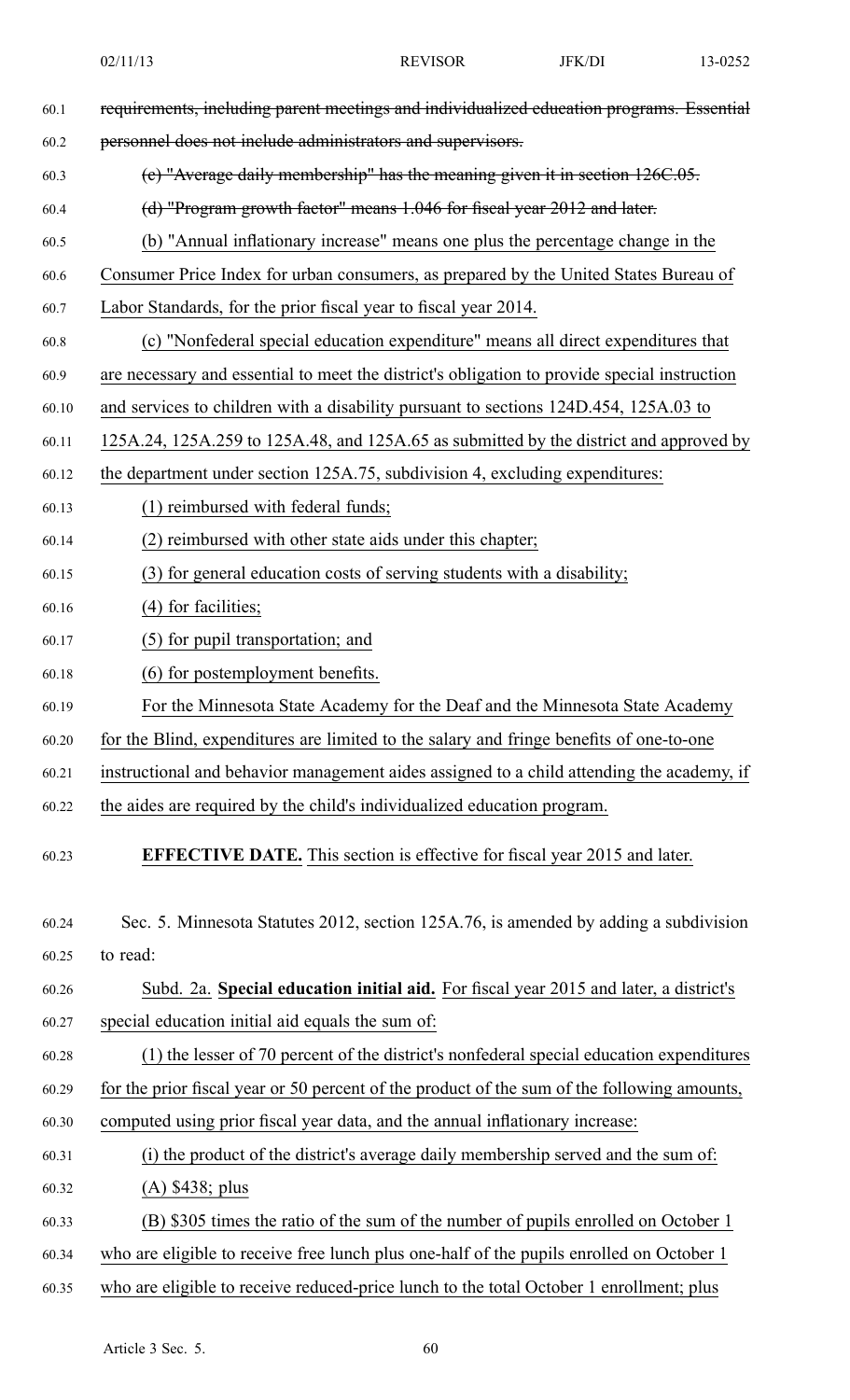02/11/13 **REVISOR** JFK/DI 13-0252 60.1 requirements, including paren<sup>t</sup> meetings and individualized education programs. Essential 60.2 personnel does not include administrators and supervisors. 60.3 (c) "Average daily membership" has the meaning given it in section 126C.05. 60.4 (d) "Program growth factor" means 1.046 for fiscal year 2012 and later. 60.5 (b) "Annual inflationary increase" means one plus the percentage change in the 60.6 Consumer Price Index for urban consumers, as prepared by the United States Bureau of 60.7 Labor Standards, for the prior fiscal year to fiscal year 2014. 60.8 (c) "Nonfederal special education expenditure" means all direct expenditures that 60.9 are necessary and essential to meet the district's obligation to provide special instruction 60.10 and services to children with <sup>a</sup> disability pursuan<sup>t</sup> to sections 124D.454, 125A.03 to 60.11 125A.24, 125A.259 to 125A.48, and 125A.65 as submitted by the district and approved by 60.12 the department under section 125A.75, subdivision 4, excluding expenditures: 60.13 (1) reimbursed with federal funds; 60.14 (2) reimbursed with other state aids under this chapter; 60.15 (3) for general education costs of serving students with <sup>a</sup> disability; 60.16 (4) for facilities; 60.17 (5) for pupil transportation; and 60.18 (6) for postemployment benefits. 60.19 For the Minnesota State Academy for the Deaf and the Minnesota State Academy 60.20 for the Blind, expenditures are limited to the salary and fringe benefits of one-to-one 60.21 instructional and behavior managemen<sup>t</sup> aides assigned to <sup>a</sup> child attending the academy, if 60.22 the aides are required by the child's individualized education program. 60.23 **EFFECTIVE DATE.** This section is effective for fiscal year 2015 and later. 60.24 Sec. 5. Minnesota Statutes 2012, section 125A.76, is amended by adding <sup>a</sup> subdivision 60.25 to read: 60.26 Subd. 2a. **Special education initial aid.** For fiscal year 2015 and later, <sup>a</sup> district's 60.27 special education initial aid equals the sum of: 60.28 (1) the lesser of 70 percen<sup>t</sup> of the district's nonfederal special education expenditures 60.29 for the prior fiscal year or 50 percen<sup>t</sup> of the product of the sum of the following amounts, 60.30 computed using prior fiscal year data, and the annual inflationary increase: 60.31 (i) the product of the district's average daily membership served and the sum of: 60.32 (A) \$438; plus 60.33 (B) \$305 times the ratio of the sum of the number of pupils enrolled on October 1 60.34 who are eligible to receive free lunch plus one-half of the pupils enrolled on October 1 60.35 who are eligible to receive reduced-price lunch to the total October 1 enrollment; plus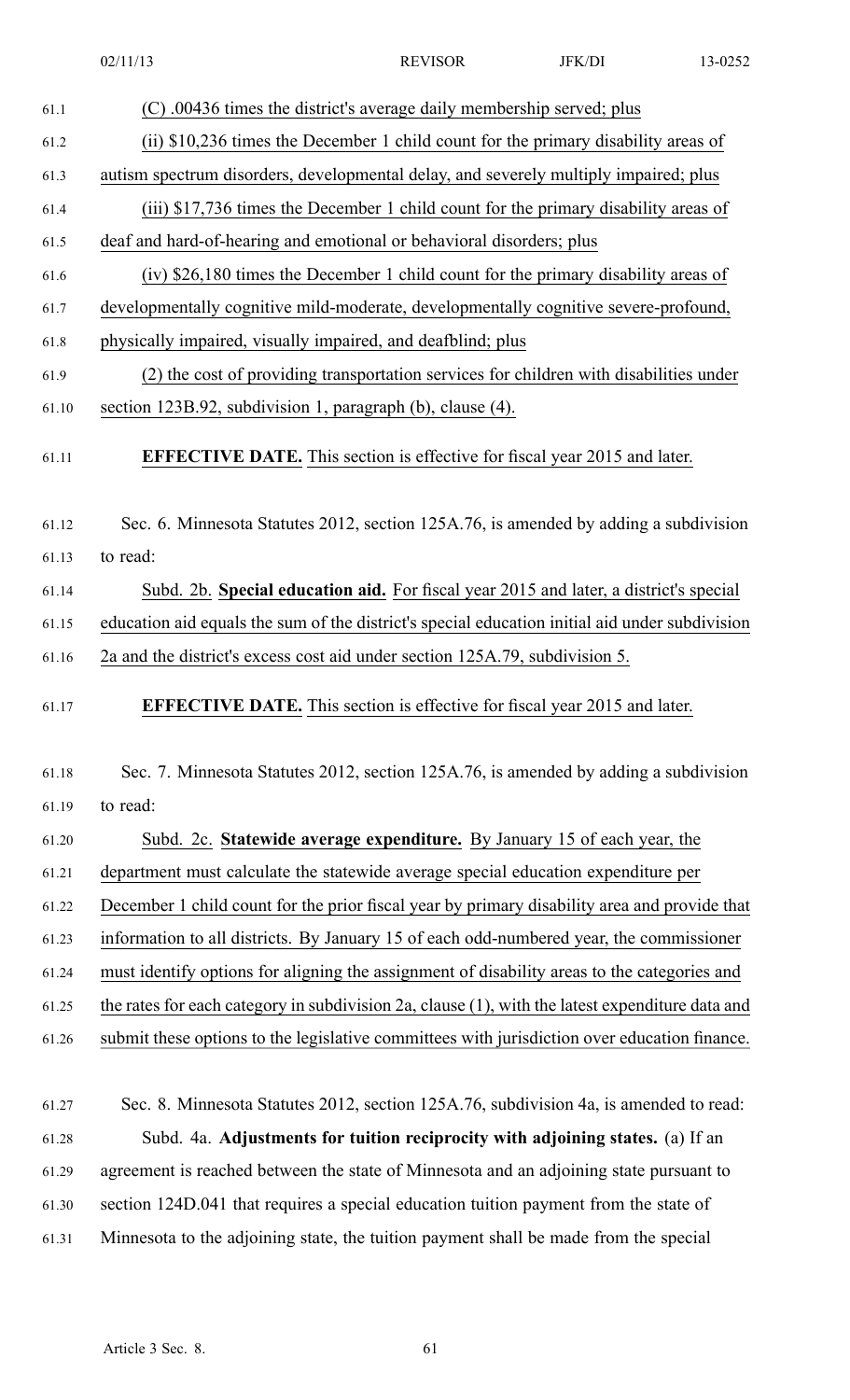- 61.4 (iii) \$17,736 times the December 1 child count for the primary disability areas of
- 61.5 deaf and hard-of-hearing and emotional or behavioral disorders; plus
- 61.6 (iv) \$26,180 times the December 1 child count for the primary disability areas of
- 61.7 developmentally cognitive mild-moderate, developmentally cognitive severe-profound,
- 61.8 physically impaired, visually impaired, and deafblind; plus
- 61.9 (2) the cost of providing transportation services for children with disabilities under 61.10 section 123B.92, subdivision 1, paragraph (b), clause (4).
- 61.11 **EFFECTIVE DATE.** This section is effective for fiscal year 2015 and later.
- 61.12 Sec. 6. Minnesota Statutes 2012, section 125A.76, is amended by adding <sup>a</sup> subdivision 61.13 to read:
- 61.14 Subd. 2b. **Special education aid.** For fiscal year 2015 and later, <sup>a</sup> district's special 61.15 education aid equals the sum of the district's special education initial aid under subdivision
- 61.16 2a and the district's excess cost aid under section 125A.79, subdivision 5.
- 61.17 **EFFECTIVE DATE.** This section is effective for fiscal year 2015 and later.
- 61.18 Sec. 7. Minnesota Statutes 2012, section 125A.76, is amended by adding <sup>a</sup> subdivision 61.19 to read:
- 61.20 Subd. 2c. **Statewide average expenditure.** By January 15 of each year, the
- 61.21 department must calculate the statewide average special education expenditure per
- 61.22 December 1 child count for the prior fiscal year by primary disability area and provide that
- 61.23 information to all districts. By January 15 of each odd-numbered year, the commissioner
- 61.24 must identify options for aligning the assignment of disability areas to the categories and
- 61.25 the rates for each category in subdivision 2a, clause (1), with the latest expenditure data and
- 61.26 submit these options to the legislative committees with jurisdiction over education finance.
- 61.27 Sec. 8. Minnesota Statutes 2012, section 125A.76, subdivision 4a, is amended to read: 61.28 Subd. 4a. **Adjustments for tuition reciprocity with adjoining states.** (a) If an 61.29 agreemen<sup>t</sup> is reached between the state of Minnesota and an adjoining state pursuan<sup>t</sup> to 61.30 section 124D.041 that requires <sup>a</sup> special education tuition paymen<sup>t</sup> from the state of 61.31 Minnesota to the adjoining state, the tuition paymen<sup>t</sup> shall be made from the special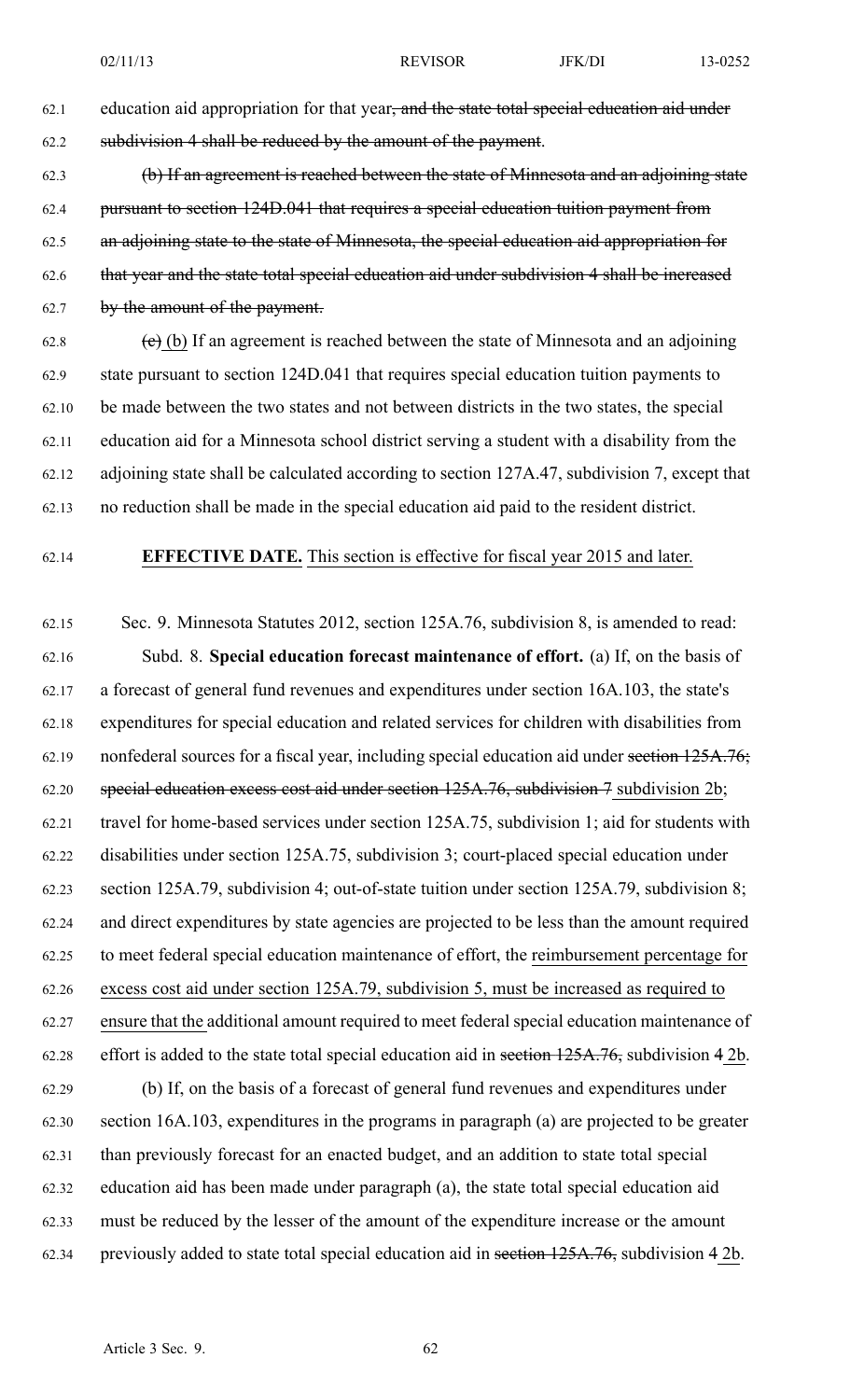62.1 education aid appropriation for that year<del>, and the state total special education aid under</del> 62.2 subdivision 4 shall be reduced by the amount of the payment.

62.3 (b) If an agreemen<sup>t</sup> is reached between the state of Minnesota and an adjoining state 62.4 pursuan<sup>t</sup> to section 124D.041 that requires <sup>a</sup> special education tuition paymen<sup>t</sup> from 62.5 an adjoining state to the state of Minnesota, the special education aid appropriation for 62.6 that year and the state total special education aid under subdivision 4 shall be increased 62.7 by the amount of the payment.

62.8  $\left( e \right)$  (b) If an agreement is reached between the state of Minnesota and an adjoining 62.9 state pursuan<sup>t</sup> to section 124D.041 that requires special education tuition payments to 62.10 be made between the two states and not between districts in the two states, the special 62.11 education aid for <sup>a</sup> Minnesota school district serving <sup>a</sup> student with <sup>a</sup> disability from the 62.12 adjoining state shall be calculated according to section 127A.47, subdivision 7, excep<sup>t</sup> that 62.13 no reduction shall be made in the special education aid paid to the resident district.

### 62.14 **EFFECTIVE DATE.** This section is effective for fiscal year 2015 and later.

62.15 Sec. 9. Minnesota Statutes 2012, section 125A.76, subdivision 8, is amended to read: 62.16 Subd. 8. **Special education forecast maintenance of effort.** (a) If, on the basis of 62.17 <sup>a</sup> forecast of general fund revenues and expenditures under section 16A.103, the state's 62.18 expenditures for special education and related services for children with disabilities from 62.19 nonfederal sources for <sup>a</sup> fiscal year, including special education aid under section 125A.76; 62.20 special education excess cost aid under section 125A.76, subdivision 7 subdivision 2b; 62.21 travel for home-based services under section 125A.75, subdivision 1; aid for students with 62.22 disabilities under section 125A.75, subdivision 3; court-placed special education under 62.23 section 125A.79, subdivision 4; out-of-state tuition under section 125A.79, subdivision 8; 62.24 and direct expenditures by state agencies are projected to be less than the amount required 62.25 to meet federal special education maintenance of effort, the reimbursement percentage for 62.26 excess cost aid under section 125A.79, subdivision 5, must be increased as required to 62.27 ensure that the additional amount required to meet federal special education maintenance of 62.28 effort is added to the state total special education aid in section 125A.76, subdivision 4 2b. 62.29 (b) If, on the basis of <sup>a</sup> forecast of general fund revenues and expenditures under 62.30 section 16A.103, expenditures in the programs in paragraph (a) are projected to be greater 62.31 than previously forecast for an enacted budget, and an addition to state total special 62.32 education aid has been made under paragraph (a), the state total special education aid 62.33 must be reduced by the lesser of the amount of the expenditure increase or the amount

62.34 previously added to state total special education aid in section 125A.76, subdivision 4 2b.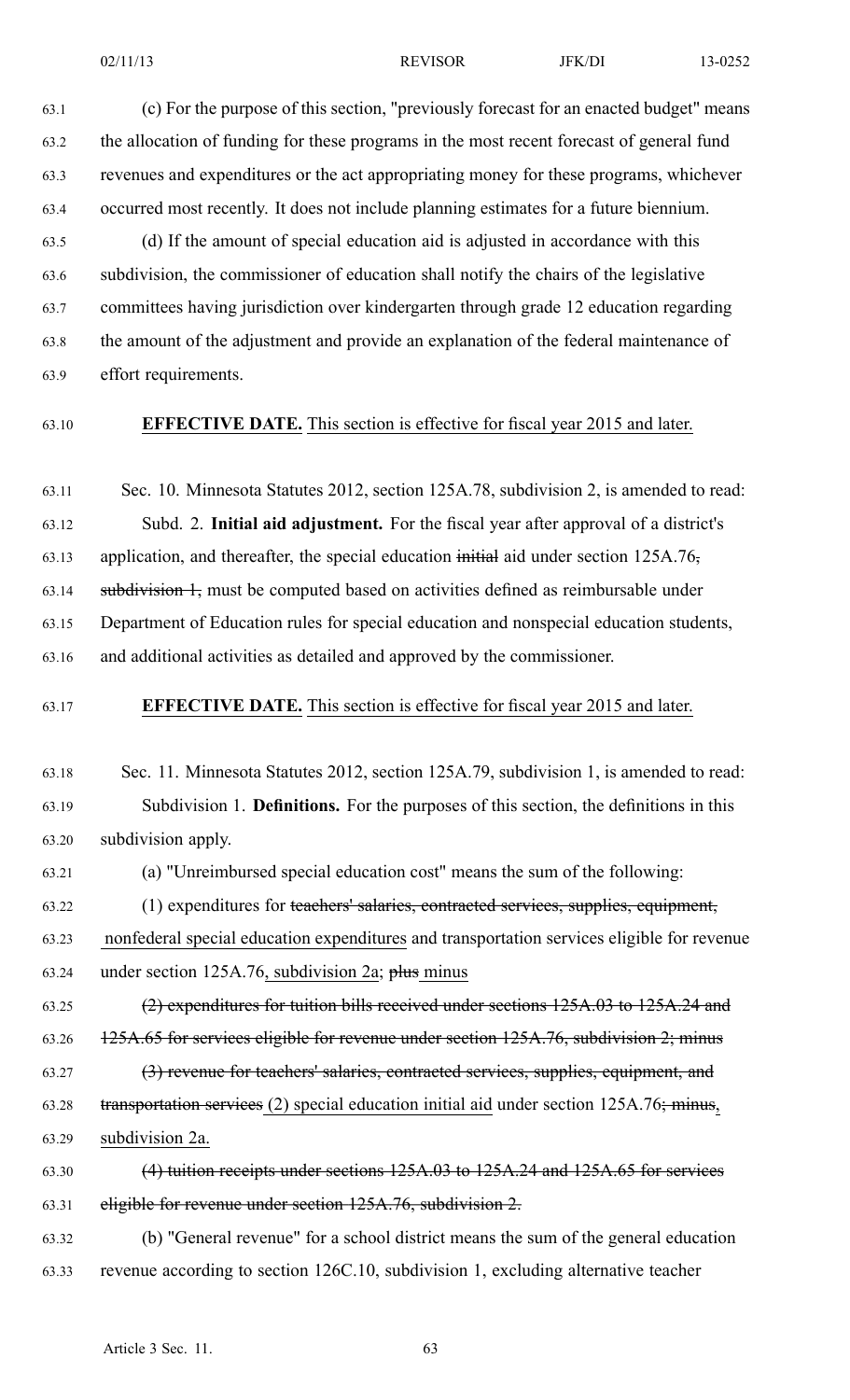63.1 (c) For the purpose of this section, "previously forecast for an enacted budget" means 63.2 the allocation of funding for these programs in the most recent forecast of general fund 63.3 revenues and expenditures or the act appropriating money for these programs, whichever 63.4 occurred most recently. It does not include planning estimates for <sup>a</sup> future biennium.

63.5 (d) If the amount of special education aid is adjusted in accordance with this 63.6 subdivision, the commissioner of education shall notify the chairs of the legislative 63.7 committees having jurisdiction over kindergarten through grade 12 education regarding 63.8 the amount of the adjustment and provide an explanation of the federal maintenance of 63.9 effort requirements.

63.10 **EFFECTIVE DATE.** This section is effective for fiscal year 2015 and later.

63.11 Sec. 10. Minnesota Statutes 2012, section 125A.78, subdivision 2, is amended to read: 63.12 Subd. 2. **Initial aid adjustment.** For the fiscal year after approval of <sup>a</sup> district's 63.13 application, and thereafter, the special education initial aid under section 125A.76, 63.14 subdivision 1, must be computed based on activities defined as reimbursable under 63.15 Department of Education rules for special education and nonspecial education students, 63.16 and additional activities as detailed and approved by the commissioner.

63.17 **EFFECTIVE DATE.** This section is effective for fiscal year 2015 and later.

63.18 Sec. 11. Minnesota Statutes 2012, section 125A.79, subdivision 1, is amended to read: 63.19 Subdivision 1. **Definitions.** For the purposes of this section, the definitions in this 63.20 subdivision apply. 63.21 (a) "Unreimbursed special education cost" means the sum of the following: 63.22 (1) expenditures for teachers' salaries, contracted services, supplies, equipment, 63.23 nonfederal special education expenditures and transportation services eligible for revenue 63.24 under section 125A.76, subdivision 2a;  $\frac{\text{plus}}{\text{plus}}$  minus 63.25 (2) expenditures for tuition bills received under sections 125A.03 to 125A.24 and 63.26 125A.65 for services eligible for revenue under section 125A.76, subdivision 2; minus 63.27 (3) revenue for teachers' salaries, contracted services, supplies, equipment, and 63.28 **transportation services** (2) special education initial aid under section  $125A.76$ ; minus, 63.29 subdivision 2a.

63.30 (4) tuition receipts under sections 125A.03 to 125A.24 and 125A.65 for services 63.31 eligible for revenue under section 125A.76, subdivision 2.

63.32 (b) "General revenue" for <sup>a</sup> school district means the sum of the general education 63.33 revenue according to section 126C.10, subdivision 1, excluding alternative teacher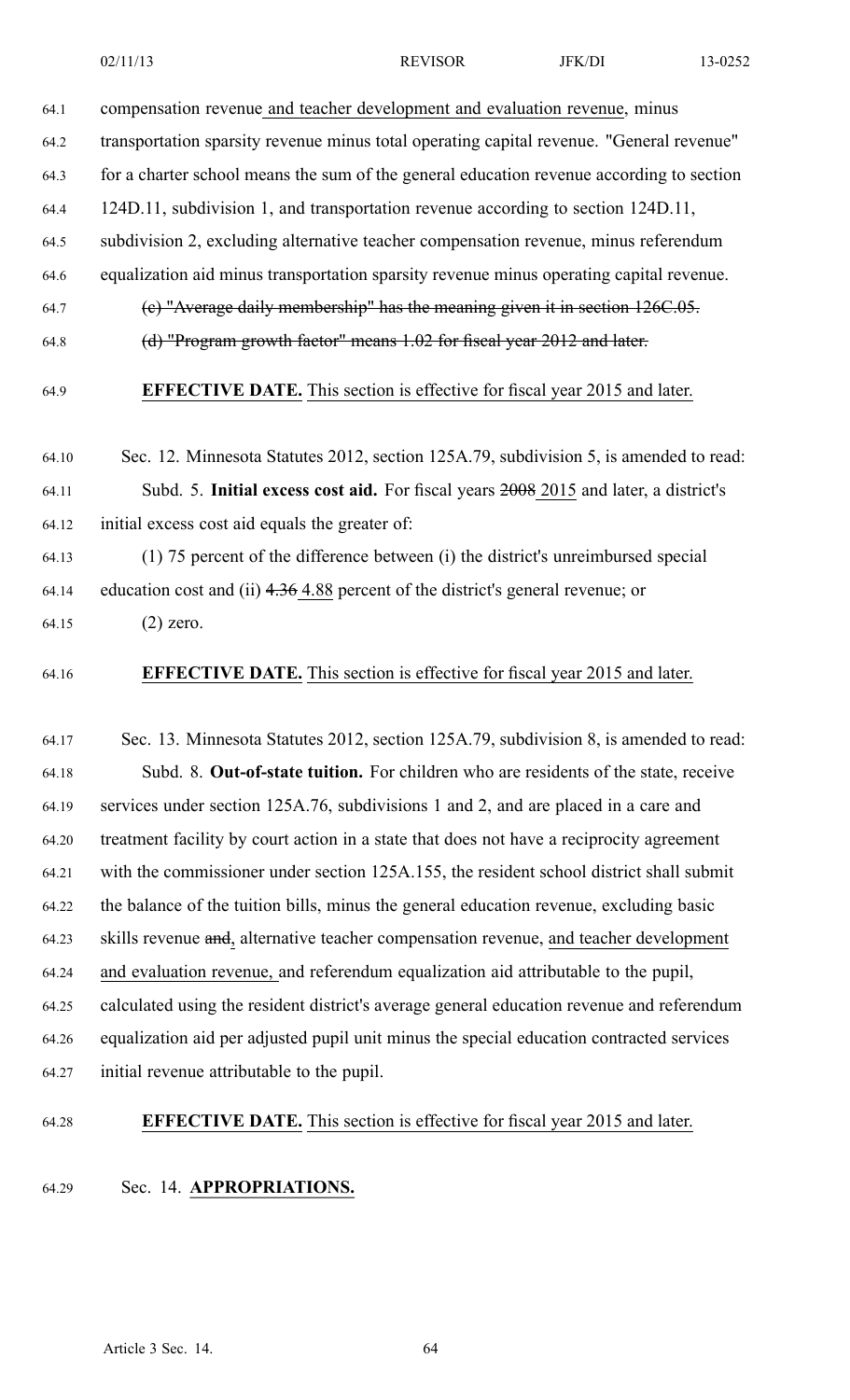64.1 compensation revenue and teacher development and evaluation revenue, minus

64.2 transportation sparsity revenue minus total operating capital revenue. "General revenue"

- 64.3 for <sup>a</sup> charter school means the sum of the general education revenue according to section
- 64.4 124D.11, subdivision 1, and transportation revenue according to section 124D.11,
- 64.5 subdivision 2, excluding alternative teacher compensation revenue, minus referendum
- 64.6 equalization aid minus transportation sparsity revenue minus operating capital revenue.
- 64.7 (c) "Average daily membership" has the meaning given it in section 126C.05.
- 64.8 (d) "Program growth factor" means 1.02 for fiscal year 2012 and later.
- 

64.9 **EFFECTIVE DATE.** This section is effective for fiscal year 2015 and later.

- 64.10 Sec. 12. Minnesota Statutes 2012, section 125A.79, subdivision 5, is amended to read: 64.11 Subd. 5. **Initial excess cost aid.** For fiscal years 2008 2015 and later, <sup>a</sup> district's 64.12 initial excess cost aid equals the greater of:
- 64.13 (1) 75 percen<sup>t</sup> of the difference between (i) the district's unreimbursed special 64.14 education cost and (ii) 4.36 4.88 percen<sup>t</sup> of the district's general revenue; or
- 64.15 (2) zero.
- 64.16 **EFFECTIVE DATE.** This section is effective for fiscal year 2015 and later.

64.17 Sec. 13. Minnesota Statutes 2012, section 125A.79, subdivision 8, is amended to read: 64.18 Subd. 8. **Out-of-state tuition.** For children who are residents of the state, receive 64.19 services under section 125A.76, subdivisions 1 and 2, and are placed in <sup>a</sup> care and 64.20 treatment facility by court action in <sup>a</sup> state that does not have <sup>a</sup> reciprocity agreemen<sup>t</sup> 64.21 with the commissioner under section 125A.155, the resident school district shall submit 64.22 the balance of the tuition bills, minus the general education revenue, excluding basic 64.23 skills revenue and, alternative teacher compensation revenue, and teacher development 64.24 and evaluation revenue, and referendum equalization aid attributable to the pupil, 64.25 calculated using the resident district's average general education revenue and referendum 64.26 equalization aid per adjusted pupil unit minus the special education contracted services 64.27 initial revenue attributable to the pupil.

64.28 **EFFECTIVE DATE.** This section is effective for fiscal year 2015 and later.

64.29 Sec. 14. **APPROPRIATIONS.**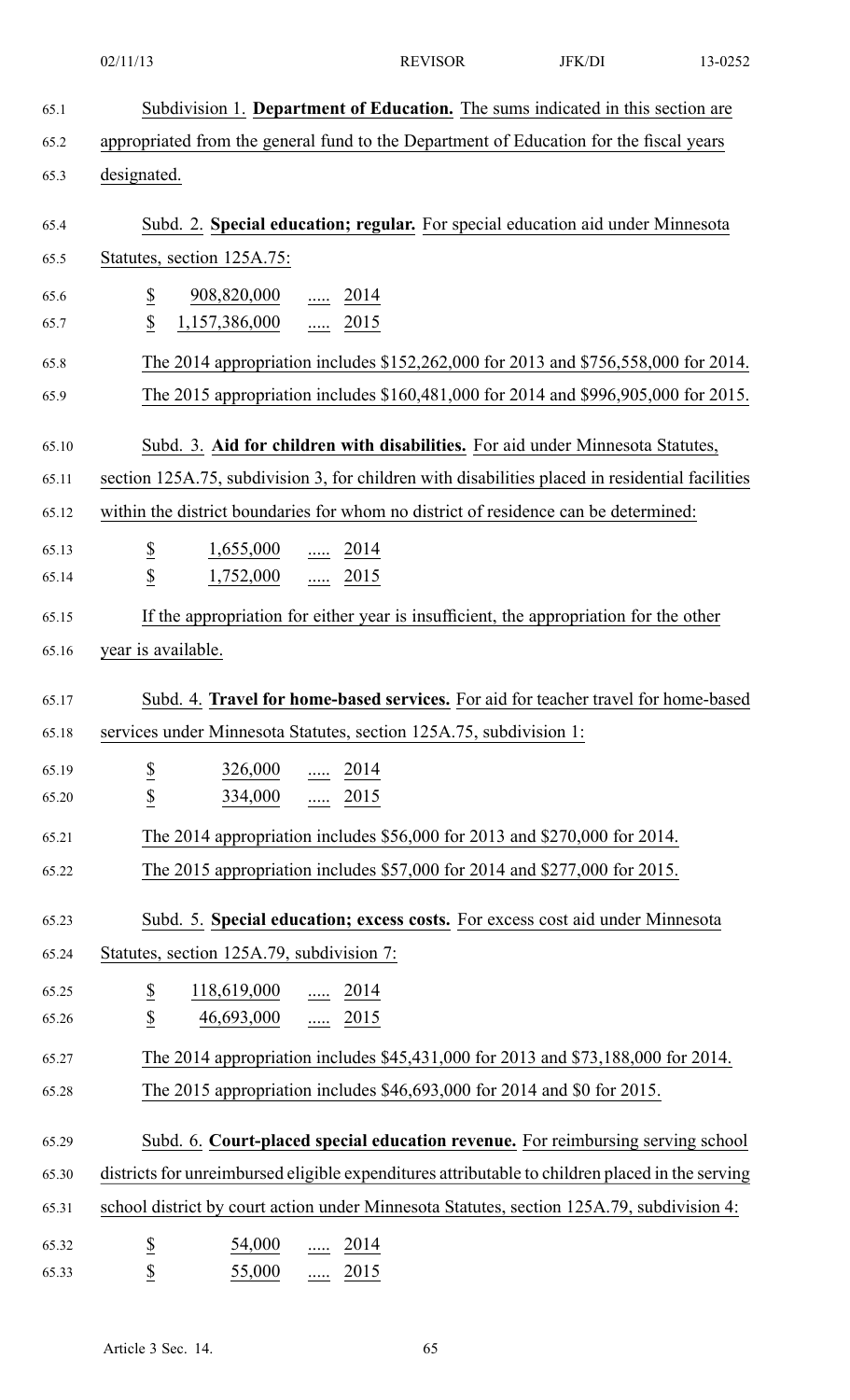|       | 02/11/13                                                      | <b>REVISOR</b>                                                                                  | JFK/DI | 13-0252 |
|-------|---------------------------------------------------------------|-------------------------------------------------------------------------------------------------|--------|---------|
| 65.1  |                                                               | Subdivision 1. Department of Education. The sums indicated in this section are                  |        |         |
| 65.2  |                                                               | appropriated from the general fund to the Department of Education for the fiscal years          |        |         |
| 65.3  | designated.                                                   |                                                                                                 |        |         |
| 65.4  |                                                               | Subd. 2. Special education; regular. For special education aid under Minnesota                  |        |         |
| 65.5  | Statutes, section 125A.75:                                    |                                                                                                 |        |         |
| 65.6  | $\overline{\mathcal{E}}$<br>$\frac{908,820,000}{\ldots}$ 2014 |                                                                                                 |        |         |
| 65.7  | $\boldsymbol{\mathsf{S}}$<br>1,157,386,000  2015              |                                                                                                 |        |         |
| 65.8  |                                                               | The 2014 appropriation includes \$152,262,000 for 2013 and \$756,558,000 for 2014.              |        |         |
| 65.9  |                                                               | The 2015 appropriation includes \$160,481,000 for 2014 and \$996,905,000 for 2015.              |        |         |
| 65.10 |                                                               | Subd. 3. Aid for children with disabilities. For aid under Minnesota Statutes,                  |        |         |
| 65.11 |                                                               | section 125A.75, subdivision 3, for children with disabilities placed in residential facilities |        |         |
| 65.12 |                                                               | within the district boundaries for whom no district of residence can be determined:             |        |         |
| 65.13 | $rac{S}{S}$                                                   | $\frac{1,655,000}{\ldots}$ 2014                                                                 |        |         |
| 65.14 |                                                               | 1,752,000  2015                                                                                 |        |         |
| 65.15 |                                                               | If the appropriation for either year is insufficient, the appropriation for the other           |        |         |
| 65.16 | year is available.                                            |                                                                                                 |        |         |
| 65.17 |                                                               | Subd. 4. Travel for home-based services. For aid for teacher travel for home-based              |        |         |
| 65.18 |                                                               | services under Minnesota Statutes, section 125A.75, subdivision 1:                              |        |         |
| 65.19 |                                                               |                                                                                                 |        |         |
| 65.20 | $\overline{\mathcal{C}}$<br>$\overline{2}$                    | $\frac{326,000}{\cdots}$ $\frac{2014}{\cdots}$<br>$334,000$ 2015                                |        |         |
| 65.21 |                                                               | The 2014 appropriation includes \$56,000 for 2013 and \$270,000 for 2014.                       |        |         |
| 65.22 |                                                               | The 2015 appropriation includes \$57,000 for 2014 and \$277,000 for 2015.                       |        |         |
|       |                                                               |                                                                                                 |        |         |
| 65.23 |                                                               | Subd. 5. Special education; excess costs. For excess cost aid under Minnesota                   |        |         |
| 65.24 | Statutes, section 125A.79, subdivision 7:                     |                                                                                                 |        |         |
| 65.25 | $\overline{\mathcal{E}}$<br>$\frac{118,619,000}{\cdots}$ 2014 |                                                                                                 |        |         |
| 65.26 | $\underline{\$}$<br>46,693,000  2015                          |                                                                                                 |        |         |
| 65.27 |                                                               | The 2014 appropriation includes \$45,431,000 for 2013 and \$73,188,000 for 2014.                |        |         |
| 65.28 |                                                               | The 2015 appropriation includes \$46,693,000 for 2014 and \$0 for 2015.                         |        |         |
| 65.29 |                                                               | Subd. 6. Court-placed special education revenue. For reimbursing serving school                 |        |         |
| 65.30 |                                                               | districts for unreimbursed eligible expenditures attributable to children placed in the serving |        |         |
| 65.31 |                                                               | school district by court action under Minnesota Statutes, section 125A.79, subdivision 4:       |        |         |
| 65.32 | $\overline{\partial}$<br>54,000                               | $\frac{1}{2014}$                                                                                |        |         |
| 65.33 | $\overline{\mathcal{C}}$<br>55,000                            | $rac{1}{2015}$                                                                                  |        |         |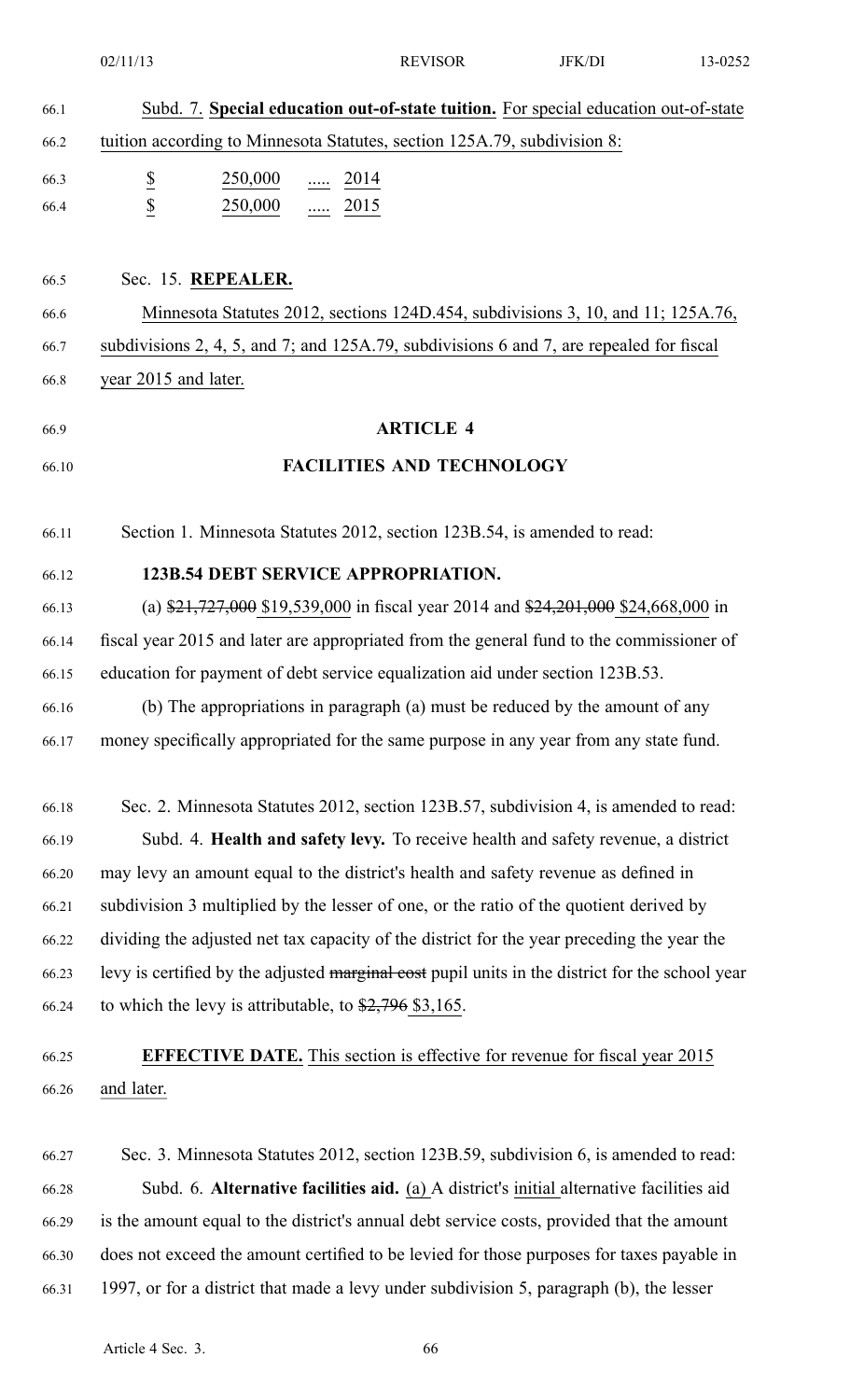|       | 02/11/13                                                                                           | <b>REVISOR</b>   | JFK/DI | 13-0252 |
|-------|----------------------------------------------------------------------------------------------------|------------------|--------|---------|
| 66.1  | Subd. 7. Special education out-of-state tuition. For special education out-of-state                |                  |        |         |
| 66.2  | tuition according to Minnesota Statutes, section 125A.79, subdivision 8:                           |                  |        |         |
| 66.3  | $\overline{\mathcal{E}}$<br>250,000<br>$\frac{1}{2014}$                                            |                  |        |         |
| 66.4  | $\overline{2}$<br>$250,000$ 2015                                                                   |                  |        |         |
|       |                                                                                                    |                  |        |         |
| 66.5  | Sec. 15. REPEALER.                                                                                 |                  |        |         |
| 66.6  | Minnesota Statutes 2012, sections 124D.454, subdivisions 3, 10, and 11; 125A.76,                   |                  |        |         |
| 66.7  | subdivisions 2, 4, 5, and 7; and 125A.79, subdivisions 6 and 7, are repealed for fiscal            |                  |        |         |
| 66.8  | year 2015 and later.                                                                               |                  |        |         |
| 66.9  |                                                                                                    | <b>ARTICLE 4</b> |        |         |
|       |                                                                                                    |                  |        |         |
| 66.10 | <b>FACILITIES AND TECHNOLOGY</b>                                                                   |                  |        |         |
| 66.11 | Section 1. Minnesota Statutes 2012, section 123B.54, is amended to read:                           |                  |        |         |
| 66.12 | <b>123B.54 DEBT SERVICE APPROPRIATION.</b>                                                         |                  |        |         |
| 66.13 | (a) $\frac{$21,727,000}{$19,539,000}$ in fiscal year 2014 and $\frac{$24,201,000}{$24,668,000}$ in |                  |        |         |
| 66.14 | fiscal year 2015 and later are appropriated from the general fund to the commissioner of           |                  |        |         |
| 66.15 | education for payment of debt service equalization aid under section 123B.53.                      |                  |        |         |
| 66.16 | (b) The appropriations in paragraph (a) must be reduced by the amount of any                       |                  |        |         |
| 66.17 | money specifically appropriated for the same purpose in any year from any state fund.              |                  |        |         |
|       |                                                                                                    |                  |        |         |
| 66.18 | Sec. 2. Minnesota Statutes 2012, section 123B.57, subdivision 4, is amended to read:               |                  |        |         |
| 66.19 | Subd. 4. Health and safety levy. To receive health and safety revenue, a district                  |                  |        |         |
| 66.20 | may levy an amount equal to the district's health and safety revenue as defined in                 |                  |        |         |
| 66.21 | subdivision 3 multiplied by the lesser of one, or the ratio of the quotient derived by             |                  |        |         |
| 66.22 | dividing the adjusted net tax capacity of the district for the year preceding the year the         |                  |        |         |
| 66.23 | levy is certified by the adjusted marginal cost pupil units in the district for the school year    |                  |        |         |
| 66.24 | to which the levy is attributable, to $\frac{2,796}{2,105}$ .                                      |                  |        |         |
| 66.25 | <b>EFFECTIVE DATE.</b> This section is effective for revenue for fiscal year 2015                  |                  |        |         |
| 66.26 | and later.                                                                                         |                  |        |         |
|       |                                                                                                    |                  |        |         |
| 66.27 | Sec. 3. Minnesota Statutes 2012, section 123B.59, subdivision 6, is amended to read:               |                  |        |         |
| 66.28 | Subd. 6. Alternative facilities aid. (a) A district's initial alternative facilities aid           |                  |        |         |
| 66.29 | is the amount equal to the district's annual debt service costs, provided that the amount          |                  |        |         |
| 66.30 | does not exceed the amount certified to be levied for those purposes for taxes payable in          |                  |        |         |
| 66.31 | 1997, or for a district that made a levy under subdivision 5, paragraph (b), the lesser            |                  |        |         |
|       |                                                                                                    |                  |        |         |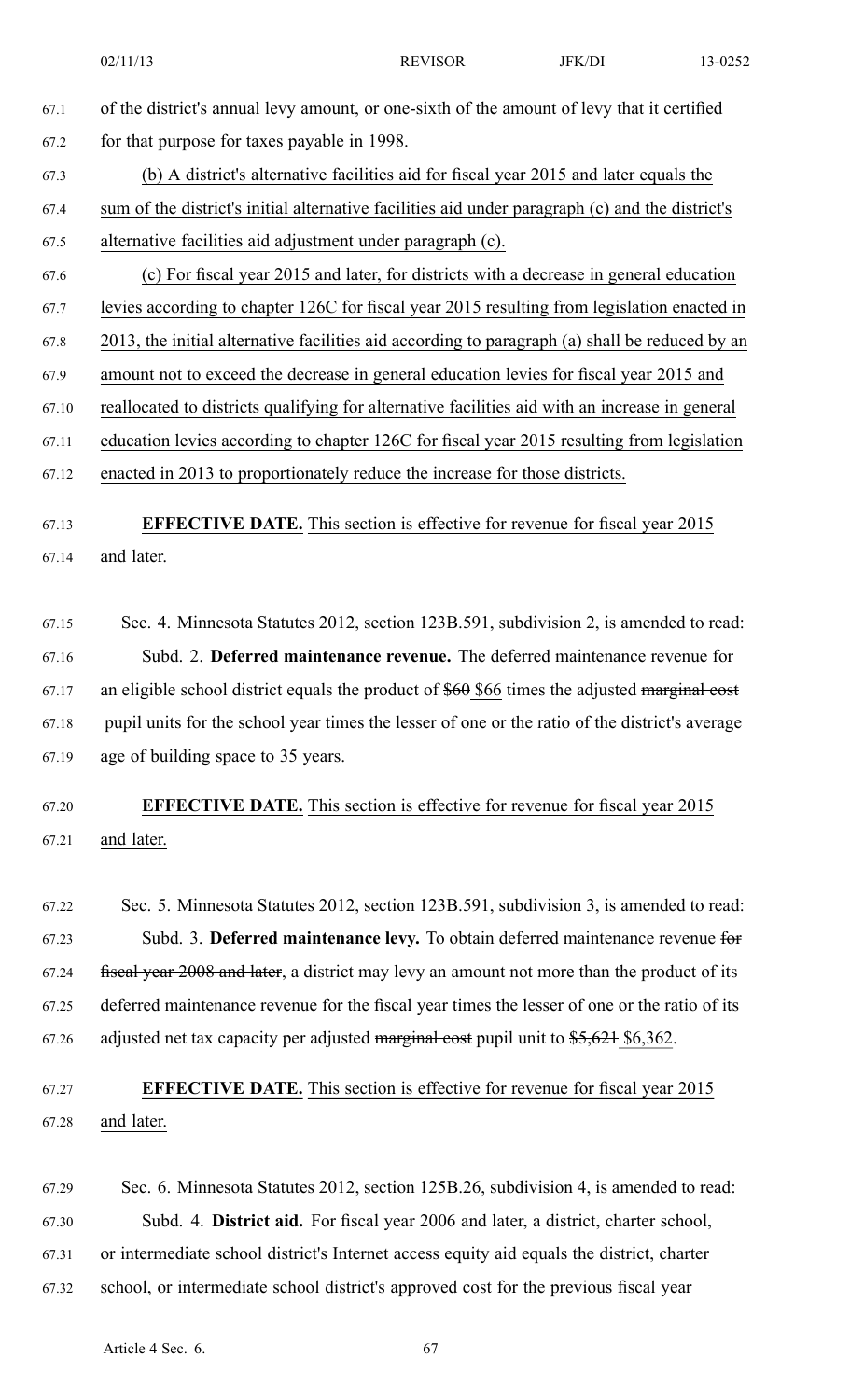| 67.1  | of the district's annual levy amount, or one-sixth of the amount of levy that it certified      |
|-------|-------------------------------------------------------------------------------------------------|
| 67.2  | for that purpose for taxes payable in 1998.                                                     |
| 67.3  | (b) A district's alternative facilities aid for fiscal year 2015 and later equals the           |
| 67.4  | sum of the district's initial alternative facilities aid under paragraph (c) and the district's |
| 67.5  | alternative facilities aid adjustment under paragraph (c).                                      |
| 67.6  | (c) For fiscal year 2015 and later, for districts with a decrease in general education          |
| 67.7  | levies according to chapter 126C for fiscal year 2015 resulting from legislation enacted in     |
| 67.8  | 2013, the initial alternative facilities aid according to paragraph (a) shall be reduced by an  |
| 67.9  | amount not to exceed the decrease in general education levies for fiscal year 2015 and          |
| 67.10 | reallocated to districts qualifying for alternative facilities aid with an increase in general  |
| 67.11 | education levies according to chapter 126C for fiscal year 2015 resulting from legislation      |
| 67.12 | enacted in 2013 to proportionately reduce the increase for those districts.                     |
|       |                                                                                                 |
| 67.13 | <b>EFFECTIVE DATE.</b> This section is effective for revenue for fiscal year 2015               |
| 67.14 | and later.                                                                                      |

67.15 Sec. 4. Minnesota Statutes 2012, section 123B.591, subdivision 2, is amended to read: 67.16 Subd. 2. **Deferred maintenance revenue.** The deferred maintenance revenue for 67.17 an eligible school district equals the product of  $$60$  \$66 times the adjusted marginal cost 67.18 pupil units for the school year times the lesser of one or the ratio of the district's average 67.19 age of building space to 35 years.

67.20 **EFFECTIVE DATE.** This section is effective for revenue for fiscal year 2015 67.21 and later.

67.22 Sec. 5. Minnesota Statutes 2012, section 123B.591, subdivision 3, is amended to read: 67.23 Subd. 3. **Deferred maintenance levy.** To obtain deferred maintenance revenue for 67.24 fiscal year 2008 and later, <sup>a</sup> district may levy an amount not more than the product of its 67.25 deferred maintenance revenue for the fiscal year times the lesser of one or the ratio of its 67.26 adjusted net tax capacity per adjusted marginal cost pupil unit to \$5,621 \$6,362.

## 67.27 **EFFECTIVE DATE.** This section is effective for revenue for fiscal year 2015 67.28 and later.

67.29 Sec. 6. Minnesota Statutes 2012, section 125B.26, subdivision 4, is amended to read: 67.30 Subd. 4. **District aid.** For fiscal year 2006 and later, <sup>a</sup> district, charter school, 67.31 or intermediate school district's Internet access equity aid equals the district, charter 67.32 school, or intermediate school district's approved cost for the previous fiscal year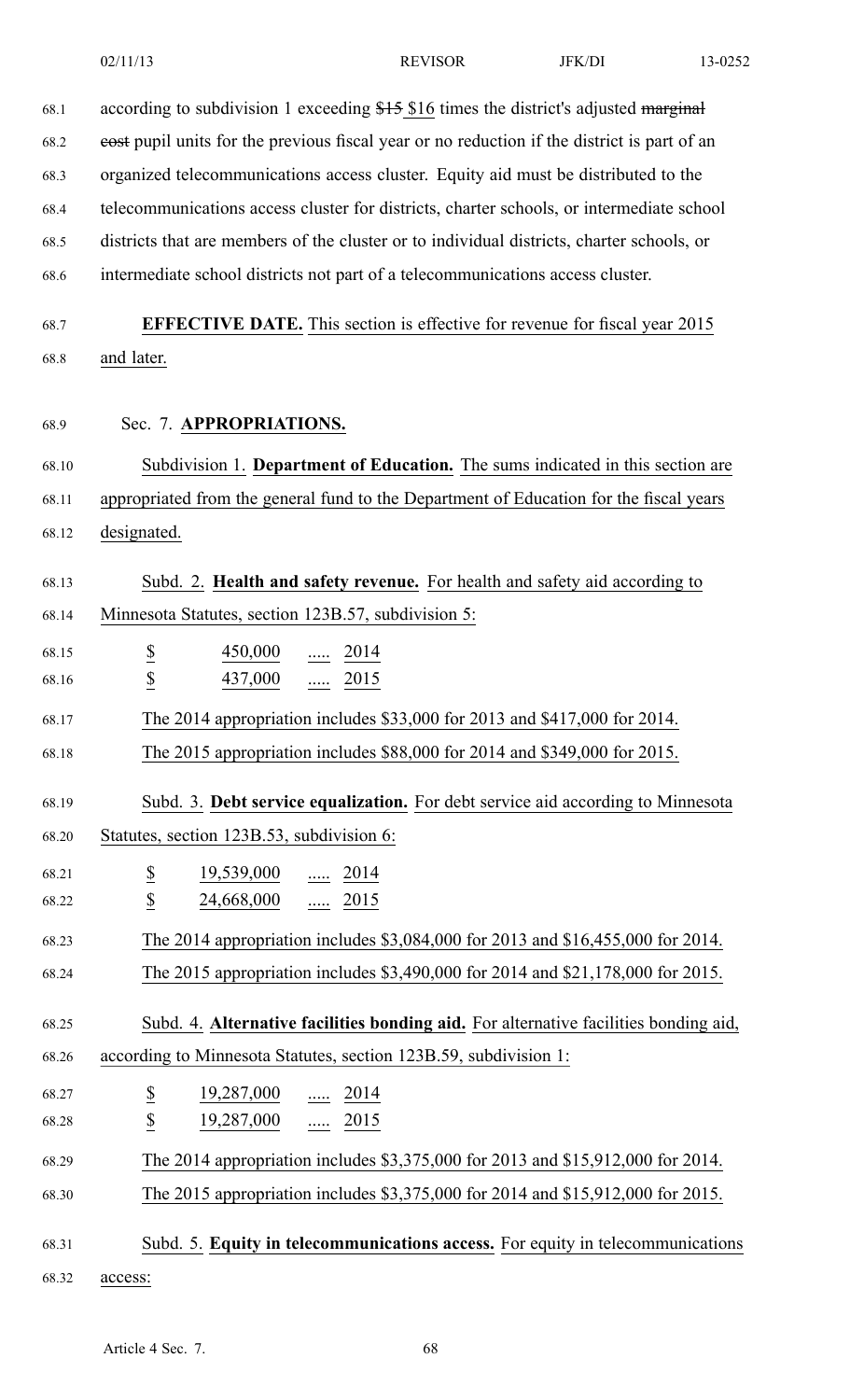| 68.1  | according to subdivision 1 exceeding \$15 \$16 times the district's adjusted marginal                                          |  |  |  |
|-------|--------------------------------------------------------------------------------------------------------------------------------|--|--|--|
| 68.2  | eost pupil units for the previous fiscal year or no reduction if the district is part of an                                    |  |  |  |
| 68.3  | organized telecommunications access cluster. Equity aid must be distributed to the                                             |  |  |  |
| 68.4  | telecommunications access cluster for districts, charter schools, or intermediate school                                       |  |  |  |
| 68.5  | districts that are members of the cluster or to individual districts, charter schools, or                                      |  |  |  |
| 68.6  | intermediate school districts not part of a telecommunications access cluster.                                                 |  |  |  |
|       |                                                                                                                                |  |  |  |
| 68.7  | <b>EFFECTIVE DATE.</b> This section is effective for revenue for fiscal year 2015                                              |  |  |  |
| 68.8  | and later.                                                                                                                     |  |  |  |
|       |                                                                                                                                |  |  |  |
| 68.9  | Sec. 7. APPROPRIATIONS.                                                                                                        |  |  |  |
| 68.10 | Subdivision 1. Department of Education. The sums indicated in this section are                                                 |  |  |  |
| 68.11 | appropriated from the general fund to the Department of Education for the fiscal years                                         |  |  |  |
| 68.12 | designated.                                                                                                                    |  |  |  |
|       |                                                                                                                                |  |  |  |
| 68.13 | Subd. 2. Health and safety revenue. For health and safety aid according to                                                     |  |  |  |
| 68.14 | Minnesota Statutes, section 123B.57, subdivision 5:                                                                            |  |  |  |
| 68.15 | $\overline{\mathcal{E}}$<br>450,000<br>2014<br>.                                                                               |  |  |  |
| 68.16 | $\underline{\$}$<br>437,000<br>2015<br>.                                                                                       |  |  |  |
| 68.17 | The 2014 appropriation includes \$33,000 for 2013 and \$417,000 for 2014.                                                      |  |  |  |
| 68.18 | The 2015 appropriation includes \$88,000 for 2014 and \$349,000 for 2015.                                                      |  |  |  |
|       |                                                                                                                                |  |  |  |
| 68.19 | Subd. 3. Debt service equalization. For debt service aid according to Minnesota                                                |  |  |  |
| 68.20 | Statutes, section 123B.53, subdivision 6:                                                                                      |  |  |  |
| 68.21 | $\overline{\mathcal{E}}$<br>$\frac{19,539,000}{\cdots}$ $\frac{2014}{\cdots}$                                                  |  |  |  |
| 68.22 | $\overline{2}$<br>24,668,000  2015                                                                                             |  |  |  |
| 68.23 | The 2014 appropriation includes \$3,084,000 for 2013 and \$16,455,000 for 2014.                                                |  |  |  |
| 68.24 | The 2015 appropriation includes \$3,490,000 for 2014 and \$21,178,000 for 2015.                                                |  |  |  |
| 68.25 | Subd. 4. Alternative facilities bonding aid. For alternative facilities bonding aid,                                           |  |  |  |
| 68.26 | according to Minnesota Statutes, section 123B.59, subdivision 1:                                                               |  |  |  |
| 68.27 |                                                                                                                                |  |  |  |
| 68.28 | $\overline{\mathcal{E}}$<br>$\frac{19,287,000}{\cdots}$ $\frac{2014}{\cdots}$<br>$\underline{\mathbb{S}}$<br>$19,287,000$ 2015 |  |  |  |
|       |                                                                                                                                |  |  |  |
| 68.29 | The 2014 appropriation includes \$3,375,000 for 2013 and \$15,912,000 for 2014.                                                |  |  |  |
| 68.30 | The 2015 appropriation includes \$3,375,000 for 2014 and \$15,912,000 for 2015.                                                |  |  |  |
| 68.31 | Subd. 5. Equity in telecommunications access. For equity in telecommunications                                                 |  |  |  |
| 68.32 | access:                                                                                                                        |  |  |  |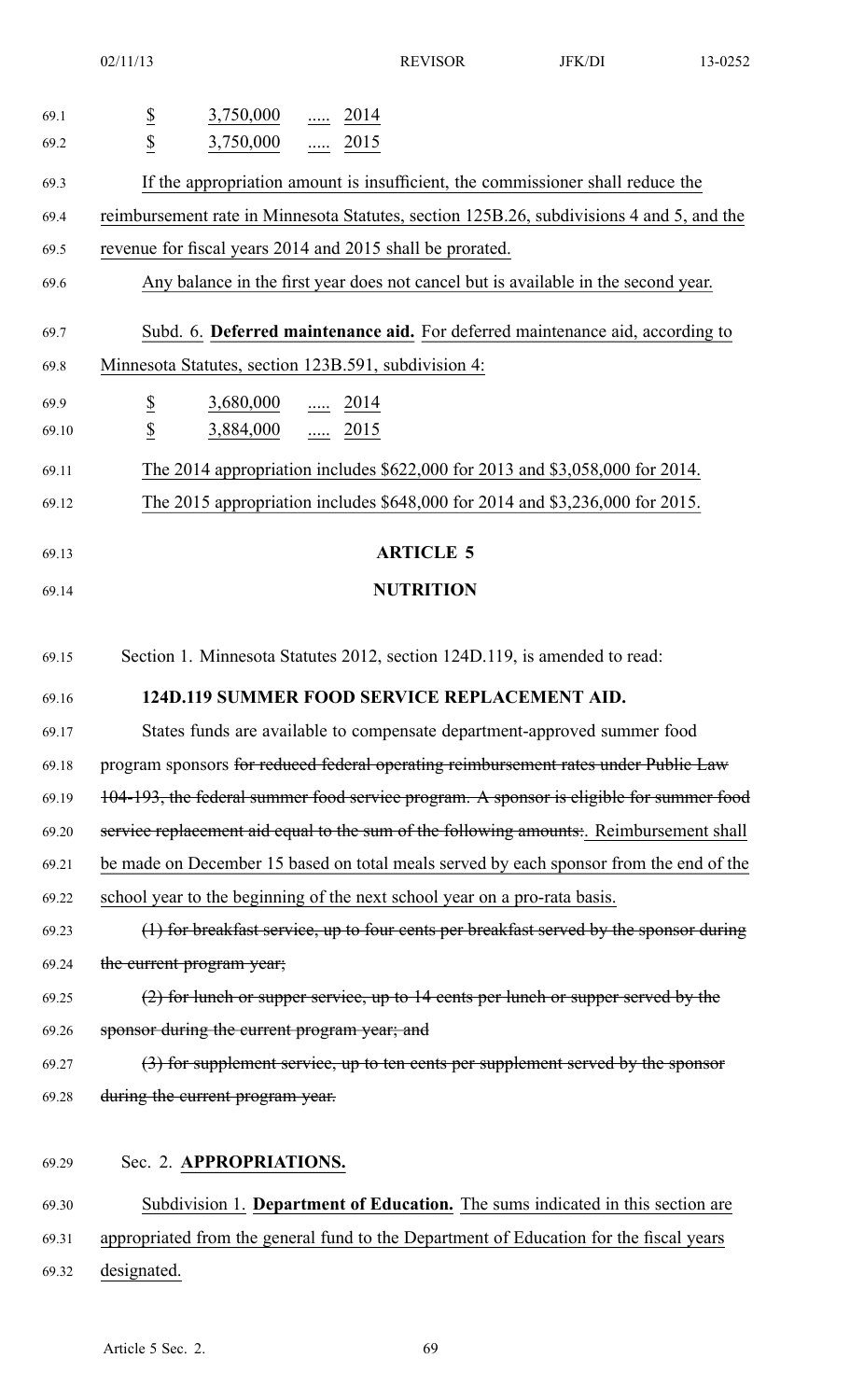| 69.1  | $rac{S}{S}$<br>$3,750,000$ 2014                                                          |
|-------|------------------------------------------------------------------------------------------|
| 69.2  | 3,750,000  2015                                                                          |
| 69.3  | If the appropriation amount is insufficient, the commissioner shall reduce the           |
| 69.4  | reimbursement rate in Minnesota Statutes, section 125B.26, subdivisions 4 and 5, and the |
| 69.5  | revenue for fiscal years 2014 and 2015 shall be prorated.                                |
| 69.6  | Any balance in the first year does not cancel but is available in the second year.       |
| 69.7  | Subd. 6. Deferred maintenance aid. For deferred maintenance aid, according to            |
| 69.8  | Minnesota Statutes, section 123B.591, subdivision 4:                                     |
| 69.9  | $\underline{\$}$<br>$3,680,000$ 2014                                                     |
| 69.10 | $\overline{\mathcal{L}}$<br>3,884,000  2015                                              |
| 69.11 | The 2014 appropriation includes \$622,000 for 2013 and \$3,058,000 for 2014.             |
| 69.12 | The 2015 appropriation includes \$648,000 for 2014 and \$3,236,000 for 2015.             |
| 69.13 | <b>ARTICLE 5</b>                                                                         |
| 69.14 | <b>NUTRITION</b>                                                                         |
|       |                                                                                          |
| 69.15 | Section 1. Minnesota Statutes 2012, section 124D.119, is amended to read:                |
| 69.16 | <b>124D.119 SUMMER FOOD SERVICE REPLACEMENT AID.</b>                                     |
| 69.17 | States funds are available to compensate department-approved summer food                 |
| 69.18 | program sponsors for reduced federal operating reimbursement rates under Public Law      |
| 69.19 | 104-193, the federal summer food service program. A sponsor is eligible for summer food  |
| 69.20 | service replacement aid equal to the sum of the following amounts: Reimbursement shall   |
| 69.21 | be made on December 15 based on total meals served by each sponsor from the end of the   |
| 69.22 | school year to the beginning of the next school year on a pro-rata basis.                |
| 69.23 | (1) for breakfast service, up to four cents per breakfast served by the sponsor during   |
| 69.24 | the current program year;                                                                |
| 69.25 | $(2)$ for lunch or supper service, up to 14 cents per lunch or supper served by the      |
| 69.26 | sponsor during the current program year; and                                             |
| 69.27 | (3) for supplement service, up to ten cents per supplement served by the sponsor         |
| 69.28 | during the current program year.                                                         |
| 69.29 | Sec. 2. APPROPRIATIONS.                                                                  |
| 69.30 | Subdivision 1. Department of Education. The sums indicated in this section are           |
| 69.31 | appropriated from the general fund to the Department of Education for the fiscal years   |
| 69.32 | designated.                                                                              |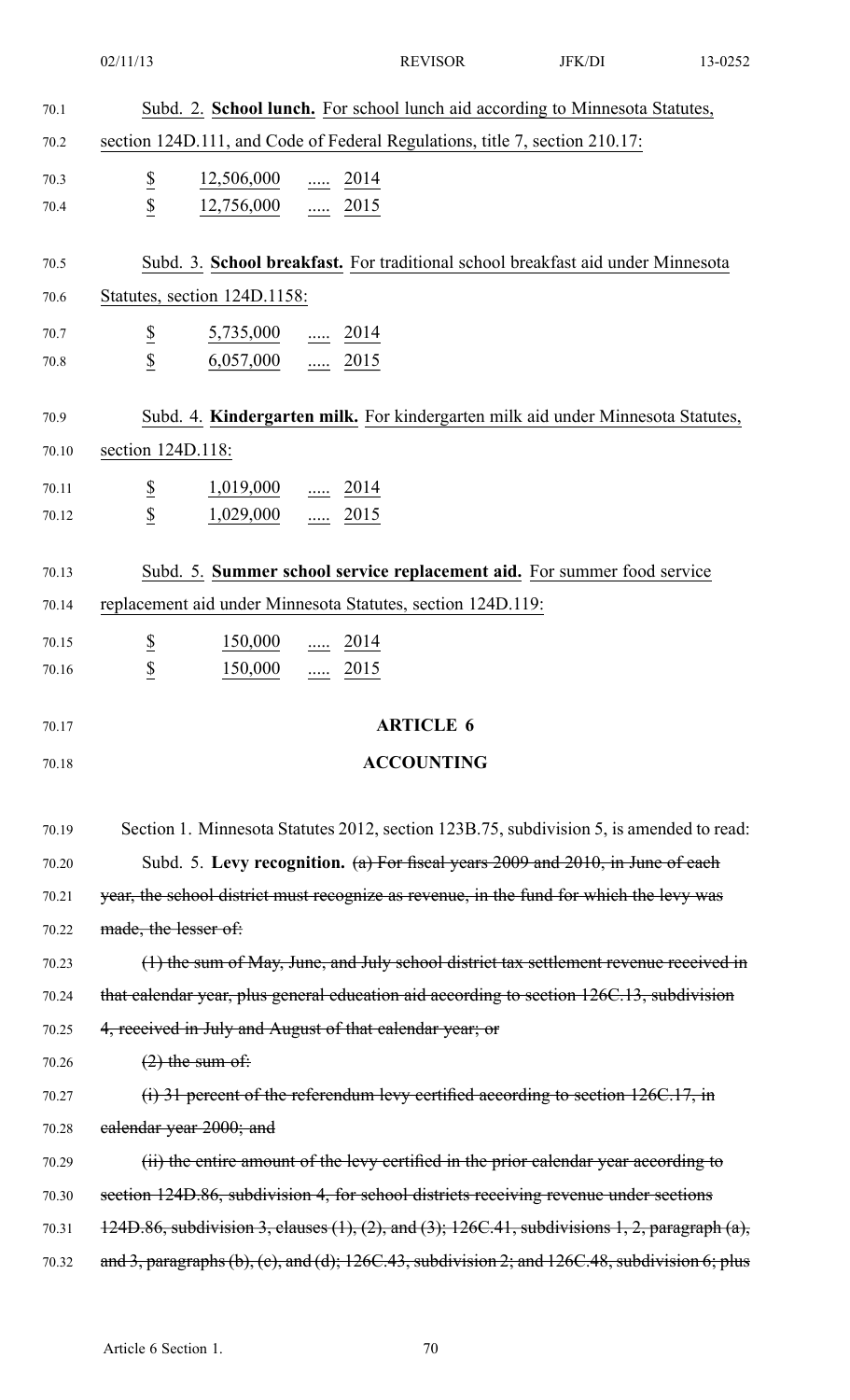|              | 02/11/13                                                                              |                                                                                    |                         | <b>REVISOR</b>                                              | JFK/DI                                                                                              | 13-0252 |
|--------------|---------------------------------------------------------------------------------------|------------------------------------------------------------------------------------|-------------------------|-------------------------------------------------------------|-----------------------------------------------------------------------------------------------------|---------|
| 70.1         |                                                                                       |                                                                                    |                         |                                                             | Subd. 2. School lunch. For school lunch aid according to Minnesota Statutes,                        |         |
| 70.2         |                                                                                       |                                                                                    |                         |                                                             | section 124D.111, and Code of Federal Regulations, title 7, section 210.17:                         |         |
| 70.3         |                                                                                       | $\frac{12,506,000}{\cdots}$ $\frac{2014}{\cdots}$                                  |                         |                                                             |                                                                                                     |         |
| 70.4         | $rac{S}{S}$                                                                           | $12,756,000$ 2015                                                                  |                         |                                                             |                                                                                                     |         |
|              |                                                                                       |                                                                                    |                         |                                                             |                                                                                                     |         |
| 70.5<br>70.6 | Statutes, section 124D.1158:                                                          |                                                                                    |                         |                                                             | Subd. 3. School breakfast. For traditional school breakfast aid under Minnesota                     |         |
| 70.7         |                                                                                       | $5,735,000$ 2014                                                                   |                         |                                                             |                                                                                                     |         |
| 70.8         | $rac{1}{2}$                                                                           | $6,057,000$ 2015                                                                   |                         |                                                             |                                                                                                     |         |
|              |                                                                                       |                                                                                    |                         |                                                             |                                                                                                     |         |
| 70.9         |                                                                                       |                                                                                    |                         |                                                             | Subd. 4. Kindergarten milk. For kindergarten milk aid under Minnesota Statutes,                     |         |
| 70.10        | section 124D.118:                                                                     |                                                                                    |                         |                                                             |                                                                                                     |         |
| 70.11        | $\frac{\mathbb{S}}{\mathbb{S}}$                                                       | $\frac{1,019,000}{\ldots}$ $\frac{\ldots}{\ldots}$ 2014                            |                         |                                                             |                                                                                                     |         |
| 70.12        |                                                                                       | $1,029,000$ 2015                                                                   |                         |                                                             |                                                                                                     |         |
| 70.13        |                                                                                       |                                                                                    |                         |                                                             | Subd. 5. Summer school service replacement aid. For summer food service                             |         |
| 70.14        |                                                                                       |                                                                                    |                         | replacement aid under Minnesota Statutes, section 124D.119: |                                                                                                     |         |
| 70.15        | $\overline{\mathcal{E}}$                                                              |                                                                                    | $\frac{150,000}{}$ 2014 |                                                             |                                                                                                     |         |
| 70.16        | $\overline{p}$                                                                        | $150,000$                                                                          | 2015<br>$\ldots$        |                                                             |                                                                                                     |         |
| 70.17        |                                                                                       |                                                                                    |                         | <b>ARTICLE 6</b>                                            |                                                                                                     |         |
| 70.18        |                                                                                       |                                                                                    |                         | <b>ACCOUNTING</b>                                           |                                                                                                     |         |
|              |                                                                                       |                                                                                    |                         |                                                             |                                                                                                     |         |
| 70.19        |                                                                                       |                                                                                    |                         |                                                             | Section 1. Minnesota Statutes 2012, section 123B.75, subdivision 5, is amended to read:             |         |
| 70.20        |                                                                                       |                                                                                    |                         |                                                             | Subd. 5. Levy recognition. (a) For fiscal years 2009 and 2010, in June of each                      |         |
| 70.21        |                                                                                       |                                                                                    |                         |                                                             | year, the school district must recognize as revenue, in the fund for which the levy was             |         |
| 70.22        | made, the lesser of:                                                                  |                                                                                    |                         |                                                             |                                                                                                     |         |
| 70.23        |                                                                                       |                                                                                    |                         |                                                             | (1) the sum of May, June, and July school district tax settlement revenue received in               |         |
| 70.24        |                                                                                       |                                                                                    |                         |                                                             | that calendar year, plus general education aid according to section 126C.13, subdivision            |         |
| 70.25        | 4, received in July and August of that calendar year; or                              |                                                                                    |                         |                                                             |                                                                                                     |         |
| 70.26        |                                                                                       | $(2)$ the sum of:                                                                  |                         |                                                             |                                                                                                     |         |
| 70.27        |                                                                                       | $(i)$ 31 percent of the referendum levy certified according to section 126C.17, in |                         |                                                             |                                                                                                     |         |
| 70.28        |                                                                                       | ealendar year 2000; and                                                            |                         |                                                             |                                                                                                     |         |
| 70.29        |                                                                                       |                                                                                    |                         |                                                             | (ii) the entire amount of the levy certified in the prior calendar year according to                |         |
| 70.30        | section 124D.86, subdivision 4, for school districts receiving revenue under sections |                                                                                    |                         |                                                             |                                                                                                     |         |
| 70.31        |                                                                                       |                                                                                    |                         |                                                             | 124D.86, subdivision 3, clauses (1), (2), and (3); 126C.41, subdivisions 1, 2, paragraph (a),       |         |
| 70.32        |                                                                                       |                                                                                    |                         |                                                             | and 3, paragraphs (b), (c), and (d); $126C.43$ , subdivision 2; and $126C.48$ , subdivision 6; plus |         |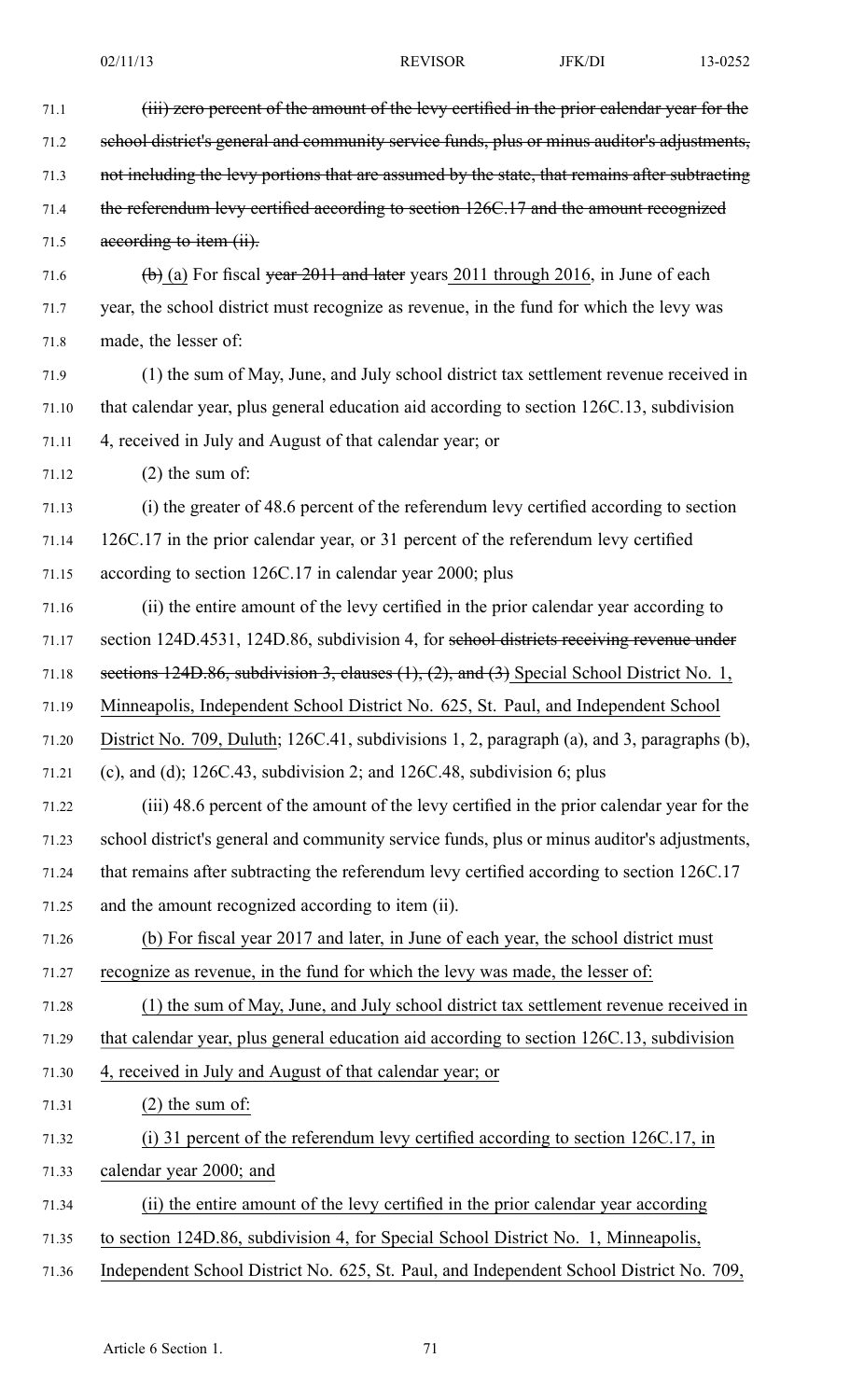| 71.1  | (iii) zero percent of the amount of the levy certified in the prior calendar year for the                         |
|-------|-------------------------------------------------------------------------------------------------------------------|
| 71.2  | school district's general and community service funds, plus or minus auditor's adjustments,                       |
| 71.3  | not including the levy portions that are assumed by the state, that remains after subtracting                     |
| 71.4  | the referendum levy certified according to section 126C.17 and the amount recognized                              |
| 71.5  | according to item (ii).                                                                                           |
| 71.6  | $\left(\frac{b}{c}\right)$ (a) For fiscal <del>year 2011 and later</del> years 2011 through 2016, in June of each |
| 71.7  | year, the school district must recognize as revenue, in the fund for which the levy was                           |
| 71.8  | made, the lesser of:                                                                                              |
| 71.9  | (1) the sum of May, June, and July school district tax settlement revenue received in                             |
| 71.10 | that calendar year, plus general education aid according to section 126C.13, subdivision                          |
| 71.11 | 4, received in July and August of that calendar year; or                                                          |
| 71.12 | $(2)$ the sum of:                                                                                                 |
| 71.13 | (i) the greater of 48.6 percent of the referendum levy certified according to section                             |
| 71.14 | 126C.17 in the prior calendar year, or 31 percent of the referendum levy certified                                |
| 71.15 | according to section 126C.17 in calendar year 2000; plus                                                          |
| 71.16 | (ii) the entire amount of the levy certified in the prior calendar year according to                              |
| 71.17 | section 124D.4531, 124D.86, subdivision 4, for sehool districts receiving revenue under                           |
| 71.18 | sections $124D.86$ , subdivision 3, clauses $(1)$ , $(2)$ , and $(3)$ Special School District No. 1,              |
| 71.19 | Minneapolis, Independent School District No. 625, St. Paul, and Independent School                                |
| 71.20 | District No. 709, Duluth; 126C.41, subdivisions 1, 2, paragraph (a), and 3, paragraphs (b),                       |
| 71.21 | (c), and (d); $126C.43$ , subdivision 2; and $126C.48$ , subdivision 6; plus                                      |
| 71.22 | (iii) 48.6 percent of the amount of the levy certified in the prior calendar year for the                         |
| 71.23 | school district's general and community service funds, plus or minus auditor's adjustments,                       |
| 71.24 | that remains after subtracting the referendum levy certified according to section 126C.17                         |
| 71.25 | and the amount recognized according to item (ii).                                                                 |
| 71.26 | (b) For fiscal year 2017 and later, in June of each year, the school district must                                |
| 71.27 | recognize as revenue, in the fund for which the levy was made, the lesser of:                                     |
| 71.28 | (1) the sum of May, June, and July school district tax settlement revenue received in                             |
| 71.29 | that calendar year, plus general education aid according to section 126C.13, subdivision                          |
| 71.30 | 4, received in July and August of that calendar year; or                                                          |
| 71.31 | $(2)$ the sum of:                                                                                                 |
| 71.32 | (i) 31 percent of the referendum levy certified according to section 126C.17, in                                  |
| 71.33 | calendar year 2000; and                                                                                           |
| 71.34 | (ii) the entire amount of the levy certified in the prior calendar year according                                 |
| 71.35 | to section 124D.86, subdivision 4, for Special School District No. 1, Minneapolis,                                |
| 71.36 | Independent School District No. 625, St. Paul, and Independent School District No. 709,                           |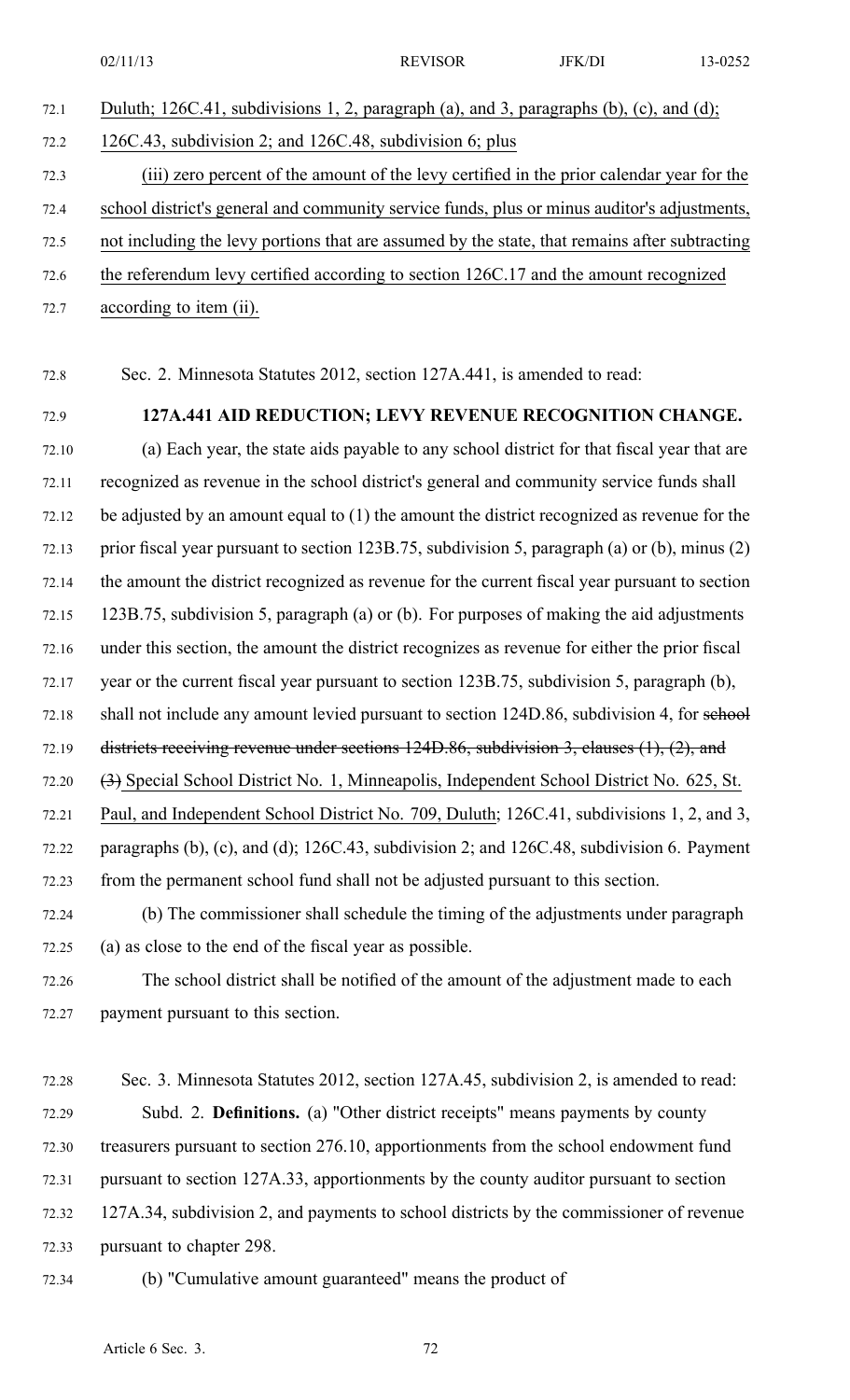72.1 Duluth; 126C.41, subdivisions 1, 2, paragraph (a), and 3, paragraphs (b), (c), and (d); 72.2 126C.43, subdivision 2; and 126C.48, subdivision 6; plus 72.3 (iii) zero percen<sup>t</sup> of the amount of the levy certified in the prior calendar year for the 72.4 school district's general and community service funds, plus or minus auditor's adjustments, 72.5 not including the levy portions that are assumed by the state, that remains after subtracting 72.6 the referendum levy certified according to section 126C.17 and the amount recognized 72.7 according to item (ii).

72.8 Sec. 2. Minnesota Statutes 2012, section 127A.441, is amended to read:

## 72.9 **127A.441 AID REDUCTION; LEVY REVENUE RECOGNITION CHANGE.**

72.10 (a) Each year, the state aids payable to any school district for that fiscal year that are 72.11 recognized as revenue in the school district's general and community service funds shall 72.12 be adjusted by an amount equal to (1) the amount the district recognized as revenue for the 72.13 prior fiscal year pursuan<sup>t</sup> to section 123B.75, subdivision 5, paragraph (a) or (b), minus (2) 72.14 the amount the district recognized as revenue for the current fiscal year pursuan<sup>t</sup> to section 72.15 123B.75, subdivision 5, paragraph (a) or (b). For purposes of making the aid adjustments 72.16 under this section, the amount the district recognizes as revenue for either the prior fiscal 72.17 year or the current fiscal year pursuan<sup>t</sup> to section 123B.75, subdivision 5, paragraph (b), 72.18 shall not include any amount levied pursuant to section 124D.86, subdivision 4, for sehool 72.19 districts receiving revenue under sections 124D.86, subdivision 3, clauses (1), (2), and 72.20 (3) Special School District No. 1, Minneapolis, Independent School District No. 625, St. 72.21 Paul, and Independent School District No. 709, Duluth; 126C.41, subdivisions 1, 2, and 3, 72.22 paragraphs (b), (c), and (d); 126C.43, subdivision 2; and 126C.48, subdivision 6. Payment 72.23 from the permanen<sup>t</sup> school fund shall not be adjusted pursuan<sup>t</sup> to this section.

72.24 (b) The commissioner shall schedule the timing of the adjustments under paragraph 72.25 (a) as close to the end of the fiscal year as possible.

72.26 The school district shall be notified of the amount of the adjustment made to each 72.27 paymen<sup>t</sup> pursuan<sup>t</sup> to this section.

- 72.28 Sec. 3. Minnesota Statutes 2012, section 127A.45, subdivision 2, is amended to read: 72.29 Subd. 2. **Definitions.** (a) "Other district receipts" means payments by county 72.30 treasurers pursuan<sup>t</sup> to section 276.10, apportionments from the school endowment fund 72.31 pursuan<sup>t</sup> to section 127A.33, apportionments by the county auditor pursuan<sup>t</sup> to section 72.32 127A.34, subdivision 2, and payments to school districts by the commissioner of revenue 72.33 pursuan<sup>t</sup> to chapter 298.
- 72.34 (b) "Cumulative amount guaranteed" means the product of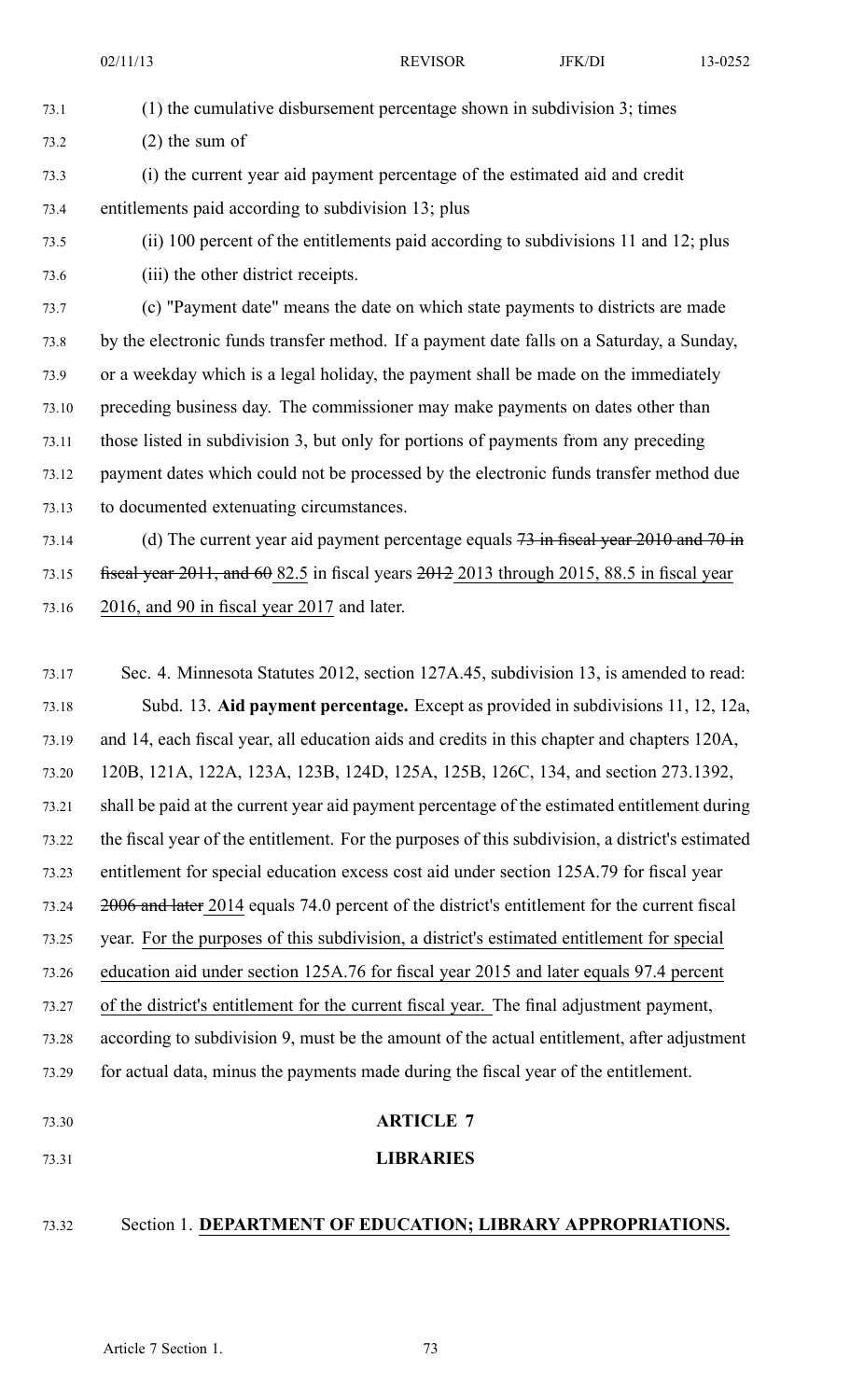73.1 (1) the cumulative disbursement percentage shown in subdivision 3; times 73.2 (2) the sum of

73.3 (i) the current year aid paymen<sup>t</sup> percentage of the estimated aid and credit 73.4 entitlements paid according to subdivision 13; plus

73.5 (ii) 100 percen<sup>t</sup> of the entitlements paid according to subdivisions 11 and 12; plus

73.6 (iii) the other district receipts.

73.7 (c) "Payment date" means the date on which state payments to districts are made 73.8 by the electronic funds transfer method. If <sup>a</sup> paymen<sup>t</sup> date falls on <sup>a</sup> Saturday, <sup>a</sup> Sunday, 73.9 or <sup>a</sup> weekday which is <sup>a</sup> legal holiday, the paymen<sup>t</sup> shall be made on the immediately 73.10 preceding business day. The commissioner may make payments on dates other than 73.11 those listed in subdivision 3, but only for portions of payments from any preceding 73.12 paymen<sup>t</sup> dates which could not be processed by the electronic funds transfer method due 73.13 to documented extenuating circumstances.

73.14 (d) The current year aid payment percentage equals 73 in fiscal year 2010 and 70 in 73.15 fiscal year  $2011$ , and  $60\,82.5$  in fiscal years  $2012\,2013$  through 2015, 88.5 in fiscal year 73.16 2016, and 90 in fiscal year 2017 and later.

73.17 Sec. 4. Minnesota Statutes 2012, section 127A.45, subdivision 13, is amended to read: 73.18 Subd. 13. **Aid paymen<sup>t</sup> percentage.** Except as provided in subdivisions 11, 12, 12a, 73.19 and 14, each fiscal year, all education aids and credits in this chapter and chapters 120A, 73.20 120B, 121A, 122A, 123A, 123B, 124D, 125A, 125B, 126C, 134, and section 273.1392, 73.21 shall be paid at the current year aid paymen<sup>t</sup> percentage of the estimated entitlement during 73.22 the fiscal year of the entitlement. For the purposes of this subdivision, <sup>a</sup> district's estimated 73.23 entitlement for special education excess cost aid under section 125A.79 for fiscal year 73.24 2006 and later 2014 equals 74.0 percen<sup>t</sup> of the district's entitlement for the current fiscal 73.25 year. For the purposes of this subdivision, <sup>a</sup> district's estimated entitlement for special 73.26 education aid under section 125A.76 for fiscal year 2015 and later equals 97.4 percen<sup>t</sup> 73.27 of the district's entitlement for the current fiscal year. The final adjustment payment, 73.28 according to subdivision 9, must be the amount of the actual entitlement, after adjustment 73.29 for actual data, minus the payments made during the fiscal year of the entitlement. 73.30 **ARTICLE 7** 73.31 **LIBRARIES**

- 
- 73.32 Section 1. **DEPARTMENT OF EDUCATION; LIBRARY APPROPRIATIONS.**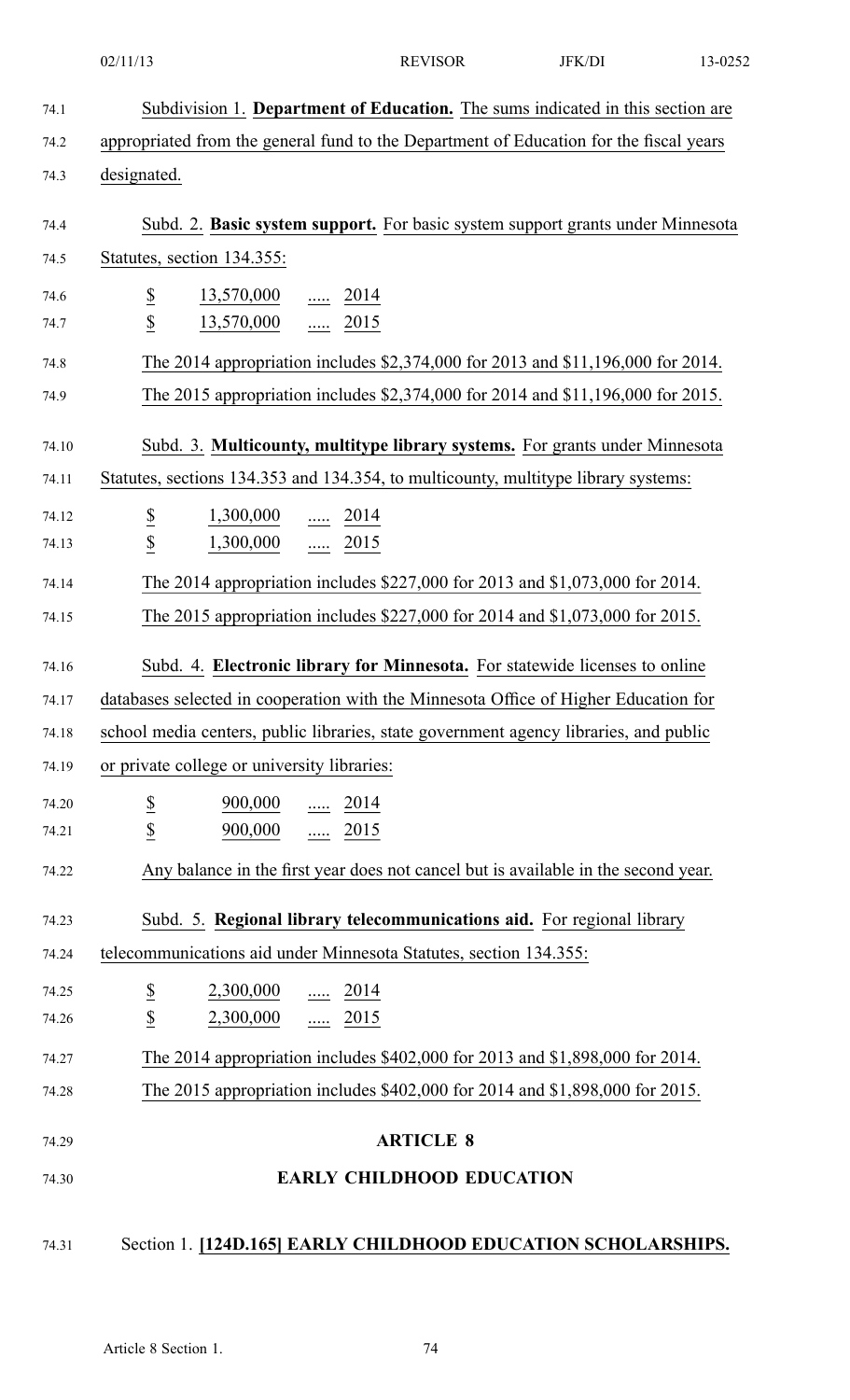| 74.1  | Subdivision 1. Department of Education. The sums indicated in this section are                |
|-------|-----------------------------------------------------------------------------------------------|
| 74.2  | appropriated from the general fund to the Department of Education for the fiscal years        |
| 74.3  | designated.                                                                                   |
| 74.4  | Subd. 2. Basic system support. For basic system support grants under Minnesota                |
| 74.5  | Statutes, section 134.355:                                                                    |
| 74.6  | $\overline{\partial}$<br>$\frac{13,570,000}{\cdots}$ $\frac{2014}{\cdots}$                    |
| 74.7  | $\overline{\mathcal{L}}$<br>$13,570,000$ 2015                                                 |
| 74.8  | The 2014 appropriation includes \$2,374,000 for 2013 and \$11,196,000 for 2014.               |
| 74.9  | The 2015 appropriation includes \$2,374,000 for 2014 and \$11,196,000 for 2015.               |
| 74.10 | Subd. 3. Multicounty, multitype library systems. For grants under Minnesota                   |
| 74.11 | Statutes, sections 134.353 and 134.354, to multicounty, multitype library systems:            |
| 74.12 | $\overline{\partial}$<br>$\frac{1,300,000}{}$ 2014                                            |
| 74.13 | $\overline{\mathcal{E}}$<br>1,300,000  2015                                                   |
| 74.14 | The 2014 appropriation includes \$227,000 for 2013 and \$1,073,000 for 2014.                  |
| 74.15 | The 2015 appropriation includes \$227,000 for 2014 and \$1,073,000 for 2015.                  |
| 74.16 | Subd. 4. Electronic library for Minnesota. For statewide licenses to online                   |
| 74.17 | databases selected in cooperation with the Minnesota Office of Higher Education for           |
| 74.18 | school media centers, public libraries, state government agency libraries, and public         |
| 74.19 | or private college or university libraries:                                                   |
| 74.20 | $\frac{900,000}{\cdots}$ $\frac{2014}{\cdots}$                                                |
| 74.21 | $\overline{\mathbf{z}}$<br>$\underline{\$}$<br>$\frac{900,000}{\ldots}$ $\frac{\ldots}{2015}$ |
| 74.22 | Any balance in the first year does not cancel but is available in the second year.            |
| 74.23 | Subd. 5. Regional library telecommunications aid. For regional library                        |
| 74.24 | telecommunications aid under Minnesota Statutes, section 134.355:                             |
| 74.25 | $\underline{\$}$<br>$2,300,000$ 2014                                                          |
| 74.26 | $\overline{\mathcal{L}}$<br>$2,300,000$ 2015                                                  |
| 74.27 | The 2014 appropriation includes \$402,000 for 2013 and \$1,898,000 for 2014.                  |
| 74.28 | The 2015 appropriation includes \$402,000 for 2014 and \$1,898,000 for 2015.                  |
| 74.29 | <b>ARTICLE 8</b>                                                                              |
| 74.30 | <b>EARLY CHILDHOOD EDUCATION</b>                                                              |
|       |                                                                                               |
| 74.31 | Section 1. [124D.165] EARLY CHILDHOOD EDUCATION SCHOLARSHIPS.                                 |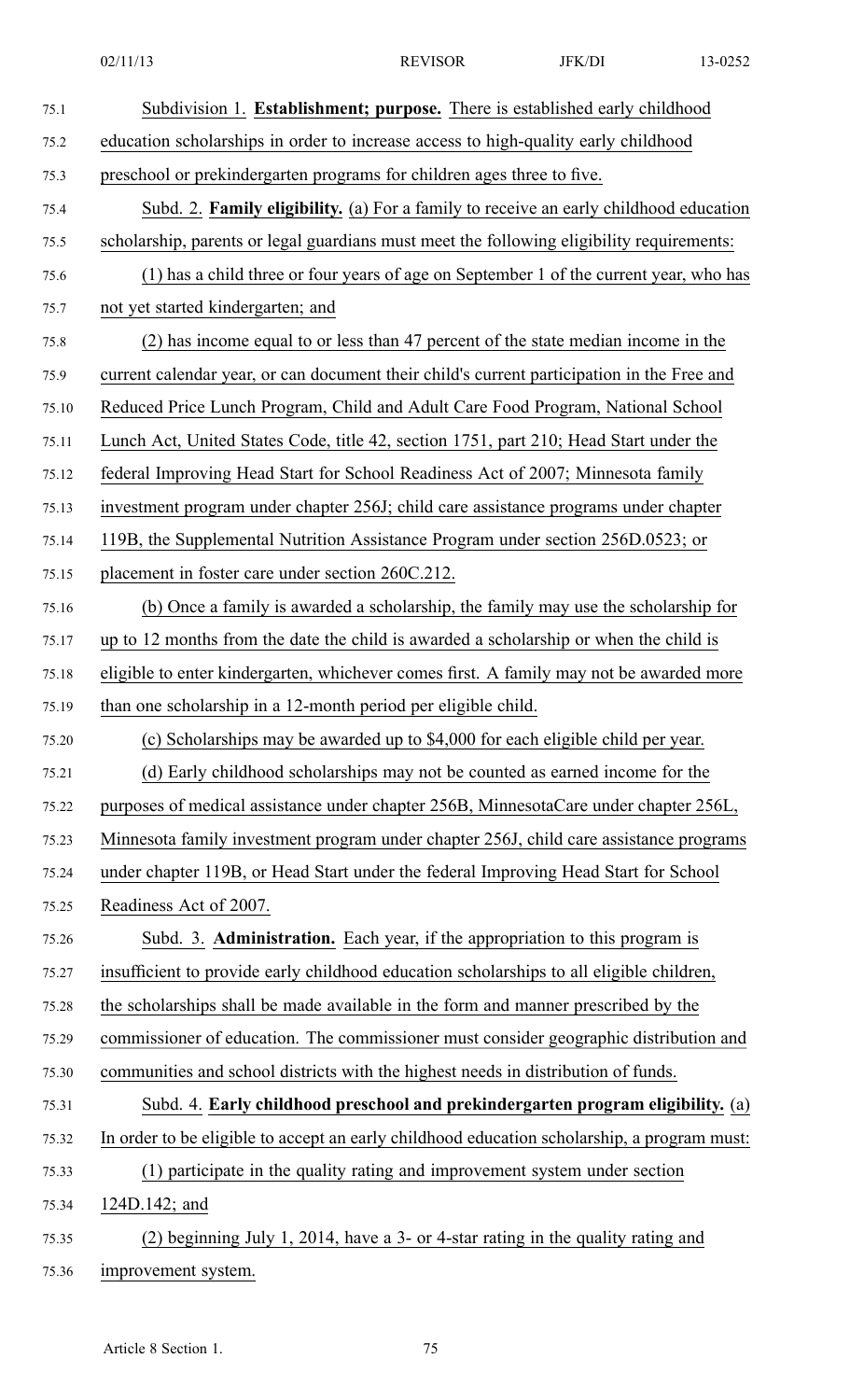| 75.1  | Subdivision 1. Establishment; purpose. There is established early childhood                 |
|-------|---------------------------------------------------------------------------------------------|
| 75.2  | education scholarships in order to increase access to high-quality early childhood          |
| 75.3  | preschool or prekindergarten programs for children ages three to five.                      |
| 75.4  | Subd. 2. Family eligibility. (a) For a family to receive an early childhood education       |
| 75.5  | scholarship, parents or legal guardians must meet the following eligibility requirements:   |
| 75.6  | (1) has a child three or four years of age on September 1 of the current year, who has      |
| 75.7  | not yet started kindergarten; and                                                           |
| 75.8  | (2) has income equal to or less than 47 percent of the state median income in the           |
| 75.9  | current calendar year, or can document their child's current participation in the Free and  |
| 75.10 | Reduced Price Lunch Program, Child and Adult Care Food Program, National School             |
| 75.11 | Lunch Act, United States Code, title 42, section 1751, part 210; Head Start under the       |
| 75.12 | federal Improving Head Start for School Readiness Act of 2007; Minnesota family             |
| 75.13 | investment program under chapter 256J; child care assistance programs under chapter         |
| 75.14 | 119B, the Supplemental Nutrition Assistance Program under section 256D.0523; or             |
| 75.15 | placement in foster care under section 260C.212.                                            |
| 75.16 | (b) Once a family is awarded a scholarship, the family may use the scholarship for          |
| 75.17 | up to 12 months from the date the child is awarded a scholarship or when the child is       |
| 75.18 | eligible to enter kindergarten, whichever comes first. A family may not be awarded more     |
| 75.19 | than one scholarship in a 12-month period per eligible child.                               |
| 75.20 | (c) Scholarships may be awarded up to \$4,000 for each eligible child per year.             |
| 75.21 | (d) Early childhood scholarships may not be counted as earned income for the                |
| 75.22 | purposes of medical assistance under chapter 256B, MinnesotaCare under chapter 256L,        |
| 75.23 | Minnesota family investment program under chapter 256J, child care assistance programs      |
| 75.24 | under chapter 119B, or Head Start under the federal Improving Head Start for School         |
| 75.25 | Readiness Act of 2007.                                                                      |
| 75.26 | Subd. 3. <b>Administration.</b> Each year, if the appropriation to this program is          |
| 75.27 | insufficient to provide early childhood education scholarships to all eligible children,    |
| 75.28 | the scholarships shall be made available in the form and manner prescribed by the           |
| 75.29 | commissioner of education. The commissioner must consider geographic distribution and       |
| 75.30 | communities and school districts with the highest needs in distribution of funds.           |
| 75.31 | Subd. 4. Early childhood preschool and prekindergarten program eligibility. (a)             |
| 75.32 | In order to be eligible to accept an early childhood education scholarship, a program must: |
| 75.33 | (1) participate in the quality rating and improvement system under section                  |
| 75.34 | 124D.142; and                                                                               |
| 75.35 | (2) beginning July 1, 2014, have a 3- or 4-star rating in the quality rating and            |
| 75.36 | improvement system.                                                                         |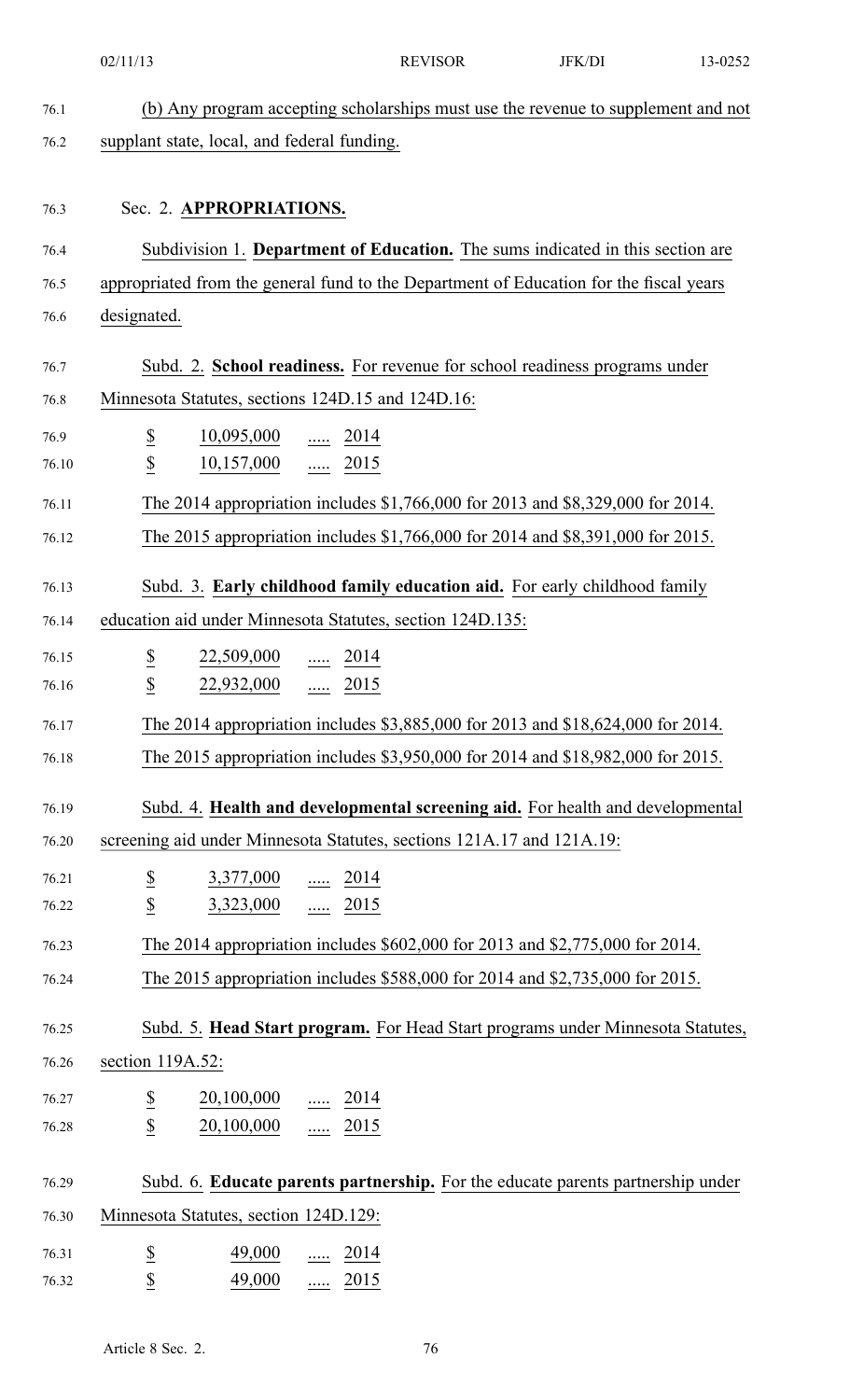|       | 02/11/13                          |                                                                           | <b>REVISOR</b>                                                                         | JFK/DI | 13-0252                                                                           |
|-------|-----------------------------------|---------------------------------------------------------------------------|----------------------------------------------------------------------------------------|--------|-----------------------------------------------------------------------------------|
| 76.1  |                                   |                                                                           |                                                                                        |        | (b) Any program accepting scholarships must use the revenue to supplement and not |
| 76.2  |                                   | supplant state, local, and federal funding.                               |                                                                                        |        |                                                                                   |
|       |                                   |                                                                           |                                                                                        |        |                                                                                   |
| 76.3  |                                   | Sec. 2. APPROPRIATIONS.                                                   |                                                                                        |        |                                                                                   |
| 76.4  |                                   |                                                                           | Subdivision 1. Department of Education. The sums indicated in this section are         |        |                                                                                   |
| 76.5  |                                   |                                                                           | appropriated from the general fund to the Department of Education for the fiscal years |        |                                                                                   |
| 76.6  | designated.                       |                                                                           |                                                                                        |        |                                                                                   |
| 76.7  |                                   |                                                                           | Subd. 2. School readiness. For revenue for school readiness programs under             |        |                                                                                   |
| 76.8  |                                   |                                                                           | Minnesota Statutes, sections 124D.15 and 124D.16:                                      |        |                                                                                   |
| 76.9  | $\overline{\mathcal{E}}$          | $\frac{10,095,000}{\ldots}$ $\frac{\ldots}{\ldots}$ 2014                  |                                                                                        |        |                                                                                   |
| 76.10 | $\overline{\mathcal{L}}$          | $10,157,000$ 2015                                                         |                                                                                        |        |                                                                                   |
| 76.11 |                                   |                                                                           | The 2014 appropriation includes \$1,766,000 for 2013 and \$8,329,000 for 2014.         |        |                                                                                   |
| 76.12 |                                   |                                                                           | The 2015 appropriation includes \$1,766,000 for 2014 and \$8,391,000 for 2015.         |        |                                                                                   |
| 76.13 |                                   |                                                                           | Subd. 3. Early childhood family education aid. For early childhood family              |        |                                                                                   |
| 76.14 |                                   |                                                                           | education aid under Minnesota Statutes, section 124D.135:                              |        |                                                                                   |
| 76.15 | $\overline{\mathcal{E}}$          | $22,509,000$ 2014                                                         |                                                                                        |        |                                                                                   |
| 76.16 | $\frac{\mathcal{S}}{\mathcal{S}}$ | 22,932,000  2015                                                          |                                                                                        |        |                                                                                   |
| 76.17 |                                   |                                                                           | The 2014 appropriation includes \$3,885,000 for 2013 and \$18,624,000 for 2014.        |        |                                                                                   |
| 76.18 |                                   |                                                                           | The 2015 appropriation includes \$3,950,000 for 2014 and \$18,982,000 for 2015.        |        |                                                                                   |
| 76.19 |                                   |                                                                           |                                                                                        |        | Subd. 4. Health and developmental screening aid. For health and developmental     |
| 76.20 |                                   |                                                                           | screening aid under Minnesota Statutes, sections 121A.17 and 121A.19:                  |        |                                                                                   |
| 76.21 | $\overline{\mathcal{E}}$          | $3,377,000$ 2014                                                          |                                                                                        |        |                                                                                   |
| 76.22 | $\underline{\$}$                  | $3,323,000$ 2015                                                          |                                                                                        |        |                                                                                   |
| 76.23 |                                   |                                                                           | The 2014 appropriation includes \$602,000 for 2013 and \$2,775,000 for 2014.           |        |                                                                                   |
| 76.24 |                                   |                                                                           | The 2015 appropriation includes \$588,000 for 2014 and \$2,735,000 for 2015.           |        |                                                                                   |
| 76.25 |                                   |                                                                           |                                                                                        |        | Subd. 5. Head Start program. For Head Start programs under Minnesota Statutes,    |
| 76.26 | section 119A.52:                  |                                                                           |                                                                                        |        |                                                                                   |
| 76.27 |                                   | $\frac{20,100,000}{\ldots}$ $\frac{\ldots}{\ldots}$ $\frac{2014}{\ldots}$ |                                                                                        |        |                                                                                   |
| 76.28 | $rac{S}{S}$                       | $20,100,000$ 2015                                                         |                                                                                        |        |                                                                                   |
| 76.29 |                                   |                                                                           |                                                                                        |        | Subd. 6. Educate parents partnership. For the educate parents partnership under   |
| 76.30 |                                   | Minnesota Statutes, section 124D.129:                                     |                                                                                        |        |                                                                                   |
| 76.31 |                                   | $\frac{49,000}{}$ 2014                                                    |                                                                                        |        |                                                                                   |
| 76.32 | $rac{S}{S}$                       | 49,000  2015                                                              |                                                                                        |        |                                                                                   |
|       |                                   |                                                                           |                                                                                        |        |                                                                                   |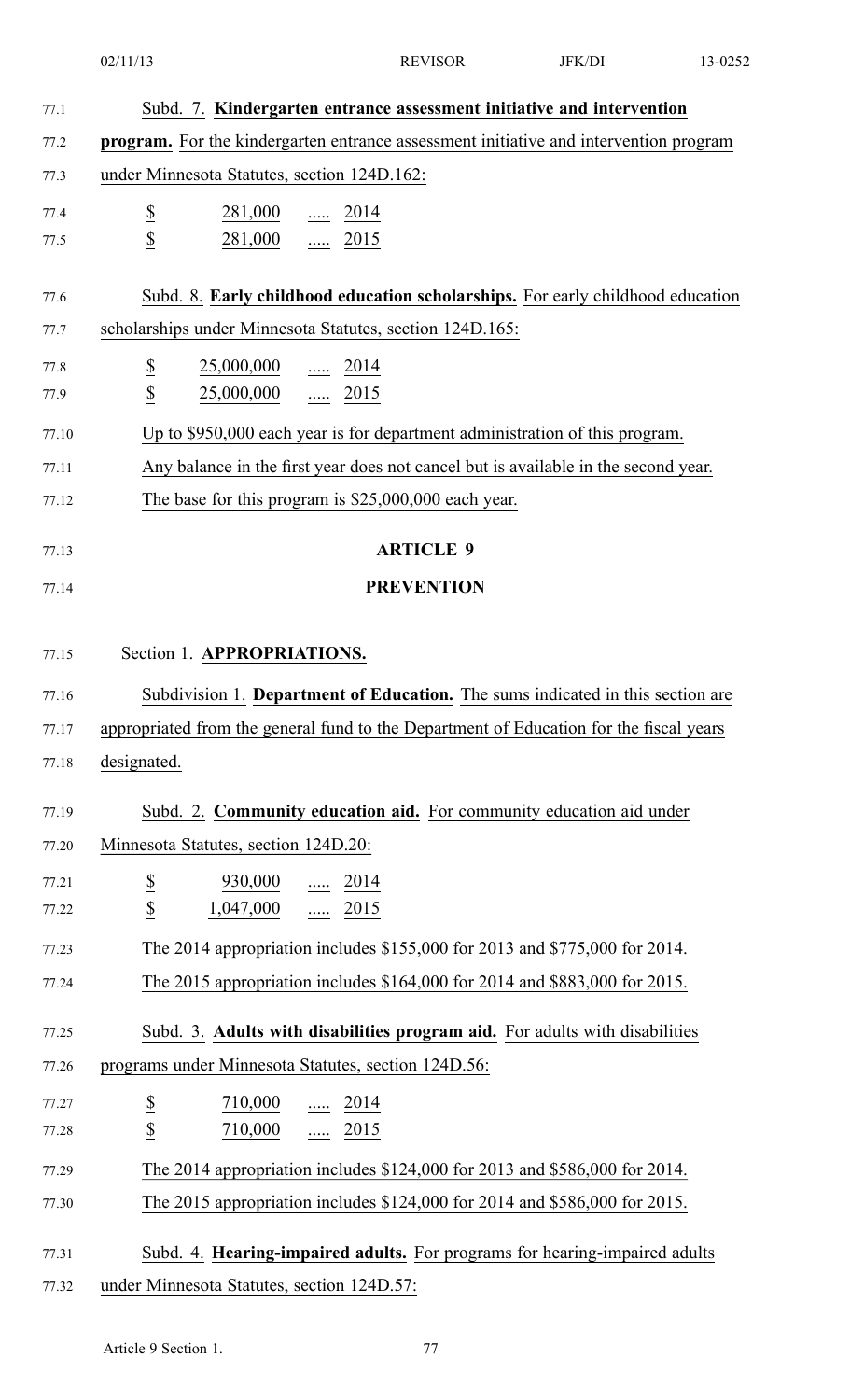|                | 02/11/13                                                                                     |                                   | <b>REVISOR</b>    | JFK/DI | 13-0252 |
|----------------|----------------------------------------------------------------------------------------------|-----------------------------------|-------------------|--------|---------|
|                |                                                                                              |                                   |                   |        |         |
| 77.1           | Subd. 7. Kindergarten entrance assessment initiative and intervention                        |                                   |                   |        |         |
| 77.2           | <b>program.</b> For the kindergarten entrance assessment initiative and intervention program |                                   |                   |        |         |
| 77.3           | under Minnesota Statutes, section 124D.162:                                                  |                                   |                   |        |         |
| 77.4           | $rac{S}{S}$<br>$\frac{281,000}{}$ 2014                                                       |                                   |                   |        |         |
| 77.5           | 281,000  2015                                                                                |                                   |                   |        |         |
| 77.6           | Subd. 8. Early childhood education scholarships. For early childhood education               |                                   |                   |        |         |
| 77.7           | scholarships under Minnesota Statutes, section 124D.165:                                     |                                   |                   |        |         |
| 77.8           | $\underline{\$}$<br>$\underline{25,000,000}$ 2014                                            |                                   |                   |        |         |
| 77.9           | $\overline{\mathcal{L}}$<br>25,000,000                                                       | $rac{1}{2015}$                    |                   |        |         |
| 77.10          | Up to \$950,000 each year is for department administration of this program.                  |                                   |                   |        |         |
| 77.11          | Any balance in the first year does not cancel but is available in the second year.           |                                   |                   |        |         |
| 77.12          | The base for this program is $$25,000,000$ each year.                                        |                                   |                   |        |         |
|                |                                                                                              |                                   |                   |        |         |
| 77.13          |                                                                                              |                                   | <b>ARTICLE 9</b>  |        |         |
| 77.14          |                                                                                              |                                   | <b>PREVENTION</b> |        |         |
|                | Section 1. APPROPRIATIONS.                                                                   |                                   |                   |        |         |
| 77.15          |                                                                                              |                                   |                   |        |         |
| 77.16          | Subdivision 1. Department of Education. The sums indicated in this section are               |                                   |                   |        |         |
| 77.17          | appropriated from the general fund to the Department of Education for the fiscal years       |                                   |                   |        |         |
| 77.18          | designated.                                                                                  |                                   |                   |        |         |
| 77.19          | Subd. 2. Community education aid. For community education aid under                          |                                   |                   |        |         |
| 77.20          | Minnesota Statutes, section 124D.20:                                                         |                                   |                   |        |         |
| 77.21          | $930,000$ 2014                                                                               |                                   |                   |        |         |
| 77.22          | $rac{S}{S}$<br>$1,047,000$ 2015                                                              |                                   |                   |        |         |
| 77.23          | The 2014 appropriation includes \$155,000 for 2013 and \$775,000 for 2014.                   |                                   |                   |        |         |
| 77.24          | The 2015 appropriation includes \$164,000 for 2014 and \$883,000 for 2015.                   |                                   |                   |        |         |
| 77.25          | Subd. 3. Adults with disabilities program aid. For adults with disabilities                  |                                   |                   |        |         |
| 77.26          | programs under Minnesota Statutes, section 124D.56:                                          |                                   |                   |        |         |
|                |                                                                                              |                                   |                   |        |         |
| 77.27<br>77.28 | $\overline{\mathcal{E}}$<br>710,000<br>$\underline{\$}$<br>710,000                           | $\frac{1}{2014}$<br>$\cdots$ 2015 |                   |        |         |
|                | The 2014 appropriation includes \$124,000 for 2013 and \$586,000 for 2014.                   |                                   |                   |        |         |
| 77.29          |                                                                                              |                                   |                   |        |         |
| 77.30          | The 2015 appropriation includes \$124,000 for 2014 and \$586,000 for 2015.                   |                                   |                   |        |         |
| 77.31          | Subd. 4. Hearing-impaired adults. For programs for hearing-impaired adults                   |                                   |                   |        |         |
| 77.32          | under Minnesota Statutes, section 124D.57:                                                   |                                   |                   |        |         |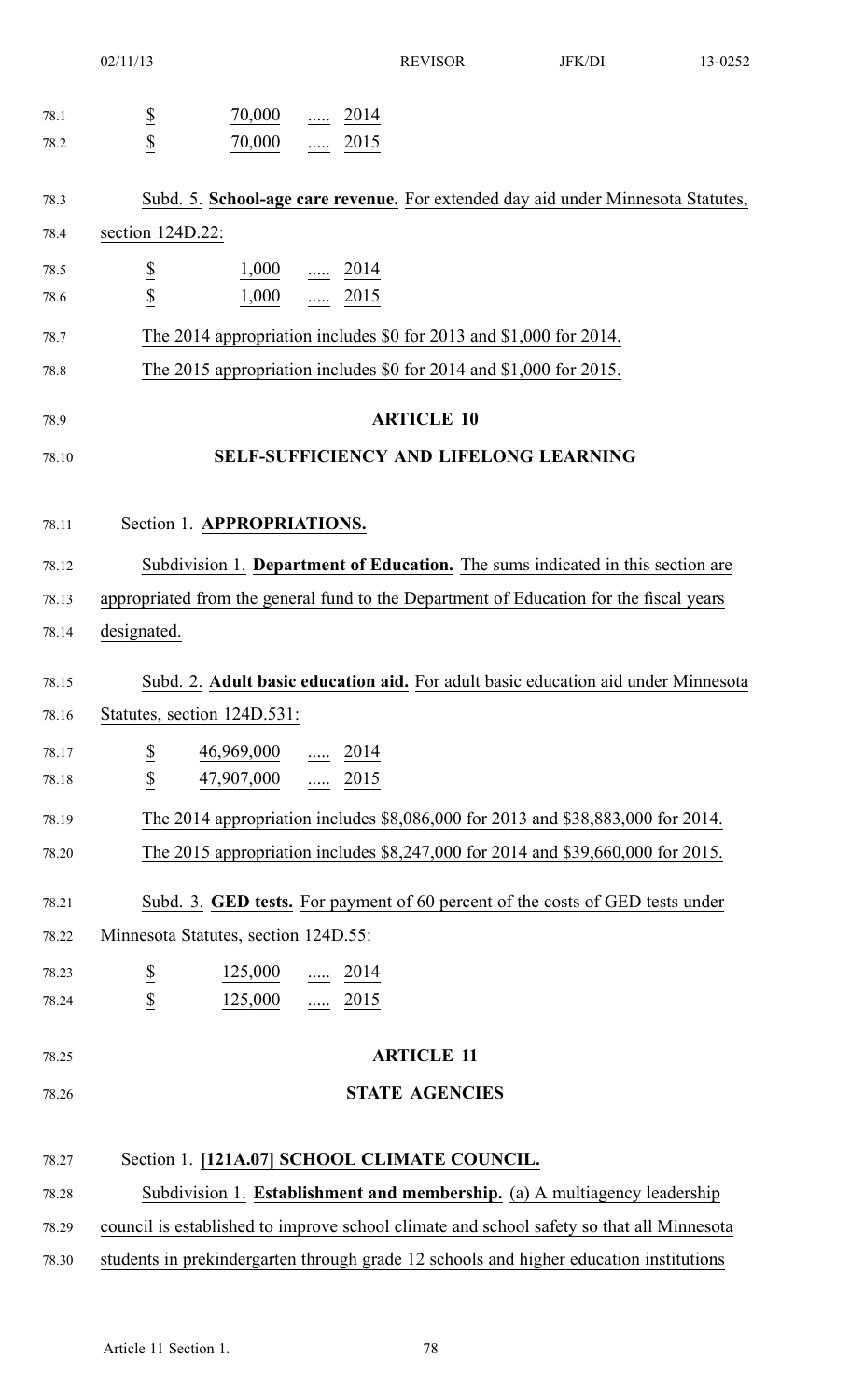|                | 02/11/13<br><b>REVISOR</b>                                                                                                                                            | <b>JFK/DI</b><br>13-0252 |  |
|----------------|-----------------------------------------------------------------------------------------------------------------------------------------------------------------------|--------------------------|--|
| 78.1           | $\overline{\partial}$<br>70,000<br>$\ldots$ 2014                                                                                                                      |                          |  |
| 78.2           | $\overline{2}$<br>70,000<br>$\ldots$ 2015                                                                                                                             |                          |  |
| 78.3           | Subd. 5. School-age care revenue. For extended day aid under Minnesota Statutes,                                                                                      |                          |  |
| 78.4           | section 124D.22:                                                                                                                                                      |                          |  |
| 78.5           | $\overline{\mathbf{z}}$<br>$\frac{1,000}{\cdots}$ $\frac{2014}{\cdots}$                                                                                               |                          |  |
| 78.6           | $\overline{2}$<br>$1,000$ 2015                                                                                                                                        |                          |  |
| 78.7           | The 2014 appropriation includes $$0$ for 2013 and $$1,000$ for 2014.                                                                                                  |                          |  |
| 78.8           | The 2015 appropriation includes \$0 for 2014 and \$1,000 for 2015.                                                                                                    |                          |  |
| 78.9           | <b>ARTICLE 10</b>                                                                                                                                                     |                          |  |
| 78.10          | <b>SELF-SUFFICIENCY AND LIFELONG LEARNING</b>                                                                                                                         |                          |  |
|                |                                                                                                                                                                       |                          |  |
| 78.11          | Section 1. APPROPRIATIONS.                                                                                                                                            |                          |  |
| 78.12          | Subdivision 1. Department of Education. The sums indicated in this section are                                                                                        |                          |  |
| 78.13          | appropriated from the general fund to the Department of Education for the fiscal years                                                                                |                          |  |
| 78.14          | designated.                                                                                                                                                           |                          |  |
| 78.15          | Subd. 2. Adult basic education aid. For adult basic education aid under Minnesota                                                                                     |                          |  |
| 78.16          | Statutes, section 124D.531:                                                                                                                                           |                          |  |
| 78.17          | $\overline{\mathcal{E}}$<br>$\frac{46,969,000}{\cdots}$ $\frac{2014}{\cdots}$                                                                                         |                          |  |
| 78.18          | $\underline{\$}$<br>$\frac{47,907,000}{\ldots}$ 2015                                                                                                                  |                          |  |
| 78.19          | The 2014 appropriation includes \$8,086,000 for 2013 and \$38,883,000 for 2014.                                                                                       |                          |  |
| 78.20          | The 2015 appropriation includes \$8,247,000 for 2014 and \$39,660,000 for 2015.                                                                                       |                          |  |
| 78.21          | Subd. 3. GED tests. For payment of 60 percent of the costs of GED tests under                                                                                         |                          |  |
| 78.22          | Minnesota Statutes, section 124D.55:                                                                                                                                  |                          |  |
| 78.23          | $\frac{125,000}{}$ 2014                                                                                                                                               |                          |  |
| 78.24          | $rac{1}{3}$<br>$125,000$ 2015                                                                                                                                         |                          |  |
| 78.25          | <b>ARTICLE 11</b>                                                                                                                                                     |                          |  |
| 78.26          | <b>STATE AGENCIES</b>                                                                                                                                                 |                          |  |
|                | Section 1. [121A.07] SCHOOL CLIMATE COUNCIL.                                                                                                                          |                          |  |
| 78.27          |                                                                                                                                                                       |                          |  |
| 78.28          | Subdivision 1. Establishment and membership. (a) A multiagency leadership<br>council is established to improve school climate and school safety so that all Minnesota |                          |  |
| 78.29<br>78.30 | students in prekindergarten through grade 12 schools and higher education institutions                                                                                |                          |  |
|                |                                                                                                                                                                       |                          |  |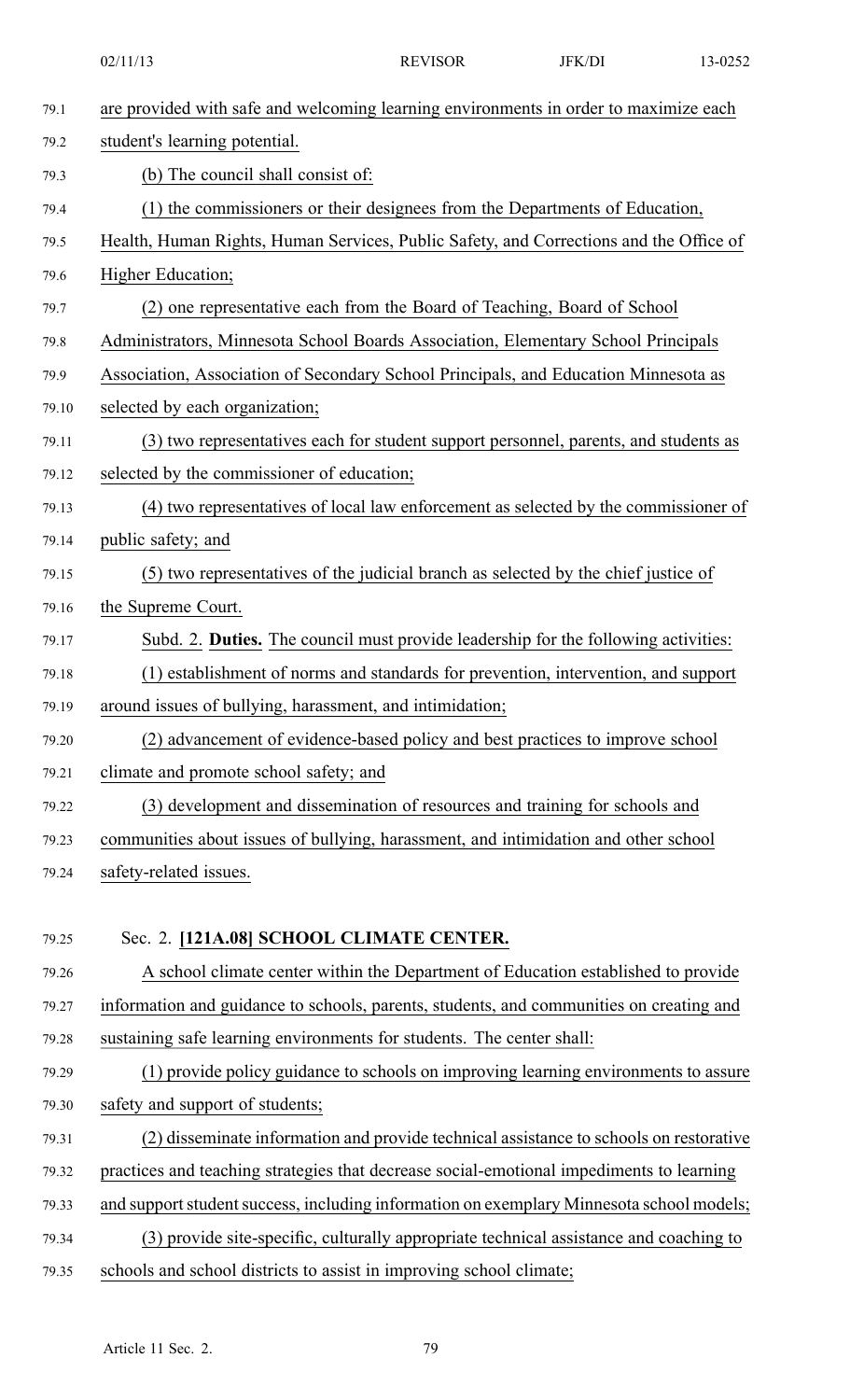02/11/13 **REVISOR** JFK/DI 13-0252 79.1 are provided with safe and welcoming learning environments in order to maximize each 79.2 student's learning potential. 79.3 (b) The council shall consist of: 79.4 (1) the commissioners or their designees from the Departments of Education, 79.5 Health, Human Rights, Human Services, Public Safety, and Corrections and the Office of 79.6 Higher Education; 79.7 (2) one representative each from the Board of Teaching, Board of School 79.8 Administrators, Minnesota School Boards Association, Elementary School Principals 79.9 Association, Association of Secondary School Principals, and Education Minnesota as 79.10 selected by each organization; 79.11 (3) two representatives each for student suppor<sup>t</sup> personnel, parents, and students as 79.12 selected by the commissioner of education; 79.13 (4) two representatives of local law enforcement as selected by the commissioner of 79.14 public safety; and 79.15 (5) two representatives of the judicial branch as selected by the chief justice of 79.16 the Supreme Court. 79.17 Subd. 2. **Duties.** The council must provide leadership for the following activities: 79.18 (1) establishment of norms and standards for prevention, intervention, and suppor<sup>t</sup> 79.19 around issues of bullying, harassment, and intimidation; 79.20 (2) advancement of evidence-based policy and best practices to improve school 79.21 climate and promote school safety; and 79.22 (3) development and dissemination of resources and training for schools and 79.23 communities about issues of bullying, harassment, and intimidation and other school 79.24 safety-related issues. 79.25 Sec. 2. **[121A.08] SCHOOL CLIMATE CENTER.** 79.26 A school climate center within the Department of Education established to provide 79.27 information and guidance to schools, parents, students, and communities on creating and 79.28 sustaining safe learning environments for students. The center shall: 79.29 (1) provide policy guidance to schools on improving learning environments to assure 79.30 safety and suppor<sup>t</sup> of students; 79.31 (2) disseminate information and provide technical assistance to schools on restorative 79.32 practices and teaching strategies that decrease social-emotional impediments to learning 79.33 and support student success, including information on exemplary Minnesota school models; 79.34 (3) provide site-specific, culturally appropriate technical assistance and coaching to 79.35 schools and school districts to assist in improving school climate;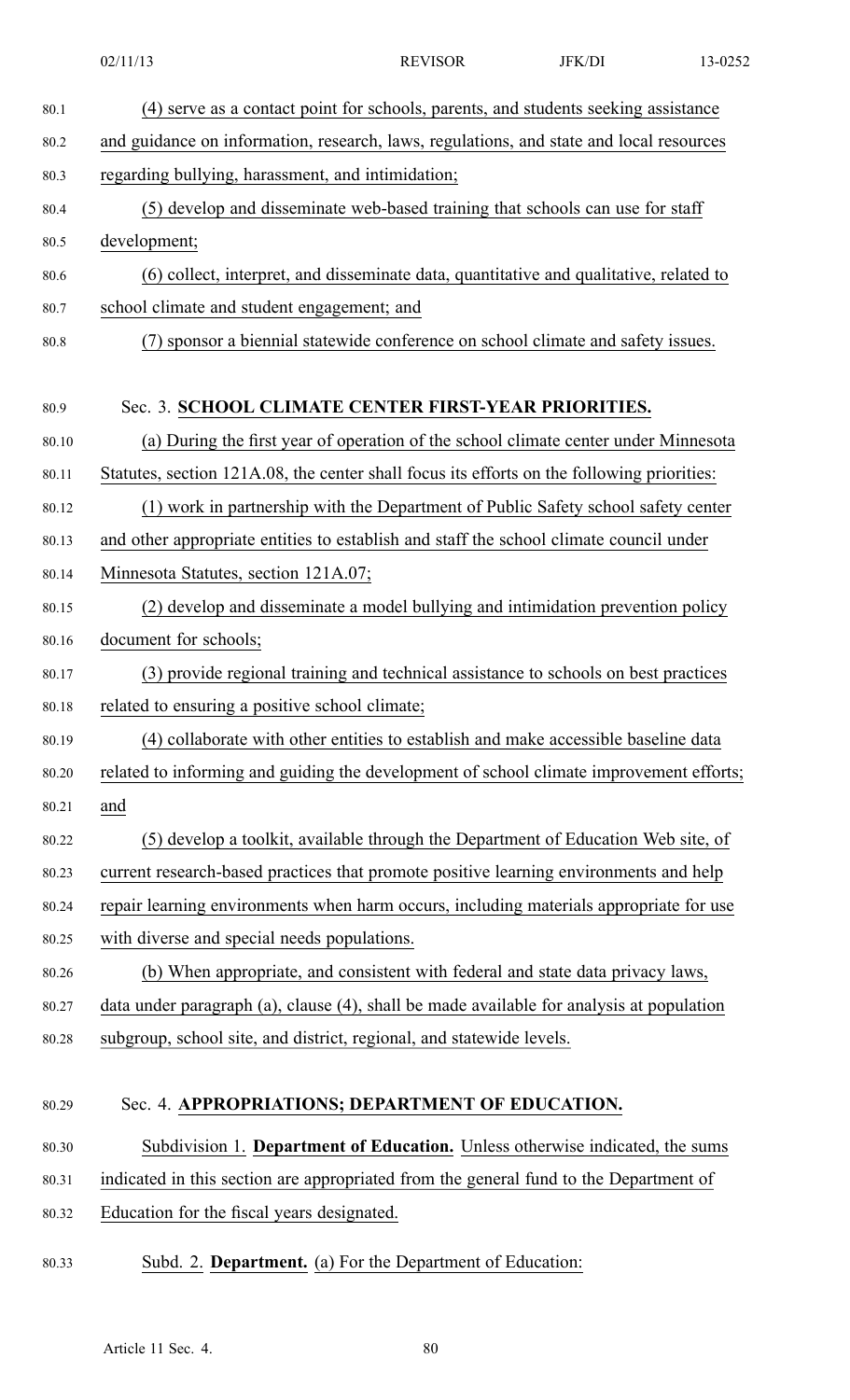|       | 02/11/13<br><b>REVISOR</b><br>JFK/DI<br>13-0252                                            |
|-------|--------------------------------------------------------------------------------------------|
| 80.1  | (4) serve as a contact point for schools, parents, and students seeking assistance         |
| 80.2  | and guidance on information, research, laws, regulations, and state and local resources    |
| 80.3  | regarding bullying, harassment, and intimidation;                                          |
| 80.4  | (5) develop and disseminate web-based training that schools can use for staff              |
| 80.5  | development;                                                                               |
| 80.6  | (6) collect, interpret, and disseminate data, quantitative and qualitative, related to     |
| 80.7  | school climate and student engagement; and                                                 |
| 80.8  | (7) sponsor a biennial statewide conference on school climate and safety issues.           |
| 80.9  | Sec. 3. SCHOOL CLIMATE CENTER FIRST-YEAR PRIORITIES.                                       |
| 80.10 | (a) During the first year of operation of the school climate center under Minnesota        |
| 80.11 | Statutes, section 121A.08, the center shall focus its efforts on the following priorities: |
| 80.12 | (1) work in partnership with the Department of Public Safety school safety center          |
| 80.13 | and other appropriate entities to establish and staff the school climate council under     |
| 80.14 | Minnesota Statutes, section 121A.07;                                                       |
| 80.15 | (2) develop and disseminate a model bullying and intimidation prevention policy            |
| 80.16 | document for schools;                                                                      |
| 80.17 | (3) provide regional training and technical assistance to schools on best practices        |
| 80.18 | related to ensuring a positive school climate;                                             |
| 80.19 | (4) collaborate with other entities to establish and make accessible baseline data         |
| 80.20 | related to informing and guiding the development of school climate improvement efforts;    |
| 80.21 | and                                                                                        |
| 80.22 | (5) develop a toolkit, available through the Department of Education Web site, of          |
| 80.23 | current research-based practices that promote positive learning environments and help      |
| 80.24 | repair learning environments when harm occurs, including materials appropriate for use     |
| 80.25 | with diverse and special needs populations.                                                |
| 80.26 | (b) When appropriate, and consistent with federal and state data privacy laws,             |
| 80.27 | data under paragraph (a), clause (4), shall be made available for analysis at population   |
| 80.28 | subgroup, school site, and district, regional, and statewide levels.                       |
| 80.29 | Sec. 4. APPROPRIATIONS; DEPARTMENT OF EDUCATION.                                           |
| 80.30 | Subdivision 1. Department of Education. Unless otherwise indicated, the sums               |
| 80.31 | indicated in this section are appropriated from the general fund to the Department of      |
| 80.32 | Education for the fiscal years designated.                                                 |
| 80.33 | Subd. 2. Department. (a) For the Department of Education:                                  |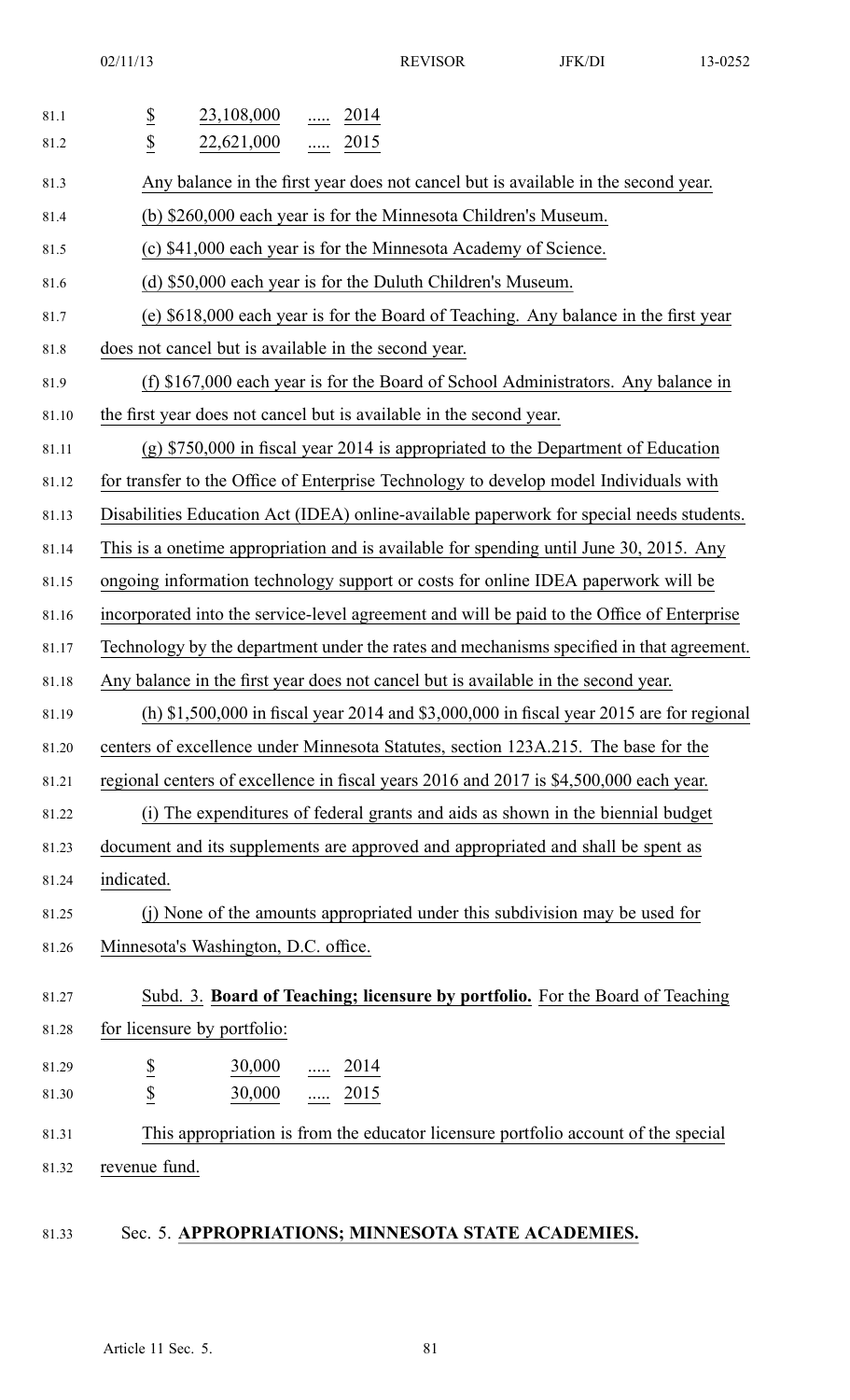02/11/13 REVISOR JFK/DI 13-0252

| 81.1<br>81.2 | $\overline{\partial}$<br>23,108,000<br>2014<br>.<br>$\overline{2}$<br>22,621,000<br>2015   |
|--------------|--------------------------------------------------------------------------------------------|
|              | $\cdots$                                                                                   |
| 81.3         | Any balance in the first year does not cancel but is available in the second year.         |
| 81.4         | (b) \$260,000 each year is for the Minnesota Children's Museum.                            |
| 81.5         | (c) \$41,000 each year is for the Minnesota Academy of Science.                            |
| 81.6         | (d) \$50,000 each year is for the Duluth Children's Museum.                                |
| 81.7         | (e) \$618,000 each year is for the Board of Teaching. Any balance in the first year        |
| 81.8         | does not cancel but is available in the second year.                                       |
| 81.9         | (f) \$167,000 each year is for the Board of School Administrators. Any balance in          |
| 81.10        | the first year does not cancel but is available in the second year.                        |
| 81.11        | $(g)$ \$750,000 in fiscal year 2014 is appropriated to the Department of Education         |
| 81.12        | for transfer to the Office of Enterprise Technology to develop model Individuals with      |
| 81.13        | Disabilities Education Act (IDEA) online-available paperwork for special needs students.   |
| 81.14        | This is a onetime appropriation and is available for spending until June 30, 2015. Any     |
| 81.15        | ongoing information technology support or costs for online IDEA paperwork will be          |
| 81.16        | incorporated into the service-level agreement and will be paid to the Office of Enterprise |
| 81.17        | Technology by the department under the rates and mechanisms specified in that agreement.   |
| 81.18        | Any balance in the first year does not cancel but is available in the second year.         |
| 81.19        | (h) \$1,500,000 in fiscal year 2014 and \$3,000,000 in fiscal year 2015 are for regional   |
| 81.20        | centers of excellence under Minnesota Statutes, section 123A.215. The base for the         |
| 81.21        | regional centers of excellence in fiscal years 2016 and 2017 is \$4,500,000 each year.     |
| 81.22        | (i) The expenditures of federal grants and aids as shown in the biennial budget            |
| 81.23        | document and its supplements are approved and appropriated and shall be spent as           |
| 81.24        | indicated.                                                                                 |
| 81.25        | (j) None of the amounts appropriated under this subdivision may be used for                |
| 81.26        | Minnesota's Washington, D.C. office.                                                       |
| 81.27        | Subd. 3. Board of Teaching; licensure by portfolio. For the Board of Teaching              |
| 81.28        | for licensure by portfolio:                                                                |
| 81.29        | 30,000<br>$\frac{1}{2014}$                                                                 |
| 81.30        | $rac{S}{\underline{s}}$<br>$rac{1}{2015}$<br>30,000                                        |
| 81.31        | This appropriation is from the educator licensure portfolio account of the special         |
| 81.32        | revenue fund.                                                                              |
|              |                                                                                            |

# 81.33 Sec. 5. **APPROPRIATIONS; MINNESOTA STATE ACADEMIES.**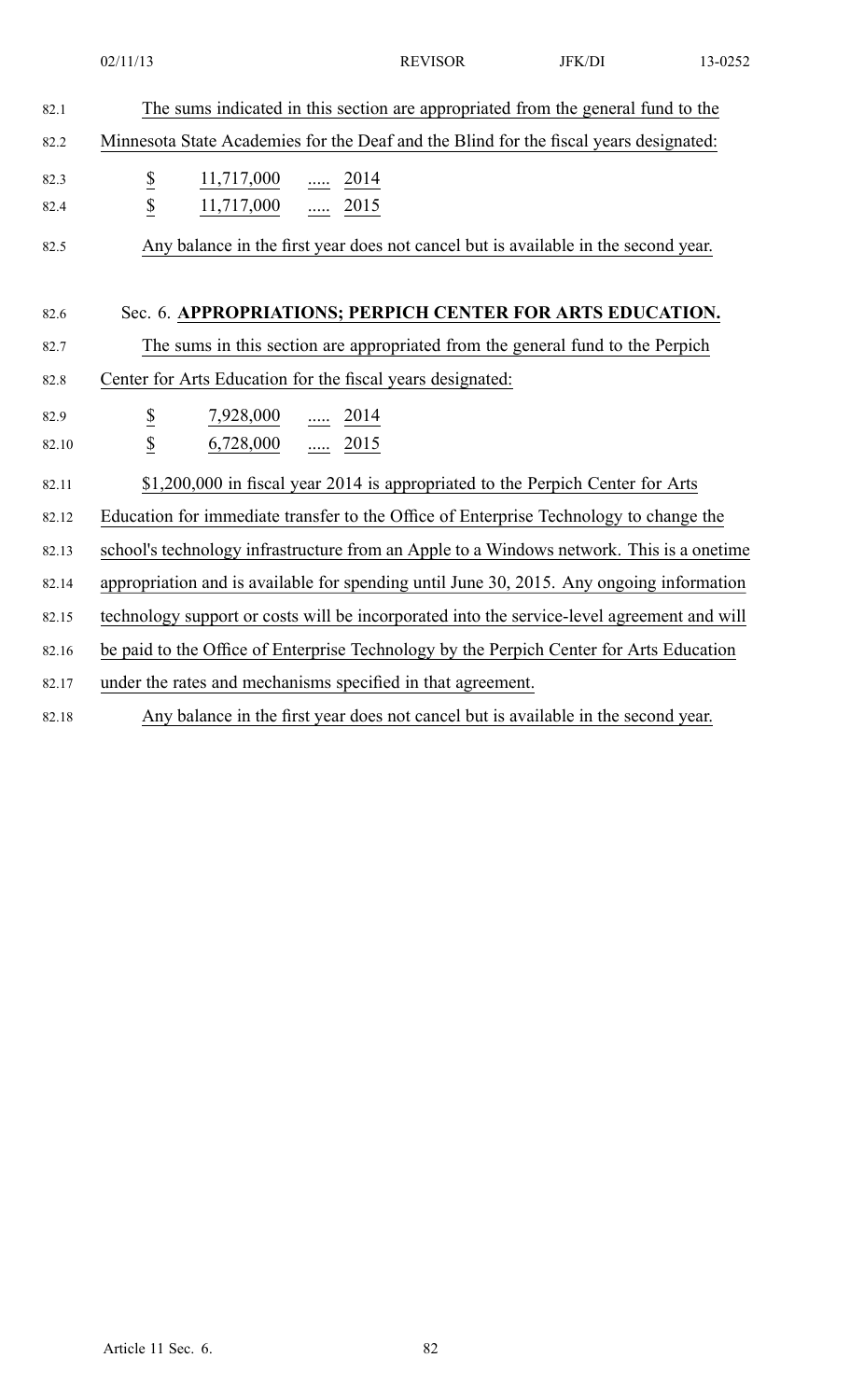|               | 02/11/13                                     | <b>REVISOR</b>                                                                             | JFK/DI | 13-0252 |
|---------------|----------------------------------------------|--------------------------------------------------------------------------------------------|--------|---------|
| 82.1          |                                              | The sums indicated in this section are appropriated from the general fund to the           |        |         |
| 82.2          |                                              | Minnesota State Academies for the Deaf and the Blind for the fiscal years designated:      |        |         |
| 82.3          | $\underline{\$}$<br>11,717,000  2014         |                                                                                            |        |         |
| 82.4          | $\overline{\mathcal{L}}$<br>11,717,000  2015 |                                                                                            |        |         |
| 82.5          |                                              | Any balance in the first year does not cancel but is available in the second year.         |        |         |
| 82.6          |                                              | Sec. 6. APPROPRIATIONS; PERPICH CENTER FOR ARTS EDUCATION.                                 |        |         |
| 82.7          |                                              | The sums in this section are appropriated from the general fund to the Perpich             |        |         |
| 82.8          |                                              | Center for Arts Education for the fiscal years designated:                                 |        |         |
| 82.9<br>82.10 | $\underline{\$}$<br>$\underline{\$}$         | $7,928,000$ 2014<br>$6,728,000$ 2015                                                       |        |         |
| 82.11         |                                              | \$1,200,000 in fiscal year 2014 is appropriated to the Perpich Center for Arts             |        |         |
| 82.12         |                                              | Education for immediate transfer to the Office of Enterprise Technology to change the      |        |         |
| 82.13         |                                              | school's technology infrastructure from an Apple to a Windows network. This is a onetime   |        |         |
| 82.14         |                                              | appropriation and is available for spending until June 30, 2015. Any ongoing information   |        |         |
| 82.15         |                                              | technology support or costs will be incorporated into the service-level agreement and will |        |         |
| 82.16         |                                              | be paid to the Office of Enterprise Technology by the Perpich Center for Arts Education    |        |         |
| 82.17         |                                              | under the rates and mechanisms specified in that agreement.                                |        |         |
| 82.18         |                                              | Any balance in the first year does not cancel but is available in the second year.         |        |         |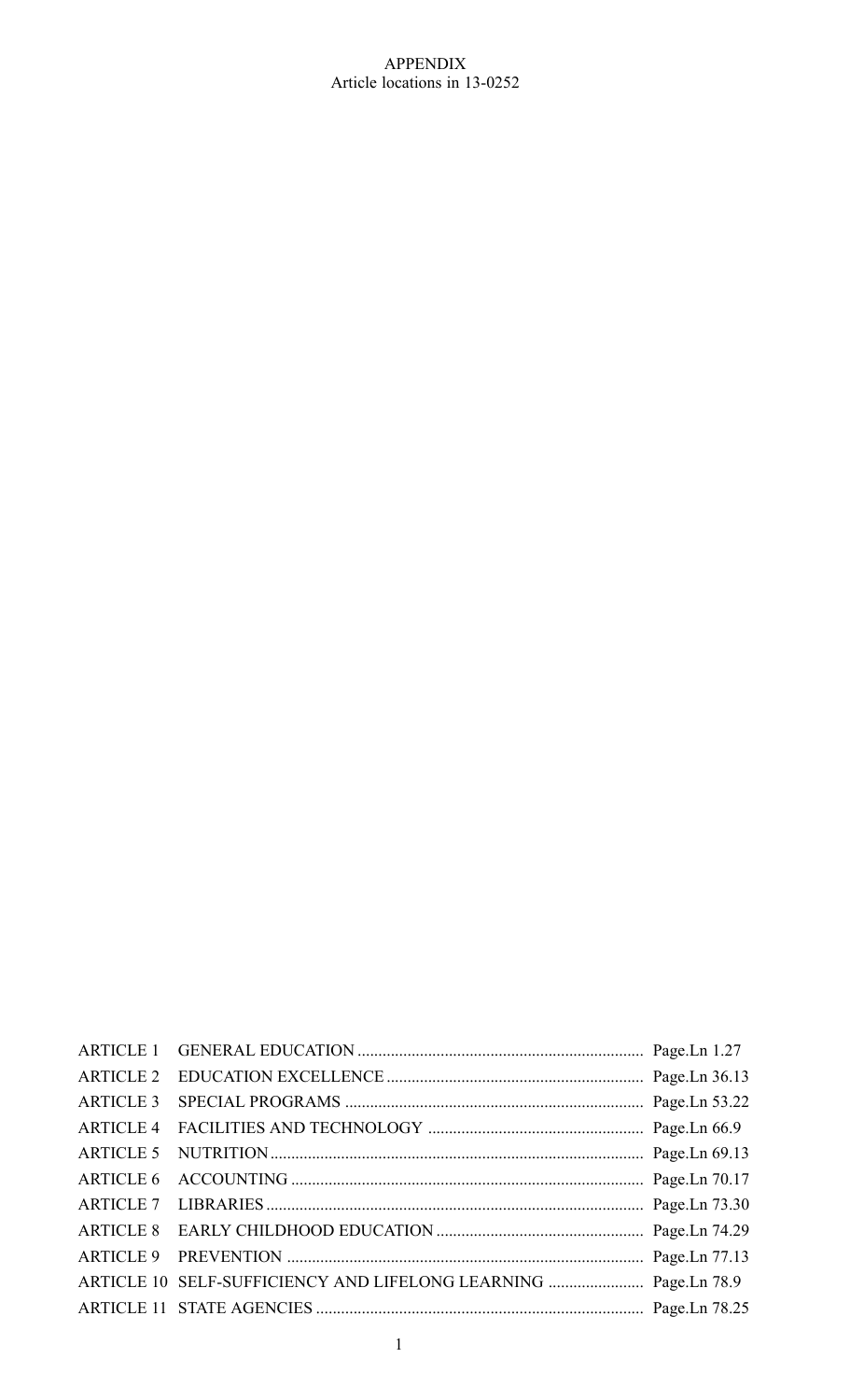# APPENDIX Article locations in 13-0252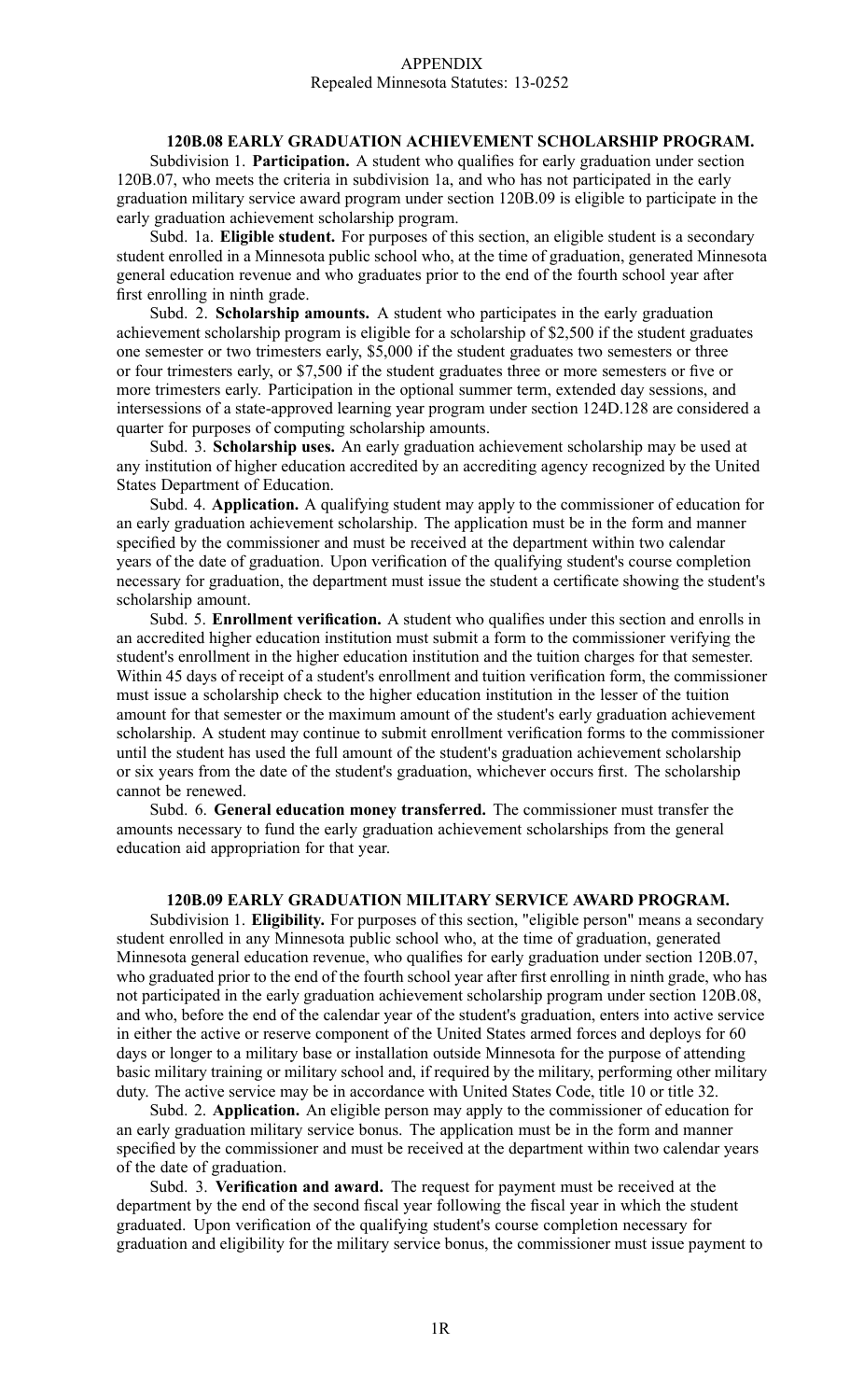## APPENDIX Repealed Minnesota Statutes: 13-0252

# **120B.08 EARLY GRADUATION ACHIEVEMENT SCHOLARSHIP PROGRAM.**

Subdivision 1. **Participation.** A student who qualifies for early graduation under section 120B.07, who meets the criteria in subdivision 1a, and who has not participated in the early graduation military service award program under section 120B.09 is eligible to participate in the early graduation achievement scholarship program.

Subd. 1a. **Eligible student.** For purposes of this section, an eligible student is <sup>a</sup> secondary student enrolled in <sup>a</sup> Minnesota public school who, at the time of graduation, generated Minnesota general education revenue and who graduates prior to the end of the fourth school year after first enrolling in ninth grade.

Subd. 2. **Scholarship amounts.** A student who participates in the early graduation achievement scholarship program is eligible for <sup>a</sup> scholarship of \$2,500 if the student graduates one semester or two trimesters early, \$5,000 if the student graduates two semesters or three or four trimesters early, or \$7,500 if the student graduates three or more semesters or five or more trimesters early. Participation in the optional summer term, extended day sessions, and intersessions of <sup>a</sup> state-approved learning year program under section 124D.128 are considered <sup>a</sup> quarter for purposes of computing scholarship amounts.

Subd. 3. **Scholarship uses.** An early graduation achievement scholarship may be used at any institution of higher education accredited by an accrediting agency recognized by the United States Department of Education.

Subd. 4. **Application.** A qualifying student may apply to the commissioner of education for an early graduation achievement scholarship. The application must be in the form and manner specified by the commissioner and must be received at the department within two calendar years of the date of graduation. Upon verification of the qualifying student's course completion necessary for graduation, the department must issue the student <sup>a</sup> certificate showing the student's scholarship amount.

Subd. 5. **Enrollment verification.** A student who qualifies under this section and enrolls in an accredited higher education institution must submit <sup>a</sup> form to the commissioner verifying the student's enrollment in the higher education institution and the tuition charges for that semester. Within 45 days of receipt of <sup>a</sup> student's enrollment and tuition verification form, the commissioner must issue <sup>a</sup> scholarship check to the higher education institution in the lesser of the tuition amount for that semester or the maximum amount of the student's early graduation achievement scholarship. A student may continue to submit enrollment verification forms to the commissioner until the student has used the full amount of the student's graduation achievement scholarship or six years from the date of the student's graduation, whichever occurs first. The scholarship cannot be renewed.

Subd. 6. **General education money transferred.** The commissioner must transfer the amounts necessary to fund the early graduation achievement scholarships from the general education aid appropriation for that year.

## **120B.09 EARLY GRADUATION MILITARY SERVICE AWARD PROGRAM.**

Subdivision 1. **Eligibility.** For purposes of this section, "eligible person" means <sup>a</sup> secondary student enrolled in any Minnesota public school who, at the time of graduation, generated Minnesota general education revenue, who qualifies for early graduation under section 120B.07, who graduated prior to the end of the fourth school year after first enrolling in ninth grade, who has not participated in the early graduation achievement scholarship program under section 120B.08, and who, before the end of the calendar year of the student's graduation, enters into active service in either the active or reserve componen<sup>t</sup> of the United States armed forces and deploys for 60 days or longer to <sup>a</sup> military base or installation outside Minnesota for the purpose of attending basic military training or military school and, if required by the military, performing other military duty. The active service may be in accordance with United States Code, title 10 or title 32.

Subd. 2. **Application.** An eligible person may apply to the commissioner of education for an early graduation military service bonus. The application must be in the form and manner specified by the commissioner and must be received at the department within two calendar years of the date of graduation.

Subd. 3. **Verification and award.** The reques<sup>t</sup> for paymen<sup>t</sup> must be received at the department by the end of the second fiscal year following the fiscal year in which the student graduated. Upon verification of the qualifying student's course completion necessary for graduation and eligibility for the military service bonus, the commissioner must issue paymen<sup>t</sup> to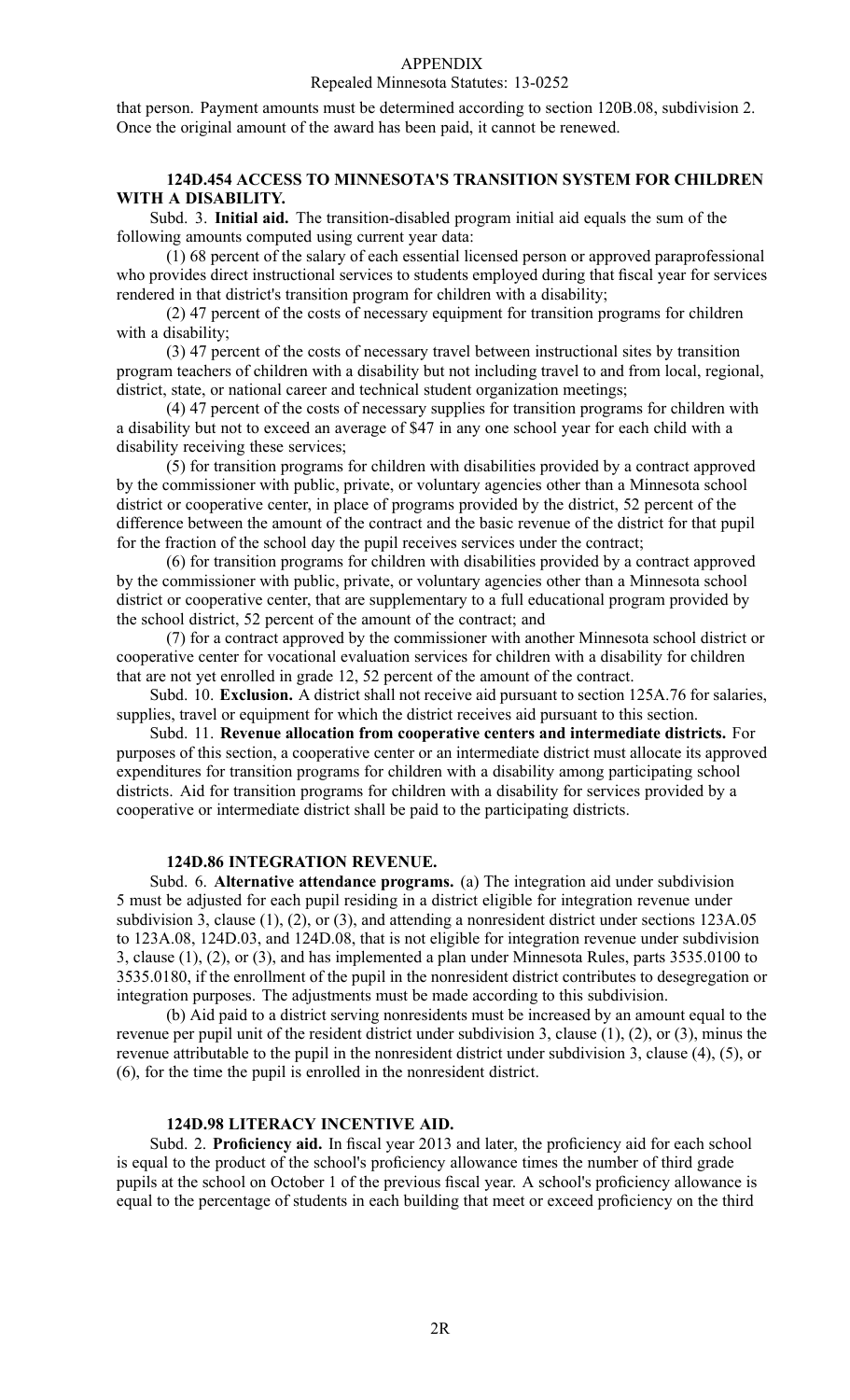#### Repealed Minnesota Statutes: 13-0252

that person. Payment amounts must be determined according to section 120B.08, subdivision 2. Once the original amount of the award has been paid, it cannot be renewed.

## **124D.454 ACCESS TO MINNESOTA'S TRANSITION SYSTEM FOR CHILDREN WITH A DISABILITY.**

Subd. 3. **Initial aid.** The transition-disabled program initial aid equals the sum of the following amounts computed using current year data:

(1) 68 percen<sup>t</sup> of the salary of each essential licensed person or approved paraprofessional who provides direct instructional services to students employed during that fiscal year for services rendered in that district's transition program for children with <sup>a</sup> disability;

(2) 47 percen<sup>t</sup> of the costs of necessary equipment for transition programs for children with a disability;

(3) 47 percen<sup>t</sup> of the costs of necessary travel between instructional sites by transition program teachers of children with <sup>a</sup> disability but not including travel to and from local, regional, district, state, or national career and technical student organization meetings;

(4) 47 percen<sup>t</sup> of the costs of necessary supplies for transition programs for children with <sup>a</sup> disability but not to exceed an average of \$47 in any one school year for each child with <sup>a</sup> disability receiving these services;

(5) for transition programs for children with disabilities provided by <sup>a</sup> contract approved by the commissioner with public, private, or voluntary agencies other than <sup>a</sup> Minnesota school district or cooperative center, in place of programs provided by the district, 52 percen<sup>t</sup> of the difference between the amount of the contract and the basic revenue of the district for that pupil for the fraction of the school day the pupil receives services under the contract;

(6) for transition programs for children with disabilities provided by <sup>a</sup> contract approved by the commissioner with public, private, or voluntary agencies other than <sup>a</sup> Minnesota school district or cooperative center, that are supplementary to <sup>a</sup> full educational program provided by the school district, 52 percen<sup>t</sup> of the amount of the contract; and

(7) for <sup>a</sup> contract approved by the commissioner with another Minnesota school district or cooperative center for vocational evaluation services for children with <sup>a</sup> disability for children that are not ye<sup>t</sup> enrolled in grade 12, 52 percen<sup>t</sup> of the amount of the contract.

Subd. 10. **Exclusion.** A district shall not receive aid pursuan<sup>t</sup> to section 125A.76 for salaries, supplies, travel or equipment for which the district receives aid pursuan<sup>t</sup> to this section.

Subd. 11. **Revenue allocation from cooperative centers and intermediate districts.** For purposes of this section, <sup>a</sup> cooperative center or an intermediate district must allocate its approved expenditures for transition programs for children with <sup>a</sup> disability among participating school districts. Aid for transition programs for children with <sup>a</sup> disability for services provided by <sup>a</sup> cooperative or intermediate district shall be paid to the participating districts.

### **124D.86 INTEGRATION REVENUE.**

Subd. 6. **Alternative attendance programs.** (a) The integration aid under subdivision 5 must be adjusted for each pupil residing in <sup>a</sup> district eligible for integration revenue under subdivision 3, clause (1), (2), or (3), and attending <sup>a</sup> nonresident district under sections 123A.05 to 123A.08, 124D.03, and 124D.08, that is not eligible for integration revenue under subdivision 3, clause (1), (2), or (3), and has implemented <sup>a</sup> plan under Minnesota Rules, parts 3535.0100 to 3535.0180, if the enrollment of the pupil in the nonresident district contributes to desegregation or integration purposes. The adjustments must be made according to this subdivision.

(b) Aid paid to <sup>a</sup> district serving nonresidents must be increased by an amount equal to the revenue per pupil unit of the resident district under subdivision 3, clause (1), (2), or (3), minus the revenue attributable to the pupil in the nonresident district under subdivision 3, clause (4), (5), or (6), for the time the pupil is enrolled in the nonresident district.

## **124D.98 LITERACY INCENTIVE AID.**

Subd. 2. **Proficiency aid.** In fiscal year 2013 and later, the proficiency aid for each school is equal to the product of the school's proficiency allowance times the number of third grade pupils at the school on October 1 of the previous fiscal year. A school's proficiency allowance is equal to the percentage of students in each building that meet or exceed proficiency on the third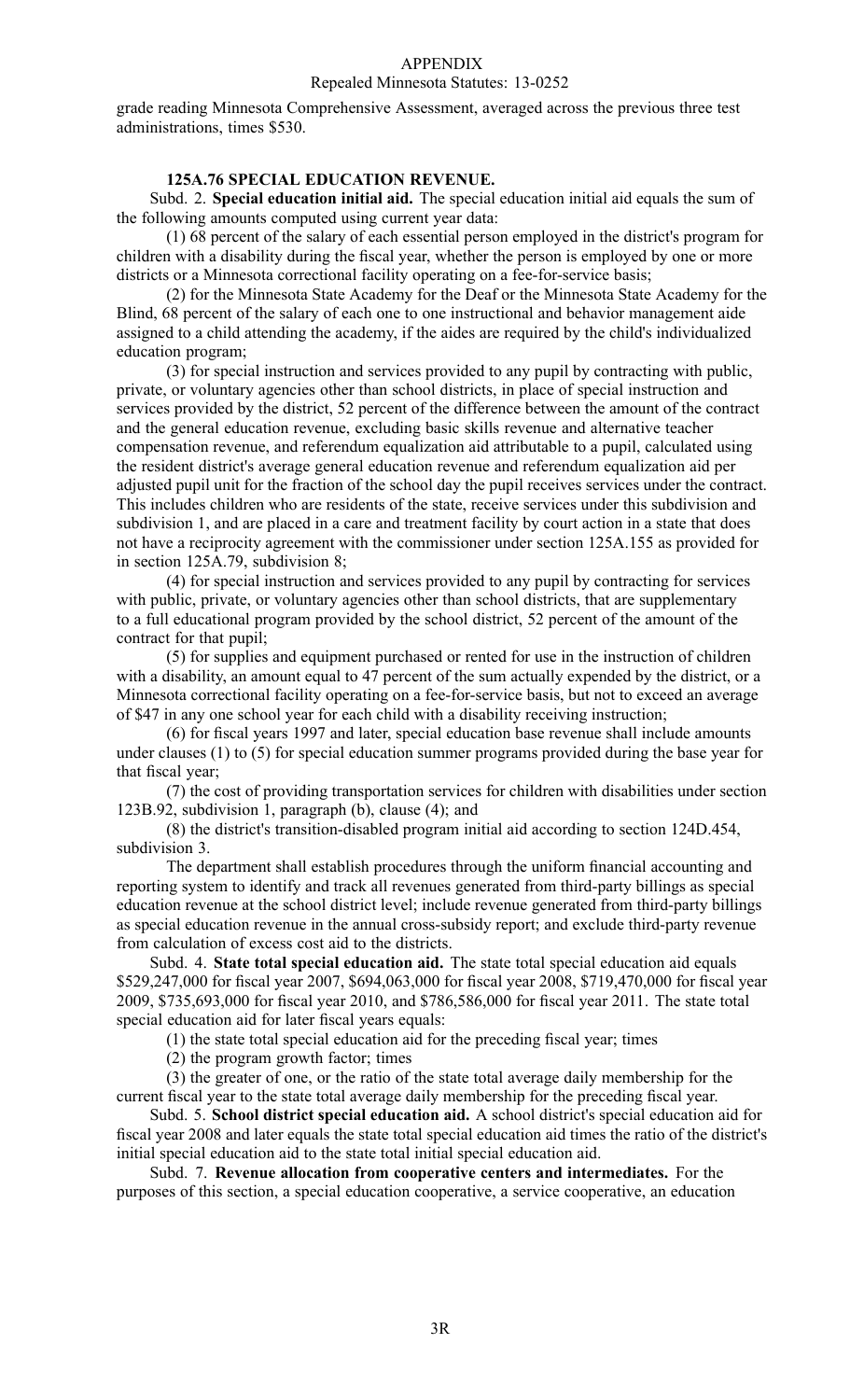## Repealed Minnesota Statutes: 13-0252

grade reading Minnesota Comprehensive Assessment, averaged across the previous three test administrations, times \$530.

# **125A.76 SPECIAL EDUCATION REVENUE.**

Subd. 2. **Special education initial aid.** The special education initial aid equals the sum of the following amounts computed using current year data:

(1) 68 percen<sup>t</sup> of the salary of each essential person employed in the district's program for children with <sup>a</sup> disability during the fiscal year, whether the person is employed by one or more districts or <sup>a</sup> Minnesota correctional facility operating on <sup>a</sup> fee-for-service basis;

(2) for the Minnesota State Academy for the Deaf or the Minnesota State Academy for the Blind, 68 percen<sup>t</sup> of the salary of each one to one instructional and behavior managemen<sup>t</sup> aide assigned to <sup>a</sup> child attending the academy, if the aides are required by the child's individualized education program;

(3) for special instruction and services provided to any pupil by contracting with public, private, or voluntary agencies other than school districts, in place of special instruction and services provided by the district, 52 percen<sup>t</sup> of the difference between the amount of the contract and the general education revenue, excluding basic skills revenue and alternative teacher compensation revenue, and referendum equalization aid attributable to <sup>a</sup> pupil, calculated using the resident district's average general education revenue and referendum equalization aid per adjusted pupil unit for the fraction of the school day the pupil receives services under the contract. This includes children who are residents of the state, receive services under this subdivision and subdivision 1, and are placed in <sup>a</sup> care and treatment facility by court action in <sup>a</sup> state that does not have <sup>a</sup> reciprocity agreemen<sup>t</sup> with the commissioner under section 125A.155 as provided for in section 125A.79, subdivision 8;

(4) for special instruction and services provided to any pupil by contracting for services with public, private, or voluntary agencies other than school districts, that are supplementary to <sup>a</sup> full educational program provided by the school district, 52 percen<sup>t</sup> of the amount of the contract for that pupil;

(5) for supplies and equipment purchased or rented for use in the instruction of children with <sup>a</sup> disability, an amount equal to 47 percen<sup>t</sup> of the sum actually expended by the district, or <sup>a</sup> Minnesota correctional facility operating on <sup>a</sup> fee-for-service basis, but not to exceed an average of \$47 in any one school year for each child with <sup>a</sup> disability receiving instruction;

(6) for fiscal years 1997 and later, special education base revenue shall include amounts under clauses (1) to (5) for special education summer programs provided during the base year for that fiscal year;

(7) the cost of providing transportation services for children with disabilities under section 123B.92, subdivision 1, paragraph (b), clause (4); and

(8) the district's transition-disabled program initial aid according to section 124D.454, subdivision 3.

The department shall establish procedures through the uniform financial accounting and reporting system to identify and track all revenues generated from third-party billings as special education revenue at the school district level; include revenue generated from third-party billings as special education revenue in the annual cross-subsidy report; and exclude third-party revenue from calculation of excess cost aid to the districts.

Subd. 4. **State total special education aid.** The state total special education aid equals \$529,247,000 for fiscal year 2007, \$694,063,000 for fiscal year 2008, \$719,470,000 for fiscal year 2009, \$735,693,000 for fiscal year 2010, and \$786,586,000 for fiscal year 2011. The state total special education aid for later fiscal years equals:

(1) the state total special education aid for the preceding fiscal year; times

(2) the program growth factor; times

(3) the greater of one, or the ratio of the state total average daily membership for the current fiscal year to the state total average daily membership for the preceding fiscal year.

Subd. 5. **School district special education aid.** A school district's special education aid for fiscal year 2008 and later equals the state total special education aid times the ratio of the district's initial special education aid to the state total initial special education aid.

Subd. 7. **Revenue allocation from cooperative centers and intermediates.** For the purposes of this section, <sup>a</sup> special education cooperative, <sup>a</sup> service cooperative, an education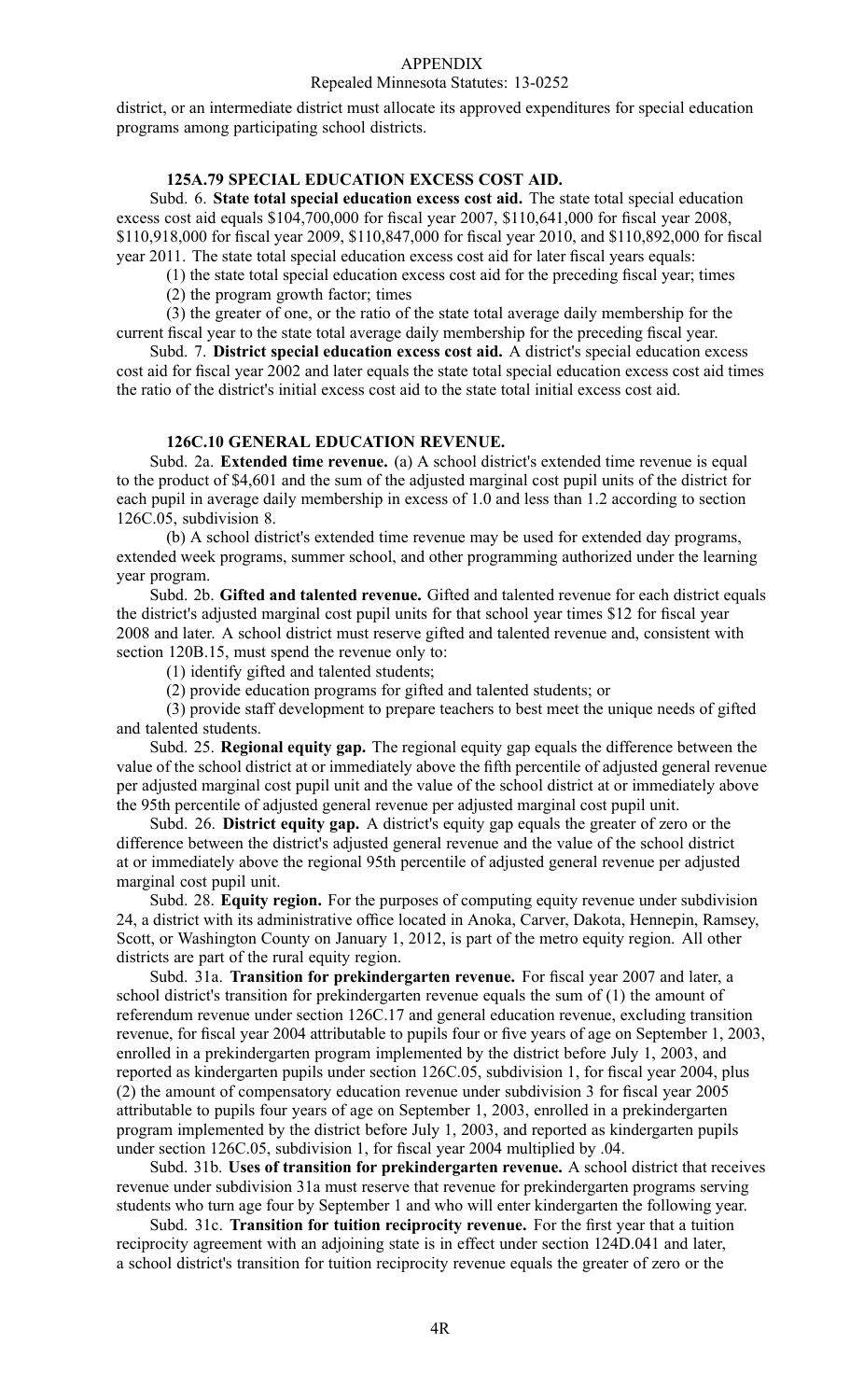#### Repealed Minnesota Statutes: 13-0252

district, or an intermediate district must allocate its approved expenditures for special education programs among participating school districts.

# **125A.79 SPECIAL EDUCATION EXCESS COST AID.**

Subd. 6. **State total special education excess cost aid.** The state total special education excess cost aid equals \$104,700,000 for fiscal year 2007, \$110,641,000 for fiscal year 2008, \$110,918,000 for fiscal year 2009, \$110,847,000 for fiscal year 2010, and \$110,892,000 for fiscal year 2011. The state total special education excess cost aid for later fiscal years equals:

(1) the state total special education excess cost aid for the preceding fiscal year; times

(2) the program growth factor; times

(3) the greater of one, or the ratio of the state total average daily membership for the current fiscal year to the state total average daily membership for the preceding fiscal year.

Subd. 7. **District special education excess cost aid.** A district's special education excess cost aid for fiscal year 2002 and later equals the state total special education excess cost aid times the ratio of the district's initial excess cost aid to the state total initial excess cost aid.

# **126C.10 GENERAL EDUCATION REVENUE.**

Subd. 2a. **Extended time revenue.** (a) A school district's extended time revenue is equal to the product of \$4,601 and the sum of the adjusted marginal cost pupil units of the district for each pupil in average daily membership in excess of 1.0 and less than 1.2 according to section 126C.05, subdivision 8.

(b) A school district's extended time revenue may be used for extended day programs, extended week programs, summer school, and other programming authorized under the learning year program.

Subd. 2b. **Gifted and talented revenue.** Gifted and talented revenue for each district equals the district's adjusted marginal cost pupil units for that school year times \$12 for fiscal year 2008 and later. A school district must reserve gifted and talented revenue and, consistent with section 120B.15, must spend the revenue only to:

(1) identify gifted and talented students;

(2) provide education programs for gifted and talented students; or

(3) provide staff development to prepare teachers to best meet the unique needs of gifted and talented students.

Subd. 25. **Regional equity gap.** The regional equity gap equals the difference between the value of the school district at or immediately above the fifth percentile of adjusted general revenue per adjusted marginal cost pupil unit and the value of the school district at or immediately above the 95th percentile of adjusted general revenue per adjusted marginal cost pupil unit.

Subd. 26. **District equity gap.** A district's equity gap equals the greater of zero or the difference between the district's adjusted general revenue and the value of the school district at or immediately above the regional 95th percentile of adjusted general revenue per adjusted marginal cost pupil unit.

Subd. 28. **Equity region.** For the purposes of computing equity revenue under subdivision 24, <sup>a</sup> district with its administrative office located in Anoka, Carver, Dakota, Hennepin, Ramsey, Scott, or Washington County on January 1, 2012, is par<sup>t</sup> of the metro equity region. All other districts are par<sup>t</sup> of the rural equity region.

Subd. 31a. **Transition for prekindergarten revenue.** For fiscal year 2007 and later, <sup>a</sup> school district's transition for prekindergarten revenue equals the sum of (1) the amount of referendum revenue under section 126C.17 and general education revenue, excluding transition revenue, for fiscal year 2004 attributable to pupils four or five years of age on September 1, 2003, enrolled in <sup>a</sup> prekindergarten program implemented by the district before July 1, 2003, and reported as kindergarten pupils under section 126C.05, subdivision 1, for fiscal year 2004, plus (2) the amount of compensatory education revenue under subdivision 3 for fiscal year 2005 attributable to pupils four years of age on September 1, 2003, enrolled in <sup>a</sup> prekindergarten program implemented by the district before July 1, 2003, and reported as kindergarten pupils under section 126C.05, subdivision 1, for fiscal year 2004 multiplied by .04.

Subd. 31b. **Uses of transition for prekindergarten revenue.** A school district that receives revenue under subdivision 31a must reserve that revenue for prekindergarten programs serving students who turn age four by September 1 and who will enter kindergarten the following year.

Subd. 31c. **Transition for tuition reciprocity revenue.** For the first year that <sup>a</sup> tuition reciprocity agreemen<sup>t</sup> with an adjoining state is in effect under section 124D.041 and later, <sup>a</sup> school district's transition for tuition reciprocity revenue equals the greater of zero or the